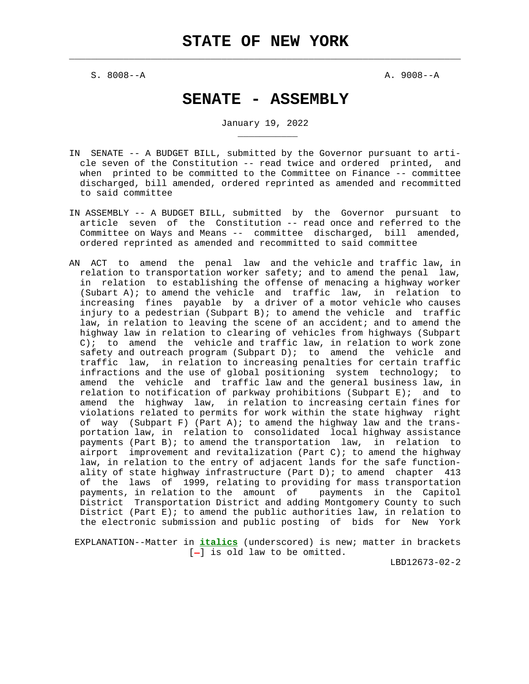$\mathcal{L}_\text{max} = \frac{1}{2} \sum_{i=1}^{n} \frac{1}{2} \sum_{i=1}^{n} \frac{1}{2} \sum_{i=1}^{n} \frac{1}{2} \sum_{i=1}^{n} \frac{1}{2} \sum_{i=1}^{n} \frac{1}{2} \sum_{i=1}^{n} \frac{1}{2} \sum_{i=1}^{n} \frac{1}{2} \sum_{i=1}^{n} \frac{1}{2} \sum_{i=1}^{n} \frac{1}{2} \sum_{i=1}^{n} \frac{1}{2} \sum_{i=1}^{n} \frac{1}{2} \sum_{i=1}^{n} \frac{1$ 

S. 8008--A A. 9008--A

\_\_\_\_\_\_\_\_\_\_\_

# **SENATE - ASSEMBLY**

January 19, 2022

- IN SENATE -- A BUDGET BILL, submitted by the Governor pursuant to arti cle seven of the Constitution -- read twice and ordered printed, and when printed to be committed to the Committee on Finance -- committee discharged, bill amended, ordered reprinted as amended and recommitted to said committee
- IN ASSEMBLY -- A BUDGET BILL, submitted by the Governor pursuant to article seven of the Constitution -- read once and referred to the Committee on Ways and Means -- committee discharged, bill amended, ordered reprinted as amended and recommitted to said committee
- AN ACT to amend the penal law and the vehicle and traffic law, in relation to transportation worker safety; and to amend the penal law, in relation to establishing the offense of menacing a highway worker (Subart A); to amend the vehicle and traffic law, in relation to increasing fines payable by a driver of a motor vehicle who causes injury to a pedestrian (Subpart B); to amend the vehicle and traffic law, in relation to leaving the scene of an accident; and to amend the highway law in relation to clearing of vehicles from highways (Subpart C); to amend the vehicle and traffic law, in relation to work zone safety and outreach program (Subpart  $D$ ); to amend the vehicle and traffic law, in relation to increasing penalties for certain traffic infractions and the use of global positioning system technology; to amend the vehicle and traffic law and the general business law, in relation to notification of parkway prohibitions (Subpart E); and to amend the highway law, in relation to increasing certain fines for violations related to permits for work within the state highway right of way (Subpart F) (Part A); to amend the highway law and the trans portation law, in relation to consolidated local highway assistance payments (Part B); to amend the transportation law, in relation to airport improvement and revitalization (Part C); to amend the highway law, in relation to the entry of adjacent lands for the safe function ality of state highway infrastructure (Part D); to amend chapter 413 of the laws of 1999, relating to providing for mass transportation payments, in relation to the amount of payments in the Capitol District Transportation District and adding Montgomery County to such District (Part E); to amend the public authorities law, in relation to the electronic submission and public posting of bids for New York

 EXPLANATION--Matter in **italics** (underscored) is new; matter in brackets  $[-]$  is old law to be omitted.

LBD12673-02-2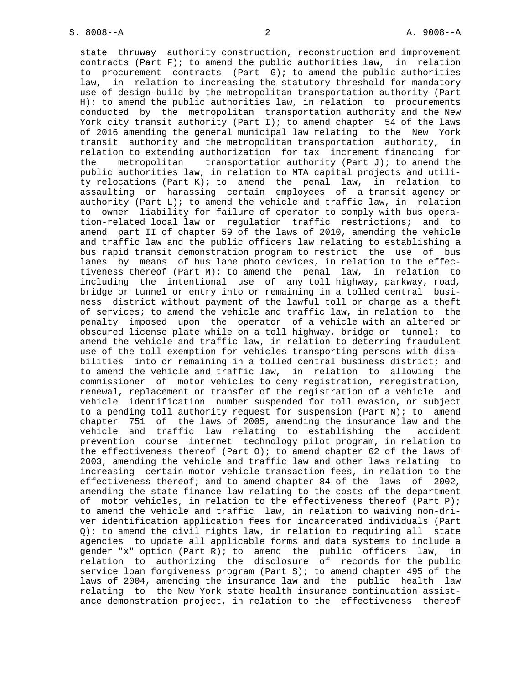state thruway authority construction, reconstruction and improvement contracts (Part  $F$ ); to amend the public authorities law, in relation to procurement contracts (Part G); to amend the public authorities law, in relation to increasing the statutory threshold for mandatory use of design-build by the metropolitan transportation authority (Part H); to amend the public authorities law, in relation to procurements conducted by the metropolitan transportation authority and the New York city transit authority (Part I); to amend chapter  $54$  of the laws of 2016 amending the general municipal law relating to the New York transit authority and the metropolitan transportation authority, in relation to extending authorization for tax increment financing for the metropolitan transportation authority (Part J); to amend the public authorities law, in relation to MTA capital projects and utili ty relocations (Part K); to amend the penal law, in relation to assaulting or harassing certain employees of a transit agency or authority (Part  $L$ ); to amend the vehicle and traffic law, in relation to owner liability for failure of operator to comply with bus opera tion-related local law or regulation traffic restrictions; and to amend part II of chapter 59 of the laws of 2010, amending the vehicle and traffic law and the public officers law relating to establishing a bus rapid transit demonstration program to restrict the use of bus lanes by means of bus lane photo devices, in relation to the effec tiveness thereof (Part M); to amend the penal law, in relation to including the intentional use of any toll highway, parkway, road, bridge or tunnel or entry into or remaining in a tolled central busi ness district without payment of the lawful toll or charge as a theft of services; to amend the vehicle and traffic law, in relation to the penalty imposed upon the operator of a vehicle with an altered or obscured license plate while on a toll highway, bridge or tunnel; to amend the vehicle and traffic law, in relation to deterring fraudulent use of the toll exemption for vehicles transporting persons with disa bilities into or remaining in a tolled central business district; and to amend the vehicle and traffic law, in relation to allowing the commissioner of motor vehicles to deny registration, reregistration, renewal, replacement or transfer of the registration of a vehicle and vehicle identification number suspended for toll evasion, or subject to a pending toll authority request for suspension (Part N); to amend chapter 751 of the laws of 2005, amending the insurance law and the vehicle and traffic law relating to establishing the accident prevention course internet technology pilot program, in relation to the effectiveness thereof (Part  $0$ ); to amend chapter 62 of the laws of 2003, amending the vehicle and traffic law and other laws relating to increasing certain motor vehicle transaction fees, in relation to the effectiveness thereof; and to amend chapter 84 of the laws of 2002, amending the state finance law relating to the costs of the department of motor vehicles, in relation to the effectiveness thereof (Part P); to amend the vehicle and traffic law, in relation to waiving non-dri ver identification application fees for incarcerated individuals (Part Q); to amend the civil rights law, in relation to requiring all state agencies to update all applicable forms and data systems to include a gender "x" option (Part R); to amend the public officers law, in relation to authorizing the disclosure of records for the public service loan forgiveness program (Part S); to amend chapter 495 of the laws of 2004, amending the insurance law and the public health law relating to the New York state health insurance continuation assist ance demonstration project, in relation to the effectiveness thereof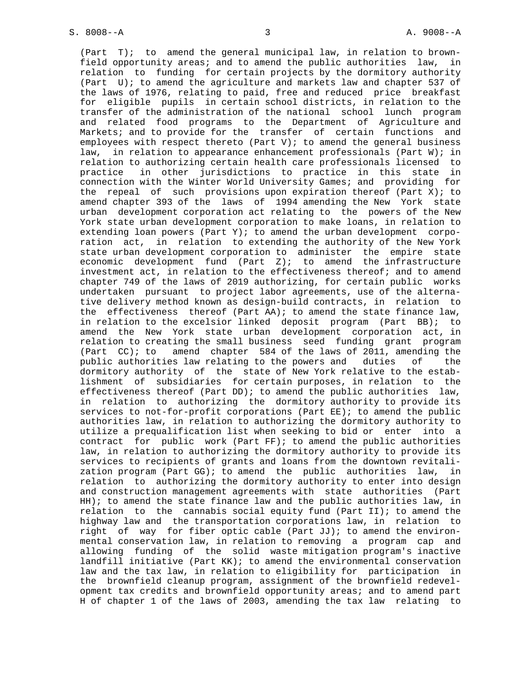(Part T); to amend the general municipal law, in relation to brown field opportunity areas; and to amend the public authorities law, in relation to funding for certain projects by the dormitory authority (Part U); to amend the agriculture and markets law and chapter 537 of the laws of 1976, relating to paid, free and reduced price breakfast for eligible pupils in certain school districts, in relation to the transfer of the administration of the national school lunch program and related food programs to the Department of Agriculture and Markets; and to provide for the transfer of certain functions and employees with respect thereto (Part V); to amend the general business law, in relation to appearance enhancement professionals (Part W); in relation to authorizing certain health care professionals licensed to practice in other jurisdictions to practice in this state in connection with the Winter World University Games; and providing for the repeal of such provisions upon expiration thereof (Part X); to amend chapter 393 of the laws of 1994 amending the New York state urban development corporation act relating to the powers of the New York state urban development corporation to make loans, in relation to extending loan powers (Part Y); to amend the urban development corpo ration act, in relation to extending the authority of the New York state urban development corporation to administer the empire state economic development fund (Part Z); to amend the infrastructure investment act, in relation to the effectiveness thereof; and to amend chapter 749 of the laws of 2019 authorizing, for certain public works undertaken pursuant to project labor agreements, use of the alterna tive delivery method known as design-build contracts, in relation to the effectiveness thereof (Part AA); to amend the state finance law, in relation to the excelsior linked deposit program (Part BB); to amend the New York state urban development corporation act, in relation to creating the small business seed funding grant program (Part CC); to amend chapter 584 of the laws of 2011, amending the public authorities law relating to the powers and duties of the dormitory authority of the state of New York relative to the estab lishment of subsidiaries for certain purposes, in relation to the effectiveness thereof (Part DD); to amend the public authorities law, in relation to authorizing the dormitory authority to provide its services to not-for-profit corporations (Part EE); to amend the public authorities law, in relation to authorizing the dormitory authority to utilize a prequalification list when seeking to bid or enter into a contract for public work (Part FF); to amend the public authorities law, in relation to authorizing the dormitory authority to provide its services to recipients of grants and loans from the downtown revitali zation program (Part GG); to amend the public authorities law, in relation to authorizing the dormitory authority to enter into design and construction management agreements with state authorities (Part HH); to amend the state finance law and the public authorities law, in relation to the cannabis social equity fund (Part II); to amend the highway law and the transportation corporations law, in relation to right of way for fiber optic cable (Part JJ); to amend the environ mental conservation law, in relation to removing a program cap and allowing funding of the solid waste mitigation program's inactive landfill initiative (Part KK); to amend the environmental conservation law and the tax law, in relation to eligibility for participation in the brownfield cleanup program, assignment of the brownfield redevel opment tax credits and brownfield opportunity areas; and to amend part H of chapter 1 of the laws of 2003, amending the tax law relating to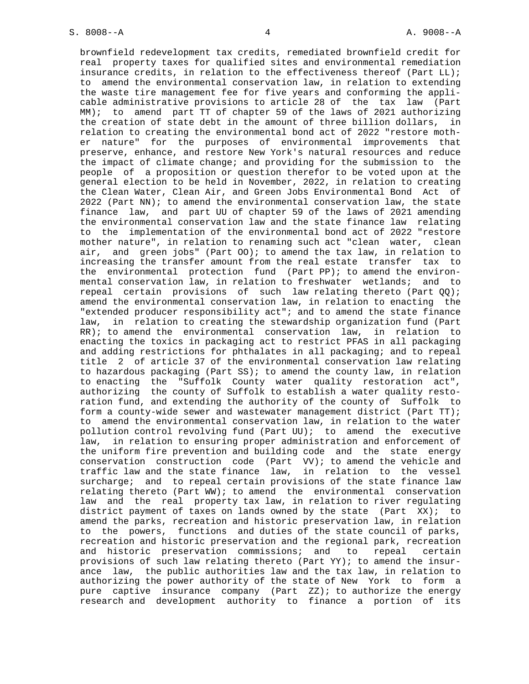brownfield redevelopment tax credits, remediated brownfield credit for real property taxes for qualified sites and environmental remediation insurance credits, in relation to the effectiveness thereof (Part LL); to amend the environmental conservation law, in relation to extending the waste tire management fee for five years and conforming the appli cable administrative provisions to article 28 of the tax law (Part MM); to amend part TT of chapter 59 of the laws of 2021 authorizing the creation of state debt in the amount of three billion dollars, in relation to creating the environmental bond act of 2022 "restore moth er nature" for the purposes of environmental improvements that preserve, enhance, and restore New York's natural resources and reduce the impact of climate change; and providing for the submission to the people of a proposition or question therefor to be voted upon at the general election to be held in November, 2022, in relation to creating the Clean Water, Clean Air, and Green Jobs Environmental Bond Act of 2022 (Part NN); to amend the environmental conservation law, the state finance law, and part UU of chapter 59 of the laws of 2021 amending the environmental conservation law and the state finance law relating to the implementation of the environmental bond act of 2022 "restore mother nature", in relation to renaming such act "clean water, clean air, and green jobs" (Part OO); to amend the tax law, in relation to increasing the transfer amount from the real estate transfer tax to the environmental protection fund (Part PP); to amend the environ mental conservation law, in relation to freshwater wetlands; and to repeal certain provisions of such law relating thereto (Part QQ); amend the environmental conservation law, in relation to enacting the "extended producer responsibility act"; and to amend the state finance law, in relation to creating the stewardship organization fund (Part RR); to amend the environmental conservation law, in relation to enacting the toxics in packaging act to restrict PFAS in all packaging and adding restrictions for phthalates in all packaging; and to repeal title 2 of article 37 of the environmental conservation law relating to hazardous packaging (Part SS); to amend the county law, in relation to enacting the "Suffolk County water quality restoration act", authorizing the county of Suffolk to establish a water quality resto ration fund, and extending the authority of the county of Suffolk to form a county-wide sewer and wastewater management district (Part TT); to amend the environmental conservation law, in relation to the water pollution control revolving fund (Part UU); to amend the executive law, in relation to ensuring proper administration and enforcement of the uniform fire prevention and building code and the state energy conservation construction code (Part VV); to amend the vehicle and traffic law and the state finance law, in relation to the vessel surcharge; and to repeal certain provisions of the state finance law relating thereto (Part WW); to amend the environmental conservation law and the real property tax law, in relation to river regulating district payment of taxes on lands owned by the state (Part  $XX$ ); to amend the parks, recreation and historic preservation law, in relation to the powers, functions and duties of the state council of parks, recreation and historic preservation and the regional park, recreation and historic preservation commissions; and to repeal certain provisions of such law relating thereto (Part YY); to amend the insur ance law, the public authorities law and the tax law, in relation to authorizing the power authority of the state of New York to form a pure captive insurance company (Part ZZ); to authorize the energy research and development authority to finance a portion of its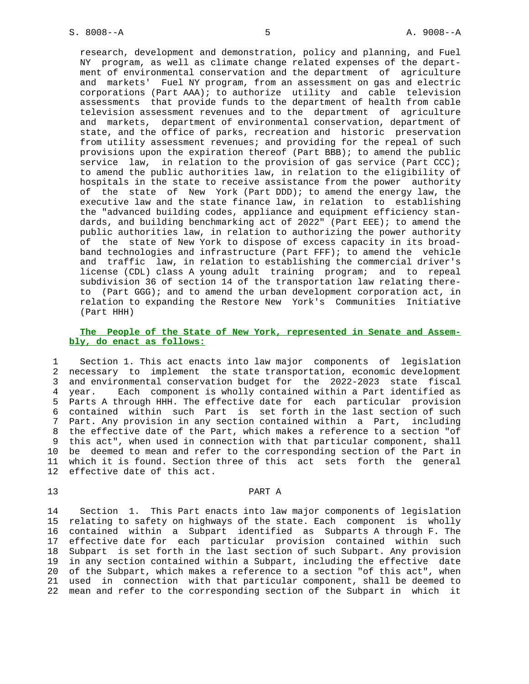research, development and demonstration, policy and planning, and Fuel NY program, as well as climate change related expenses of the depart ment of environmental conservation and the department of agriculture and markets' Fuel NY program, from an assessment on gas and electric corporations (Part AAA); to authorize utility and cable television assessments that provide funds to the department of health from cable television assessment revenues and to the department of agriculture and markets, department of environmental conservation, department of state, and the office of parks, recreation and historic preservation from utility assessment revenues; and providing for the repeal of such provisions upon the expiration thereof (Part BBB); to amend the public service law, in relation to the provision of gas service (Part CCC); to amend the public authorities law, in relation to the eligibility of hospitals in the state to receive assistance from the power authority of the state of New York (Part DDD); to amend the energy law, the executive law and the state finance law, in relation to establishing the "advanced building codes, appliance and equipment efficiency stan dards, and building benchmarking act of 2022" (Part EEE); to amend the public authorities law, in relation to authorizing the power authority of the state of New York to dispose of excess capacity in its broad band technologies and infrastructure (Part FFF); to amend the vehicle and traffic law, in relation to establishing the commercial driver's license (CDL) class A young adult training program; and to repeal subdivision 36 of section 14 of the transportation law relating there to (Part GGG); and to amend the urban development corporation act, in relation to expanding the Restore New York's Communities Initiative (Part HHH)

# **The People of the State of New York, represented in Senate and Assem bly, do enact as follows:**

 1 Section 1. This act enacts into law major components of legislation 2 necessary to implement the state transportation, economic development 3 and environmental conservation budget for the 2022-2023 state fiscal 4 year. Each component is wholly contained within a Part identified as 5 Parts A through HHH. The effective date for each particular provision 6 contained within such Part is set forth in the last section of such 7 Part. Any provision in any section contained within a Part, including 8 the effective date of the Part, which makes a reference to a section "of 9 this act", when used in connection with that particular component, shall 10 be deemed to mean and refer to the corresponding section of the Part in 11 which it is found. Section three of this act sets forth the general 12 effective date of this act.

# 13 PART A

 14 Section 1. This Part enacts into law major components of legislation 15 relating to safety on highways of the state. Each component is wholly 16 contained within a Subpart identified as Subparts A through F. The 17 effective date for each particular provision contained within such 18 Subpart is set forth in the last section of such Subpart. Any provision 19 in any section contained within a Subpart, including the effective date 20 of the Subpart, which makes a reference to a section "of this act", when 21 used in connection with that particular component, shall be deemed to 22 mean and refer to the corresponding section of the Subpart in which it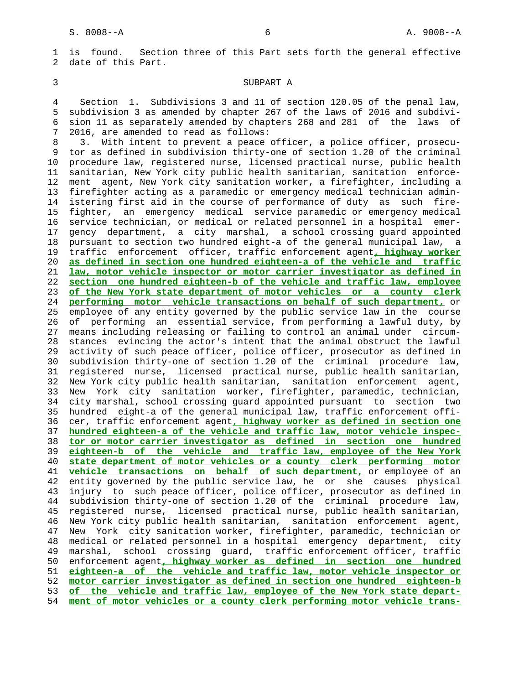1 is found. Section three of this Part sets forth the general effective 2 date of this Part.

## 3 SUBPART A

 4 Section 1. Subdivisions 3 and 11 of section 120.05 of the penal law, 5 subdivision 3 as amended by chapter 267 of the laws of 2016 and subdivi- 6 sion 11 as separately amended by chapters 268 and 281 of the laws of 7 2016, are amended to read as follows:

 8 3. With intent to prevent a peace officer, a police officer, prosecu- 9 tor as defined in subdivision thirty-one of section 1.20 of the criminal 10 procedure law, registered nurse, licensed practical nurse, public health 11 sanitarian, New York city public health sanitarian, sanitation enforce- 12 ment agent, New York city sanitation worker, a firefighter, including a 13 firefighter acting as a paramedic or emergency medical technician admin- 14 istering first aid in the course of performance of duty as such fire- 15 fighter, an emergency medical service paramedic or emergency medical 16 service technician, or medical or related personnel in a hospital emer- 17 gency department, a city marshal, a school crossing guard appointed 18 pursuant to section two hundred eight-a of the general municipal law, a 19 traffic enforcement officer, traffic enforcement agent**, highway worker** 20 **as defined in section one hundred eighteen-a of the vehicle and traffic** 21 **law, motor vehicle inspector or motor carrier investigator as defined in** 22 **section one hundred eighteen-b of the vehicle and traffic law, employee** 23 **of the New York state department of motor vehicles or a county clerk** 24 **performing motor vehicle transactions on behalf of such department,** or 25 employee of any entity governed by the public service law in the course 26 of performing an essential service, from performing a lawful duty, by 27 means including releasing or failing to control an animal under circum- 28 stances evincing the actor's intent that the animal obstruct the lawful 29 activity of such peace officer, police officer, prosecutor as defined in 30 subdivision thirty-one of section 1.20 of the criminal procedure law, 31 registered nurse, licensed practical nurse, public health sanitarian, 32 New York city public health sanitarian, sanitation enforcement agent, 33 New York city sanitation worker, firefighter, paramedic, technician, 34 city marshal, school crossing guard appointed pursuant to section two 35 hundred eight-a of the general municipal law, traffic enforcement offi- 36 cer, traffic enforcement agent**, highway worker as defined in section one** 37 **hundred eighteen-a of the vehicle and traffic law, motor vehicle inspec-** 38 **tor or motor carrier investigator as defined in section one hundred** 39 **eighteen-b of the vehicle and traffic law, employee of the New York** 40 **state department of motor vehicles or a county clerk performing motor** 41 **vehicle transactions on behalf of such department,** or employee of an 42 entity governed by the public service law, he or she causes physical 43 injury to such peace officer, police officer, prosecutor as defined in 44 subdivision thirty-one of section 1.20 of the criminal procedure law, 45 registered nurse, licensed practical nurse, public health sanitarian, 46 New York city public health sanitarian, sanitation enforcement agent, 47 New York city sanitation worker, firefighter, paramedic, technician or 48 medical or related personnel in a hospital emergency department, city 49 marshal, school crossing guard, traffic enforcement officer, traffic 50 enforcement agent**, highway worker as defined in section one hundred** 51 **eighteen-a of the vehicle and traffic law, motor vehicle inspector or** 52 **motor carrier investigator as defined in section one hundred eighteen-b** 53 **of the vehicle and traffic law, employee of the New York state depart-** 54 **ment of motor vehicles or a county clerk performing motor vehicle trans-**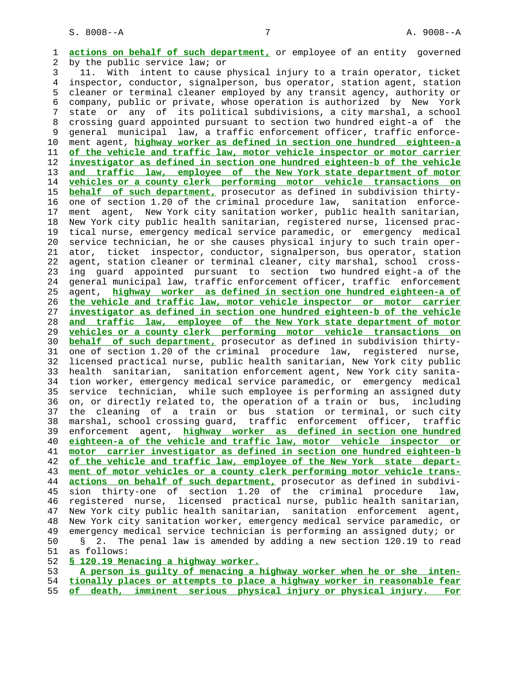1 **actions on behalf of such department,** or employee of an entity governed 2 by the public service law; or 3 11. With intent to cause physical injury to a train operator, ticket 4 inspector, conductor, signalperson, bus operator, station agent, station 5 cleaner or terminal cleaner employed by any transit agency, authority or 6 company, public or private, whose operation is authorized by New York 7 state or any of its political subdivisions, a city marshal, a school 8 crossing guard appointed pursuant to section two hundred eight-a of the 9 general municipal law, a traffic enforcement officer, traffic enforce- 10 ment agent, **highway worker as defined in section one hundred eighteen-a** 11 **of the vehicle and traffic law, motor vehicle inspector or motor carrier** 12 **investigator as defined in section one hundred eighteen-b of the vehicle** 13 **and traffic law, employee of the New York state department of motor** 14 **vehicles or a county clerk performing motor vehicle transactions on** 15 **behalf of such department,** prosecutor as defined in subdivision thirty- 16 one of section 1.20 of the criminal procedure law, sanitation enforce- 17 ment agent, New York city sanitation worker, public health sanitarian, 18 New York city public health sanitarian, registered nurse, licensed prac- 19 tical nurse, emergency medical service paramedic, or emergency medical 20 service technician, he or she causes physical injury to such train oper- 21 ator, ticket inspector, conductor, signalperson, bus operator, station 22 agent, station cleaner or terminal cleaner, city marshal, school cross- 23 ing guard appointed pursuant to section two hundred eight-a of the 24 general municipal law, traffic enforcement officer, traffic enforcement 25 agent, **highway worker as defined in section one hundred eighteen-a of** 26 **the vehicle and traffic law, motor vehicle inspector or motor carrier** 27 **investigator as defined in section one hundred eighteen-b of the vehicle** 28 **and traffic law, employee of the New York state department of motor** 29 **vehicles or a county clerk performing motor vehicle transactions on** 30 **behalf of such department,** prosecutor as defined in subdivision thirty- 31 one of section 1.20 of the criminal procedure law, registered nurse, 32 licensed practical nurse, public health sanitarian, New York city public 33 health sanitarian, sanitation enforcement agent, New York city sanita- 34 tion worker, emergency medical service paramedic, or emergency medical 35 service technician, while such employee is performing an assigned duty 36 on, or directly related to, the operation of a train or bus, including 37 the cleaning of a train or bus station or terminal, or such city 38 marshal, school crossing guard, traffic enforcement officer, traffic 39 enforcement agent, **highway worker as defined in section one hundred** 40 **eighteen-a of the vehicle and traffic law, motor vehicle inspector or** 41 **motor carrier investigator as defined in section one hundred eighteen-b** 42 **of the vehicle and traffic law, employee of the New York state depart-** 43 **ment of motor vehicles or a county clerk performing motor vehicle trans-** 44 **actions on behalf of such department,** prosecutor as defined in subdivi- 45 sion thirty-one of section 1.20 of the criminal procedure law, 46 registered nurse, licensed practical nurse, public health sanitarian, 47 New York city public health sanitarian, sanitation enforcement agent, 48 New York city sanitation worker, emergency medical service paramedic, or 49 emergency medical service technician is performing an assigned duty; or 50 § 2. The penal law is amended by adding a new section 120.19 to read 51 as follows: 52 **§ 120.19 Menacing a highway worker.**

|  | A person is quilty of menacing a highway worker when he or she inten-       |  |  |  |
|--|-----------------------------------------------------------------------------|--|--|--|
|  | 54 tionally places or attempts to place a highway worker in reasonable fear |  |  |  |
|  | 55 of death, imminent serious physical injury or physical injury. For       |  |  |  |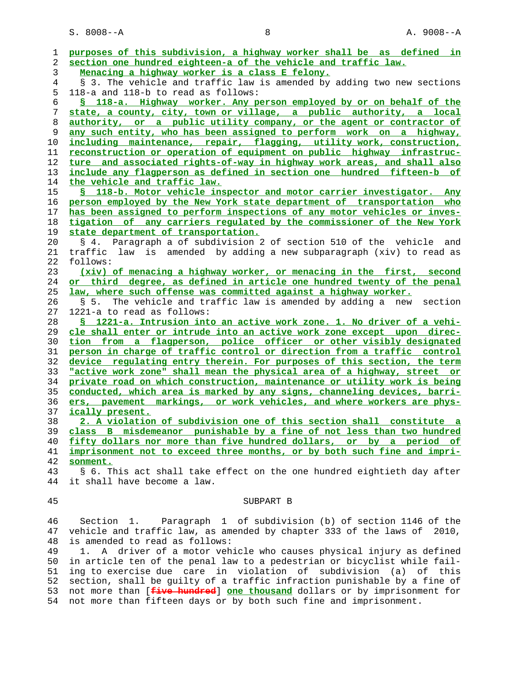S. 8008--A 8 A. 9008--A

| 1        | purposes of this subdivision, a highway worker shall be as defined in    |
|----------|--------------------------------------------------------------------------|
| 2        | section one hundred eighteen-a of the vehicle and traffic law.           |
| 3        | Menacing a highway worker is a class E felony.                           |
| 4        | § 3. The vehicle and traffic law is amended by adding two new sections   |
| 5        | 118-a and 118-b to read as follows:                                      |
| 6        | § 118-a. Highway worker. Any person employed by or on behalf of the      |
| 7        | state, a county, city, town or village, a public authority, a local      |
| 8        | authority, or a public utility company, or the agent or contractor of    |
| 9        | any such entity, who has been assigned to perform work on a highway,     |
| 10       | including maintenance, repair, flagging, utility work, construction,     |
| 11       | reconstruction or operation of equipment on public highway infrastruc-   |
| 12       | ture and associated rights-of-way in highway work areas, and shall also  |
| 13       | include any flagperson as defined in section one hundred fifteen-b of    |
| 14       | the vehicle and traffic law.                                             |
| 15       | § 118-b. Motor vehicle inspector and motor carrier investigator. Any     |
| 16       | person employed by the New York state department of transportation who   |
| 17       | has been assigned to perform inspections of any motor vehicles or inves- |
| 18       | tigation of any carriers regulated by the commissioner of the New York   |
| 19       | state department of transportation.                                      |
| 20       | § 4. Paragraph a of subdivision 2 of section 510 of the vehicle and      |
| 21       | traffic law is amended by adding a new subparagraph (xiv) to read as     |
| 22       | follows:                                                                 |
| 23       | (xiv) of menacing a highway worker, or menacing in the first, second     |
| 24       | or third degree, as defined in article one hundred twenty of the penal   |
| 25       | law, where such offense was committed against a highway worker.          |
| 26       | The vehicle and traffic law is amended by adding a new section<br>S 5.   |
| 27       | 1221-a to read as follows:                                               |
| 28       | § 1221-a. Intrusion into an active work zone. 1. No driver of a vehi-    |
| 29       | cle shall enter or intrude into an active work zone except upon direc-   |
| 30       | tion from a flagperson, police officer or other visibly designated       |
| 31       | person in charge of traffic control or direction from a traffic control  |
| 32       |                                                                          |
|          | device regulating entry therein. For purposes of this section, the term  |
| 33<br>34 | "active work zone" shall mean the physical area of a highway, street or  |
|          | private road on which construction, maintenance or utility work is being |
| 35       | conducted, which area is marked by any signs, channeling devices, barri- |
| 36       | ers, pavement markings, or work vehicles, and where workers are phys-    |
| 37       | ically present.                                                          |
| 38       | 2. A violation of subdivision one of this section shall constitute a     |
| 39       | class B misdemeanor punishable by a fine of not less than two hundred    |
| 40       | fifty dollars nor more than five hundred dollars, or by a period of      |
| 41       | imprisonment not to exceed three months, or by both such fine and impri- |
| 42       | sonment.                                                                 |
| 43       | § 6. This act shall take effect on the one hundred eightieth day after   |
| 44       | it shall have become a law.                                              |
| 45       | SUBPART B                                                                |
|          |                                                                          |
| 46       | Section 1. Paragraph 1 of subdivision (b) of section 1146 of the         |
| 47       | vehicle and traffic law, as amended by chapter 333 of the laws of 2010,  |
| 48       | is amended to read as follows:                                           |

 49 1. A driver of a motor vehicle who causes physical injury as defined 50 in article ten of the penal law to a pedestrian or bicyclist while fail- 51 ing to exercise due care in violation of subdivision (a) of this 52 section, shall be guilty of a traffic infraction punishable by a fine of 53 not more than [**five hundred**] **one thousand** dollars or by imprisonment for 54 not more than fifteen days or by both such fine and imprisonment.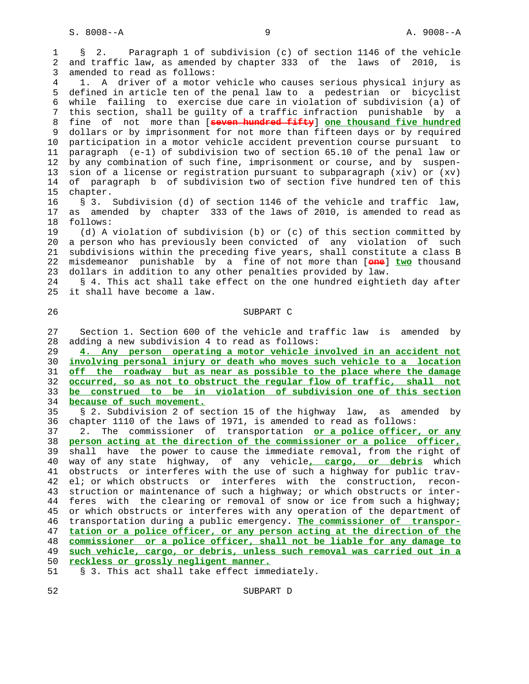1 § 2. Paragraph 1 of subdivision (c) of section 1146 of the vehicle 2 and traffic law, as amended by chapter 333 of the laws of 2010, is 3 amended to read as follows: 4 1. A driver of a motor vehicle who causes serious physical injury as 5 defined in article ten of the penal law to a pedestrian or bicyclist 6 while failing to exercise due care in violation of subdivision (a) of 7 this section, shall be guilty of a traffic infraction punishable by a 8 fine of not more than [**seven hundred fifty**] **one thousand five hundred** 9 dollars or by imprisonment for not more than fifteen days or by required 10 participation in a motor vehicle accident prevention course pursuant to 11 paragraph (e-1) of subdivision two of section 65.10 of the penal law or 12 by any combination of such fine, imprisonment or course, and by suspen- 13 sion of a license or registration pursuant to subparagraph (xiv) or (xv) 14 of paragraph b of subdivision two of section five hundred ten of this 15 chapter. 16 § 3. Subdivision (d) of section 1146 of the vehicle and traffic law, 17 as amended by chapter 333 of the laws of 2010, is amended to read as 18 follows: 19 (d) A violation of subdivision (b) or (c) of this section committed by 20 a person who has previously been convicted of any violation of such 21 subdivisions within the preceding five years, shall constitute a class B 22 misdemeanor punishable by a fine of not more than [**one**] **two** thousand 23 dollars in addition to any other penalties provided by law. 24 § 4. This act shall take effect on the one hundred eightieth day after 25 it shall have become a law. 26 SUBPART C 27 Section 1. Section 600 of the vehicle and traffic law is amended by 28 adding a new subdivision 4 to read as follows: 29 **4. Any person operating a motor vehicle involved in an accident not** 30 **involving personal injury or death who moves such vehicle to a location** 31 **off the roadway but as near as possible to the place where the damage** 32 **occurred, so as not to obstruct the regular flow of traffic, shall not** 33 **be construed to be in violation of subdivision one of this section** 34 **because of such movement.** 35 § 2. Subdivision 2 of section 15 of the highway law, as amended by 36 chapter 1110 of the laws of 1971, is amended to read as follows: 37 2. The commissioner of transportation **or a police officer, or any** 38 **person acting at the direction of the commissioner or a police officer,** 39 shall have the power to cause the immediate removal, from the right of 40 way of any state highway, of any vehicle**, cargo, or debris** which 41 obstructs or interferes with the use of such a highway for public trav- 42 el; or which obstructs or interferes with the construction, recon- 43 struction or maintenance of such a highway; or which obstructs or inter- 44 feres with the clearing or removal of snow or ice from such a highway; 45 or which obstructs or interferes with any operation of the department of 46 transportation during a public emergency. **The commissioner of transpor-** 47 **tation or a police officer, or any person acting at the direction of the** 48 **commissioner or a police officer, shall not be liable for any damage to** 49 **such vehicle, cargo, or debris, unless such removal was carried out in a** 50 **reckless or grossly negligent manner.**

51 § 3. This act shall take effect immediately.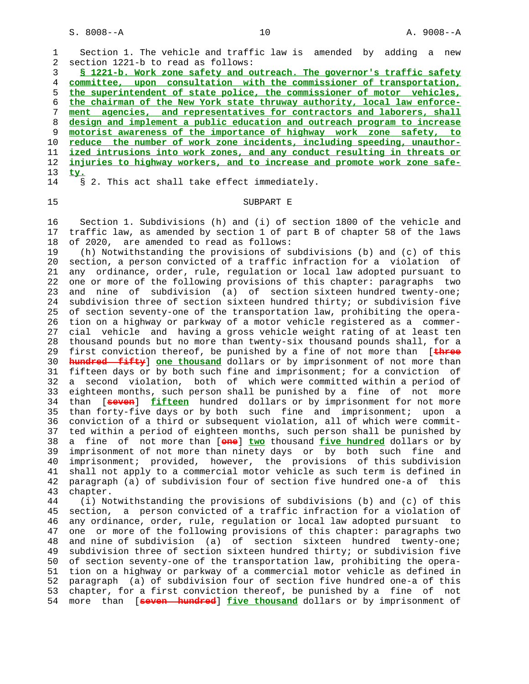1 Section 1. The vehicle and traffic law is amended by adding a new 2 section 1221-b to read as follows: **§ 1221-b. Work zone safety and outreach. The governor's traffic safety committee, upon consultation with the commissioner of transportation, the superintendent of state police, the commissioner of motor vehicles, the chairman of the New York state thruway authority, local law enforce- ment agencies, and representatives for contractors and laborers, shall design and implement a public education and outreach program to increase motorist awareness of the importance of highway work zone safety, to reduce the number of work zone incidents, including speeding, unauthor- ized intrusions into work zones, and any conduct resulting in threats or injuries to highway workers, and to increase and promote work zone safe-** 13 **ty.** 14 § 2. This act shall take effect immediately.

## 15 SUBPART E

 16 Section 1. Subdivisions (h) and (i) of section 1800 of the vehicle and 17 traffic law, as amended by section 1 of part B of chapter 58 of the laws 18 of 2020, are amended to read as follows:

 19 (h) Notwithstanding the provisions of subdivisions (b) and (c) of this 20 section, a person convicted of a traffic infraction for a violation of 21 any ordinance, order, rule, regulation or local law adopted pursuant to 22 one or more of the following provisions of this chapter: paragraphs two 23 and nine of subdivision (a) of section sixteen hundred twenty-one; 24 subdivision three of section sixteen hundred thirty; or subdivision five 25 of section seventy-one of the transportation law, prohibiting the opera- 26 tion on a highway or parkway of a motor vehicle registered as a commer- 27 cial vehicle and having a gross vehicle weight rating of at least ten 28 thousand pounds but no more than twenty-six thousand pounds shall, for a 29 first conviction thereof, be punished by a fine of not more than [**three** 30 **hundred fifty**] **one thousand** dollars or by imprisonment of not more than 31 fifteen days or by both such fine and imprisonment; for a conviction of 32 a second violation, both of which were committed within a period of 33 eighteen months, such person shall be punished by a fine of not more 34 than [**seven**] **fifteen** hundred dollars or by imprisonment for not more 35 than forty-five days or by both such fine and imprisonment; upon a 36 conviction of a third or subsequent violation, all of which were commit- 37 ted within a period of eighteen months, such person shall be punished by 38 a fine of not more than [**one**] **two** thousand **five hundred** dollars or by 39 imprisonment of not more than ninety days or by both such fine and 40 imprisonment; provided, however, the provisions of this subdivision 41 shall not apply to a commercial motor vehicle as such term is defined in 42 paragraph (a) of subdivision four of section five hundred one-a of this 43 chapter.

 44 (i) Notwithstanding the provisions of subdivisions (b) and (c) of this 45 section, a person convicted of a traffic infraction for a violation of 46 any ordinance, order, rule, regulation or local law adopted pursuant to 47 one or more of the following provisions of this chapter: paragraphs two 48 and nine of subdivision (a) of section sixteen hundred twenty-one; 49 subdivision three of section sixteen hundred thirty; or subdivision five 50 of section seventy-one of the transportation law, prohibiting the opera- 51 tion on a highway or parkway of a commercial motor vehicle as defined in 52 paragraph (a) of subdivision four of section five hundred one-a of this 53 chapter, for a first conviction thereof, be punished by a fine of not 54 more than [**seven hundred**] **five thousand** dollars or by imprisonment of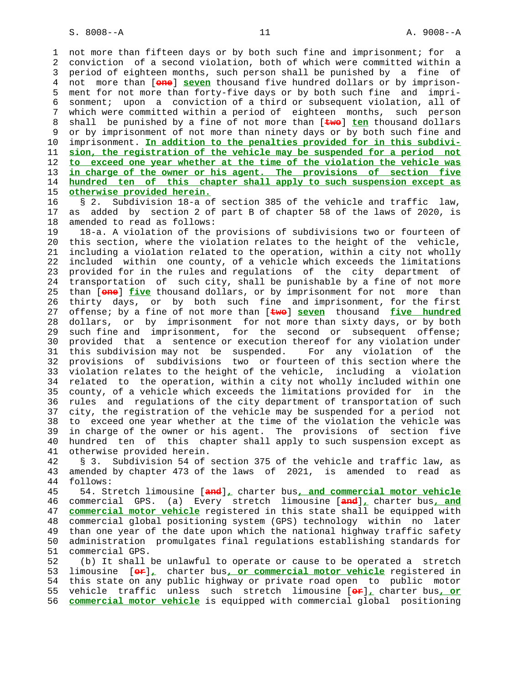1 not more than fifteen days or by both such fine and imprisonment; for a 2 conviction of a second violation, both of which were committed within a 3 period of eighteen months, such person shall be punished by a fine of 4 not more than [**one**] **seven** thousand five hundred dollars or by imprison- 5 ment for not more than forty-five days or by both such fine and impri- 6 sonment; upon a conviction of a third or subsequent violation, all of 7 which were committed within a period of eighteen months, such person 8 shall be punished by a fine of not more than [**two**] **ten** thousand dollars 9 or by imprisonment of not more than ninety days or by both such fine and<br>10 imprisonment. In addition to the penalties provided for in this subdiviimprisonment. In addition to the penalties provided for in this subdivi- 11 **sion, the registration of the vehicle may be suspended for a period not** 12 **to exceed one year whether at the time of the violation the vehicle was** 13 **in charge of the owner or his agent. The provisions of section five** 14 **hundred ten of this chapter shall apply to such suspension except as** 15 **otherwise provided herein.**

 16 § 2. Subdivision 18-a of section 385 of the vehicle and traffic law, 17 as added by section 2 of part B of chapter 58 of the laws of 2020, is 18 amended to read as follows:

 19 18-a. A violation of the provisions of subdivisions two or fourteen of 20 this section, where the violation relates to the height of the vehicle, 21 including a violation related to the operation, within a city not wholly 22 included within one county, of a vehicle which exceeds the limitations 23 provided for in the rules and regulations of the city department of 24 transportation of such city, shall be punishable by a fine of not more 25 than [**one**] **five** thousand dollars, or by imprisonment for not more than 26 thirty days, or by both such fine and imprisonment, for the first 27 offense; by a fine of not more than [**two**] **seven** thousand **five hundred** 28 dollars, or by imprisonment for not more than sixty days, or by both 29 such fine and imprisonment, for the second or subsequent offense; 30 provided that a sentence or execution thereof for any violation under 31 this subdivision may not be suspended. For any violation of the 32 provisions of subdivisions two or fourteen of this section where the 33 violation relates to the height of the vehicle, including a violation 34 related to the operation, within a city not wholly included within one 35 county, of a vehicle which exceeds the limitations provided for in the 36 rules and regulations of the city department of transportation of such 37 city, the registration of the vehicle may be suspended for a period not 38 to exceed one year whether at the time of the violation the vehicle was 39 in charge of the owner or his agent. The provisions of section five 40 hundred ten of this chapter shall apply to such suspension except as 41 otherwise provided herein.

 42 § 3. Subdivision 54 of section 375 of the vehicle and traffic law, as 43 amended by chapter 473 of the laws of 2021, is amended to read as 44 follows:

 45 54. Stretch limousine [**and**]**,** charter bus**, and commercial motor vehicle** 46 commercial GPS. (a) Every stretch limousine [**and**]**,** charter bus**, and** 47 **commercial motor vehicle** registered in this state shall be equipped with 48 commercial global positioning system (GPS) technology within no later 49 than one year of the date upon which the national highway traffic safety 50 administration promulgates final regulations establishing standards for 51 commercial GPS.

 52 (b) It shall be unlawful to operate or cause to be operated a stretch 53 limousine [**or**]**,** charter bus**, or commercial motor vehicle** registered in 54 this state on any public highway or private road open to public motor 55 vehicle traffic unless such stretch limousine [**or**]**,** charter bus**, or** 56 **commercial motor vehicle** is equipped with commercial global positioning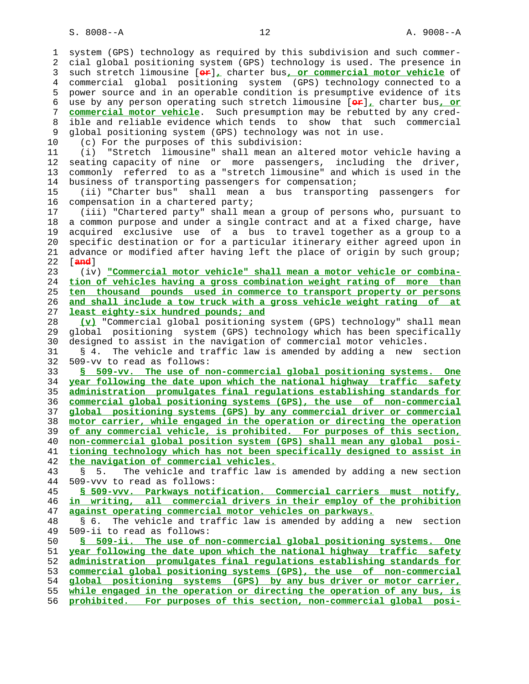1 system (GPS) technology as required by this subdivision and such commer- 2 cial global positioning system (GPS) technology is used. The presence in 3 such stretch limousine [**or**]**,** charter bus**, or commercial motor vehicle** of 4 commercial global positioning system (GPS) technology connected to a 5 power source and in an operable condition is presumptive evidence of its 6 use by any person operating such stretch limousine [**or**]**,** charter bus**, or** 7 **commercial motor vehicle**. Such presumption may be rebutted by any cred- 8 ible and reliable evidence which tends to show that such commercial 9 global positioning system (GPS) technology was not in use. 10 (c) For the purposes of this subdivision: 11 (i) "Stretch limousine" shall mean an altered motor vehicle having a 12 seating capacity of nine or more passengers, including the driver, 13 commonly referred to as a "stretch limousine" and which is used in the 14 business of transporting passengers for compensation; 15 (ii) "Charter bus" shall mean a bus transporting passengers for 16 compensation in a chartered party; 17 (iii) "Chartered party" shall mean a group of persons who, pursuant to 18 a common purpose and under a single contract and at a fixed charge, have 19 acquired exclusive use of a bus to travel together as a group to a 20 specific destination or for a particular itinerary either agreed upon in 21 advance or modified after having left the place of origin by such group; 22 [**and**] 23 (iv) **"Commercial motor vehicle" shall mean a motor vehicle or combina-** 24 **tion of vehicles having a gross combination weight rating of more than** 25 **ten thousand pounds used in commerce to transport property or persons** 26 **and shall include a tow truck with a gross vehicle weight rating of at** 27 **least eighty-six hundred pounds; and** 28 **(v)** "Commercial global positioning system (GPS) technology" shall mean 29 global positioning system (GPS) technology which has been specifically 30 designed to assist in the navigation of commercial motor vehicles. 31 § 4. The vehicle and traffic law is amended by adding a new section 32 509-vv to read as follows: 33 **§ 509-vv. The use of non-commercial global positioning systems. One** 34 **year following the date upon which the national highway traffic safety** 35 **administration promulgates final regulations establishing standards for** 36 **commercial global positioning systems (GPS), the use of non-commercial** 37 **global positioning systems (GPS) by any commercial driver or commercial** 38 **motor carrier, while engaged in the operation or directing the operation** 39 **of any commercial vehicle, is prohibited. For purposes of this section,** 40 **non-commercial global position system (GPS) shall mean any global posi-** 41 **tioning technology which has not been specifically designed to assist in** 42 **the navigation of commercial vehicles.** 43 § 5. The vehicle and traffic law is amended by adding a new section 44 509-vvv to read as follows: 45 **§ 509-vvv. Parkways notification. Commercial carriers must notify,** 46 **in writing, all commercial drivers in their employ of the prohibition** 47 **against operating commercial motor vehicles on parkways.** 48 § 6. The vehicle and traffic law is amended by adding a new section 49 509-ii to read as follows: 50 **§ 509-ii. The use of non-commercial global positioning systems. One** 51 **year following the date upon which the national highway traffic safety** 52 **administration promulgates final regulations establishing standards for** 53 **commercial global positioning systems (GPS), the use of non-commercial** 54 **global positioning systems (GPS) by any bus driver or motor carrier,** 55 **while engaged in the operation or directing the operation of any bus, is** 56 **prohibited. For purposes of this section, non-commercial global posi-**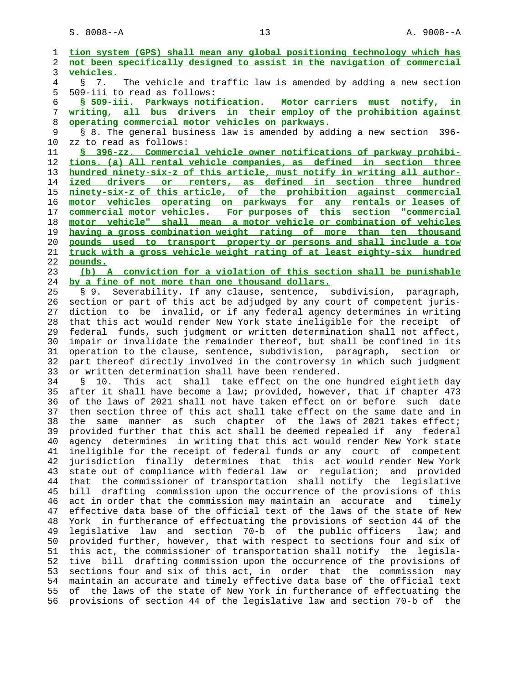| 1              | tion system (GPS) shall mean any global positioning technology which has     |
|----------------|------------------------------------------------------------------------------|
| 2              | not been specifically designed to assist in the navigation of commercial     |
| 3              | vehicles.                                                                    |
| $\overline{4}$ | 7.<br>The vehicle and traffic law is amended by adding a new section<br>Š.   |
| 5              | 509-iii to read as follows:                                                  |
| 6              | § 509-iii. Parkways notification. Motor carriers must notify, in             |
| 7              | writing, all bus drivers in their employ of the prohibition against          |
| 8              | operating commercial motor vehicles on parkways.                             |
| 9              | § 8. The general business law is amended by adding a new section<br>$396 -$  |
| 10             | zz to read as follows:                                                       |
| 11             | § 396-zz. Commercial vehicle owner notifications of parkway prohibi-         |
| 12             | tions. (a) All rental vehicle companies, as defined in section three         |
| 13             | hundred ninety-six-z of this article, must notify in writing all author-     |
| 14             | or renters, as defined in section three hundred<br>ized<br>drivers           |
| 15             | ninety-six-z of this article, of the prohibition against commercial          |
| 16             | motor vehicles operating on parkways for any rentals or leases of            |
| 17             | commercial motor vehicles. For purposes of this section "commercial          |
| 18             | motor vehicle" shall mean a motor vehicle or combination of vehicles         |
| 19             | having a gross combination weight rating of more than ten thousand           |
| 20             | pounds used to transport property or persons and shall include a tow         |
| 21             | truck with a gross vehicle weight rating of at least eighty-six hundred      |
| 22             | pounds.                                                                      |
| 23             | (b) A conviction for a violation of this section shall be punishable         |
| 24             | by a fine of not more than one thousand dollars.                             |
| 25             | Severability. If any clause, sentence, subdivision, paragraph,<br>S 9.       |
| 26             | section or part of this act be adjudged by any court of competent juris-     |
| 27             | diction to be invalid, or if any federal agency determines in writing        |
| 28             | that this act would render New York state ineligible for the receipt of      |
| 29             | federal funds, such judgment or written determination shall not affect,      |
| 30             | impair or invalidate the remainder thereof, but shall be confined in its     |
| 31             | operation to the clause, sentence, subdivision, paragraph, section or        |
| 32             | part thereof directly involved in the controversy in which such judgment     |
| 33             | or written determination shall have been rendered.                           |
| 34             | act shall take effect on the one hundred eightieth day<br>10.<br>This<br>Š.  |
| 35             | after it shall have become a law; provided, however, that if chapter 473     |
| 36             | of the laws of 2021 shall not have taken effect on or before<br>such date    |
| 37             | then section three of this act shall take effect on the same date and in     |
| 38             | manner as such chapter of the laws of 2021 takes effect;<br>the<br>same      |
| 39             | provided further that this act shall be deemed repealed if<br>any<br>federal |
| 40             | agency determines in writing that this act would render New York state       |
| 41             | ineligible for the receipt of federal funds or any court of competent        |
| 42             | jurisdiction finally determines that this act would render New York          |
| 43             | state out of compliance with federal law or regulation; and provided         |
| 44             | that the commissioner of transportation shall notify the legislative         |
| 45             | drafting commission upon the occurrence of the provisions of this<br>bill    |
| 46             | act in order that the commission may maintain an accurate and<br>timely      |
| 47             | effective data base of the official text of the laws of the state of New     |
| 48             | York in furtherance of effectuating the provisions of section 44 of the      |
| 49             | legislative law and section 70-b of the public officers<br>law; and          |
| 50             | provided further, however, that with respect to sections four and six of     |
| 51             | this act, the commissioner of transportation shall notify the<br>legisla-    |
| 52             | bill drafting commission upon the occurrence of the provisions of<br>tive    |
| 53             | sections four and six of this act, in order that<br>the commission<br>may    |
| 54             | maintain an accurate and timely effective data base of the official text     |
| 55             | of the laws of the state of New York in furtherance of effectuating the      |
| 56             | provisions of section 44 of the legislative law and section 70-b of the      |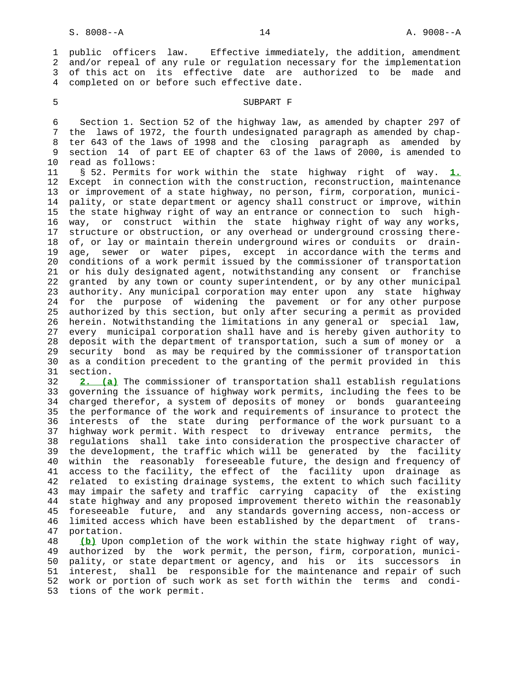1 public officers law. Effective immediately, the addition, amendment 2 and/or repeal of any rule or regulation necessary for the implementation 3 of this act on its effective date are authorized to be made and 4 completed on or before such effective date.

### 5 SUBPART F

 6 Section 1. Section 52 of the highway law, as amended by chapter 297 of 7 the laws of 1972, the fourth undesignated paragraph as amended by chap- 8 ter 643 of the laws of 1998 and the closing paragraph as amended by 9 section 14 of part EE of chapter 63 of the laws of 2000, is amended to 10 read as follows:

 11 § 52. Permits for work within the state highway right of way. **1.** 12 Except in connection with the construction, reconstruction, maintenance 13 or improvement of a state highway, no person, firm, corporation, munici- 14 pality, or state department or agency shall construct or improve, within 15 the state highway right of way an entrance or connection to such high- 16 way, or construct within the state highway right of way any works, 17 structure or obstruction, or any overhead or underground crossing there- 18 of, or lay or maintain therein underground wires or conduits or drain- 19 age, sewer or water pipes, except in accordance with the terms and 20 conditions of a work permit issued by the commissioner of transportation 21 or his duly designated agent, notwithstanding any consent or franchise 22 granted by any town or county superintendent, or by any other municipal 23 authority. Any municipal corporation may enter upon any state highway 24 for the purpose of widening the pavement or for any other purpose 25 authorized by this section, but only after securing a permit as provided 26 herein. Notwithstanding the limitations in any general or special law, 27 every municipal corporation shall have and is hereby given authority to 28 deposit with the department of transportation, such a sum of money or a 29 security bond as may be required by the commissioner of transportation 30 as a condition precedent to the granting of the permit provided in this 31 section.

 32 **2. (a)** The commissioner of transportation shall establish regulations 33 governing the issuance of highway work permits, including the fees to be 34 charged therefor, a system of deposits of money or bonds guaranteeing 35 the performance of the work and requirements of insurance to protect the 36 interests of the state during performance of the work pursuant to a 37 highway work permit. With respect to driveway entrance permits, the 38 regulations shall take into consideration the prospective character of 39 the development, the traffic which will be generated by the facility 40 within the reasonably foreseeable future, the design and frequency of 41 access to the facility, the effect of the facility upon drainage as 42 related to existing drainage systems, the extent to which such facility 43 may impair the safety and traffic carrying capacity of the existing 44 state highway and any proposed improvement thereto within the reasonably 45 foreseeable future, and any standards governing access, non-access or 46 limited access which have been established by the department of trans- 47 portation.

 48 **(b)** Upon completion of the work within the state highway right of way, 49 authorized by the work permit, the person, firm, corporation, munici- 50 pality, or state department or agency, and his or its successors in 51 interest, shall be responsible for the maintenance and repair of such 52 work or portion of such work as set forth within the terms and condi- 53 tions of the work permit.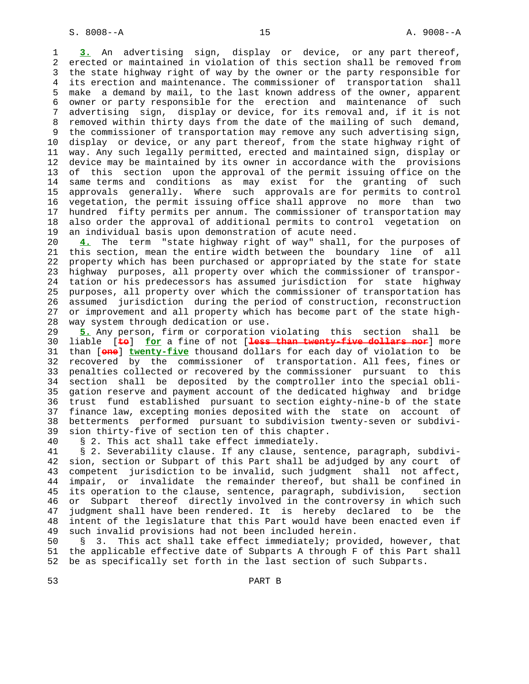1 **3.** An advertising sign, display or device, or any part thereof, 2 erected or maintained in violation of this section shall be removed from 3 the state highway right of way by the owner or the party responsible for 4 its erection and maintenance. The commissioner of transportation shall 5 make a demand by mail, to the last known address of the owner, apparent 6 owner or party responsible for the erection and maintenance of such 7 advertising sign, display or device, for its removal and, if it is not 8 removed within thirty days from the date of the mailing of such demand, 9 the commissioner of transportation may remove any such advertising sign,<br>10 display or device, or any part thereof, from the state highway right of display or device, or any part thereof, from the state highway right of 11 way. Any such legally permitted, erected and maintained sign, display or 12 device may be maintained by its owner in accordance with the provisions 13 of this section upon the approval of the permit issuing office on the 14 same terms and conditions as may exist for the granting of such 15 approvals generally. Where such approvals are for permits to control 16 vegetation, the permit issuing office shall approve no more than two 17 hundred fifty permits per annum. The commissioner of transportation may 18 also order the approval of additional permits to control vegetation on 19 an individual basis upon demonstration of acute need.

 20 **4.** The term "state highway right of way" shall, for the purposes of 21 this section, mean the entire width between the boundary line of all 22 property which has been purchased or appropriated by the state for state 23 highway purposes, all property over which the commissioner of transpor- 24 tation or his predecessors has assumed jurisdiction for state highway 25 purposes, all property over which the commissioner of transportation has 26 assumed jurisdiction during the period of construction, reconstruction 27 or improvement and all property which has become part of the state high- 28 way system through dedication or use.

 29 **5.** Any person, firm or corporation violating this section shall be 30 liable [**to**] **for** a fine of not [**less than twenty-five dollars nor**] more 31 than [**one**] **twenty-five** thousand dollars for each day of violation to be 32 recovered by the commissioner of transportation. All fees, fines or 33 penalties collected or recovered by the commissioner pursuant to this 34 section shall be deposited by the comptroller into the special obli- 35 gation reserve and payment account of the dedicated highway and bridge 36 trust fund established pursuant to section eighty-nine-b of the state 37 finance law, excepting monies deposited with the state on account of 38 betterments performed pursuant to subdivision twenty-seven or subdivi- 39 sion thirty-five of section ten of this chapter.

40 § 2. This act shall take effect immediately.

 41 § 2. Severability clause. If any clause, sentence, paragraph, subdivi- 42 sion, section or Subpart of this Part shall be adjudged by any court of 43 competent jurisdiction to be invalid, such judgment shall not affect, 44 impair, or invalidate the remainder thereof, but shall be confined in 45 its operation to the clause, sentence, paragraph, subdivision, section 46 or Subpart thereof directly involved in the controversy in which such 47 judgment shall have been rendered. It is hereby declared to be the 48 intent of the legislature that this Part would have been enacted even if 49 such invalid provisions had not been included herein.

 50 § 3. This act shall take effect immediately; provided, however, that 51 the applicable effective date of Subparts A through F of this Part shall 52 be as specifically set forth in the last section of such Subparts.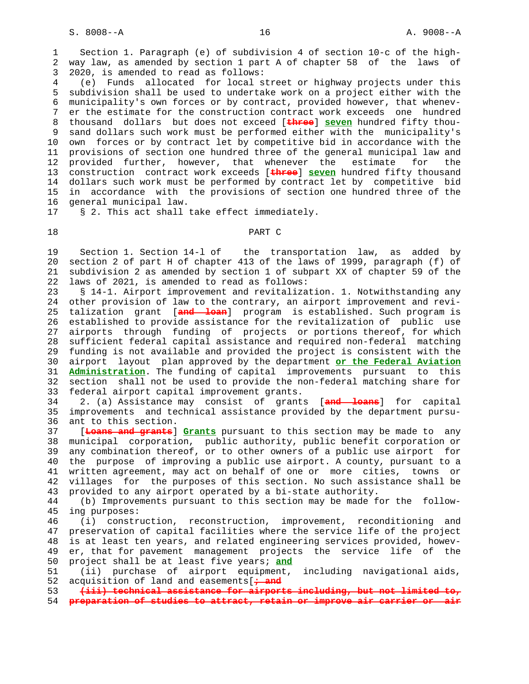1 Section 1. Paragraph (e) of subdivision 4 of section 10-c of the high- 2 way law, as amended by section 1 part A of chapter 58 of the laws of 3 2020, is amended to read as follows:

 4 (e) Funds allocated for local street or highway projects under this 5 subdivision shall be used to undertake work on a project either with the 6 municipality's own forces or by contract, provided however, that whenev- 7 er the estimate for the construction contract work exceeds one hundred 8 thousand dollars but does not exceed [**three**] **seven** hundred fifty thou- 9 sand dollars such work must be performed either with the municipality's<br>10 own forces or by contract let by competitive bid in accordance with the own forces or by contract let by competitive bid in accordance with the 11 provisions of section one hundred three of the general municipal law and 12 provided further, however, that whenever the estimate for the 13 construction contract work exceeds [**three**] **seven** hundred fifty thousand 14 dollars such work must be performed by contract let by competitive bid 15 in accordance with the provisions of section one hundred three of the 16 general municipal law.

17 § 2. This act shall take effect immediately.

### 18 PART C

 19 Section 1. Section 14-l of the transportation law, as added by 20 section 2 of part H of chapter 413 of the laws of 1999, paragraph (f) of 21 subdivision 2 as amended by section 1 of subpart XX of chapter 59 of the 22 laws of 2021, is amended to read as follows:

 23 § 14-1. Airport improvement and revitalization. 1. Notwithstanding any 24 other provision of law to the contrary, an airport improvement and revi- 25 talization grant [**and loan**] program is established. Such program is 26 established to provide assistance for the revitalization of public use 27 airports through funding of projects or portions thereof, for which 28 sufficient federal capital assistance and required non-federal matching 29 funding is not available and provided the project is consistent with the 30 airport layout plan approved by the department **or the Federal Aviation** 31 **Administration**. The funding of capital improvements pursuant to this 32 section shall not be used to provide the non-federal matching share for 33 federal airport capital improvement grants.

 34 2. (a) Assistance may consist of grants [**and loans**] for capital 35 improvements and technical assistance provided by the department pursu- 36 ant to this section.

 37 [**Loans and grants**] **Grants** pursuant to this section may be made to any 38 municipal corporation, public authority, public benefit corporation or 39 any combination thereof, or to other owners of a public use airport for 40 the purpose of improving a public use airport. A county, pursuant to a 41 written agreement, may act on behalf of one or more cities, towns or 42 villages for the purposes of this section. No such assistance shall be 43 provided to any airport operated by a bi-state authority.

 44 (b) Improvements pursuant to this section may be made for the follow- 45 ing purposes:

 46 (i) construction, reconstruction, improvement, reconditioning and 47 preservation of capital facilities where the service life of the project 48 is at least ten years, and related engineering services provided, howev- 49 er, that for pavement management projects the service life of the 50 project shall be at least five years; **and**

 51 (ii) purchase of airport equipment, including navigational aids, 52 acquisition of land and easements[**; and**

 53 **(iii) technical assistance for airports including, but not limited to,** 54 **preparation of studies to attract, retain or improve air carrier or air**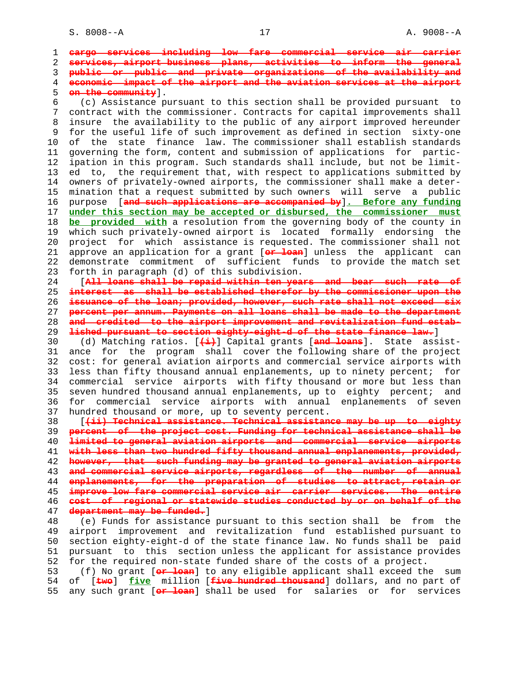1 **cargo services including low fare commercial service air carrier** 2 **services, airport business plans, activities to inform the general** 3 **public or public and private organizations of the availability and** 4 **economic impact of the airport and the aviation services at the airport** 5 **on the community**]. 6 (c) Assistance pursuant to this section shall be provided pursuant to 7 contract with the commissioner. Contracts for capital improvements shall 8 insure the availability to the public of any airport improved hereunder 9 for the useful life of such improvement as defined in section sixty-one 10 of the state finance law. The commissioner shall establish standards 11 governing the form, content and submission of applications for partic- 12 ipation in this program. Such standards shall include, but not be limit- 13 ed to, the requirement that, with respect to applications submitted by 14 owners of privately-owned airports, the commissioner shall make a deter- 15 mination that a request submitted by such owners will serve a public 16 purpose [**and such applications are accompanied by**]**. Before any funding** 17 **under this section may be accepted or disbursed, the commissioner must** 18 **be provided with** a resolution from the governing body of the county in 19 which such privately-owned airport is located formally endorsing the 20 project for which assistance is requested. The commissioner shall not 21 approve an application for a grant [**or loan**] unless the applicant can 22 demonstrate commitment of sufficient funds to provide the match set 23 forth in paragraph (d) of this subdivision. 24 [**All loans shall be repaid within ten years and bear such rate of** 25 **interest as shall be established therefor by the commissioner upon the** 26 **issuance of the loan; provided, however, such rate shall not exceed six** 27 **percent per annum. Payments on all loans shall be made to the department** 28 **and credited to the airport improvement and revitalization fund estab-** 29 **lished pursuant to section eighty-eight-d of the state finance law.**] 30 (d) Matching ratios. [**(i)**] Capital grants [**and loans**]. State assist- 31 ance for the program shall cover the following share of the project 32 cost: for general aviation airports and commercial service airports with 33 less than fifty thousand annual enplanements, up to ninety percent; for 34 commercial service airports with fifty thousand or more but less than 35 seven hundred thousand annual enplanements, up to eighty percent; and 36 for commercial service airports with annual enplanements of seven 37 hundred thousand or more, up to seventy percent. 38 [**(ii) Technical assistance. Technical assistance may be up to eighty** 39 **percent of the project cost. Funding for technical assistance shall be** 40 **limited to general aviation airports and commercial service airports** 41 **with less than two hundred fifty thousand annual enplanements, provided,** 42 **however, that such funding may be granted to general aviation airports** 43 **and commercial service airports, regardless of the number of annual** 44 **enplanements, for the preparation of studies to attract, retain or** 45 **improve low fare commercial service air carrier services. The entire** 46 **cost of regional or statewide studies conducted by or on behalf of the** 47 **department may be funded.**] 48 (e) Funds for assistance pursuant to this section shall be from the 49 airport improvement and revitalization fund established pursuant to 50 section eighty-eight-d of the state finance law. No funds shall be paid 51 pursuant to this section unless the applicant for assistance provides 52 for the required non-state funded share of the costs of a project. 53 (f) No grant [**or loan**] to any eligible applicant shall exceed the sum 54 of [**two**] **five** million [**five hundred thousand**] dollars, and no part of 55 any such grant [**or loan**] shall be used for salaries or for services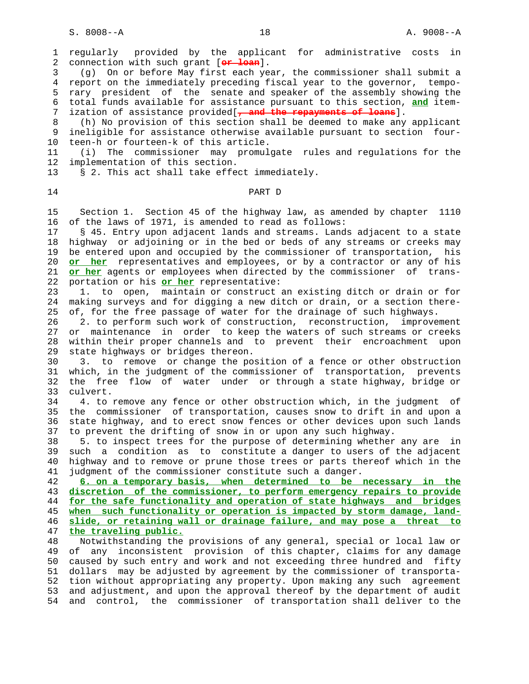1 regularly provided by the applicant for administrative costs in 2 connection with such grant [**or loan**]. 3 (g) On or before May first each year, the commissioner shall submit a 4 report on the immediately preceding fiscal year to the governor, tempo- 5 rary president of the senate and speaker of the assembly showing the 6 total funds available for assistance pursuant to this section, **and** item- 7 ization of assistance provided[**, and the repayments of loans**]. 8 (h) No provision of this section shall be deemed to make any applicant 9 ineligible for assistance otherwise available pursuant to section four- 10 teen-h or fourteen-k of this article. 11 (i) The commissioner may promulgate rules and regulations for the 12 implementation of this section. 13 § 2. This act shall take effect immediately. 14 PART D 15 Section 1. Section 45 of the highway law, as amended by chapter 1110 16 of the laws of 1971, is amended to read as follows: 17 § 45. Entry upon adjacent lands and streams. Lands adjacent to a state 18 highway or adjoining or in the bed or beds of any streams or creeks may 19 be entered upon and occupied by the commissioner of transportation, his 20 **or her** representatives and employees, or by a contractor or any of his 21 **or her** agents or employees when directed by the commissioner of trans- 22 portation or his **or her** representative: 23 1. to open, maintain or construct an existing ditch or drain or for 24 making surveys and for digging a new ditch or drain, or a section there- 25 of, for the free passage of water for the drainage of such highways. 26 2. to perform such work of construction, reconstruction, improvement 27 or maintenance in order to keep the waters of such streams or creeks 28 within their proper channels and to prevent their encroachment upon 29 state highways or bridges thereon. 30 3. to remove or change the position of a fence or other obstruction 31 which, in the judgment of the commissioner of transportation, prevents 32 the free flow of water under or through a state highway, bridge or 33 culvert. 34 4. to remove any fence or other obstruction which, in the judgment of 35 the commissioner of transportation, causes snow to drift in and upon a 36 state highway, and to erect snow fences or other devices upon such lands 37 to prevent the drifting of snow in or upon any such highway. 38 5. to inspect trees for the purpose of determining whether any are in 39 such a condition as to constitute a danger to users of the adjacent 40 highway and to remove or prune those trees or parts thereof which in the 41 judgment of the commissioner constitute such a danger. 42 **6. on a temporary basis, when determined to be necessary in the** 43 **discretion of the commissioner, to perform emergency repairs to provide** 44 **for the safe functionality and operation of state highways and bridges** 45 **when such functionality or operation is impacted by storm damage, land-** 46 **slide, or retaining wall or drainage failure, and may pose a threat to** 47 **the traveling public.** 48 Notwithstanding the provisions of any general, special or local law or 49 of any inconsistent provision of this chapter, claims for any damage 50 caused by such entry and work and not exceeding three hundred and fifty 51 dollars may be adjusted by agreement by the commissioner of transporta- 52 tion without appropriating any property. Upon making any such agreement 53 and adjustment, and upon the approval thereof by the department of audit 54 and control, the commissioner of transportation shall deliver to the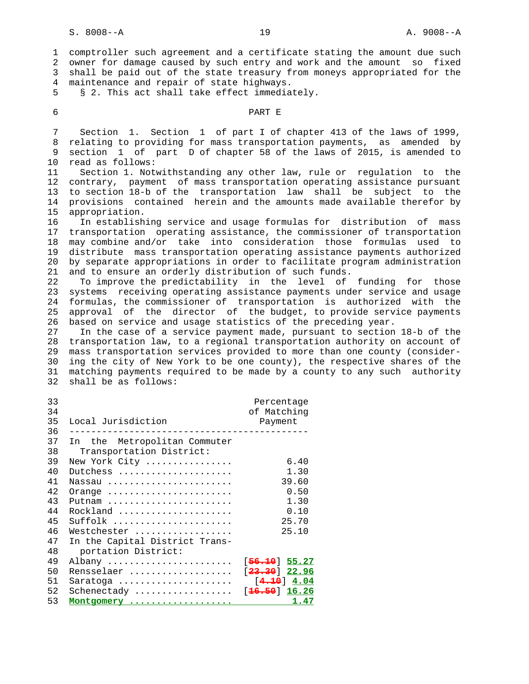1 comptroller such agreement and a certificate stating the amount due such 2 owner for damage caused by such entry and work and the amount so fixed 3 shall be paid out of the state treasury from moneys appropriated for the 4 maintenance and repair of state highways. 5 § 2. This act shall take effect immediately. 6 PART E 7 Section 1. Section 1 of part I of chapter 413 of the laws of 1999, 8 relating to providing for mass transportation payments, as amended by 9 section 1 of part D of chapter 58 of the laws of 2015, is amended to 10 read as follows: 11 Section 1. Notwithstanding any other law, rule or regulation to the 12 contrary, payment of mass transportation operating assistance pursuant 13 to section 18-b of the transportation law shall be subject to the 14 provisions contained herein and the amounts made available therefor by 15 appropriation. 16 In establishing service and usage formulas for distribution of mass 17 transportation operating assistance, the commissioner of transportation 18 may combine and/or take into consideration those formulas used to 19 distribute mass transportation operating assistance payments authorized 20 by separate appropriations in order to facilitate program administration 21 and to ensure an orderly distribution of such funds. 22 To improve the predictability in the level of funding for those 23 systems receiving operating assistance payments under service and usage 24 formulas, the commissioner of transportation is authorized with the 25 approval of the director of the budget, to provide service payments 26 based on service and usage statistics of the preceding year. 27 In the case of a service payment made, pursuant to section 18-b of the 28 transportation law, to a regional transportation authority on account of 29 mass transportation services provided to more than one county (consider- 30 ing the city of New York to be one county), the respective shares of the 31 matching payments required to be made by a county to any such authority 32 shall be as follows: 33 Percentage 34 of Matching 35 Local Jurisdiction Payment 36 -------------------------------------------- 37 In the Metropolitan Commuter 38 Transportation District: 39 New York City ................ 6.40 40 Dutchess ..................... 1.30 41 Nassau ....................... 39.60 42 Orange ....................... 0.50 43 Putnam ....................... 1.30 44 Rockland ..................... 0.10 45 Suffolk ...................... 25.70 46 Westchester .................. 25.10 47 In the Capital District Trans- 48 portation District: 49 Albany ....................... [**56.10**] **55.27** 50 Rensselaer ................... [**23.30**] **22.96** 51 Saratoga ..................... [**4.10**] **4.04** 52 Schenectady .................. [**16.50**] **16.26** 53 **Montgomery ................... 1.47**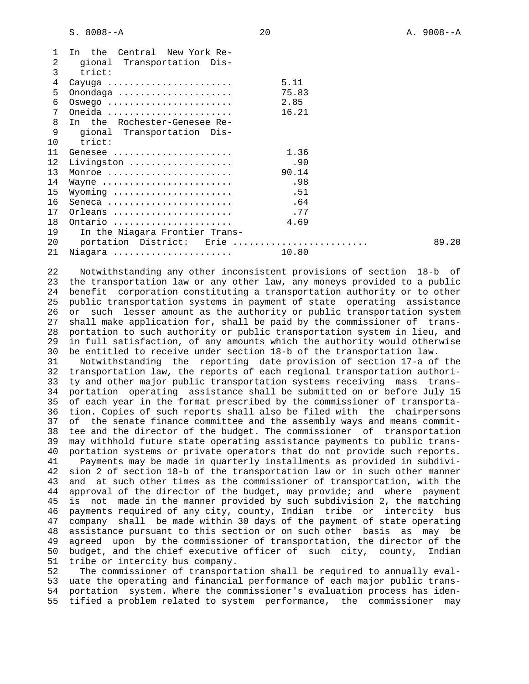S. 8008--A 20 A. 9008--A

| 1<br>2<br>3 | In the Central New York Re-<br>gional Transportation Dis-<br>trict: |       |       |
|-------------|---------------------------------------------------------------------|-------|-------|
| 4           | Cayuga                                                              | 5.11  |       |
| 5           | Onondaga                                                            | 75.83 |       |
| 6           | $OSwego$                                                            | 2.85  |       |
| 7           | Oneida                                                              | 16.21 |       |
| 8           | In the Rochester-Genesee Re-                                        |       |       |
| 9           | gional Transportation Dis-                                          |       |       |
| 10          | trict:                                                              |       |       |
| 11          | Genesee                                                             | 1.36  |       |
| 12          | Livingston                                                          | .90   |       |
| 13          | Monroe                                                              | 90.14 |       |
| 14          | Wayne                                                               | .98   |       |
| 15          | Wyoming                                                             | .51   |       |
| 16          | Seneca                                                              | .64   |       |
| 17          | Orleans                                                             | . 77  |       |
| 18          | Ontario                                                             | 4.69  |       |
| 19          | In the Niagara Frontier Trans-                                      |       |       |
| 20          | portation District: Erie                                            |       | 89.20 |
| 21          | Niagara                                                             | 10.80 |       |

 22 Notwithstanding any other inconsistent provisions of section 18-b of 23 the transportation law or any other law, any moneys provided to a public 24 benefit corporation constituting a transportation authority or to other 25 public transportation systems in payment of state operating assistance 26 or such lesser amount as the authority or public transportation system 27 shall make application for, shall be paid by the commissioner of trans- 28 portation to such authority or public transportation system in lieu, and 29 in full satisfaction, of any amounts which the authority would otherwise 30 be entitled to receive under section 18-b of the transportation law.

 31 Notwithstanding the reporting date provision of section 17-a of the 32 transportation law, the reports of each regional transportation authori- 33 ty and other major public transportation systems receiving mass trans- 34 portation operating assistance shall be submitted on or before July 15 35 of each year in the format prescribed by the commissioner of transporta- 36 tion. Copies of such reports shall also be filed with the chairpersons 37 of the senate finance committee and the assembly ways and means commit- 38 tee and the director of the budget. The commissioner of transportation 39 may withhold future state operating assistance payments to public trans- 40 portation systems or private operators that do not provide such reports. 41 Payments may be made in quarterly installments as provided in subdivi- 42 sion 2 of section 18-b of the transportation law or in such other manner 43 and at such other times as the commissioner of transportation, with the 44 approval of the director of the budget, may provide; and where payment 45 is not made in the manner provided by such subdivision 2, the matching 46 payments required of any city, county, Indian tribe or intercity bus 47 company shall be made within 30 days of the payment of state operating 48 assistance pursuant to this section or on such other basis as may be 49 agreed upon by the commissioner of transportation, the director of the 50 budget, and the chief executive officer of such city, county, Indian 51 tribe or intercity bus company.

 52 The commissioner of transportation shall be required to annually eval- 53 uate the operating and financial performance of each major public trans- 54 portation system. Where the commissioner's evaluation process has iden- 55 tified a problem related to system performance, the commissioner may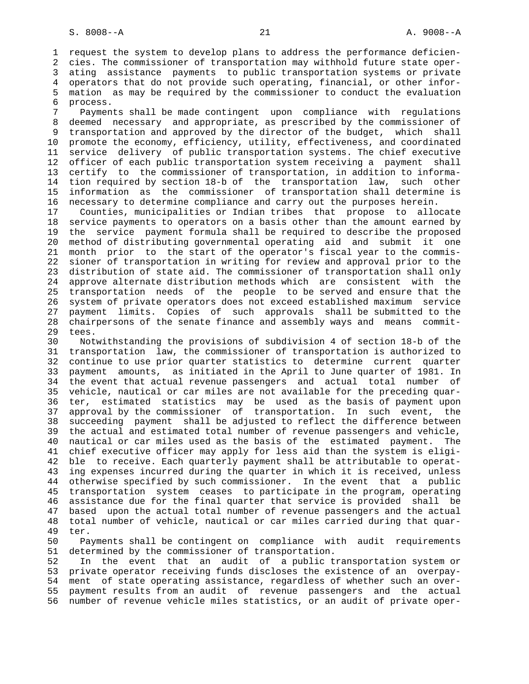1 request the system to develop plans to address the performance deficien- 2 cies. The commissioner of transportation may withhold future state oper- 3 ating assistance payments to public transportation systems or private 4 operators that do not provide such operating, financial, or other infor- 5 mation as may be required by the commissioner to conduct the evaluation 6 process.

 7 Payments shall be made contingent upon compliance with regulations 8 deemed necessary and appropriate, as prescribed by the commissioner of 9 transportation and approved by the director of the budget, which shall 10 promote the economy, efficiency, utility, effectiveness, and coordinated 11 service delivery of public transportation systems. The chief executive 12 officer of each public transportation system receiving a payment shall 13 certify to the commissioner of transportation, in addition to informa- 14 tion required by section 18-b of the transportation law, such other 15 information as the commissioner of transportation shall determine is 16 necessary to determine compliance and carry out the purposes herein.

 17 Counties, municipalities or Indian tribes that propose to allocate 18 service payments to operators on a basis other than the amount earned by 19 the service payment formula shall be required to describe the proposed 20 method of distributing governmental operating aid and submit it one 21 month prior to the start of the operator's fiscal year to the commis- 22 sioner of transportation in writing for review and approval prior to the 23 distribution of state aid. The commissioner of transportation shall only 24 approve alternate distribution methods which are consistent with the 25 transportation needs of the people to be served and ensure that the 26 system of private operators does not exceed established maximum service 27 payment limits. Copies of such approvals shall be submitted to the 28 chairpersons of the senate finance and assembly ways and means commit- 29 tees.

 30 Notwithstanding the provisions of subdivision 4 of section 18-b of the 31 transportation law, the commissioner of transportation is authorized to 32 continue to use prior quarter statistics to determine current quarter 33 payment amounts, as initiated in the April to June quarter of 1981. In 34 the event that actual revenue passengers and actual total number of 35 vehicle, nautical or car miles are not available for the preceding quar- 36 ter, estimated statistics may be used as the basis of payment upon 37 approval by the commissioner of transportation. In such event, the 38 succeeding payment shall be adjusted to reflect the difference between 39 the actual and estimated total number of revenue passengers and vehicle, 40 nautical or car miles used as the basis of the estimated payment. The 41 chief executive officer may apply for less aid than the system is eligi- 42 ble to receive. Each quarterly payment shall be attributable to operat- 43 ing expenses incurred during the quarter in which it is received, unless 44 otherwise specified by such commissioner. In the event that a public 45 transportation system ceases to participate in the program, operating 46 assistance due for the final quarter that service is provided shall be 47 based upon the actual total number of revenue passengers and the actual 48 total number of vehicle, nautical or car miles carried during that quar- 49 ter.

 50 Payments shall be contingent on compliance with audit requirements 51 determined by the commissioner of transportation.

 52 In the event that an audit of a public transportation system or 53 private operator receiving funds discloses the existence of an overpay- 54 ment of state operating assistance, regardless of whether such an over- 55 payment results from an audit of revenue passengers and the actual 56 number of revenue vehicle miles statistics, or an audit of private oper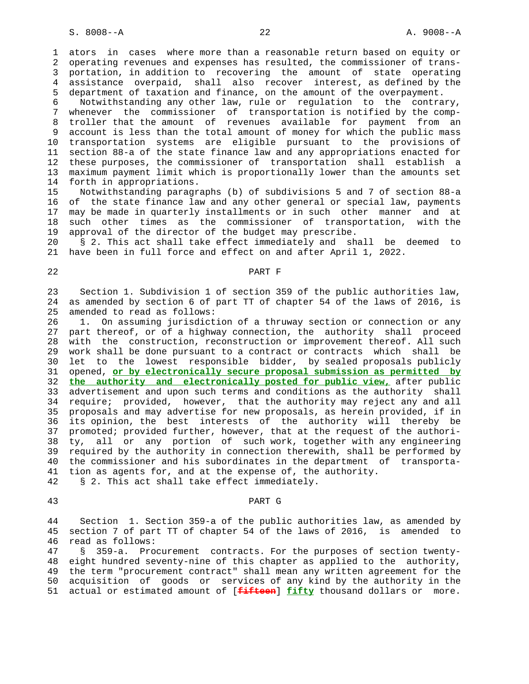1 ators in cases where more than a reasonable return based on equity or 2 operating revenues and expenses has resulted, the commissioner of trans- 3 portation, in addition to recovering the amount of state operating 4 assistance overpaid, shall also recover interest, as defined by the 5 department of taxation and finance, on the amount of the overpayment.

 6 Notwithstanding any other law, rule or regulation to the contrary, 7 whenever the commissioner of transportation is notified by the comp- 8 troller that the amount of revenues available for payment from an 9 account is less than the total amount of money for which the public mass 10 transportation systems are eligible pursuant to the provisions of 11 section 88-a of the state finance law and any appropriations enacted for 12 these purposes, the commissioner of transportation shall establish a 13 maximum payment limit which is proportionally lower than the amounts set 14 forth in appropriations.

 15 Notwithstanding paragraphs (b) of subdivisions 5 and 7 of section 88-a 16 of the state finance law and any other general or special law, payments 17 may be made in quarterly installments or in such other manner and at 18 such other times as the commissioner of transportation, with the 19 approval of the director of the budget may prescribe.

 20 § 2. This act shall take effect immediately and shall be deemed to 21 have been in full force and effect on and after April 1, 2022.

# 22 PART F

 23 Section 1. Subdivision 1 of section 359 of the public authorities law, 24 as amended by section 6 of part TT of chapter 54 of the laws of 2016, is 25 amended to read as follows:

 26 1. On assuming jurisdiction of a thruway section or connection or any 27 part thereof, or of a highway connection, the authority shall proceed 28 with the construction, reconstruction or improvement thereof. All such 29 work shall be done pursuant to a contract or contracts which shall be 30 let to the lowest responsible bidder, by sealed proposals publicly 31 opened, **or by electronically secure proposal submission as permitted by** 32 **the authority and electronically posted for public view,** after public 33 advertisement and upon such terms and conditions as the authority shall 34 require; provided, however, that the authority may reject any and all 35 proposals and may advertise for new proposals, as herein provided, if in 36 its opinion, the best interests of the authority will thereby be 37 promoted; provided further, however, that at the request of the authori- 38 ty, all or any portion of such work, together with any engineering 39 required by the authority in connection therewith, shall be performed by 40 the commissioner and his subordinates in the department of transporta- 41 tion as agents for, and at the expense of, the authority.

42 § 2. This act shall take effect immediately.

# 43 PART G

 44 Section 1. Section 359-a of the public authorities law, as amended by 45 section 7 of part TT of chapter 54 of the laws of 2016, is amended to 46 read as follows:

 47 § 359-a. Procurement contracts. For the purposes of section twenty- 48 eight hundred seventy-nine of this chapter as applied to the authority, 49 the term "procurement contract" shall mean any written agreement for the 50 acquisition of goods or services of any kind by the authority in the 51 actual or estimated amount of [**fifteen**] **fifty** thousand dollars or more.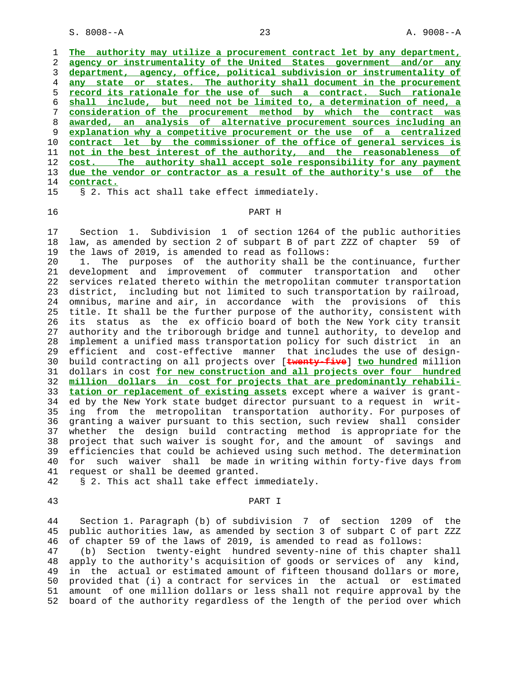S. 8008--A 23 A. 9008--A

|    | authority may utilize a procurement contract let by any department,<br>The |
|----|----------------------------------------------------------------------------|
|    | agency or instrumentality of the United States government and/or any       |
| 3  | department, agency, office, political subdivision or instrumentality of    |
| 4  | state or states. The authority shall document in the procurement<br>any    |
| 5. | record its rationale for the use of such a contract. Such rationale        |
| 6  | shall include, but need not be limited to, a determination of need, a      |
| 7  | consideration of the procurement method by which the contract was          |
| 8  | awarded, an analysis of alternative procurement sources including an       |
| 9  | explanation why a competitive procurement or the use of a centralized      |
| 10 | contract let by the commissioner of the office of general services is      |
| 11 | not in the best interest of the authority, and the reasonableness of       |
| 12 | The authority shall accept sole responsibility for any payment<br>cost.    |
| 13 | due the vendor or contractor as a result of the authority's use of the     |
| 14 | contract.                                                                  |
| 15 | § 2. This act shall take effect immediately.                               |

## 16 PART H

 17 Section 1. Subdivision 1 of section 1264 of the public authorities 18 law, as amended by section 2 of subpart B of part ZZZ of chapter 59 of 19 the laws of 2019, is amended to read as follows:

 20 1. The purposes of the authority shall be the continuance, further 21 development and improvement of commuter transportation and other 22 services related thereto within the metropolitan commuter transportation 23 district, including but not limited to such transportation by railroad, 24 omnibus, marine and air, in accordance with the provisions of this 25 title. It shall be the further purpose of the authority, consistent with 26 its status as the ex officio board of both the New York city transit 27 authority and the triborough bridge and tunnel authority, to develop and 28 implement a unified mass transportation policy for such district in an 29 efficient and cost-effective manner that includes the use of design- 30 build contracting on all projects over [**twenty-five**] **two hundred** million 31 dollars in cost **for new construction and all projects over four hundred** 32 **million dollars in cost for projects that are predominantly rehabili-** 33 **tation or replacement of existing assets** except where a waiver is grant- 34 ed by the New York state budget director pursuant to a request in writ- 35 ing from the metropolitan transportation authority. For purposes of 36 granting a waiver pursuant to this section, such review shall consider 37 whether the design build contracting method is appropriate for the 38 project that such waiver is sought for, and the amount of savings and 39 efficiencies that could be achieved using such method. The determination 40 for such waiver shall be made in writing within forty-five days from 41 request or shall be deemed granted.

42 § 2. This act shall take effect immediately.

# 43 PART I

 44 Section 1. Paragraph (b) of subdivision 7 of section 1209 of the 45 public authorities law, as amended by section 3 of subpart C of part ZZZ 46 of chapter 59 of the laws of 2019, is amended to read as follows: 47 (b) Section twenty-eight hundred seventy-nine of this chapter shall 48 apply to the authority's acquisition of goods or services of any kind,

 49 in the actual or estimated amount of fifteen thousand dollars or more, 50 provided that (i) a contract for services in the actual or estimated 51 amount of one million dollars or less shall not require approval by the 52 board of the authority regardless of the length of the period over which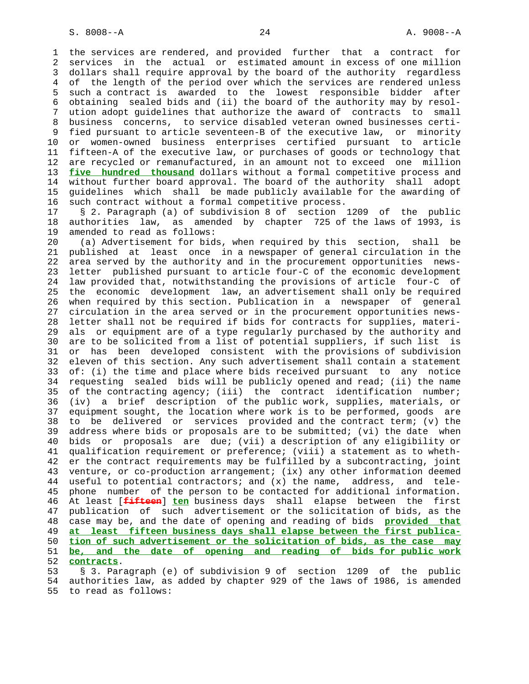1 the services are rendered, and provided further that a contract for 2 services in the actual or estimated amount in excess of one million 3 dollars shall require approval by the board of the authority regardless 4 of the length of the period over which the services are rendered unless 5 such a contract is awarded to the lowest responsible bidder after 6 obtaining sealed bids and (ii) the board of the authority may by resol- 7 ution adopt guidelines that authorize the award of contracts to small 8 business concerns, to service disabled veteran owned businesses certi- 9 fied pursuant to article seventeen-B of the executive law, or minority 10 or women-owned business enterprises certified pursuant to article 11 fifteen-A of the executive law, or purchases of goods or technology that 12 are recycled or remanufactured, in an amount not to exceed one million 13 **five hundred thousand** dollars without a formal competitive process and 14 without further board approval. The board of the authority shall adopt 15 guidelines which shall be made publicly available for the awarding of 16 such contract without a formal competitive process.

 17 § 2. Paragraph (a) of subdivision 8 of section 1209 of the public 18 authorities law, as amended by chapter 725 of the laws of 1993, is 19 amended to read as follows:

 20 (a) Advertisement for bids, when required by this section, shall be 21 published at least once in a newspaper of general circulation in the 22 area served by the authority and in the procurement opportunities news- 23 letter published pursuant to article four-C of the economic development 24 law provided that, notwithstanding the provisions of article four-C of 25 the economic development law, an advertisement shall only be required 26 when required by this section. Publication in a newspaper of general 27 circulation in the area served or in the procurement opportunities news- 28 letter shall not be required if bids for contracts for supplies, materi- 29 als or equipment are of a type regularly purchased by the authority and 30 are to be solicited from a list of potential suppliers, if such list is 31 or has been developed consistent with the provisions of subdivision 32 eleven of this section. Any such advertisement shall contain a statement 33 of: (i) the time and place where bids received pursuant to any notice 34 requesting sealed bids will be publicly opened and read; (ii) the name 35 of the contracting agency; (iii) the contract identification number; 36 (iv) a brief description of the public work, supplies, materials, or 37 equipment sought, the location where work is to be performed, goods are 38 to be delivered or services provided and the contract term; (v) the 39 address where bids or proposals are to be submitted; (vi) the date when 40 bids or proposals are due; (vii) a description of any eligibility or 41 qualification requirement or preference; (viii) a statement as to wheth- 42 er the contract requirements may be fulfilled by a subcontracting, joint 43 venture, or co-production arrangement; (ix) any other information deemed 44 useful to potential contractors; and (x) the name, address, and tele- 45 phone number of the person to be contacted for additional information. 46 At least [**fifteen**] **ten** business days shall elapse between the first 47 publication of such advertisement or the solicitation of bids, as the 48 case may be, and the date of opening and reading of bids **provided that** 49 **at least fifteen business days shall elapse between the first publica-** 50 **tion of such advertisement or the solicitation of bids, as the case may** 51 **be, and the date of opening and reading of bids for public work** 52 **contracts**.

 53 § 3. Paragraph (e) of subdivision 9 of section 1209 of the public 54 authorities law, as added by chapter 929 of the laws of 1986, is amended 55 to read as follows: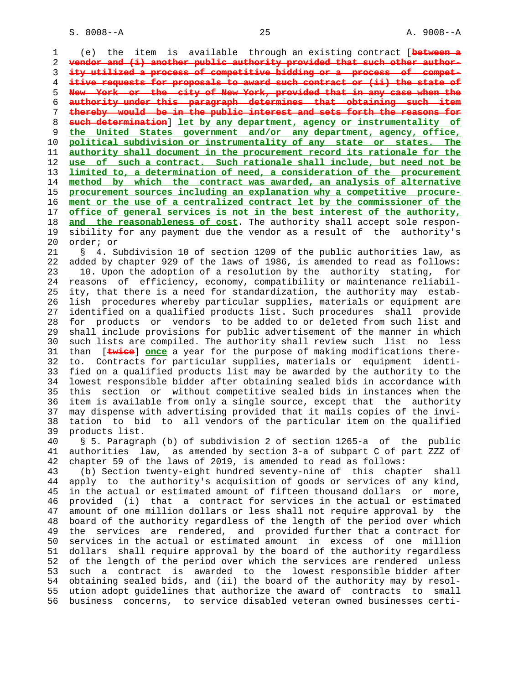1 (e) the item is available through an existing contract [**between a vendor and (i) another public authority provided that such other author- ity utilized a process of competitive bidding or a process of compet- itive requests for proposals to award such contract or (ii) the state of New York or the city of New York, provided that in any case when the authority under this paragraph determines that obtaining such item thereby would be in the public interest and sets forth the reasons for such determination**] **let by any department, agency or instrumentality of the United States government and/or any department, agency, office, political subdivision or instrumentality of any state or states. The authority shall document in the procurement record its rationale for the use of such a contract. Such rationale shall include, but need not be limited to, a determination of need, a consideration of the procurement method by which the contract was awarded, an analysis of alternative procurement sources including an explanation why a competitive procure- ment or the use of a centralized contract let by the commissioner of the office of general services is not in the best interest of the authority, and the reasonableness of cost**. The authority shall accept sole respon- 19 sibility for any payment due the vendor as a result of the authority's 20 order; or

 21 § 4. Subdivision 10 of section 1209 of the public authorities law, as 22 added by chapter 929 of the laws of 1986, is amended to read as follows: 23 10. Upon the adoption of a resolution by the authority stating, for 24 reasons of efficiency, economy, compatibility or maintenance reliabil- 25 ity, that there is a need for standardization, the authority may estab- 26 lish procedures whereby particular supplies, materials or equipment are 27 identified on a qualified products list. Such procedures shall provide 28 for products or vendors to be added to or deleted from such list and 29 shall include provisions for public advertisement of the manner in which 30 such lists are compiled. The authority shall review such list no less 31 than [**twice**] **once** a year for the purpose of making modifications there- 32 to. Contracts for particular supplies, materials or equipment identi- 33 fied on a qualified products list may be awarded by the authority to the 34 lowest responsible bidder after obtaining sealed bids in accordance with 35 this section or without competitive sealed bids in instances when the 36 item is available from only a single source, except that the authority 37 may dispense with advertising provided that it mails copies of the invi- 38 tation to bid to all vendors of the particular item on the qualified 39 products list.

 40 § 5. Paragraph (b) of subdivision 2 of section 1265-a of the public 41 authorities law, as amended by section 3-a of subpart C of part ZZZ of 42 chapter 59 of the laws of 2019, is amended to read as follows:

 43 (b) Section twenty-eight hundred seventy-nine of this chapter shall 44 apply to the authority's acquisition of goods or services of any kind, 45 in the actual or estimated amount of fifteen thousand dollars or more, 46 provided (i) that a contract for services in the actual or estimated 47 amount of one million dollars or less shall not require approval by the 48 board of the authority regardless of the length of the period over which 49 the services are rendered, and provided further that a contract for 50 services in the actual or estimated amount in excess of one million 51 dollars shall require approval by the board of the authority regardless 52 of the length of the period over which the services are rendered unless 53 such a contract is awarded to the lowest responsible bidder after 54 obtaining sealed bids, and (ii) the board of the authority may by resol- 55 ution adopt guidelines that authorize the award of contracts to small 56 business concerns, to service disabled veteran owned businesses certi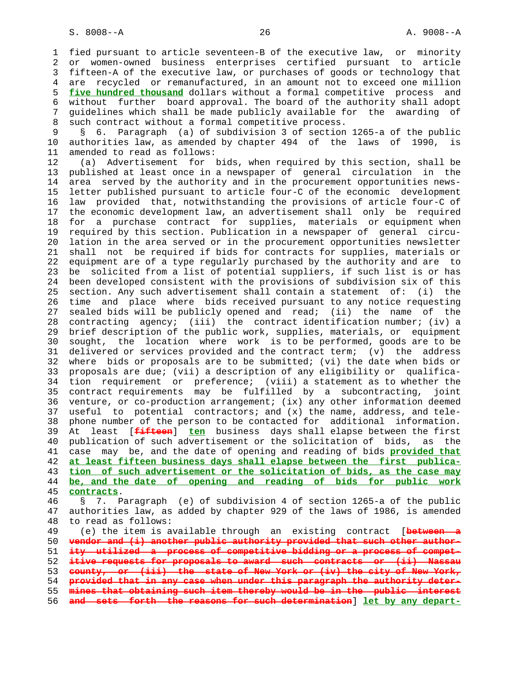1 fied pursuant to article seventeen-B of the executive law, or minority 2 or women-owned business enterprises certified pursuant to article 3 fifteen-A of the executive law, or purchases of goods or technology that 4 are recycled or remanufactured, in an amount not to exceed one million 5 **five hundred thousand** dollars without a formal competitive process and 6 without further board approval. The board of the authority shall adopt 7 guidelines which shall be made publicly available for the awarding of 8 such contract without a formal competitive process.

 9 § 6. Paragraph (a) of subdivision 3 of section 1265-a of the public 10 authorities law, as amended by chapter 494 of the laws of 1990, is 11 amended to read as follows:

 12 (a) Advertisement for bids, when required by this section, shall be 13 published at least once in a newspaper of general circulation in the 14 area served by the authority and in the procurement opportunities news- 15 letter published pursuant to article four-C of the economic development 16 law provided that, notwithstanding the provisions of article four-C of 17 the economic development law, an advertisement shall only be required 18 for a purchase contract for supplies, materials or equipment when 19 required by this section. Publication in a newspaper of general circu- 20 lation in the area served or in the procurement opportunities newsletter 21 shall not be required if bids for contracts for supplies, materials or 22 equipment are of a type regularly purchased by the authority and are to 23 be solicited from a list of potential suppliers, if such list is or has 24 been developed consistent with the provisions of subdivision six of this 25 section. Any such advertisement shall contain a statement of: (i) the 26 time and place where bids received pursuant to any notice requesting 27 sealed bids will be publicly opened and read; (ii) the name of the 28 contracting agency; (iii) the contract identification number; (iv) a 29 brief description of the public work, supplies, materials, or equipment 30 sought, the location where work is to be performed, goods are to be 31 delivered or services provided and the contract term; (v) the address 32 where bids or proposals are to be submitted; (vi) the date when bids or 33 proposals are due; (vii) a description of any eligibility or qualifica- 34 tion requirement or preference; (viii) a statement as to whether the 35 contract requirements may be fulfilled by a subcontracting, joint 36 venture, or co-production arrangement; (ix) any other information deemed 37 useful to potential contractors; and (x) the name, address, and tele- 38 phone number of the person to be contacted for additional information. 39 At least [**fifteen**] **ten** business days shall elapse between the first 40 publication of such advertisement or the solicitation of bids, as the 41 case may be, and the date of opening and reading of bids **provided that** 42 **at least fifteen business days shall elapse between the first publica-** 43 **tion of such advertisement or the solicitation of bids, as the case may** 44 **be, and the date of opening and reading of bids for public work** 45 **contracts**. 46 § 7. Paragraph (e) of subdivision 4 of section 1265-a of the public

 47 authorities law, as added by chapter 929 of the laws of 1986, is amended 48 to read as follows:

 49 (e) the item is available through an existing contract [**between a vendor and (i) another public authority provided that such other author- ity utilized a process of competitive bidding or a process of compet- itive requests for proposals to award such contracts or (ii) Nassau county, or (iii) the state of New York or (iv) the city of New York, provided that in any case when under this paragraph the authority deter- mines that obtaining such item thereby would be in the public interest and sets forth the reasons for such determination**] **let by any depart-**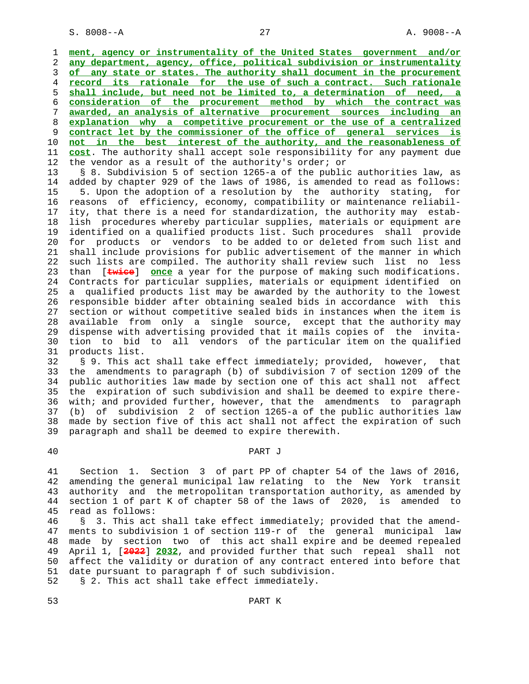S. 8008--A 27 A. 9008--A

**ment, agency or instrumentality of the United States government and/or any department, agency, office, political subdivision or instrumentality of any state or states. The authority shall document in the procurement record its rationale for the use of such a contract. Such rationale shall include, but need not be limited to, a determination of need, a consideration of the procurement method by which the contract was awarded, an analysis of alternative procurement sources including an explanation why a competitive procurement or the use of a centralized contract let by the commissioner of the office of general services is not in the best interest of the authority, and the reasonableness of cost**. The authority shall accept sole responsibility for any payment due 12 the vendor as a result of the authority's order; or

 13 § 8. Subdivision 5 of section 1265-a of the public authorities law, as 14 added by chapter 929 of the laws of 1986, is amended to read as follows: 15 5. Upon the adoption of a resolution by the authority stating, for 16 reasons of efficiency, economy, compatibility or maintenance reliabil- 17 ity, that there is a need for standardization, the authority may estab- 18 lish procedures whereby particular supplies, materials or equipment are 19 identified on a qualified products list. Such procedures shall provide 20 for products or vendors to be added to or deleted from such list and 21 shall include provisions for public advertisement of the manner in which 22 such lists are compiled. The authority shall review such list no less 23 than [**twice**] **once** a year for the purpose of making such modifications. 24 Contracts for particular supplies, materials or equipment identified on 25 a qualified products list may be awarded by the authority to the lowest 26 responsible bidder after obtaining sealed bids in accordance with this 27 section or without competitive sealed bids in instances when the item is 28 available from only a single source, except that the authority may 29 dispense with advertising provided that it mails copies of the invita- 30 tion to bid to all vendors of the particular item on the qualified 31 products list.

 32 § 9. This act shall take effect immediately; provided, however, that 33 the amendments to paragraph (b) of subdivision 7 of section 1209 of the 34 public authorities law made by section one of this act shall not affect 35 the expiration of such subdivision and shall be deemed to expire there- 36 with; and provided further, however, that the amendments to paragraph 37 (b) of subdivision 2 of section 1265-a of the public authorities law 38 made by section five of this act shall not affect the expiration of such 39 paragraph and shall be deemed to expire therewith.

### 40 PART J

 41 Section 1. Section 3 of part PP of chapter 54 of the laws of 2016, 42 amending the general municipal law relating to the New York transit 43 authority and the metropolitan transportation authority, as amended by 44 section 1 of part K of chapter 58 of the laws of 2020, is amended to 45 read as follows:

 46 § 3. This act shall take effect immediately; provided that the amend- 47 ments to subdivision 1 of section 119-r of the general municipal law 48 made by section two of this act shall expire and be deemed repealed 49 April 1, [**2022**] **2032**, and provided further that such repeal shall not 50 affect the validity or duration of any contract entered into before that 51 date pursuant to paragraph f of such subdivision. 52 § 2. This act shall take effect immediately.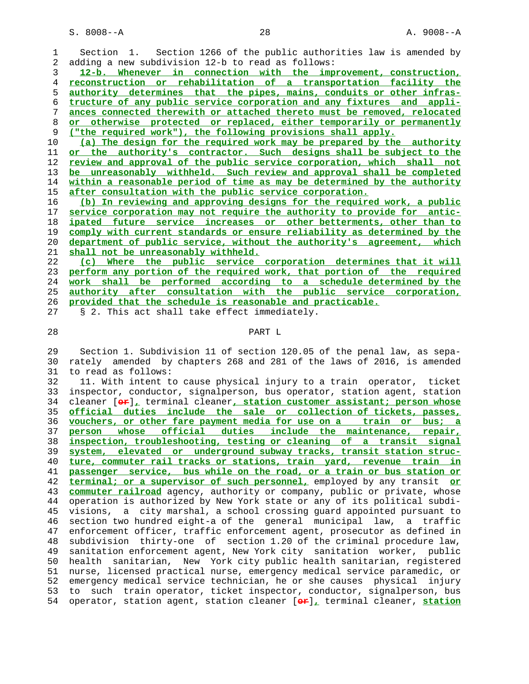S. 8008--A 28 A. 9008--A

 1 Section 1. Section 1266 of the public authorities law is amended by 2 adding a new subdivision 12-b to read as follows:

**12-b. Whenever in connection with the improvement, construction, reconstruction or rehabilitation of a transportation facility the authority determines that the pipes, mains, conduits or other infras- tructure of any public service corporation and any fixtures and appli- ances connected therewith or attached thereto must be removed, relocated or otherwise protected or replaced, either temporarily or permanently ("the required work"), the following provisions shall apply.**

**(a) The design for the required work may be prepared by the authority or the authority's contractor. Such designs shall be subject to the review and approval of the public service corporation, which shall not be unreasonably withheld. Such review and approval shall be completed within a reasonable period of time as may be determined by the authority after consultation with the public service corporation.**

**(b) In reviewing and approving designs for the required work, a public service corporation may not require the authority to provide for antic- ipated future service increases or other betterments, other than to comply with current standards or ensure reliability as determined by the department of public service, without the authority's agreement, which shall not be unreasonably withheld.**

**(c) Where the public service corporation determines that it will perform any portion of the required work, that portion of the required work shall be performed according to a schedule determined by the authority after consultation with the public service corporation, provided that the schedule is reasonable and practicable.**

27 § 2. This act shall take effect immediately.

# 28 PART L

 29 Section 1. Subdivision 11 of section 120.05 of the penal law, as sepa- 30 rately amended by chapters 268 and 281 of the laws of 2016, is amended 31 to read as follows:

 32 11. With intent to cause physical injury to a train operator, ticket 33 inspector, conductor, signalperson, bus operator, station agent, station 34 cleaner [**or**]**,** terminal cleaner**, station customer assistant; person whose** 35 **official duties include the sale or collection of tickets, passes,** 36 **vouchers, or other fare payment media for use on a train or bus; a** 37 **person whose official duties include the maintenance, repair,** 38 **inspection, troubleshooting, testing or cleaning of a transit signal** 39 **system, elevated or underground subway tracks, transit station struc-** 40 **ture, commuter rail tracks or stations, train yard, revenue train in** 41 **passenger service, bus while on the road, or a train or bus station or** 42 **terminal; or a supervisor of such personnel,** employed by any transit **or** 43 **commuter railroad** agency, authority or company, public or private, whose 44 operation is authorized by New York state or any of its political subdi- 45 visions, a city marshal, a school crossing guard appointed pursuant to 46 section two hundred eight-a of the general municipal law, a traffic 47 enforcement officer, traffic enforcement agent, prosecutor as defined in 48 subdivision thirty-one of section 1.20 of the criminal procedure law, 49 sanitation enforcement agent, New York city sanitation worker, public 50 health sanitarian, New York city public health sanitarian, registered 51 nurse, licensed practical nurse, emergency medical service paramedic, or 52 emergency medical service technician, he or she causes physical injury 53 to such train operator, ticket inspector, conductor, signalperson, bus 54 operator, station agent, station cleaner [**or**]**,** terminal cleaner, **station**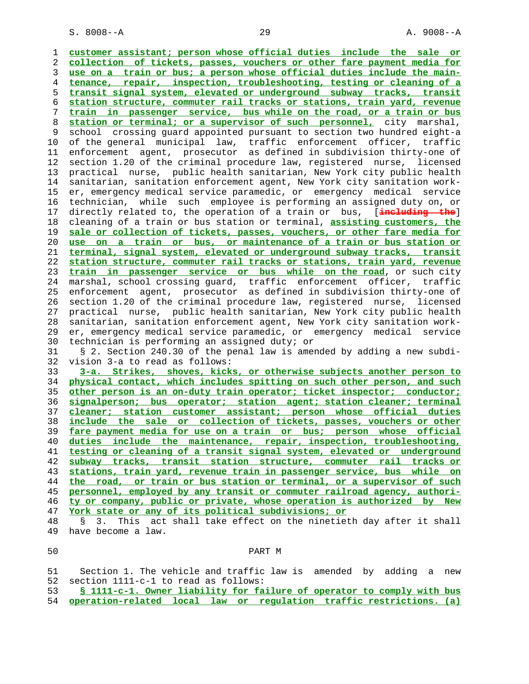S. 8008--A 29 A. 9008--A

 1 **customer assistant; person whose official duties include the sale or** 2 **collection of tickets, passes, vouchers or other fare payment media for** 3 **use on a train or bus; a person whose official duties include the main-** 4 **tenance, repair, inspection, troubleshooting, testing or cleaning of a** 5 **transit signal system, elevated or underground subway tracks, transit** 6 **station structure, commuter rail tracks or stations, train yard, revenue** 7 **train in passenger service, bus while on the road, or a train or bus** 8 **station or terminal; or a supervisor of such personnel,** city marshal, 9 school crossing guard appointed pursuant to section two hundred eight-a 10 of the general municipal law, traffic enforcement officer, traffic 11 enforcement agent, prosecutor as defined in subdivision thirty-one of 12 section 1.20 of the criminal procedure law, registered nurse, licensed 13 practical nurse, public health sanitarian, New York city public health 14 sanitarian, sanitation enforcement agent, New York city sanitation work- 15 er, emergency medical service paramedic, or emergency medical service 16 technician, while such employee is performing an assigned duty on, or 17 directly related to, the operation of a train or bus, [**including the**] 18 cleaning of a train or bus station or terminal, **assisting customers, the** 19 **sale or collection of tickets, passes, vouchers, or other fare media for** 20 **use on a train or bus, or maintenance of a train or bus station or** 21 **terminal, signal system, elevated or underground subway tracks, transit** 22 **station structure, commuter rail tracks or stations, train yard, revenue** 23 **train in passenger service or bus while on the road**, or such city 24 marshal, school crossing guard, traffic enforcement officer, traffic 25 enforcement agent, prosecutor as defined in subdivision thirty-one of 26 section 1.20 of the criminal procedure law, registered nurse, licensed 27 practical nurse, public health sanitarian, New York city public health 28 sanitarian, sanitation enforcement agent, New York city sanitation work- 29 er, emergency medical service paramedic, or emergency medical service 30 technician is performing an assigned duty; or 31 § 2. Section 240.30 of the penal law is amended by adding a new subdi- 32 vision 3-a to read as follows: 33 **3-a. Strikes, shoves, kicks, or otherwise subjects another person to** 34 **physical contact, which includes spitting on such other person, and such** 35 **other person is an on-duty train operator; ticket inspector; conductor;** 36 **signalperson; bus operator; station agent; station cleaner; terminal** 37 **cleaner; station customer assistant; person whose official duties** 38 **include the sale or collection of tickets, passes, vouchers or other** 39 **fare payment media for use on a train or bus; person whose official** 40 **duties include the maintenance, repair, inspection, troubleshooting,** 41 **testing or cleaning of a transit signal system, elevated or underground** 42 **subway tracks, transit station structure, commuter rail tracks or** 43 **stations, train yard, revenue train in passenger service, bus while on** 44 **the road, or train or bus station or terminal, or a supervisor of such** 45 **personnel, employed by any transit or commuter railroad agency, authori-** 46 **ty or company, public or private, whose operation is authorized by New** 47 **York state or any of its political subdivisions; or** 48 § 3. This act shall take effect on the ninetieth day after it shall 49 have become a law. 50 PART M 51 Section 1. The vehicle and traffic law is amended by adding a new 52 section 1111-c-1 to read as follows: 53 **§ 1111-c-1. Owner liability for failure of operator to comply with bus**

54 **operation-related local law or regulation traffic restrictions. (a)**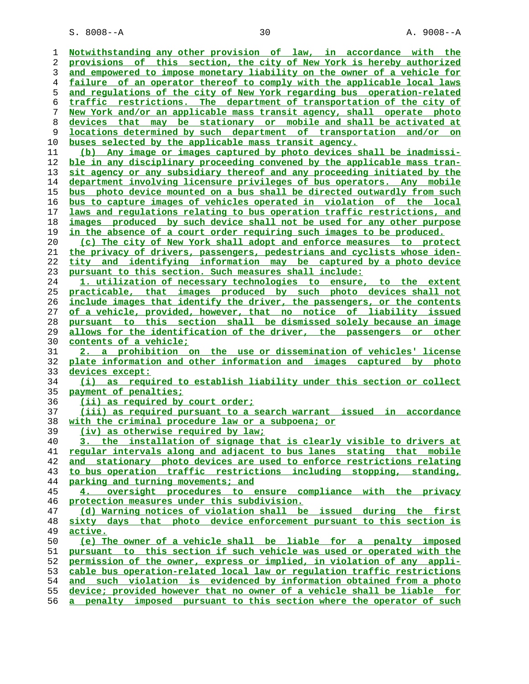| 1        | Notwithstanding any other provision of law, in accordance with the                                                                               |
|----------|--------------------------------------------------------------------------------------------------------------------------------------------------|
| 2        | provisions of this section, the city of New York is hereby authorized                                                                            |
| 3        | and empowered to impose monetary liability on the owner of a vehicle for                                                                         |
| 4        | failure of an operator thereof to comply with the applicable local laws                                                                          |
| 5        | and regulations of the city of New York regarding bus operation-related                                                                          |
| 6        | traffic restrictions. The department of transportation of the city of                                                                            |
| 7        | New York and/or an applicable mass transit agency, shall operate photo                                                                           |
| 8        | devices that may be stationary or mobile and shall be activated at                                                                               |
| 9        | locations determined by such department of transportation and/or on                                                                              |
| 10       | buses selected by the applicable mass transit agency.                                                                                            |
| 11       | (b) Any image or images captured by photo devices shall be inadmissi-                                                                            |
| 12       | <u>ble in any disciplinary proceeding convened by the applicable mass tran-</u>                                                                  |
| 13       | sit agency or any subsidiary thereof and any proceeding initiated by the                                                                         |
| 14       | department involving licensure privileges of bus operators. Any mobile                                                                           |
| 15       | bus photo device mounted on a bus shall be directed outwardly from such                                                                          |
| 16       | <u>bus to capture images of vehicles operated in violation of the local</u>                                                                      |
| 17       | laws and requlations relating to bus operation traffic restrictions, and                                                                         |
| 18       | images produced by such device shall not be used for any other purpose                                                                           |
| 19       | in the absence of a court order requiring such images to be produced.                                                                            |
| 20       | (c) The city of New York shall adopt and enforce measures to protect                                                                             |
| 21       | the privacy of drivers, passengers, pedestrians and cyclists whose iden-                                                                         |
| 22       | tity and identifying information may be captured by a photo device                                                                               |
| 23       | pursuant to this section. Such measures shall include:<br>1. utilization of necessary technologies to ensure, to the extent                      |
| 24       | practicable, that images produced by such photo devices shall not                                                                                |
| 25       | include images that identify the driver, the passengers, or the contents                                                                         |
| 26<br>27 | of a vehicle, provided, however, that no notice of liability issued                                                                              |
| 28       | pursuant to this section shall be dismissed solely because an image                                                                              |
| 29       | allows for the identification of the driver, the passengers or other                                                                             |
|          |                                                                                                                                                  |
|          |                                                                                                                                                  |
| 30       | contents of a vehicle;                                                                                                                           |
| 31       | 2. a prohibition on the use or dissemination of vehicles' license                                                                                |
| 32       | plate information and other information and images captured by photo                                                                             |
| 33       | devices except:                                                                                                                                  |
| 34       | (i) as required to establish liability under this section or collect                                                                             |
| 35       | payment of penalties;                                                                                                                            |
| 36<br>37 | (ii) as required by court order;                                                                                                                 |
| 38       | <u>(iii) as required pursuant to a search warrant issued in accordance</u>                                                                       |
| 39       | with the criminal procedure law or a subpoena; or                                                                                                |
| 40       | (iv) as otherwise required by law;<br>3. the installation of signage that is clearly visible to drivers at                                       |
| 41       | regular intervals along and adjacent to bus lanes stating that mobile                                                                            |
| 42       | and stationary photo devices are used to enforce restrictions relating                                                                           |
| 43       | to bus operation traffic restrictions including stopping, standing,                                                                              |
| 44       | parking and turning movements; and                                                                                                               |
| 45       | 4. oversight procedures to ensure compliance with the privacy                                                                                    |
| 46       | protection measures under this subdivision.                                                                                                      |
| 47       | (d) Warning notices of violation shall be issued during the first                                                                                |
| 48       | sixty days that photo device enforcement pursuant to this section is                                                                             |
| 49       | <u>active.</u>                                                                                                                                   |
| 50       | (e) The owner of a vehicle shall be liable for a penalty imposed                                                                                 |
| 51       | pursuant to this section if such vehicle was used or operated with the                                                                           |
| 52       | permission of the owner, express or implied, in violation of any appli-                                                                          |
| 53       | cable bus operation-related local law or requlation traffic restrictions                                                                         |
| 54       | and such violation is evidenced by information obtained from a photo                                                                             |
| 55<br>56 | device; provided however that no owner of a vehicle shall be liable for<br>a penalty imposed pursuant to this section where the operator of such |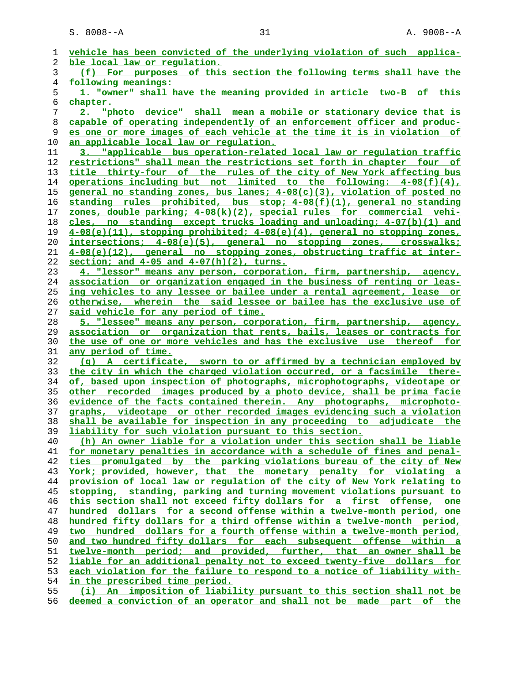| 1        | vehicle has been convicted of the underlying violation of such applica-                                                |
|----------|------------------------------------------------------------------------------------------------------------------------|
| 2        | ble local law or regulation.                                                                                           |
| 3        | of this section the following terms shall have the<br>(f) For purposes                                                 |
| 4        | following meanings:                                                                                                    |
| 5        | 1. "owner" shall have the meaning provided in article two-B of this                                                    |
| 6        | chapter.                                                                                                               |
| 7        | "photo device" shall mean a mobile or stationary device that is                                                        |
| 8        | capable of operating independently of an enforcement officer and produc-                                               |
| 9        | es one or more images of each vehicle at the time it is in violation of                                                |
| 10       | an applicable local law or regulation.                                                                                 |
| 11       | 3. "applicable bus operation-related local law or regulation traffic                                                   |
| 12       | restrictions" shall mean the restrictions set forth in chapter four of                                                 |
| 13       | title thirty-four of the rules of the city of New York affecting bus                                                   |
| 14       | <u>operations including but not limited to the following: <math>4-08(f)(4)</math>,</u>                                 |
| 15       | general no standing zones, bus lanes; 4-08(c)(3), violation of posted no                                               |
| 16       | standing rules prohibited, bus stop; 4-08(f)(1), general no standing                                                   |
| 17       | zones, double parking; 4-08(k)(2), special rules for commercial vehi-                                                  |
| 18       | cles, no standing except trucks loading and unloading; 4-07(b)(1) and                                                  |
| 19       | $4-08(e)(11)$ , stopping prohibited; $4-08(e)(4)$ , general no stopping zones,                                         |
| 20       | intersections; 4-08(e)(5), general no stopping zones, crosswalks;                                                      |
| 21       | 4-08(e)(12), general no stopping zones, obstructing traffic at inter-<br>section; and $4-05$ and $4-07(h)(2)$ , turns. |
| 22<br>23 | 4. "lessor" means any person, corporation, firm, partnership, agency,                                                  |
| 24       | association or organization engaged in the business of renting or leas-                                                |
| 25       | ing vehicles to any lessee or bailee under a rental agreement, lease or                                                |
| 26       | otherwise, wherein the said lessee or bailee has the exclusive use of                                                  |
| 27       | said vehicle for any period of time.                                                                                   |
| 28       | 5. "lessee" means any person, corporation, firm, partnership, agency,                                                  |
| 29       | association or organization that rents, bails, leases or contracts for                                                 |
| 30       | the use of one or more vehicles and has the exclusive use thereof for                                                  |
| 31       | <u>any period of time.</u>                                                                                             |
| 32       | (g) A certificate, sworn to or affirmed by a technician employed by                                                    |
| 33       | the city in which the charged violation occurred, or a facsimile there-                                                |
| 34       | of, based upon inspection of photographs, microphotographs, videotape or                                               |
| 35       | other recorded images produced by a photo device, shall be prima facie                                                 |
| 36       | evidence of the facts contained therein. Any photographs, microphoto-                                                  |
| 37       | graphs, videotape or other recorded images evidencing such a violation                                                 |
| 38       | shall be available for inspection in any proceeding to adjudicate the                                                  |
| 39       | liability for such violation pursuant to this section.                                                                 |
| 40       | (h) An owner liable for a violation under this section shall be liable                                                 |
| 41       | for monetary penalties in accordance with a schedule of fines and penal-                                               |
| 42       | ties promulgated by the parking violations bureau of the city of New                                                   |
| 43       | York; provided, however, that the monetary penalty for violating a                                                     |
| 44       | provision of local law or regulation of the city of New York relating to                                               |
| 45       | stopping, standing, parking and turning movement violations pursuant to                                                |
| 46       | this section shall not exceed fifty dollars for a first offense, one                                                   |
| 47       | hundred dollars for a second offense within a twelve-month period, one                                                 |
| 48       | hundred fifty dollars for a third offense within a twelve-month period,                                                |
| 49       | two hundred dollars for a fourth offense within a twelve-month period,                                                 |
| 50       | and two hundred fifty dollars for each subsequent offense within a                                                     |
| 51       | twelve-month period; and provided, further, that an owner shall be                                                     |
| 52       | liable for an additional penalty not to exceed twenty-five dollars for                                                 |
| 53       | each violation for the failure to respond to a notice of liability with-                                               |
| 54       | in the prescribed time period.                                                                                         |
| 55       | (i) An imposition of liability pursuant to this section shall not be                                                   |

**deemed a conviction of an operator and shall not be made part of the**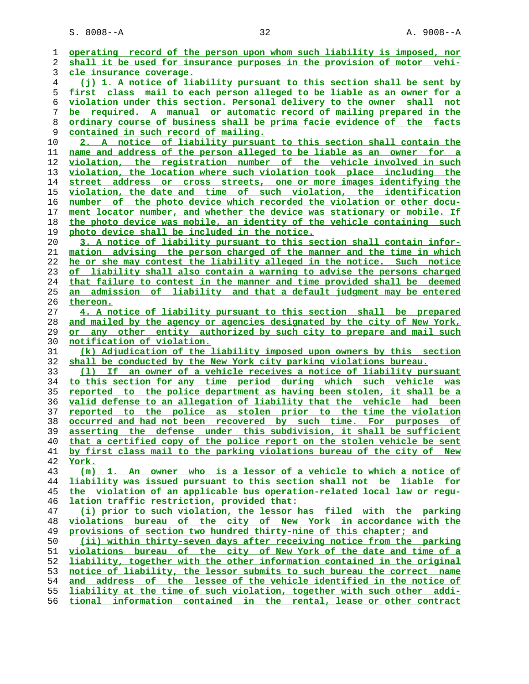S. 8008--A 32 A. 9008--A

| 2<br>shall it be used for insurance purposes in the provision of motor vehi-<br>3<br>cle insurance coverage.<br>(j) 1. A notice of liability pursuant to this section shall be sent by<br>4<br>5<br>first class mail to each person alleged to be liable as an owner for a<br>violation under this section. Personal delivery to the owner shall not<br>6<br>7<br>be required. A manual or automatic record of mailing prepared in the<br>8<br><u>ordinary course of business shall be prima facie evidence of the facts</u><br>9<br>contained in such record of mailing.<br>10<br>2. A notice of liability pursuant to this section shall contain the<br>name and address of the person alleged to be liable as an owner for a<br>11<br>12<br>violation, the registration number of the vehicle involved in such<br>violation, the location where such violation took place including the<br>13<br>14<br>address or cross streets, one or more images identifying the<br>street<br>15<br>violation, the date and time of such violation, the identification<br>16<br>number of the photo device which recorded the violation or other docu-<br>17<br>ment locator number, and whether the device was stationary or mobile. If<br>the photo device was mobile, an identity of the vehicle containing such<br>18<br>19<br>photo device shall be included in the notice.<br>20<br>3. A notice of liability pursuant to this section shall contain infor-<br>mation advising the person charged of the manner and the time in which<br>21<br>22<br>he or she may contest the liability alleged in the notice. Such notice<br>of liability shall also contain a warning to advise the persons charged<br>23<br>that failure to contest in the manner and time provided shall be deemed<br>24<br>25<br><u>an admission of liability and that a default judgment may be entered</u><br>26<br><u>thereon.</u><br>27<br>4. A notice of liability pursuant to this section shall be prepared<br>28<br>and mailed by the agency or agencies designated by the city of New York,<br>29<br>or any other entity authorized by such city to prepare and mail such<br>30<br><u>notification of violation.</u><br>31<br>(k) Adjudication of the liability imposed upon owners by this section<br>32<br>shall be conducted by the New York city parking violations bureau.<br>(1) If an owner of a vehicle receives a notice of liability pursuant<br>33<br>to this section for any time period during which such vehicle was<br>34<br>35<br>reported to the police department as having been stolen, it shall be a<br>36<br>valid defense to an allegation of liability that the vehicle had been<br>37<br>reported to the police as stolen prior to the time the violation<br>occurred and had not been recovered by such time. For purposes of<br>38<br>asserting the defense under this subdivision, it shall be sufficient<br>39<br>that a certified copy of the police report on the stolen vehicle be sent<br>40<br>by first class mail to the parking violations bureau of the city of New<br>41<br>42<br>York.<br>43<br>(m) 1. An owner who is a lessor of a vehicle to which a notice of<br>liability was issued pursuant to this section shall not be liable for<br>44<br>the violation of an applicable bus operation-related local law or requ-<br>45<br>lation traffic restriction, provided that:<br>46<br>47<br>(i) prior to such violation, the lessor has filed with the parking<br>48<br>violations bureau of the city of New York in accordance with the<br>49<br>provisions of section two hundred thirty-nine of this chapter; and<br>(ii) within thirty-seven days after receiving notice from the parking<br>50<br>51<br>violations bureau of the city of New York of the date and time of a<br>liability, together with the other information contained in the original<br>52<br>notice of liability, the lessor submits to such bureau the correct name<br>53<br>54<br>address of the lessee of the vehicle identified in the notice of<br>and<br>55<br>liability at the time of such violation, together with such other addi-<br>tional information contained in the rental, lease or other contract<br>56 |   |                                                                         |
|-----------------------------------------------------------------------------------------------------------------------------------------------------------------------------------------------------------------------------------------------------------------------------------------------------------------------------------------------------------------------------------------------------------------------------------------------------------------------------------------------------------------------------------------------------------------------------------------------------------------------------------------------------------------------------------------------------------------------------------------------------------------------------------------------------------------------------------------------------------------------------------------------------------------------------------------------------------------------------------------------------------------------------------------------------------------------------------------------------------------------------------------------------------------------------------------------------------------------------------------------------------------------------------------------------------------------------------------------------------------------------------------------------------------------------------------------------------------------------------------------------------------------------------------------------------------------------------------------------------------------------------------------------------------------------------------------------------------------------------------------------------------------------------------------------------------------------------------------------------------------------------------------------------------------------------------------------------------------------------------------------------------------------------------------------------------------------------------------------------------------------------------------------------------------------------------------------------------------------------------------------------------------------------------------------------------------------------------------------------------------------------------------------------------------------------------------------------------------------------------------------------------------------------------------------------------------------------------------------------------------------------------------------------------------------------------------------------------------------------------------------------------------------------------------------------------------------------------------------------------------------------------------------------------------------------------------------------------------------------------------------------------------------------------------------------------------------------------------------------------------------------------------------------------------------------------------------------------------------------------------------------------------------------------------------------------------------------------------------------------------------------------------------------------------------------------------------------------------------------------------------------------------------------------------------------------------------------------------------------------------------------------------------------------------------------------------------------------------------------------------------------------------------------------------------------------------------------------------------------------------------------------------------------------------------------------------------------------------------------------------------------------------------------------------------------------------------------------------------------------------------------------------------------------------------------------------------------------------|---|-------------------------------------------------------------------------|
|                                                                                                                                                                                                                                                                                                                                                                                                                                                                                                                                                                                                                                                                                                                                                                                                                                                                                                                                                                                                                                                                                                                                                                                                                                                                                                                                                                                                                                                                                                                                                                                                                                                                                                                                                                                                                                                                                                                                                                                                                                                                                                                                                                                                                                                                                                                                                                                                                                                                                                                                                                                                                                                                                                                                                                                                                                                                                                                                                                                                                                                                                                                                                                                                                                                                                                                                                                                                                                                                                                                                                                                                                                                                                                                                                                                                                                                                                                                                                                                                                                                                                                                                                                                                                       | 1 | operating record of the person upon whom such liability is imposed, nor |
|                                                                                                                                                                                                                                                                                                                                                                                                                                                                                                                                                                                                                                                                                                                                                                                                                                                                                                                                                                                                                                                                                                                                                                                                                                                                                                                                                                                                                                                                                                                                                                                                                                                                                                                                                                                                                                                                                                                                                                                                                                                                                                                                                                                                                                                                                                                                                                                                                                                                                                                                                                                                                                                                                                                                                                                                                                                                                                                                                                                                                                                                                                                                                                                                                                                                                                                                                                                                                                                                                                                                                                                                                                                                                                                                                                                                                                                                                                                                                                                                                                                                                                                                                                                                                       |   |                                                                         |
|                                                                                                                                                                                                                                                                                                                                                                                                                                                                                                                                                                                                                                                                                                                                                                                                                                                                                                                                                                                                                                                                                                                                                                                                                                                                                                                                                                                                                                                                                                                                                                                                                                                                                                                                                                                                                                                                                                                                                                                                                                                                                                                                                                                                                                                                                                                                                                                                                                                                                                                                                                                                                                                                                                                                                                                                                                                                                                                                                                                                                                                                                                                                                                                                                                                                                                                                                                                                                                                                                                                                                                                                                                                                                                                                                                                                                                                                                                                                                                                                                                                                                                                                                                                                                       |   |                                                                         |
|                                                                                                                                                                                                                                                                                                                                                                                                                                                                                                                                                                                                                                                                                                                                                                                                                                                                                                                                                                                                                                                                                                                                                                                                                                                                                                                                                                                                                                                                                                                                                                                                                                                                                                                                                                                                                                                                                                                                                                                                                                                                                                                                                                                                                                                                                                                                                                                                                                                                                                                                                                                                                                                                                                                                                                                                                                                                                                                                                                                                                                                                                                                                                                                                                                                                                                                                                                                                                                                                                                                                                                                                                                                                                                                                                                                                                                                                                                                                                                                                                                                                                                                                                                                                                       |   |                                                                         |
|                                                                                                                                                                                                                                                                                                                                                                                                                                                                                                                                                                                                                                                                                                                                                                                                                                                                                                                                                                                                                                                                                                                                                                                                                                                                                                                                                                                                                                                                                                                                                                                                                                                                                                                                                                                                                                                                                                                                                                                                                                                                                                                                                                                                                                                                                                                                                                                                                                                                                                                                                                                                                                                                                                                                                                                                                                                                                                                                                                                                                                                                                                                                                                                                                                                                                                                                                                                                                                                                                                                                                                                                                                                                                                                                                                                                                                                                                                                                                                                                                                                                                                                                                                                                                       |   |                                                                         |
|                                                                                                                                                                                                                                                                                                                                                                                                                                                                                                                                                                                                                                                                                                                                                                                                                                                                                                                                                                                                                                                                                                                                                                                                                                                                                                                                                                                                                                                                                                                                                                                                                                                                                                                                                                                                                                                                                                                                                                                                                                                                                                                                                                                                                                                                                                                                                                                                                                                                                                                                                                                                                                                                                                                                                                                                                                                                                                                                                                                                                                                                                                                                                                                                                                                                                                                                                                                                                                                                                                                                                                                                                                                                                                                                                                                                                                                                                                                                                                                                                                                                                                                                                                                                                       |   |                                                                         |
|                                                                                                                                                                                                                                                                                                                                                                                                                                                                                                                                                                                                                                                                                                                                                                                                                                                                                                                                                                                                                                                                                                                                                                                                                                                                                                                                                                                                                                                                                                                                                                                                                                                                                                                                                                                                                                                                                                                                                                                                                                                                                                                                                                                                                                                                                                                                                                                                                                                                                                                                                                                                                                                                                                                                                                                                                                                                                                                                                                                                                                                                                                                                                                                                                                                                                                                                                                                                                                                                                                                                                                                                                                                                                                                                                                                                                                                                                                                                                                                                                                                                                                                                                                                                                       |   |                                                                         |
|                                                                                                                                                                                                                                                                                                                                                                                                                                                                                                                                                                                                                                                                                                                                                                                                                                                                                                                                                                                                                                                                                                                                                                                                                                                                                                                                                                                                                                                                                                                                                                                                                                                                                                                                                                                                                                                                                                                                                                                                                                                                                                                                                                                                                                                                                                                                                                                                                                                                                                                                                                                                                                                                                                                                                                                                                                                                                                                                                                                                                                                                                                                                                                                                                                                                                                                                                                                                                                                                                                                                                                                                                                                                                                                                                                                                                                                                                                                                                                                                                                                                                                                                                                                                                       |   |                                                                         |
|                                                                                                                                                                                                                                                                                                                                                                                                                                                                                                                                                                                                                                                                                                                                                                                                                                                                                                                                                                                                                                                                                                                                                                                                                                                                                                                                                                                                                                                                                                                                                                                                                                                                                                                                                                                                                                                                                                                                                                                                                                                                                                                                                                                                                                                                                                                                                                                                                                                                                                                                                                                                                                                                                                                                                                                                                                                                                                                                                                                                                                                                                                                                                                                                                                                                                                                                                                                                                                                                                                                                                                                                                                                                                                                                                                                                                                                                                                                                                                                                                                                                                                                                                                                                                       |   |                                                                         |
|                                                                                                                                                                                                                                                                                                                                                                                                                                                                                                                                                                                                                                                                                                                                                                                                                                                                                                                                                                                                                                                                                                                                                                                                                                                                                                                                                                                                                                                                                                                                                                                                                                                                                                                                                                                                                                                                                                                                                                                                                                                                                                                                                                                                                                                                                                                                                                                                                                                                                                                                                                                                                                                                                                                                                                                                                                                                                                                                                                                                                                                                                                                                                                                                                                                                                                                                                                                                                                                                                                                                                                                                                                                                                                                                                                                                                                                                                                                                                                                                                                                                                                                                                                                                                       |   |                                                                         |
|                                                                                                                                                                                                                                                                                                                                                                                                                                                                                                                                                                                                                                                                                                                                                                                                                                                                                                                                                                                                                                                                                                                                                                                                                                                                                                                                                                                                                                                                                                                                                                                                                                                                                                                                                                                                                                                                                                                                                                                                                                                                                                                                                                                                                                                                                                                                                                                                                                                                                                                                                                                                                                                                                                                                                                                                                                                                                                                                                                                                                                                                                                                                                                                                                                                                                                                                                                                                                                                                                                                                                                                                                                                                                                                                                                                                                                                                                                                                                                                                                                                                                                                                                                                                                       |   |                                                                         |
|                                                                                                                                                                                                                                                                                                                                                                                                                                                                                                                                                                                                                                                                                                                                                                                                                                                                                                                                                                                                                                                                                                                                                                                                                                                                                                                                                                                                                                                                                                                                                                                                                                                                                                                                                                                                                                                                                                                                                                                                                                                                                                                                                                                                                                                                                                                                                                                                                                                                                                                                                                                                                                                                                                                                                                                                                                                                                                                                                                                                                                                                                                                                                                                                                                                                                                                                                                                                                                                                                                                                                                                                                                                                                                                                                                                                                                                                                                                                                                                                                                                                                                                                                                                                                       |   |                                                                         |
|                                                                                                                                                                                                                                                                                                                                                                                                                                                                                                                                                                                                                                                                                                                                                                                                                                                                                                                                                                                                                                                                                                                                                                                                                                                                                                                                                                                                                                                                                                                                                                                                                                                                                                                                                                                                                                                                                                                                                                                                                                                                                                                                                                                                                                                                                                                                                                                                                                                                                                                                                                                                                                                                                                                                                                                                                                                                                                                                                                                                                                                                                                                                                                                                                                                                                                                                                                                                                                                                                                                                                                                                                                                                                                                                                                                                                                                                                                                                                                                                                                                                                                                                                                                                                       |   |                                                                         |
|                                                                                                                                                                                                                                                                                                                                                                                                                                                                                                                                                                                                                                                                                                                                                                                                                                                                                                                                                                                                                                                                                                                                                                                                                                                                                                                                                                                                                                                                                                                                                                                                                                                                                                                                                                                                                                                                                                                                                                                                                                                                                                                                                                                                                                                                                                                                                                                                                                                                                                                                                                                                                                                                                                                                                                                                                                                                                                                                                                                                                                                                                                                                                                                                                                                                                                                                                                                                                                                                                                                                                                                                                                                                                                                                                                                                                                                                                                                                                                                                                                                                                                                                                                                                                       |   |                                                                         |
|                                                                                                                                                                                                                                                                                                                                                                                                                                                                                                                                                                                                                                                                                                                                                                                                                                                                                                                                                                                                                                                                                                                                                                                                                                                                                                                                                                                                                                                                                                                                                                                                                                                                                                                                                                                                                                                                                                                                                                                                                                                                                                                                                                                                                                                                                                                                                                                                                                                                                                                                                                                                                                                                                                                                                                                                                                                                                                                                                                                                                                                                                                                                                                                                                                                                                                                                                                                                                                                                                                                                                                                                                                                                                                                                                                                                                                                                                                                                                                                                                                                                                                                                                                                                                       |   |                                                                         |
|                                                                                                                                                                                                                                                                                                                                                                                                                                                                                                                                                                                                                                                                                                                                                                                                                                                                                                                                                                                                                                                                                                                                                                                                                                                                                                                                                                                                                                                                                                                                                                                                                                                                                                                                                                                                                                                                                                                                                                                                                                                                                                                                                                                                                                                                                                                                                                                                                                                                                                                                                                                                                                                                                                                                                                                                                                                                                                                                                                                                                                                                                                                                                                                                                                                                                                                                                                                                                                                                                                                                                                                                                                                                                                                                                                                                                                                                                                                                                                                                                                                                                                                                                                                                                       |   |                                                                         |
|                                                                                                                                                                                                                                                                                                                                                                                                                                                                                                                                                                                                                                                                                                                                                                                                                                                                                                                                                                                                                                                                                                                                                                                                                                                                                                                                                                                                                                                                                                                                                                                                                                                                                                                                                                                                                                                                                                                                                                                                                                                                                                                                                                                                                                                                                                                                                                                                                                                                                                                                                                                                                                                                                                                                                                                                                                                                                                                                                                                                                                                                                                                                                                                                                                                                                                                                                                                                                                                                                                                                                                                                                                                                                                                                                                                                                                                                                                                                                                                                                                                                                                                                                                                                                       |   |                                                                         |
|                                                                                                                                                                                                                                                                                                                                                                                                                                                                                                                                                                                                                                                                                                                                                                                                                                                                                                                                                                                                                                                                                                                                                                                                                                                                                                                                                                                                                                                                                                                                                                                                                                                                                                                                                                                                                                                                                                                                                                                                                                                                                                                                                                                                                                                                                                                                                                                                                                                                                                                                                                                                                                                                                                                                                                                                                                                                                                                                                                                                                                                                                                                                                                                                                                                                                                                                                                                                                                                                                                                                                                                                                                                                                                                                                                                                                                                                                                                                                                                                                                                                                                                                                                                                                       |   |                                                                         |
|                                                                                                                                                                                                                                                                                                                                                                                                                                                                                                                                                                                                                                                                                                                                                                                                                                                                                                                                                                                                                                                                                                                                                                                                                                                                                                                                                                                                                                                                                                                                                                                                                                                                                                                                                                                                                                                                                                                                                                                                                                                                                                                                                                                                                                                                                                                                                                                                                                                                                                                                                                                                                                                                                                                                                                                                                                                                                                                                                                                                                                                                                                                                                                                                                                                                                                                                                                                                                                                                                                                                                                                                                                                                                                                                                                                                                                                                                                                                                                                                                                                                                                                                                                                                                       |   |                                                                         |
|                                                                                                                                                                                                                                                                                                                                                                                                                                                                                                                                                                                                                                                                                                                                                                                                                                                                                                                                                                                                                                                                                                                                                                                                                                                                                                                                                                                                                                                                                                                                                                                                                                                                                                                                                                                                                                                                                                                                                                                                                                                                                                                                                                                                                                                                                                                                                                                                                                                                                                                                                                                                                                                                                                                                                                                                                                                                                                                                                                                                                                                                                                                                                                                                                                                                                                                                                                                                                                                                                                                                                                                                                                                                                                                                                                                                                                                                                                                                                                                                                                                                                                                                                                                                                       |   |                                                                         |
|                                                                                                                                                                                                                                                                                                                                                                                                                                                                                                                                                                                                                                                                                                                                                                                                                                                                                                                                                                                                                                                                                                                                                                                                                                                                                                                                                                                                                                                                                                                                                                                                                                                                                                                                                                                                                                                                                                                                                                                                                                                                                                                                                                                                                                                                                                                                                                                                                                                                                                                                                                                                                                                                                                                                                                                                                                                                                                                                                                                                                                                                                                                                                                                                                                                                                                                                                                                                                                                                                                                                                                                                                                                                                                                                                                                                                                                                                                                                                                                                                                                                                                                                                                                                                       |   |                                                                         |
|                                                                                                                                                                                                                                                                                                                                                                                                                                                                                                                                                                                                                                                                                                                                                                                                                                                                                                                                                                                                                                                                                                                                                                                                                                                                                                                                                                                                                                                                                                                                                                                                                                                                                                                                                                                                                                                                                                                                                                                                                                                                                                                                                                                                                                                                                                                                                                                                                                                                                                                                                                                                                                                                                                                                                                                                                                                                                                                                                                                                                                                                                                                                                                                                                                                                                                                                                                                                                                                                                                                                                                                                                                                                                                                                                                                                                                                                                                                                                                                                                                                                                                                                                                                                                       |   |                                                                         |
|                                                                                                                                                                                                                                                                                                                                                                                                                                                                                                                                                                                                                                                                                                                                                                                                                                                                                                                                                                                                                                                                                                                                                                                                                                                                                                                                                                                                                                                                                                                                                                                                                                                                                                                                                                                                                                                                                                                                                                                                                                                                                                                                                                                                                                                                                                                                                                                                                                                                                                                                                                                                                                                                                                                                                                                                                                                                                                                                                                                                                                                                                                                                                                                                                                                                                                                                                                                                                                                                                                                                                                                                                                                                                                                                                                                                                                                                                                                                                                                                                                                                                                                                                                                                                       |   |                                                                         |
|                                                                                                                                                                                                                                                                                                                                                                                                                                                                                                                                                                                                                                                                                                                                                                                                                                                                                                                                                                                                                                                                                                                                                                                                                                                                                                                                                                                                                                                                                                                                                                                                                                                                                                                                                                                                                                                                                                                                                                                                                                                                                                                                                                                                                                                                                                                                                                                                                                                                                                                                                                                                                                                                                                                                                                                                                                                                                                                                                                                                                                                                                                                                                                                                                                                                                                                                                                                                                                                                                                                                                                                                                                                                                                                                                                                                                                                                                                                                                                                                                                                                                                                                                                                                                       |   |                                                                         |
|                                                                                                                                                                                                                                                                                                                                                                                                                                                                                                                                                                                                                                                                                                                                                                                                                                                                                                                                                                                                                                                                                                                                                                                                                                                                                                                                                                                                                                                                                                                                                                                                                                                                                                                                                                                                                                                                                                                                                                                                                                                                                                                                                                                                                                                                                                                                                                                                                                                                                                                                                                                                                                                                                                                                                                                                                                                                                                                                                                                                                                                                                                                                                                                                                                                                                                                                                                                                                                                                                                                                                                                                                                                                                                                                                                                                                                                                                                                                                                                                                                                                                                                                                                                                                       |   |                                                                         |
|                                                                                                                                                                                                                                                                                                                                                                                                                                                                                                                                                                                                                                                                                                                                                                                                                                                                                                                                                                                                                                                                                                                                                                                                                                                                                                                                                                                                                                                                                                                                                                                                                                                                                                                                                                                                                                                                                                                                                                                                                                                                                                                                                                                                                                                                                                                                                                                                                                                                                                                                                                                                                                                                                                                                                                                                                                                                                                                                                                                                                                                                                                                                                                                                                                                                                                                                                                                                                                                                                                                                                                                                                                                                                                                                                                                                                                                                                                                                                                                                                                                                                                                                                                                                                       |   |                                                                         |
|                                                                                                                                                                                                                                                                                                                                                                                                                                                                                                                                                                                                                                                                                                                                                                                                                                                                                                                                                                                                                                                                                                                                                                                                                                                                                                                                                                                                                                                                                                                                                                                                                                                                                                                                                                                                                                                                                                                                                                                                                                                                                                                                                                                                                                                                                                                                                                                                                                                                                                                                                                                                                                                                                                                                                                                                                                                                                                                                                                                                                                                                                                                                                                                                                                                                                                                                                                                                                                                                                                                                                                                                                                                                                                                                                                                                                                                                                                                                                                                                                                                                                                                                                                                                                       |   |                                                                         |
|                                                                                                                                                                                                                                                                                                                                                                                                                                                                                                                                                                                                                                                                                                                                                                                                                                                                                                                                                                                                                                                                                                                                                                                                                                                                                                                                                                                                                                                                                                                                                                                                                                                                                                                                                                                                                                                                                                                                                                                                                                                                                                                                                                                                                                                                                                                                                                                                                                                                                                                                                                                                                                                                                                                                                                                                                                                                                                                                                                                                                                                                                                                                                                                                                                                                                                                                                                                                                                                                                                                                                                                                                                                                                                                                                                                                                                                                                                                                                                                                                                                                                                                                                                                                                       |   |                                                                         |
|                                                                                                                                                                                                                                                                                                                                                                                                                                                                                                                                                                                                                                                                                                                                                                                                                                                                                                                                                                                                                                                                                                                                                                                                                                                                                                                                                                                                                                                                                                                                                                                                                                                                                                                                                                                                                                                                                                                                                                                                                                                                                                                                                                                                                                                                                                                                                                                                                                                                                                                                                                                                                                                                                                                                                                                                                                                                                                                                                                                                                                                                                                                                                                                                                                                                                                                                                                                                                                                                                                                                                                                                                                                                                                                                                                                                                                                                                                                                                                                                                                                                                                                                                                                                                       |   |                                                                         |
|                                                                                                                                                                                                                                                                                                                                                                                                                                                                                                                                                                                                                                                                                                                                                                                                                                                                                                                                                                                                                                                                                                                                                                                                                                                                                                                                                                                                                                                                                                                                                                                                                                                                                                                                                                                                                                                                                                                                                                                                                                                                                                                                                                                                                                                                                                                                                                                                                                                                                                                                                                                                                                                                                                                                                                                                                                                                                                                                                                                                                                                                                                                                                                                                                                                                                                                                                                                                                                                                                                                                                                                                                                                                                                                                                                                                                                                                                                                                                                                                                                                                                                                                                                                                                       |   |                                                                         |
|                                                                                                                                                                                                                                                                                                                                                                                                                                                                                                                                                                                                                                                                                                                                                                                                                                                                                                                                                                                                                                                                                                                                                                                                                                                                                                                                                                                                                                                                                                                                                                                                                                                                                                                                                                                                                                                                                                                                                                                                                                                                                                                                                                                                                                                                                                                                                                                                                                                                                                                                                                                                                                                                                                                                                                                                                                                                                                                                                                                                                                                                                                                                                                                                                                                                                                                                                                                                                                                                                                                                                                                                                                                                                                                                                                                                                                                                                                                                                                                                                                                                                                                                                                                                                       |   |                                                                         |
|                                                                                                                                                                                                                                                                                                                                                                                                                                                                                                                                                                                                                                                                                                                                                                                                                                                                                                                                                                                                                                                                                                                                                                                                                                                                                                                                                                                                                                                                                                                                                                                                                                                                                                                                                                                                                                                                                                                                                                                                                                                                                                                                                                                                                                                                                                                                                                                                                                                                                                                                                                                                                                                                                                                                                                                                                                                                                                                                                                                                                                                                                                                                                                                                                                                                                                                                                                                                                                                                                                                                                                                                                                                                                                                                                                                                                                                                                                                                                                                                                                                                                                                                                                                                                       |   |                                                                         |
|                                                                                                                                                                                                                                                                                                                                                                                                                                                                                                                                                                                                                                                                                                                                                                                                                                                                                                                                                                                                                                                                                                                                                                                                                                                                                                                                                                                                                                                                                                                                                                                                                                                                                                                                                                                                                                                                                                                                                                                                                                                                                                                                                                                                                                                                                                                                                                                                                                                                                                                                                                                                                                                                                                                                                                                                                                                                                                                                                                                                                                                                                                                                                                                                                                                                                                                                                                                                                                                                                                                                                                                                                                                                                                                                                                                                                                                                                                                                                                                                                                                                                                                                                                                                                       |   |                                                                         |
|                                                                                                                                                                                                                                                                                                                                                                                                                                                                                                                                                                                                                                                                                                                                                                                                                                                                                                                                                                                                                                                                                                                                                                                                                                                                                                                                                                                                                                                                                                                                                                                                                                                                                                                                                                                                                                                                                                                                                                                                                                                                                                                                                                                                                                                                                                                                                                                                                                                                                                                                                                                                                                                                                                                                                                                                                                                                                                                                                                                                                                                                                                                                                                                                                                                                                                                                                                                                                                                                                                                                                                                                                                                                                                                                                                                                                                                                                                                                                                                                                                                                                                                                                                                                                       |   |                                                                         |
|                                                                                                                                                                                                                                                                                                                                                                                                                                                                                                                                                                                                                                                                                                                                                                                                                                                                                                                                                                                                                                                                                                                                                                                                                                                                                                                                                                                                                                                                                                                                                                                                                                                                                                                                                                                                                                                                                                                                                                                                                                                                                                                                                                                                                                                                                                                                                                                                                                                                                                                                                                                                                                                                                                                                                                                                                                                                                                                                                                                                                                                                                                                                                                                                                                                                                                                                                                                                                                                                                                                                                                                                                                                                                                                                                                                                                                                                                                                                                                                                                                                                                                                                                                                                                       |   |                                                                         |
|                                                                                                                                                                                                                                                                                                                                                                                                                                                                                                                                                                                                                                                                                                                                                                                                                                                                                                                                                                                                                                                                                                                                                                                                                                                                                                                                                                                                                                                                                                                                                                                                                                                                                                                                                                                                                                                                                                                                                                                                                                                                                                                                                                                                                                                                                                                                                                                                                                                                                                                                                                                                                                                                                                                                                                                                                                                                                                                                                                                                                                                                                                                                                                                                                                                                                                                                                                                                                                                                                                                                                                                                                                                                                                                                                                                                                                                                                                                                                                                                                                                                                                                                                                                                                       |   |                                                                         |
|                                                                                                                                                                                                                                                                                                                                                                                                                                                                                                                                                                                                                                                                                                                                                                                                                                                                                                                                                                                                                                                                                                                                                                                                                                                                                                                                                                                                                                                                                                                                                                                                                                                                                                                                                                                                                                                                                                                                                                                                                                                                                                                                                                                                                                                                                                                                                                                                                                                                                                                                                                                                                                                                                                                                                                                                                                                                                                                                                                                                                                                                                                                                                                                                                                                                                                                                                                                                                                                                                                                                                                                                                                                                                                                                                                                                                                                                                                                                                                                                                                                                                                                                                                                                                       |   |                                                                         |
|                                                                                                                                                                                                                                                                                                                                                                                                                                                                                                                                                                                                                                                                                                                                                                                                                                                                                                                                                                                                                                                                                                                                                                                                                                                                                                                                                                                                                                                                                                                                                                                                                                                                                                                                                                                                                                                                                                                                                                                                                                                                                                                                                                                                                                                                                                                                                                                                                                                                                                                                                                                                                                                                                                                                                                                                                                                                                                                                                                                                                                                                                                                                                                                                                                                                                                                                                                                                                                                                                                                                                                                                                                                                                                                                                                                                                                                                                                                                                                                                                                                                                                                                                                                                                       |   |                                                                         |
|                                                                                                                                                                                                                                                                                                                                                                                                                                                                                                                                                                                                                                                                                                                                                                                                                                                                                                                                                                                                                                                                                                                                                                                                                                                                                                                                                                                                                                                                                                                                                                                                                                                                                                                                                                                                                                                                                                                                                                                                                                                                                                                                                                                                                                                                                                                                                                                                                                                                                                                                                                                                                                                                                                                                                                                                                                                                                                                                                                                                                                                                                                                                                                                                                                                                                                                                                                                                                                                                                                                                                                                                                                                                                                                                                                                                                                                                                                                                                                                                                                                                                                                                                                                                                       |   |                                                                         |
|                                                                                                                                                                                                                                                                                                                                                                                                                                                                                                                                                                                                                                                                                                                                                                                                                                                                                                                                                                                                                                                                                                                                                                                                                                                                                                                                                                                                                                                                                                                                                                                                                                                                                                                                                                                                                                                                                                                                                                                                                                                                                                                                                                                                                                                                                                                                                                                                                                                                                                                                                                                                                                                                                                                                                                                                                                                                                                                                                                                                                                                                                                                                                                                                                                                                                                                                                                                                                                                                                                                                                                                                                                                                                                                                                                                                                                                                                                                                                                                                                                                                                                                                                                                                                       |   |                                                                         |
|                                                                                                                                                                                                                                                                                                                                                                                                                                                                                                                                                                                                                                                                                                                                                                                                                                                                                                                                                                                                                                                                                                                                                                                                                                                                                                                                                                                                                                                                                                                                                                                                                                                                                                                                                                                                                                                                                                                                                                                                                                                                                                                                                                                                                                                                                                                                                                                                                                                                                                                                                                                                                                                                                                                                                                                                                                                                                                                                                                                                                                                                                                                                                                                                                                                                                                                                                                                                                                                                                                                                                                                                                                                                                                                                                                                                                                                                                                                                                                                                                                                                                                                                                                                                                       |   |                                                                         |
|                                                                                                                                                                                                                                                                                                                                                                                                                                                                                                                                                                                                                                                                                                                                                                                                                                                                                                                                                                                                                                                                                                                                                                                                                                                                                                                                                                                                                                                                                                                                                                                                                                                                                                                                                                                                                                                                                                                                                                                                                                                                                                                                                                                                                                                                                                                                                                                                                                                                                                                                                                                                                                                                                                                                                                                                                                                                                                                                                                                                                                                                                                                                                                                                                                                                                                                                                                                                                                                                                                                                                                                                                                                                                                                                                                                                                                                                                                                                                                                                                                                                                                                                                                                                                       |   |                                                                         |
|                                                                                                                                                                                                                                                                                                                                                                                                                                                                                                                                                                                                                                                                                                                                                                                                                                                                                                                                                                                                                                                                                                                                                                                                                                                                                                                                                                                                                                                                                                                                                                                                                                                                                                                                                                                                                                                                                                                                                                                                                                                                                                                                                                                                                                                                                                                                                                                                                                                                                                                                                                                                                                                                                                                                                                                                                                                                                                                                                                                                                                                                                                                                                                                                                                                                                                                                                                                                                                                                                                                                                                                                                                                                                                                                                                                                                                                                                                                                                                                                                                                                                                                                                                                                                       |   |                                                                         |
|                                                                                                                                                                                                                                                                                                                                                                                                                                                                                                                                                                                                                                                                                                                                                                                                                                                                                                                                                                                                                                                                                                                                                                                                                                                                                                                                                                                                                                                                                                                                                                                                                                                                                                                                                                                                                                                                                                                                                                                                                                                                                                                                                                                                                                                                                                                                                                                                                                                                                                                                                                                                                                                                                                                                                                                                                                                                                                                                                                                                                                                                                                                                                                                                                                                                                                                                                                                                                                                                                                                                                                                                                                                                                                                                                                                                                                                                                                                                                                                                                                                                                                                                                                                                                       |   |                                                                         |
|                                                                                                                                                                                                                                                                                                                                                                                                                                                                                                                                                                                                                                                                                                                                                                                                                                                                                                                                                                                                                                                                                                                                                                                                                                                                                                                                                                                                                                                                                                                                                                                                                                                                                                                                                                                                                                                                                                                                                                                                                                                                                                                                                                                                                                                                                                                                                                                                                                                                                                                                                                                                                                                                                                                                                                                                                                                                                                                                                                                                                                                                                                                                                                                                                                                                                                                                                                                                                                                                                                                                                                                                                                                                                                                                                                                                                                                                                                                                                                                                                                                                                                                                                                                                                       |   |                                                                         |
|                                                                                                                                                                                                                                                                                                                                                                                                                                                                                                                                                                                                                                                                                                                                                                                                                                                                                                                                                                                                                                                                                                                                                                                                                                                                                                                                                                                                                                                                                                                                                                                                                                                                                                                                                                                                                                                                                                                                                                                                                                                                                                                                                                                                                                                                                                                                                                                                                                                                                                                                                                                                                                                                                                                                                                                                                                                                                                                                                                                                                                                                                                                                                                                                                                                                                                                                                                                                                                                                                                                                                                                                                                                                                                                                                                                                                                                                                                                                                                                                                                                                                                                                                                                                                       |   |                                                                         |
|                                                                                                                                                                                                                                                                                                                                                                                                                                                                                                                                                                                                                                                                                                                                                                                                                                                                                                                                                                                                                                                                                                                                                                                                                                                                                                                                                                                                                                                                                                                                                                                                                                                                                                                                                                                                                                                                                                                                                                                                                                                                                                                                                                                                                                                                                                                                                                                                                                                                                                                                                                                                                                                                                                                                                                                                                                                                                                                                                                                                                                                                                                                                                                                                                                                                                                                                                                                                                                                                                                                                                                                                                                                                                                                                                                                                                                                                                                                                                                                                                                                                                                                                                                                                                       |   |                                                                         |
|                                                                                                                                                                                                                                                                                                                                                                                                                                                                                                                                                                                                                                                                                                                                                                                                                                                                                                                                                                                                                                                                                                                                                                                                                                                                                                                                                                                                                                                                                                                                                                                                                                                                                                                                                                                                                                                                                                                                                                                                                                                                                                                                                                                                                                                                                                                                                                                                                                                                                                                                                                                                                                                                                                                                                                                                                                                                                                                                                                                                                                                                                                                                                                                                                                                                                                                                                                                                                                                                                                                                                                                                                                                                                                                                                                                                                                                                                                                                                                                                                                                                                                                                                                                                                       |   |                                                                         |
|                                                                                                                                                                                                                                                                                                                                                                                                                                                                                                                                                                                                                                                                                                                                                                                                                                                                                                                                                                                                                                                                                                                                                                                                                                                                                                                                                                                                                                                                                                                                                                                                                                                                                                                                                                                                                                                                                                                                                                                                                                                                                                                                                                                                                                                                                                                                                                                                                                                                                                                                                                                                                                                                                                                                                                                                                                                                                                                                                                                                                                                                                                                                                                                                                                                                                                                                                                                                                                                                                                                                                                                                                                                                                                                                                                                                                                                                                                                                                                                                                                                                                                                                                                                                                       |   |                                                                         |
|                                                                                                                                                                                                                                                                                                                                                                                                                                                                                                                                                                                                                                                                                                                                                                                                                                                                                                                                                                                                                                                                                                                                                                                                                                                                                                                                                                                                                                                                                                                                                                                                                                                                                                                                                                                                                                                                                                                                                                                                                                                                                                                                                                                                                                                                                                                                                                                                                                                                                                                                                                                                                                                                                                                                                                                                                                                                                                                                                                                                                                                                                                                                                                                                                                                                                                                                                                                                                                                                                                                                                                                                                                                                                                                                                                                                                                                                                                                                                                                                                                                                                                                                                                                                                       |   |                                                                         |
|                                                                                                                                                                                                                                                                                                                                                                                                                                                                                                                                                                                                                                                                                                                                                                                                                                                                                                                                                                                                                                                                                                                                                                                                                                                                                                                                                                                                                                                                                                                                                                                                                                                                                                                                                                                                                                                                                                                                                                                                                                                                                                                                                                                                                                                                                                                                                                                                                                                                                                                                                                                                                                                                                                                                                                                                                                                                                                                                                                                                                                                                                                                                                                                                                                                                                                                                                                                                                                                                                                                                                                                                                                                                                                                                                                                                                                                                                                                                                                                                                                                                                                                                                                                                                       |   |                                                                         |
|                                                                                                                                                                                                                                                                                                                                                                                                                                                                                                                                                                                                                                                                                                                                                                                                                                                                                                                                                                                                                                                                                                                                                                                                                                                                                                                                                                                                                                                                                                                                                                                                                                                                                                                                                                                                                                                                                                                                                                                                                                                                                                                                                                                                                                                                                                                                                                                                                                                                                                                                                                                                                                                                                                                                                                                                                                                                                                                                                                                                                                                                                                                                                                                                                                                                                                                                                                                                                                                                                                                                                                                                                                                                                                                                                                                                                                                                                                                                                                                                                                                                                                                                                                                                                       |   |                                                                         |
|                                                                                                                                                                                                                                                                                                                                                                                                                                                                                                                                                                                                                                                                                                                                                                                                                                                                                                                                                                                                                                                                                                                                                                                                                                                                                                                                                                                                                                                                                                                                                                                                                                                                                                                                                                                                                                                                                                                                                                                                                                                                                                                                                                                                                                                                                                                                                                                                                                                                                                                                                                                                                                                                                                                                                                                                                                                                                                                                                                                                                                                                                                                                                                                                                                                                                                                                                                                                                                                                                                                                                                                                                                                                                                                                                                                                                                                                                                                                                                                                                                                                                                                                                                                                                       |   |                                                                         |
|                                                                                                                                                                                                                                                                                                                                                                                                                                                                                                                                                                                                                                                                                                                                                                                                                                                                                                                                                                                                                                                                                                                                                                                                                                                                                                                                                                                                                                                                                                                                                                                                                                                                                                                                                                                                                                                                                                                                                                                                                                                                                                                                                                                                                                                                                                                                                                                                                                                                                                                                                                                                                                                                                                                                                                                                                                                                                                                                                                                                                                                                                                                                                                                                                                                                                                                                                                                                                                                                                                                                                                                                                                                                                                                                                                                                                                                                                                                                                                                                                                                                                                                                                                                                                       |   |                                                                         |
|                                                                                                                                                                                                                                                                                                                                                                                                                                                                                                                                                                                                                                                                                                                                                                                                                                                                                                                                                                                                                                                                                                                                                                                                                                                                                                                                                                                                                                                                                                                                                                                                                                                                                                                                                                                                                                                                                                                                                                                                                                                                                                                                                                                                                                                                                                                                                                                                                                                                                                                                                                                                                                                                                                                                                                                                                                                                                                                                                                                                                                                                                                                                                                                                                                                                                                                                                                                                                                                                                                                                                                                                                                                                                                                                                                                                                                                                                                                                                                                                                                                                                                                                                                                                                       |   |                                                                         |
|                                                                                                                                                                                                                                                                                                                                                                                                                                                                                                                                                                                                                                                                                                                                                                                                                                                                                                                                                                                                                                                                                                                                                                                                                                                                                                                                                                                                                                                                                                                                                                                                                                                                                                                                                                                                                                                                                                                                                                                                                                                                                                                                                                                                                                                                                                                                                                                                                                                                                                                                                                                                                                                                                                                                                                                                                                                                                                                                                                                                                                                                                                                                                                                                                                                                                                                                                                                                                                                                                                                                                                                                                                                                                                                                                                                                                                                                                                                                                                                                                                                                                                                                                                                                                       |   |                                                                         |
|                                                                                                                                                                                                                                                                                                                                                                                                                                                                                                                                                                                                                                                                                                                                                                                                                                                                                                                                                                                                                                                                                                                                                                                                                                                                                                                                                                                                                                                                                                                                                                                                                                                                                                                                                                                                                                                                                                                                                                                                                                                                                                                                                                                                                                                                                                                                                                                                                                                                                                                                                                                                                                                                                                                                                                                                                                                                                                                                                                                                                                                                                                                                                                                                                                                                                                                                                                                                                                                                                                                                                                                                                                                                                                                                                                                                                                                                                                                                                                                                                                                                                                                                                                                                                       |   |                                                                         |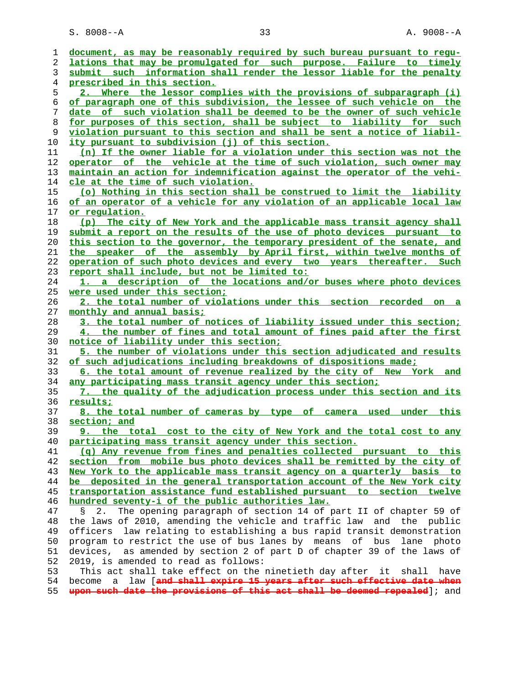S. 8008--A 33 A. 9008--A

| document, as may be reasonably required by such bureau pursuant to requ-       |
|--------------------------------------------------------------------------------|
|                                                                                |
| lations that may be promulgated for such purpose. Failure to timely            |
| submit such information shall render the lessor liable for the penalty         |
| prescribed in this section.                                                    |
| 2. Where the lessor complies with the provisions of subparagraph (i)           |
| of paragraph one of this subdivision, the lessee of such vehicle on the        |
| date of such violation shall be deemed to be the owner of such vehicle         |
| for purposes of this section, shall be subject to liability for such           |
| violation pursuant to this section and shall be sent a notice of liabil-       |
| ity pursuant to subdivision (j) of this section.                               |
| (n) If the owner liable for a violation under this section was not the         |
| operator of the vehicle at the time of such violation, such owner may          |
| maintain an action for indemnification against the operator of the vehi-       |
| cle at the time of such violation.                                             |
| (o) Nothing in this section shall be construed to limit the liability          |
| of an operator of a vehicle for any violation of an applicable local law       |
| or regulation.                                                                 |
| (p) The city of New York and the applicable mass transit agency shall          |
| submit a report on the results of the use of photo devices pursuant to         |
| this section to the governor, the temporary president of the senate, and       |
| the speaker of the assembly by April first, within twelve months of            |
| operation of such photo devices and every two years thereafter. Such           |
|                                                                                |
| report shall include, but not be limited to:                                   |
| 1. a description of the locations and/or buses where photo devices             |
| were used under this section;                                                  |
| 2. the total number of violations under this section recorded on a             |
| monthly and annual basis;                                                      |
| 3. the total number of notices of liability issued under this section;         |
|                                                                                |
| 4. the number of fines and total amount of fines paid after the first          |
| <u>notice of liability under this section;</u>                                 |
| 5. the number of violations under this section adjudicated and results         |
| of such adjudications including breakdowns of dispositions made;               |
| 6. the total amount of revenue realized by the city of New York and            |
| any participating mass transit agency under this section;                      |
| 7. the quality of the adjudication process under this section and its          |
| results;                                                                       |
| 8. the total number of cameras by type of camera used under this               |
| section; and                                                                   |
| the total cost to the city of New York and the total cost to any<br><u>. و</u> |
| participating mass transit agency under this section.                          |
| (q) Any revenue from fines and penalties collected pursuant to this            |
| section from mobile bus photo devices shall be remitted by the city of         |
| New York to the applicable mass transit agency on a quarterly basis to         |
| be deposited in the general transportation account of the New York city        |
| transportation assistance fund established pursuant to section twelve          |
| hundred seventy-i of the public authorities law.                               |
| The opening paragraph of section 14 of part II of chapter 59 of<br>2.<br>Š.    |
| the laws of 2010, amending the vehicle and traffic law and the public          |
| officers law relating to establishing a bus rapid transit demonstration        |
| program to restrict the use of bus lanes by means of bus lane photo            |
| devices, as amended by section 2 of part D of chapter 39 of the laws of        |
| 2019, is amended to read as follows:                                           |
| This act shall take effect on the ninetieth day after it shall<br>have         |
| a law [and shall expire 15 years after such effective date when<br>become      |
|                                                                                |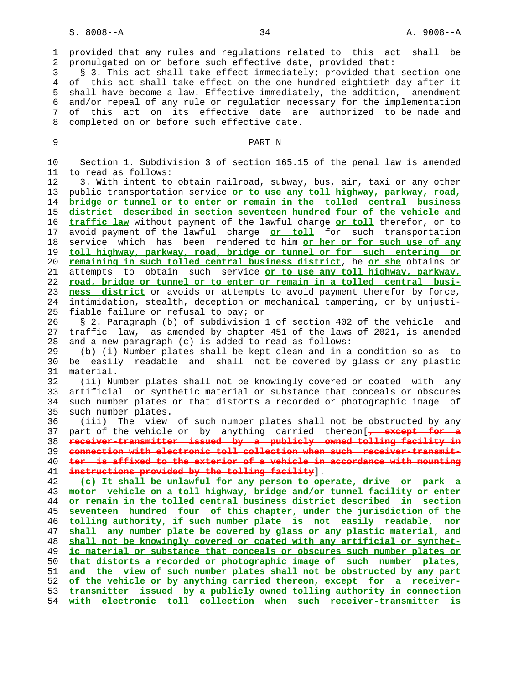1 provided that any rules and regulations related to this act shall be 2 promulgated on or before such effective date, provided that:

 3 § 3. This act shall take effect immediately; provided that section one 4 of this act shall take effect on the one hundred eightieth day after it 5 shall have become a law. Effective immediately, the addition, amendment 6 and/or repeal of any rule or regulation necessary for the implementation 7 of this act on its effective date are authorized to be made and 8 completed on or before such effective date.

## 9 PART N

 10 Section 1. Subdivision 3 of section 165.15 of the penal law is amended 11 to read as follows: 12 3. With intent to obtain railroad, subway, bus, air, taxi or any other 13 public transportation service **or to use any toll highway, parkway, road,** 14 **bridge or tunnel or to enter or remain in the tolled central business** 15 **district described in section seventeen hundred four of the vehicle and** 16 **traffic law** without payment of the lawful charge **or toll** therefor, or to 17 avoid payment of the lawful charge **or toll** for such transportation 18 service which has been rendered to him **or her or for such use of any** 19 **toll highway, parkway, road, bridge or tunnel or for such entering or** 20 **remaining in such tolled central business district**, he **or she** obtains or 21 attempts to obtain such service **or to use any toll highway, parkway,** 22 **road, bridge or tunnel or to enter or remain in a tolled central busi-** 23 **ness district** or avoids or attempts to avoid payment therefor by force, 24 intimidation, stealth, deception or mechanical tampering, or by unjusti- 25 fiable failure or refusal to pay; or 26 § 2. Paragraph (b) of subdivision 1 of section 402 of the vehicle and 27 traffic law, as amended by chapter 451 of the laws of 2021, is amended 28 and a new paragraph (c) is added to read as follows: 29 (b) (i) Number plates shall be kept clean and in a condition so as to 30 be easily readable and shall not be covered by glass or any plastic 31 material. 32 (ii) Number plates shall not be knowingly covered or coated with any 33 artificial or synthetic material or substance that conceals or obscures 34 such number plates or that distorts a recorded or photographic image of 35 such number plates. 36 (iii) The view of such number plates shall not be obstructed by any 37 part of the vehicle or by anything carried thereon[**, except for a** 38 **receiver-transmitter issued by a publicly owned tolling facility in** 39 **connection with electronic toll collection when such receiver-transmit-** 40 **ter is affixed to the exterior of a vehicle in accordance with mounting** 41 **instructions provided by the tolling facility**]. 42 **(c) It shall be unlawful for any person to operate, drive or park a** 43 **motor vehicle on a toll highway, bridge and/or tunnel facility or enter** 44 **or remain in the tolled central business district described in section** 45 **seventeen hundred four of this chapter, under the jurisdiction of the** 46 **tolling authority, if such number plate is not easily readable, nor** 47 **shall any number plate be covered by glass or any plastic material, and** 48 **shall not be knowingly covered or coated with any artificial or synthet-** 49 **ic material or substance that conceals or obscures such number plates or** 50 **that distorts a recorded or photographic image of such number plates,** 51 **and the view of such number plates shall not be obstructed by any part** 52 **of the vehicle or by anything carried thereon, except for a receiver-** 53 **transmitter issued by a publicly owned tolling authority in connection**

54 **with electronic toll collection when such receiver-transmitter is**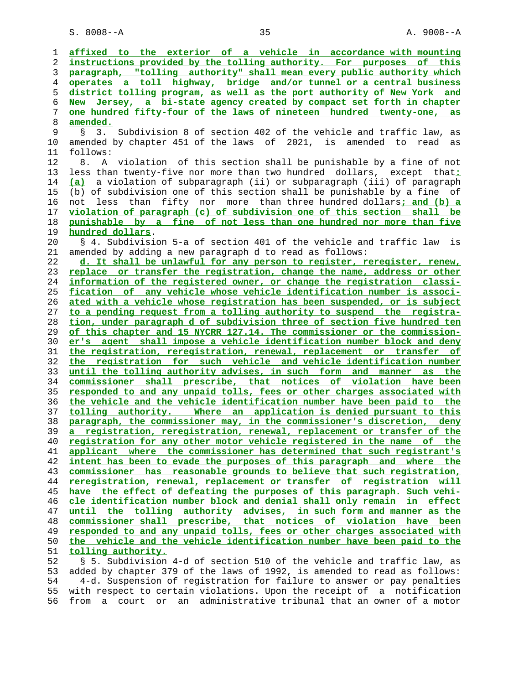S. 8008--A 35 A. 9008--A

**affixed to the exterior of a vehicle in accordance with mounting instructions provided by the tolling authority. For purposes of this paragraph, "tolling authority" shall mean every public authority which operates a toll highway, bridge and/or tunnel or a central business district tolling program, as well as the port authority of New York and New Jersey, a bi-state agency created by compact set forth in chapter one hundred fifty-four of the laws of nineteen hundred twenty-one, as amended.** 9 § 3. Subdivision 8 of section 402 of the vehicle and traffic law, as 10 amended by chapter 451 of the laws of 2021, is amended to read as 11 follows: 12 8. A violation of this section shall be punishable by a fine of not 13 less than twenty-five nor more than two hundred dollars, except that**: (a)** a violation of subparagraph (ii) or subparagraph (iii) of paragraph 15 (b) of subdivision one of this section shall be punishable by a fine of 16 not less than fifty nor more than three hundred dollars**; and (b) a violation of paragraph (c) of subdivision one of this section shall be punishable by a fine of not less than one hundred nor more than five hundred dollars**. 20 § 4. Subdivision 5-a of section 401 of the vehicle and traffic law is 21 amended by adding a new paragraph d to read as follows: **d. It shall be unlawful for any person to register, reregister, renew, replace or transfer the registration, change the name, address or other information of the registered owner, or change the registration classi- fication of any vehicle whose vehicle identification number is associ- ated with a vehicle whose registration has been suspended, or is subject to a pending request from a tolling authority to suspend the registra- tion, under paragraph d of subdivision three of section five hundred ten of this chapter and 15 NYCRR 127.14. The commissioner or the commission- er's agent shall impose a vehicle identification number block and deny the registration, reregistration, renewal, replacement or transfer of the registration for such vehicle and vehicle identification number until the tolling authority advises, in such form and manner as the commissioner shall prescribe, that notices of violation have been responded to and any unpaid tolls, fees or other charges associated with the vehicle and the vehicle identification number have been paid to the tolling authority. Where an application is denied pursuant to this paragraph, the commissioner may, in the commissioner's discretion, deny a registration, reregistration, renewal, replacement or transfer of the registration for any other motor vehicle registered in the name of the applicant where the commissioner has determined that such registrant's intent has been to evade the purposes of this paragraph and where the commissioner has reasonable grounds to believe that such registration, reregistration, renewal, replacement or transfer of registration will have the effect of defeating the purposes of this paragraph. Such vehi- cle identification number block and denial shall only remain in effect until the tolling authority advises, in such form and manner as the commissioner shall prescribe, that notices of violation have been responded to and any unpaid tolls, fees or other charges associated with the vehicle and the vehicle identification number have been paid to the tolling authority.** 52 § 5. Subdivision 4-d of section 510 of the vehicle and traffic law, as 53 added by chapter 379 of the laws of 1992, is amended to read as follows:

 54 4-d. Suspension of registration for failure to answer or pay penalties 55 with respect to certain violations. Upon the receipt of a notification 56 from a court or an administrative tribunal that an owner of a motor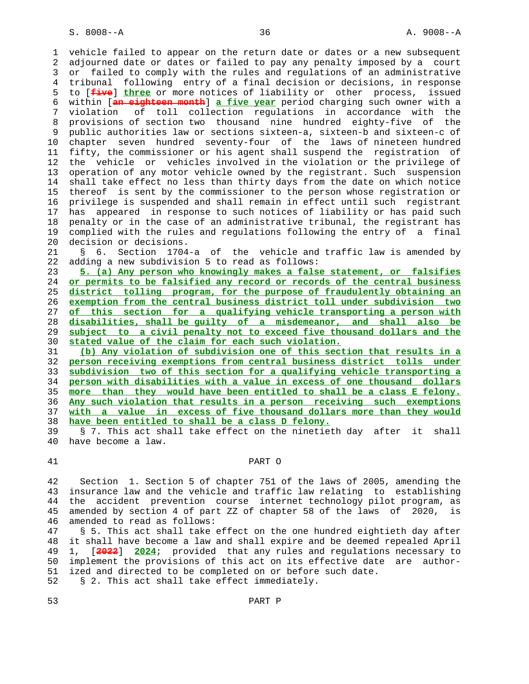1 vehicle failed to appear on the return date or dates or a new subsequent 2 adjourned date or dates or failed to pay any penalty imposed by a court 3 or failed to comply with the rules and regulations of an administrative 4 tribunal following entry of a final decision or decisions, in response 5 to [**five**] **three** or more notices of liability or other process, issued 6 within [**an eighteen month**] **a five year** period charging such owner with a 7 violation of toll collection regulations in accordance with the 8 provisions of section two thousand nine hundred eighty-five of the 9 public authorities law or sections sixteen-a, sixteen-b and sixteen-c of<br>10 chapter seven hundred seventy-four of the laws of nineteen hundred chapter seven hundred seventy-four of the laws of nineteen hundred 11 fifty, the commissioner or his agent shall suspend the registration of 12 the vehicle or vehicles involved in the violation or the privilege of 13 operation of any motor vehicle owned by the registrant. Such suspension 14 shall take effect no less than thirty days from the date on which notice 15 thereof is sent by the commissioner to the person whose registration or 16 privilege is suspended and shall remain in effect until such registrant 17 has appeared in response to such notices of liability or has paid such 18 penalty or in the case of an administrative tribunal, the registrant has 19 complied with the rules and regulations following the entry of a final 20 decision or decisions.

 21 § 6. Section 1704-a of the vehicle and traffic law is amended by 22 adding a new subdivision 5 to read as follows:

**5. (a) Any person who knowingly makes a false statement, or falsifies or permits to be falsified any record or records of the central business district tolling program, for the purpose of fraudulently obtaining an exemption from the central business district toll under subdivision two of this section for a qualifying vehicle transporting a person with disabilities, shall be guilty of a misdemeanor, and shall also be subject to a civil penalty not to exceed five thousand dollars and the stated value of the claim for each such violation.**

**(b) Any violation of subdivision one of this section that results in a person receiving exemptions from central business district tolls under subdivision two of this section for a qualifying vehicle transporting a person with disabilities with a value in excess of one thousand dollars more than they would have been entitled to shall be a class E felony. Any such violation that results in a person receiving such exemptions with a value in excess of five thousand dollars more than they would have been entitled to shall be a class D felony.**

 39 § 7. This act shall take effect on the ninetieth day after it shall 40 have become a law.

## 41 PART O

 42 Section 1. Section 5 of chapter 751 of the laws of 2005, amending the 43 insurance law and the vehicle and traffic law relating to establishing 44 the accident prevention course internet technology pilot program, as 45 amended by section 4 of part ZZ of chapter 58 of the laws of 2020, is 46 amended to read as follows:

 47 § 5. This act shall take effect on the one hundred eightieth day after 48 it shall have become a law and shall expire and be deemed repealed April 49 1, [**2022**] **2024**; provided that any rules and regulations necessary to 50 implement the provisions of this act on its effective date are author- 51 ized and directed to be completed on or before such date. 52 § 2. This act shall take effect immediately.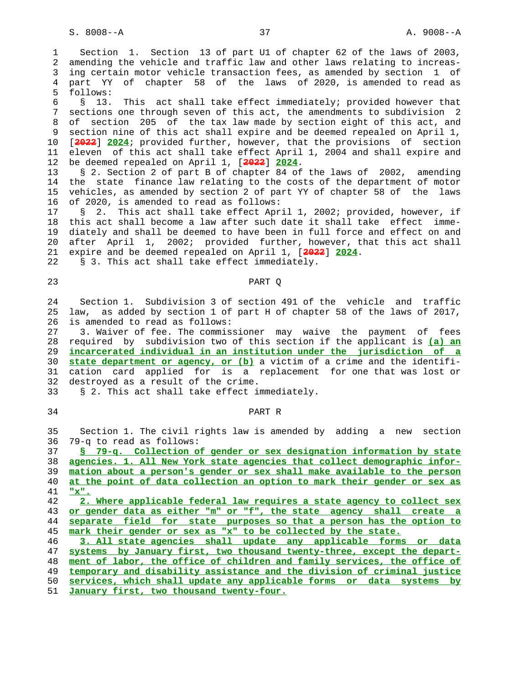S. 8008--A 37 A. 9008--A

 1 Section 1. Section 13 of part U1 of chapter 62 of the laws of 2003, 2 amending the vehicle and traffic law and other laws relating to increas- 3 ing certain motor vehicle transaction fees, as amended by section 1 of 4 part YY of chapter 58 of the laws of 2020, is amended to read as 5 follows: 6 § 13. This act shall take effect immediately; provided however that 7 sections one through seven of this act, the amendments to subdivision 2 8 of section 205 of the tax law made by section eight of this act, and 9 section nine of this act shall expire and be deemed repealed on April 1, 10 [**2022**] **2024**; provided further, however, that the provisions of section 11 eleven of this act shall take effect April 1, 2004 and shall expire and 12 be deemed repealed on April 1, [**2022**] **2024**. 13 § 2. Section 2 of part B of chapter 84 of the laws of 2002, amending 14 the state finance law relating to the costs of the department of motor 15 vehicles, as amended by section 2 of part YY of chapter 58 of the laws 16 of 2020, is amended to read as follows: 17 § 2. This act shall take effect April 1, 2002; provided, however, if 18 this act shall become a law after such date it shall take effect imme- 19 diately and shall be deemed to have been in full force and effect on and 20 after April 1, 2002; provided further, however, that this act shall 21 expire and be deemed repealed on April 1, [**2022**] **2024**. 22 § 3. This act shall take effect immediately. 23 PART Q 24 Section 1. Subdivision 3 of section 491 of the vehicle and traffic 25 law, as added by section 1 of part H of chapter 58 of the laws of 2017, 26 is amended to read as follows: 27 3. Waiver of fee. The commissioner may waive the payment of fees 28 required by subdivision two of this section if the applicant is **(a) an** 29 **incarcerated individual in an institution under the jurisdiction of a** 30 **state department or agency, or (b)** a victim of a crime and the identifi- 31 cation card applied for is a replacement for one that was lost or 32 destroyed as a result of the crime. 33 § 2. This act shall take effect immediately. 34 PART R 35 Section 1. The civil rights law is amended by adding a new section 36 79-q to read as follows: 37 **§ 79-q. Collection of gender or sex designation information by state** 38 **agencies. 1. All New York state agencies that collect demographic infor-** 39 **mation about a person's gender or sex shall make available to the person** 40 **at the point of data collection an option to mark their gender or sex as** 41 **"x".** 42 **2. Where applicable federal law requires a state agency to collect sex** 43 **or gender data as either "m" or "f", the state agency shall create a** 44 **separate field for state purposes so that a person has the option to** 45 **mark their gender or sex as "x" to be collected by the state.** 46 **3. All state agencies shall update any applicable forms or data** 47 **systems by January first, two thousand twenty-three, except the depart-** 48 **ment of labor, the office of children and family services, the office of** 49 **temporary and disability assistance and the division of criminal justice** 50 **services, which shall update any applicable forms or data systems by** 51 **January first, two thousand twenty-four.**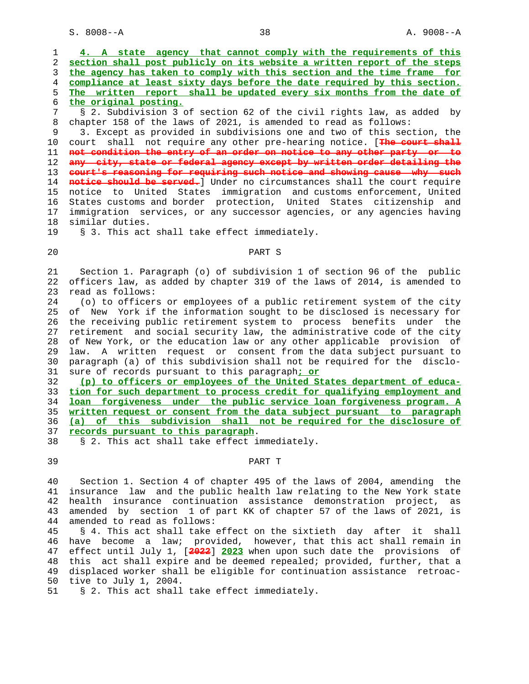S. 8008--A 38 A. 9008--A

| 1<br>2   | 4. A state agency that cannot comply with the requirements of this<br>section shall post publicly on its website a written report of the steps    |
|----------|---------------------------------------------------------------------------------------------------------------------------------------------------|
| 3        | the agency has taken to comply with this section and the time frame for                                                                           |
| 4        | compliance at least sixty days before the date required by this section.                                                                          |
| 5        | The written report shall be updated every six months from the date of                                                                             |
| 6        | the original posting.                                                                                                                             |
| 7        | § 2. Subdivision 3 of section 62 of the civil rights law, as added<br>by                                                                          |
| 8        | chapter 158 of the laws of 2021, is amended to read as follows:                                                                                   |
| 9        | 3. Except as provided in subdivisions one and two of this section, the                                                                            |
| 10       | shall not require any other pre-hearing notice. [The court shall<br>court                                                                         |
| 11       | not condition the entry of an order on notice to any other party or to                                                                            |
| 12       | any city, state or federal agency except by written order detailing the                                                                           |
| 13       | court's reasoning for requiring such notice and showing cause why such                                                                            |
| 14       | notice should be served. Under no circumstances shall the court require                                                                           |
| 15       | notice to United States immigration and customs enforcement, United                                                                               |
| 16       | States customs and border protection, United States citizenship and                                                                               |
| 17       | immigration services, or any successor agencies, or any agencies having                                                                           |
| 18       | similar duties.                                                                                                                                   |
| 19       | § 3. This act shall take effect immediately.                                                                                                      |
|          |                                                                                                                                                   |
| 20       | PART S                                                                                                                                            |
|          |                                                                                                                                                   |
| 21       | Section 1. Paragraph (o) of subdivision 1 of section 96 of the public                                                                             |
| 22       | officers law, as added by chapter 319 of the laws of 2014, is amended to                                                                          |
| 23       | read as follows:                                                                                                                                  |
| 24       | (o) to officers or employees of a public retirement system of the city                                                                            |
| 25       | of New York if the information sought to be disclosed is necessary for                                                                            |
| 26       | the receiving public retirement system to process benefits under the                                                                              |
| 27       | retirement and social security law, the administrative code of the city                                                                           |
| 28       | of New York, or the education law or any other applicable provision of                                                                            |
| 29       | law. A written request or consent from the data subject pursuant to                                                                               |
| 30       | paragraph (a) of this subdivision shall not be required for the disclo-                                                                           |
| 31       | sure of records pursuant to this paragraph: or                                                                                                    |
| 32       | (p) to officers or employees of the United States department of educa-                                                                            |
| 33       | tion for such department to process credit for qualifying employment and                                                                          |
| 34       | loan forgiveness under the public service loan forgiveness program. A                                                                             |
| 35       | written request or consent from the data subject pursuant to paragraph                                                                            |
| 36       | (a) of this subdivision shall not be required for the disclosure of                                                                               |
| 37       | records pursuant to this paragraph.                                                                                                               |
| 38       | § 2. This act shall take effect immediately.                                                                                                      |
|          |                                                                                                                                                   |
| 39       | PART T                                                                                                                                            |
| 40       | Section 1. Section 4 of chapter 495 of the laws of 2004, amending the                                                                             |
|          | insurance law and the public health law relating to the New York state                                                                            |
| 41       |                                                                                                                                                   |
|          |                                                                                                                                                   |
| 42<br>43 | insurance continuation assistance demonstration project,<br>health<br>as<br>amended by section 1 of part KK of chapter 57 of the laws of 2021, is |

44 amended to read as follows:

 45 § 4. This act shall take effect on the sixtieth day after it shall 46 have become a law; provided, however, that this act shall remain in 47 effect until July 1, [**2022**] **2023** when upon such date the provisions of 48 this act shall expire and be deemed repealed; provided, further, that a 49 displaced worker shall be eligible for continuation assistance retroac- 50 tive to July 1, 2004.<br>51 § 2. This act shall

§ 2. This act shall take effect immediately.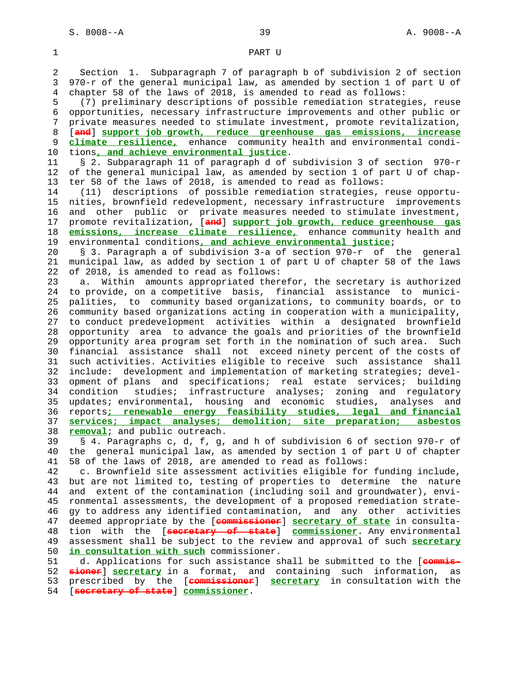# 1 PART U 2 Section 1. Subparagraph 7 of paragraph b of subdivision 2 of section 3 970-r of the general municipal law, as amended by section 1 of part U of 4 chapter 58 of the laws of 2018, is amended to read as follows: 5 (7) preliminary descriptions of possible remediation strategies, reuse 6 opportunities, necessary infrastructure improvements and other public or 7 private measures needed to stimulate investment, promote revitalization, 8 [**and**] **support job growth, reduce greenhouse gas emissions, increase** 9 **climate resilience,** enhance community health and environmental condi- 10 tions**, and achieve environmental justice**. 11 § 2. Subparagraph 11 of paragraph d of subdivision 3 of section 970-r 12 of the general municipal law, as amended by section 1 of part U of chap- 13 ter 58 of the laws of 2018, is amended to read as follows: 14 (11) descriptions of possible remediation strategies, reuse opportu- 15 nities, brownfield redevelopment, necessary infrastructure improvements 16 and other public or private measures needed to stimulate investment, 17 promote revitalization, [**and**] **support job growth, reduce greenhouse gas** 18 **emissions, increase climate resilience,** enhance community health and 19 environmental conditions**, and achieve environmental justice**; 20 § 3. Paragraph a of subdivision 3-a of section 970-r of the general 21 municipal law, as added by section 1 of part U of chapter 58 of the laws 22 of 2018, is amended to read as follows: 23 a. Within amounts appropriated therefor, the secretary is authorized 24 to provide, on a competitive basis, financial assistance to munici- 25 palities, to community based organizations, to community boards, or to 26 community based organizations acting in cooperation with a municipality, 27 to conduct predevelopment activities within a designated brownfield 28 opportunity area to advance the goals and priorities of the brownfield 29 opportunity area program set forth in the nomination of such area. Such 30 financial assistance shall not exceed ninety percent of the costs of 31 such activities. Activities eligible to receive such assistance shall 32 include: development and implementation of marketing strategies; devel- 33 opment of plans and specifications; real estate services; building 34 condition studies; infrastructure analyses; zoning and regulatory 35 updates; environmental, housing and economic studies, analyses and 36 reports**; renewable energy feasibility studies, legal and financial** 37 **services; impact analyses; demolition; site preparation; asbestos** 38 **removal**; and public outreach. 39 § 4. Paragraphs c, d, f, g, and h of subdivision 6 of section 970-r of 40 the general municipal law, as amended by section 1 of part U of chapter 41 58 of the laws of 2018, are amended to read as follows: 42 c. Brownfield site assessment activities eligible for funding include, 43 but are not limited to, testing of properties to determine the nature 44 and extent of the contamination (including soil and groundwater), envi- 45 ronmental assessments, the development of a proposed remediation strate- 46 gy to address any identified contamination, and any other activities 47 deemed appropriate by the [**commissioner**] **secretary of state** in consulta- 48 tion with the [**secretary of state**] **commissioner**. Any environmental 49 assessment shall be subject to the review and approval of such **secretary** 50 **in consultation with such** commissioner. 51 d. Applications for such assistance shall be submitted to the [**commis-** 52 **sioner**] **secretary** in a format, and containing such information, as 53 prescribed by the [**commissioner**] **secretary** in consultation with the 54 [**secretary of state**] **commissioner**.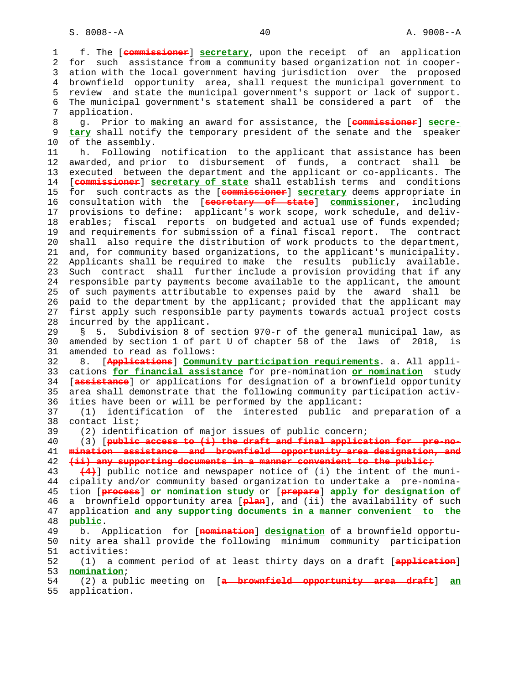1 f. The [**commissioner**] **secretary**, upon the receipt of an application 2 for such assistance from a community based organization not in cooper- 3 ation with the local government having jurisdiction over the proposed 4 brownfield opportunity area, shall request the municipal government to 5 review and state the municipal government's support or lack of support. 6 The municipal government's statement shall be considered a part of the 7 application. 8 g. Prior to making an award for assistance, the [**commissioner**] **secre-** 9 **tary** shall notify the temporary president of the senate and the speaker 10 of the assembly. 11 h. Following notification to the applicant that assistance has been 12 awarded, and prior to disbursement of funds, a contract shall be 13 executed between the department and the applicant or co-applicants. The 14 [**commissioner**] **secretary of state** shall establish terms and conditions 15 for such contracts as the [**commissioner**] **secretary** deems appropriate in 16 consultation with the [**secretary of state**] **commissioner**, including 17 provisions to define: applicant's work scope, work schedule, and deliv- 18 erables; fiscal reports on budgeted and actual use of funds expended; 19 and requirements for submission of a final fiscal report. The contract 20 shall also require the distribution of work products to the department, 21 and, for community based organizations, to the applicant's municipality. 22 Applicants shall be required to make the results publicly available. 23 Such contract shall further include a provision providing that if any 24 responsible party payments become available to the applicant, the amount 25 of such payments attributable to expenses paid by the award shall be 26 paid to the department by the applicant; provided that the applicant may 27 first apply such responsible party payments towards actual project costs 28 incurred by the applicant. 29 § 5. Subdivision 8 of section 970-r of the general municipal law, as 30 amended by section 1 of part U of chapter 58 of the laws of 2018, is 31 amended to read as follows: 32 8. [**Applications**] **Community participation requirements**. a. All appli- 33 cations **for financial assistance** for pre-nomination **or nomination** study 34 [**assistance**] or applications for designation of a brownfield opportunity 35 area shall demonstrate that the following community participation activ- 36 ities have been or will be performed by the applicant: 37 (1) identification of the interested public and preparation of a 38 contact list; 39 (2) identification of major issues of public concern; 40 (3) [**public access to (i) the draft and final application for pre-no-** 41 **mination assistance and brownfield opportunity area designation, and** 42 **(ii) any supporting documents in a manner convenient to the public;** 43 **(4)**] public notice and newspaper notice of (i) the intent of the muni- 44 cipality and/or community based organization to undertake a pre-nomina- 45 tion [**process**] **or nomination study** or [**prepare**] **apply for designation of** 46 a brownfield opportunity area [**plan**], and (ii) the availability of such 47 application **and any supporting documents in a manner convenient to the** 48 **public**. 49 b. Application for [**nomination**] **designation** of a brownfield opportu- 50 nity area shall provide the following minimum community participation 51 activities: 52 (1) a comment period of at least thirty days on a draft [**application**] 53 **nomination**; 54 (2) a public meeting on [**a brownfield opportunity area draft**] **an** 55 application.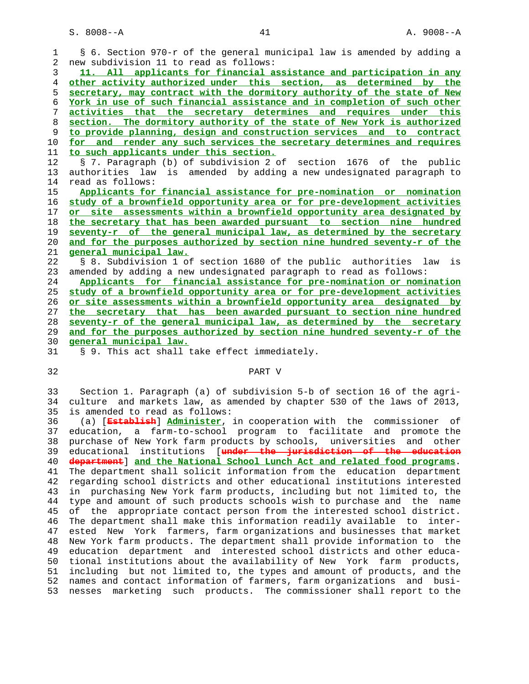|    | § 6. Section 970-r of the general municipal law is amended by adding a                                                                            |
|----|---------------------------------------------------------------------------------------------------------------------------------------------------|
| 2  | new subdivision 11 to read as follows:                                                                                                            |
| 3  | 11. All applicants for financial assistance and participation in any                                                                              |
| 4  | other activity authorized under this section, as determined by the                                                                                |
| 5  | secretary, may contract with the dormitory authority of the state of New                                                                          |
| 6  | York in use of such financial assistance and in completion of such other                                                                          |
| 7  | activities that the secretary determines and requires under this                                                                                  |
| 8  | section. The dormitory authority of the state of New York is authorized                                                                           |
| 9  | to provide planning, design and construction services and to contract                                                                             |
| 10 | for and render any such services the secretary determines and requires                                                                            |
| 11 | to such applicants under this section.                                                                                                            |
| 12 | § 7. Paragraph (b) of subdivision 2 of section 1676 of the public                                                                                 |
| 13 | authorities law is amended by adding a new undesignated paragraph to                                                                              |
| 14 | read as follows:                                                                                                                                  |
| 15 | Applicants for financial assistance for pre-nomination or nomination                                                                              |
| 16 | study of a brownfield opportunity area or for pre-development activities                                                                          |
| 17 | or site assessments within a brownfield opportunity area designated by                                                                            |
| 18 | the secretary that has been awarded pursuant to section nine hundred                                                                              |
| 19 | seventy-r of the general municipal law, as determined by the secretary                                                                            |
| 20 | and for the purposes authorized by section nine hundred seventy-r of the                                                                          |
| 21 | <u>general municipal law.</u>                                                                                                                     |
| 22 | § 8. Subdivision 1 of section 1680 of the public authorities<br>law<br>is                                                                         |
| 23 | amended by adding a new undesignated paragraph to read as follows:                                                                                |
| 24 | Applicants for financial assistance for pre-nomination or nomination                                                                              |
| 25 | study of a brownfield opportunity area or for pre-development activities                                                                          |
| 26 | or site assessments within a brownfield opportunity area designated by                                                                            |
| 27 | the secretary that has been awarded pursuant to section nine hundred                                                                              |
| 28 | seventy-r of the general municipal law, as determined by the secretary                                                                            |
| 29 | and for the purposes authorized by section nine hundred seventy-r of the                                                                          |
| 30 |                                                                                                                                                   |
|    |                                                                                                                                                   |
| 31 | general municipal law.                                                                                                                            |
|    | § 9. This act shall take effect immediately.                                                                                                      |
| 32 | PART V                                                                                                                                            |
|    |                                                                                                                                                   |
| 33 | Section 1. Paragraph (a) of subdivision 5-b of section 16 of the agri-                                                                            |
| 34 | culture and markets law, as amended by chapter 530 of the laws of 2013,                                                                           |
| 35 | is amended to read as follows:                                                                                                                    |
| 36 | (a) [Establish] Administer, in cooperation with the commissioner<br>оf                                                                            |
| 37 | education, a farm-to-school program to facilitate<br>and promote the                                                                              |
| 38 | purchase of New York farm products by schools, universities and other                                                                             |
| 39 | educational institutions [under the jurisdiction of the education                                                                                 |
| 40 | department] and the National School Lunch Act and related food programs.                                                                          |
| 41 | The department shall solicit information from the education<br>department                                                                         |
| 42 | regarding school districts and other educational institutions interested                                                                          |
| 43 | in purchasing New York farm products, including but not limited to, the                                                                           |
| 44 | type and amount of such products schools wish to purchase and the name                                                                            |
| 45 | appropriate contact person from the interested school district.<br>οf<br>the                                                                      |
| 46 | The department shall make this information readily available to<br>inter-                                                                         |
| 47 | ested New York farmers, farm organizations and businesses that market                                                                             |
| 48 | New York farm products. The department shall provide information to the                                                                           |
| 49 | education department and interested school districts and other educa-                                                                             |
| 50 |                                                                                                                                                   |
| 51 | tional institutions about the availability of New York farm products,                                                                             |
| 52 | including but not limited to, the types and amount of products, and the                                                                           |
| 53 | names and contact information of farmers, farm organizations and busi-<br>marketing such products. The commissioner shall report to the<br>nesses |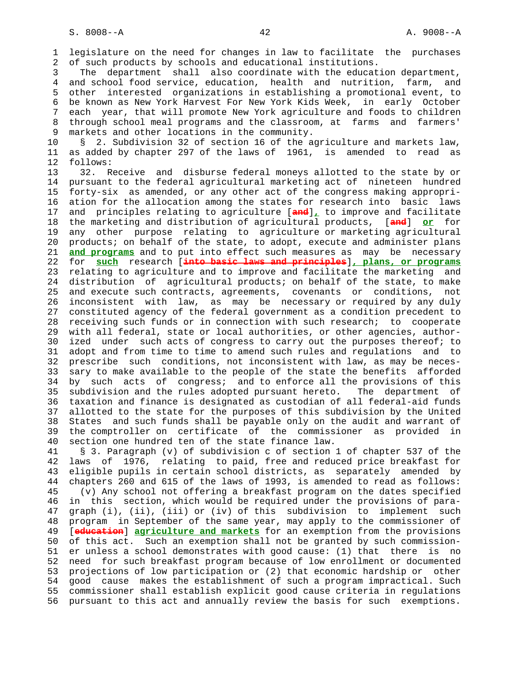1 legislature on the need for changes in law to facilitate the purchases 2 of such products by schools and educational institutions.

 3 The department shall also coordinate with the education department, 4 and school food service, education, health and nutrition, farm, and 5 other interested organizations in establishing a promotional event, to 6 be known as New York Harvest For New York Kids Week, in early October 7 each year, that will promote New York agriculture and foods to children 8 through school meal programs and the classroom, at farms and farmers' 9 markets and other locations in the community.

 10 § 2. Subdivision 32 of section 16 of the agriculture and markets law, 11 as added by chapter 297 of the laws of 1961, is amended to read as 12 follows:

 13 32. Receive and disburse federal moneys allotted to the state by or 14 pursuant to the federal agricultural marketing act of nineteen hundred 15 forty-six as amended, or any other act of the congress making appropri- 16 ation for the allocation among the states for research into basic laws 17 and principles relating to agriculture [**and**]**,** to improve and facilitate 18 the marketing and distribution of agricultural products, [**and**] **or** for 19 any other purpose relating to agriculture or marketing agricultural 20 products; on behalf of the state, to adopt, execute and administer plans 21 **and programs** and to put into effect such measures as may be necessary 22 for **such** research [**into basic laws and principles**]**, plans, or programs** 23 relating to agriculture and to improve and facilitate the marketing and 24 distribution of agricultural products; on behalf of the state, to make 25 and execute such contracts, agreements, covenants or conditions, not 26 inconsistent with law, as may be necessary or required by any duly 27 constituted agency of the federal government as a condition precedent to 28 receiving such funds or in connection with such research; to cooperate 29 with all federal, state or local authorities, or other agencies, author- 30 ized under such acts of congress to carry out the purposes thereof; to 31 adopt and from time to time to amend such rules and regulations and to 32 prescribe such conditions, not inconsistent with law, as may be neces- 33 sary to make available to the people of the state the benefits afforded 34 by such acts of congress; and to enforce all the provisions of this 35 subdivision and the rules adopted pursuant hereto. The department of 36 taxation and finance is designated as custodian of all federal-aid funds 37 allotted to the state for the purposes of this subdivision by the United 38 States and such funds shall be payable only on the audit and warrant of 39 the comptroller on certificate of the commissioner as provided in 40 section one hundred ten of the state finance law.

 41 § 3. Paragraph (v) of subdivision c of section 1 of chapter 537 of the 42 laws of 1976, relating to paid, free and reduced price breakfast for 43 eligible pupils in certain school districts, as separately amended by 44 chapters 260 and 615 of the laws of 1993, is amended to read as follows: 45 (v) Any school not offering a breakfast program on the dates specified 46 in this section, which would be required under the provisions of para- 47 graph (i), (ii), (iii) or (iv) of this subdivision to implement such 48 program in September of the same year, may apply to the commissioner of 49 [**education**] **agriculture and markets** for an exemption from the provisions 50 of this act. Such an exemption shall not be granted by such commission- 51 er unless a school demonstrates with good cause: (1) that there is no 52 need for such breakfast program because of low enrollment or documented 53 projections of low participation or (2) that economic hardship or other 54 good cause makes the establishment of such a program impractical. Such 55 commissioner shall establish explicit good cause criteria in regulations 56 pursuant to this act and annually review the basis for such exemptions.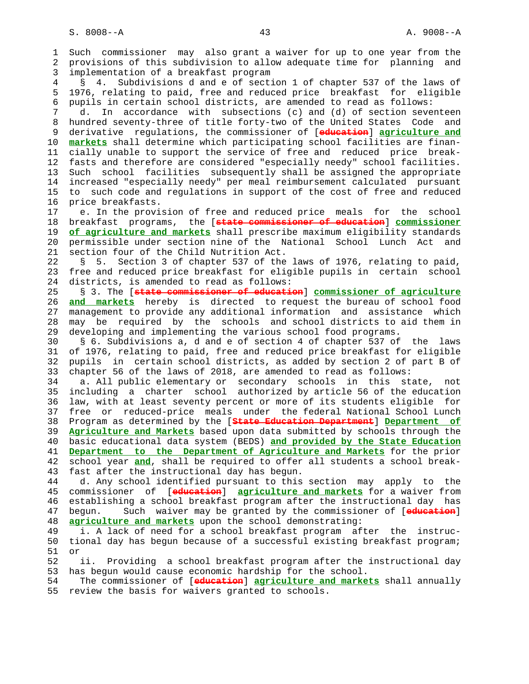1 Such commissioner may also grant a waiver for up to one year from the 2 provisions of this subdivision to allow adequate time for planning and 3 implementation of a breakfast program 4 § 4. Subdivisions d and e of section 1 of chapter 537 of the laws of 5 1976, relating to paid, free and reduced price breakfast for eligible 6 pupils in certain school districts, are amended to read as follows: 7 d. In accordance with subsections (c) and (d) of section seventeen 8 hundred seventy-three of title forty-two of the United States Code and 9 derivative regulations, the commissioner of [**education**] **agriculture and** 10 **markets** shall determine which participating school facilities are finan- 11 cially unable to support the service of free and reduced price break- 12 fasts and therefore are considered "especially needy" school facilities. 13 Such school facilities subsequently shall be assigned the appropriate 14 increased "especially needy" per meal reimbursement calculated pursuant 15 to such code and regulations in support of the cost of free and reduced 16 price breakfasts. 17 e. In the provision of free and reduced price meals for the school 18 breakfast programs, the [**state commissioner of education**] **commissioner** 19 **of agriculture and markets** shall prescribe maximum eligibility standards 20 permissible under section nine of the National School Lunch Act and 21 section four of the Child Nutrition Act. 22 § 5. Section 3 of chapter 537 of the laws of 1976, relating to paid, 23 free and reduced price breakfast for eligible pupils in certain school 24 districts, is amended to read as follows: 25 § 3. The [**state commissioner of education**] **commissioner of agriculture** 26 **and markets** hereby is directed to request the bureau of school food 27 management to provide any additional information and assistance which 28 may be required by the schools and school districts to aid them in 29 developing and implementing the various school food programs. 30 § 6. Subdivisions a, d and e of section 4 of chapter 537 of the laws 31 of 1976, relating to paid, free and reduced price breakfast for eligible 32 pupils in certain school districts, as added by section 2 of part B of 33 chapter 56 of the laws of 2018, are amended to read as follows: 34 a. All public elementary or secondary schools in this state, not 35 including a charter school authorized by article 56 of the education 36 law, with at least seventy percent or more of its students eligible for 37 free or reduced-price meals under the federal National School Lunch 38 Program as determined by the [**State Education Department**] **Department of** 39 **Agriculture and Markets** based upon data submitted by schools through the 40 basic educational data system (BEDS) **and provided by the State Education** 41 **Department to the Department of Agriculture and Markets** for the prior 42 school year **and**, shall be required to offer all students a school break- 43 fast after the instructional day has begun. 44 d. Any school identified pursuant to this section may apply to the 45 commissioner of [**education**] **agriculture and markets** for a waiver from 46 establishing a school breakfast program after the instructional day has 47 begun. Such waiver may be granted by the commissioner of [**education**] 48 **agriculture and markets** upon the school demonstrating: 49 i. A lack of need for a school breakfast program after the instruc- 50 tional day has begun because of a successful existing breakfast program; 51 or 52 ii. Providing a school breakfast program after the instructional day 53 has begun would cause economic hardship for the school. 54 The commissioner of [**education**] **agriculture and markets** shall annually 55 review the basis for waivers granted to schools.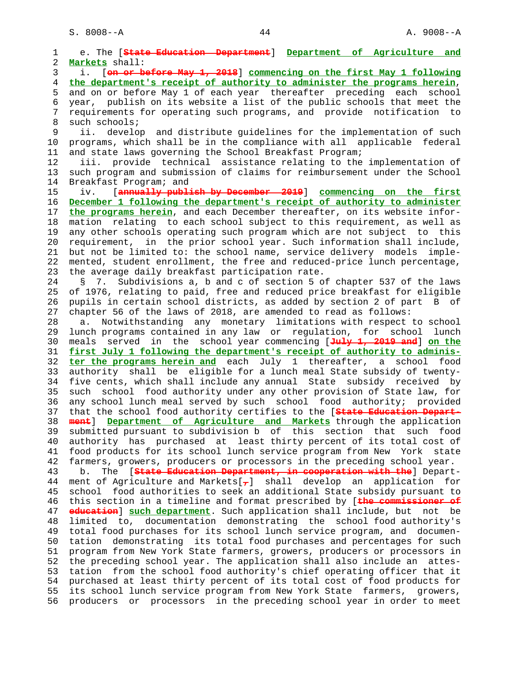1 e. The [**State Education Department**] **Department of Agriculture and** 2 **Markets** shall: 3 i. [**on or before May 1, 2018**] **commencing on the first May 1 following** 4 **the department's receipt of authority to administer the programs herein**, 5 and on or before May 1 of each year thereafter preceding each school 6 year, publish on its website a list of the public schools that meet the 7 requirements for operating such programs, and provide notification to 8 such schools; 9 ii. develop and distribute guidelines for the implementation of such 10 programs, which shall be in the compliance with all applicable federal 11 and state laws governing the School Breakfast Program; 12 iii. provide technical assistance relating to the implementation of 13 such program and submission of claims for reimbursement under the School 14 Breakfast Program; and 15 iv. [**annually publish by December 2019**] **commencing on the first** 16 **December 1 following the department's receipt of authority to administer** 17 **the programs herein**, and each December thereafter, on its website infor- 18 mation relating to each school subject to this requirement, as well as 19 any other schools operating such program which are not subject to this 20 requirement, in the prior school year. Such information shall include, 21 but not be limited to: the school name, service delivery models imple- 22 mented, student enrollment, the free and reduced-price lunch percentage, 23 the average daily breakfast participation rate. 24 § 7. Subdivisions a, b and c of section 5 of chapter 537 of the laws 25 of 1976, relating to paid, free and reduced price breakfast for eligible 26 pupils in certain school districts, as added by section 2 of part B of 27 chapter 56 of the laws of 2018, are amended to read as follows: 28 a. Notwithstanding any monetary limitations with respect to school 29 lunch programs contained in any law or regulation, for school lunch 30 meals served in the school year commencing [**July 1, 2019 and**] **on the** 31 **first July 1 following the department's receipt of authority to adminis-** 32 **ter the programs herein and** each July 1 thereafter, a school food 33 authority shall be eligible for a lunch meal State subsidy of twenty- 34 five cents, which shall include any annual State subsidy received by 35 such school food authority under any other provision of State law, for 36 any school lunch meal served by such school food authority; provided 37 that the school food authority certifies to the [**State Education Depart-** 38 **ment**] **Department of Agriculture and Markets** through the application 39 submitted pursuant to subdivision b of this section that such food 40 authority has purchased at least thirty percent of its total cost of 41 food products for its school lunch service program from New York state 42 farmers, growers, producers or processors in the preceding school year. 43 b. The [**State Education Department, in cooperation with the**] Depart- 44 ment of Agriculture and Markets[**,**] shall develop an application for 45 school food authorities to seek an additional State subsidy pursuant to 46 this section in a timeline and format prescribed by [**the commissioner of** 47 **education**] **such department**. Such application shall include, but not be 48 limited to, documentation demonstrating the school food authority's 49 total food purchases for its school lunch service program, and documen- 50 tation demonstrating its total food purchases and percentages for such 51 program from New York State farmers, growers, producers or processors in 52 the preceding school year. The application shall also include an attes- 53 tation from the school food authority's chief operating officer that it 54 purchased at least thirty percent of its total cost of food products for 55 its school lunch service program from New York State farmers, growers, 56 producers or processors in the preceding school year in order to meet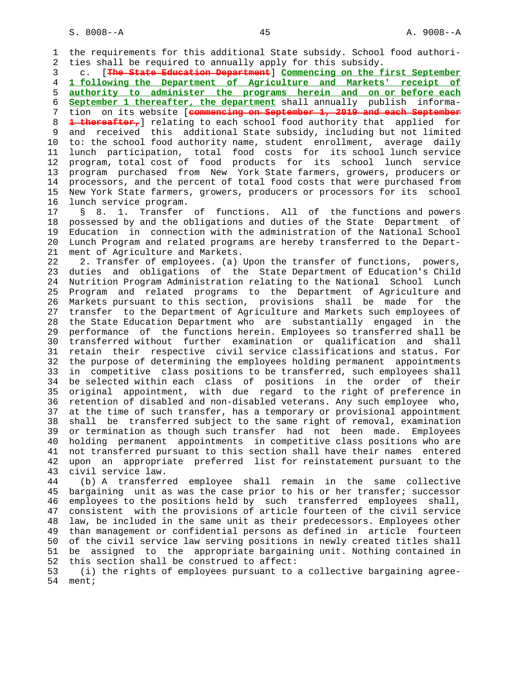1 the requirements for this additional State subsidy. School food authori- 2 ties shall be required to annually apply for this subsidy.

 3 c. [**The State Education Department**] **Commencing on the first September** 4 **1 following the Department of Agriculture and Markets' receipt of** 5 **authority to administer the programs herein and on or before each** 6 **September 1 thereafter, the department** shall annually publish informa- 7 tion on its website [**commencing on September 1, 2019 and each September** 8 **1 thereafter,**] relating to each school food authority that applied for 9 and received this additional State subsidy, including but not limited 10 to: the school food authority name, student enrollment, average daily 11 lunch participation, total food costs for its school lunch service 12 program, total cost of food products for its school lunch service 13 program purchased from New York State farmers, growers, producers or 14 processors, and the percent of total food costs that were purchased from 15 New York State farmers, growers, producers or processors for its school 16 lunch service program.

 17 § 8. 1. Transfer of functions. All of the functions and powers 18 possessed by and the obligations and duties of the State Department of 19 Education in connection with the administration of the National School 20 Lunch Program and related programs are hereby transferred to the Depart- 21 ment of Agriculture and Markets.

 22 2. Transfer of employees. (a) Upon the transfer of functions, powers, 23 duties and obligations of the State Department of Education's Child 24 Nutrition Program Administration relating to the National School Lunch 25 Program and related programs to the Department of Agriculture and 26 Markets pursuant to this section, provisions shall be made for the 27 transfer to the Department of Agriculture and Markets such employees of 28 the State Education Department who are substantially engaged in the 29 performance of the functions herein. Employees so transferred shall be 30 transferred without further examination or qualification and shall 31 retain their respective civil service classifications and status. For 32 the purpose of determining the employees holding permanent appointments 33 in competitive class positions to be transferred, such employees shall 34 be selected within each class of positions in the order of their 35 original appointment, with due regard to the right of preference in 36 retention of disabled and non-disabled veterans. Any such employee who, 37 at the time of such transfer, has a temporary or provisional appointment 38 shall be transferred subject to the same right of removal, examination 39 or termination as though such transfer had not been made. Employees 40 holding permanent appointments in competitive class positions who are 41 not transferred pursuant to this section shall have their names entered 42 upon an appropriate preferred list for reinstatement pursuant to the 43 civil service law.

 44 (b) A transferred employee shall remain in the same collective 45 bargaining unit as was the case prior to his or her transfer; successor 46 employees to the positions held by such transferred employees shall, 47 consistent with the provisions of article fourteen of the civil service 48 law, be included in the same unit as their predecessors. Employees other 49 than management or confidential persons as defined in article fourteen 50 of the civil service law serving positions in newly created titles shall 51 be assigned to the appropriate bargaining unit. Nothing contained in 52 this section shall be construed to affect:

 53 (i) the rights of employees pursuant to a collective bargaining agree- 54 ment;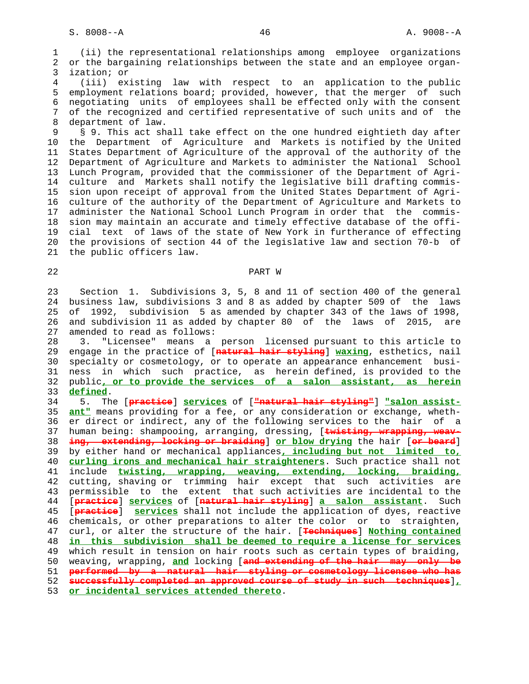1 (ii) the representational relationships among employee organizations 2 or the bargaining relationships between the state and an employee organ- 3 ization; or

 4 (iii) existing law with respect to an application to the public 5 employment relations board; provided, however, that the merger of such 6 negotiating units of employees shall be effected only with the consent 7 of the recognized and certified representative of such units and of the 8 department of law.

 9 § 9. This act shall take effect on the one hundred eightieth day after 10 the Department of Agriculture and Markets is notified by the United 11 States Department of Agriculture of the approval of the authority of the 12 Department of Agriculture and Markets to administer the National School 13 Lunch Program, provided that the commissioner of the Department of Agri- 14 culture and Markets shall notify the legislative bill drafting commis- 15 sion upon receipt of approval from the United States Department of Agri- 16 culture of the authority of the Department of Agriculture and Markets to 17 administer the National School Lunch Program in order that the commis- 18 sion may maintain an accurate and timely effective database of the offi- 19 cial text of laws of the state of New York in furtherance of effecting 20 the provisions of section 44 of the legislative law and section 70-b of 21 the public officers law.

### 22 PART W

 23 Section 1. Subdivisions 3, 5, 8 and 11 of section 400 of the general 24 business law, subdivisions 3 and 8 as added by chapter 509 of the laws 25 of 1992, subdivision 5 as amended by chapter 343 of the laws of 1998, 26 and subdivision 11 as added by chapter 80 of the laws of 2015, are 27 amended to read as follows:

 28 3. "Licensee" means a person licensed pursuant to this article to 29 engage in the practice of [**natural hair styling**] **waxing**, esthetics, nail 30 specialty or cosmetology, or to operate an appearance enhancement busi- 31 ness in which such practice, as herein defined, is provided to the 32 public**, or to provide the services of a salon assistant, as herein** 33 **defined**.

 34 5. The [**practice**] **services** of [**"natural hair styling"**] **"salon assist-** 35 **ant"** means providing for a fee, or any consideration or exchange, wheth- 36 er direct or indirect, any of the following services to the hair of a 37 human being: shampooing, arranging, dressing, [**twisting, wrapping, weav-** 38 **ing, extending, locking or braiding**] **or blow drying** the hair [**or beard**] 39 by either hand or mechanical appliances**, including but not limited to,** 40 **curling irons and mechanical hair straighteners**. Such practice shall not 41 include **twisting, wrapping, weaving, extending, locking, braiding,** 42 cutting, shaving or trimming hair except that such activities are 43 permissible to the extent that such activities are incidental to the 44 [**practice**] **services** of [**natural hair styling**] **a salon assistant**. Such 45 [**practice**] **services** shall not include the application of dyes, reactive 46 chemicals, or other preparations to alter the color or to straighten, 47 curl, or alter the structure of the hair. [**Techniques**] **Nothing contained** 48 **in this subdivision shall be deemed to require a license for services** 49 which result in tension on hair roots such as certain types of braiding, 50 weaving, wrapping, **and** locking [**and extending of the hair may only be** 51 **performed by a natural hair styling or cosmetology licensee who has** 52 **successfully completed an approved course of study in such techniques**]**,** 53 **or incidental services attended thereto**.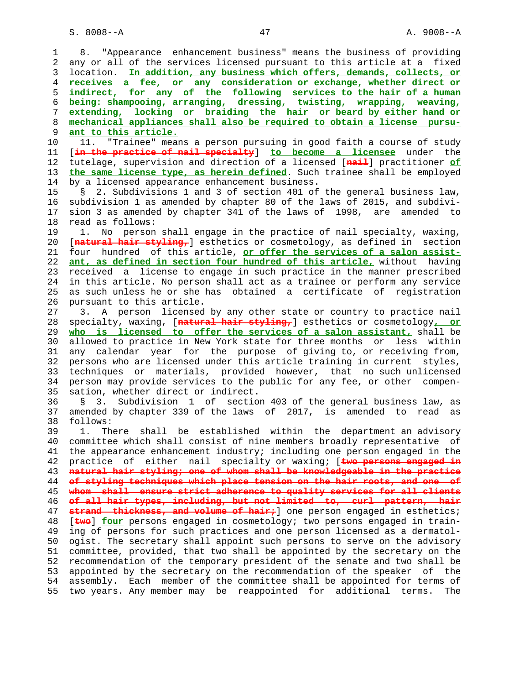1 8. "Appearance enhancement business" means the business of providing 2 any or all of the services licensed pursuant to this article at a fixed 3 location. **In addition, any business which offers, demands, collects, or** 4 **receives a fee, or any consideration or exchange, whether direct or** 5 **indirect, for any of the following services to the hair of a human** 6 **being: shampooing, arranging, dressing, twisting, wrapping, weaving,** 7 **extending, locking or braiding the hair or beard by either hand or** 8 **mechanical appliances shall also be required to obtain a license pursu-** 9 **ant to this article.**<br>10 11. "Trainee" mear 11. "Trainee" means a person pursuing in good faith a course of study 11 [**in the practice of nail specialty**] **to become a licensee** under the 12 tutelage, supervision and direction of a licensed [**nail**] practitioner **of** 13 **the same license type, as herein defined**. Such trainee shall be employed 14 by a licensed appearance enhancement business. 15 § 2. Subdivisions 1 and 3 of section 401 of the general business law, 16 subdivision 1 as amended by chapter 80 of the laws of 2015, and subdivi- 17 sion 3 as amended by chapter 341 of the laws of 1998, are amended to 18 read as follows: 19 1. No person shall engage in the practice of nail specialty, waxing, 20 [**natural hair styling,**] esthetics or cosmetology, as defined in section 21 four hundred of this article, **or offer the services of a salon assist-** 22 **ant, as defined in section four hundred of this article,** without having 23 received a license to engage in such practice in the manner prescribed 24 in this article. No person shall act as a trainee or perform any service 25 as such unless he or she has obtained a certificate of registration 26 pursuant to this article. 27 3. A person licensed by any other state or country to practice nail 28 specialty, waxing, [**natural hair styling,**] esthetics or cosmetology**, or** 29 **who is licensed to offer the services of a salon assistant,** shall be 30 allowed to practice in New York state for three months or less within 31 any calendar year for the purpose of giving to, or receiving from, 32 persons who are licensed under this article training in current styles, 33 techniques or materials, provided however, that no such unlicensed 34 person may provide services to the public for any fee, or other compen- 35 sation, whether direct or indirect. 36 § 3. Subdivision 1 of section 403 of the general business law, as 37 amended by chapter 339 of the laws of 2017, is amended to read as 38 follows: 39 1. There shall be established within the department an advisory 40 committee which shall consist of nine members broadly representative of 41 the appearance enhancement industry; including one person engaged in the 42 practice of either nail specialty or waxing; [**two persons engaged in** 43 **natural hair styling; one of whom shall be knowledgeable in the practice** 44 **of styling techniques which place tension on the hair roots, and one of** 45 **whom shall ensure strict adherence to quality services for all clients** 46 **of all hair types, including, but not limited to, curl pattern, hair** 47 **strand thickness, and volume of hair;** one person engaged in esthetics; 48 [**two**] **four** persons engaged in cosmetology; two persons engaged in train- 49 ing of persons for such practices and one person licensed as a dermatol- 50 ogist. The secretary shall appoint such persons to serve on the advisory 51 committee, provided, that two shall be appointed by the secretary on the 52 recommendation of the temporary president of the senate and two shall be 53 appointed by the secretary on the recommendation of the speaker of the 54 assembly. Each member of the committee shall be appointed for terms of 55 two years. Any member may be reappointed for additional terms. The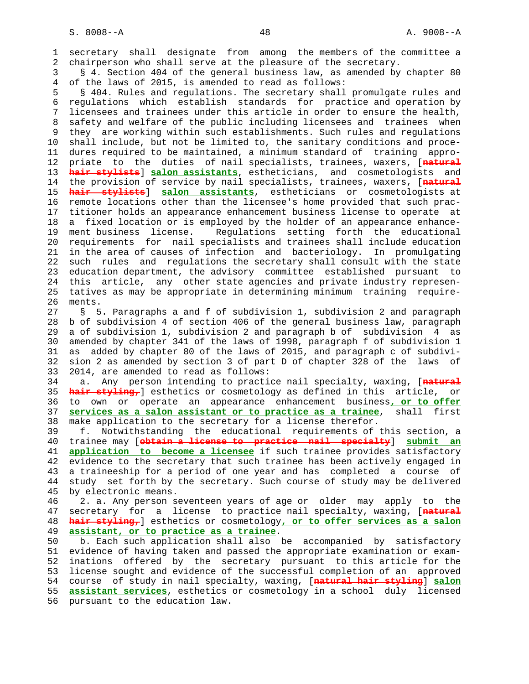1 secretary shall designate from among the members of the committee a 2 chairperson who shall serve at the pleasure of the secretary.

 3 § 4. Section 404 of the general business law, as amended by chapter 80 4 of the laws of 2015, is amended to read as follows:

 5 § 404. Rules and regulations. The secretary shall promulgate rules and 6 regulations which establish standards for practice and operation by 7 licensees and trainees under this article in order to ensure the health, 8 safety and welfare of the public including licensees and trainees when 9 they are working within such establishments. Such rules and regulations 10 shall include, but not be limited to, the sanitary conditions and proce- 11 dures required to be maintained, a minimum standard of training appro- 12 priate to the duties of nail specialists, trainees, waxers, [**natural** 13 **hair stylists**] **salon assistants**, estheticians, and cosmetologists and 14 the provision of service by nail specialists, trainees, waxers, [**natural** 15 **hair stylists**] **salon assistants**, estheticians or cosmetologists at 16 remote locations other than the licensee's home provided that such prac- 17 titioner holds an appearance enhancement business license to operate at 18 a fixed location or is employed by the holder of an appearance enhance- 19 ment business license. Regulations setting forth the educational 20 requirements for nail specialists and trainees shall include education 21 in the area of causes of infection and bacteriology. In promulgating 22 such rules and regulations the secretary shall consult with the state 23 education department, the advisory committee established pursuant to 24 this article, any other state agencies and private industry represen- 25 tatives as may be appropriate in determining minimum training require- 26 ments.

 27 § 5. Paragraphs a and f of subdivision 1, subdivision 2 and paragraph 28 b of subdivision 4 of section 406 of the general business law, paragraph 29 a of subdivision 1, subdivision 2 and paragraph b of subdivision 4 as 30 amended by chapter 341 of the laws of 1998, paragraph f of subdivision 1 31 as added by chapter 80 of the laws of 2015, and paragraph c of subdivi- 32 sion 2 as amended by section 3 of part D of chapter 328 of the laws of 33 2014, are amended to read as follows:

 34 a. Any person intending to practice nail specialty, waxing, [**natural** 35 **hair styling,**] esthetics or cosmetology as defined in this article, or 36 to own or operate an appearance enhancement business**, or to offer** 37 **services as a salon assistant or to practice as a trainee**, shall first 38 make application to the secretary for a license therefor.

 39 f. Notwithstanding the educational requirements of this section, a 40 trainee may [**obtain a license to practice nail specialty**] **submit an** 41 **application to become a licensee** if such trainee provides satisfactory 42 evidence to the secretary that such trainee has been actively engaged in 43 a traineeship for a period of one year and has completed a course of 44 study set forth by the secretary. Such course of study may be delivered 45 by electronic means.

 46 2. a. Any person seventeen years of age or older may apply to the 47 secretary for a license to practice nail specialty, waxing, [**natural** 48 **hair styling,**] esthetics or cosmetology**, or to offer services as a salon** 49 **assistant, or to practice as a trainee**.

 50 b. Each such application shall also be accompanied by satisfactory 51 evidence of having taken and passed the appropriate examination or exam- 52 inations offered by the secretary pursuant to this article for the 53 license sought and evidence of the successful completion of an approved 54 course of study in nail specialty, waxing, [**natural hair styling**] **salon** 55 **assistant services**, esthetics or cosmetology in a school duly licensed 56 pursuant to the education law.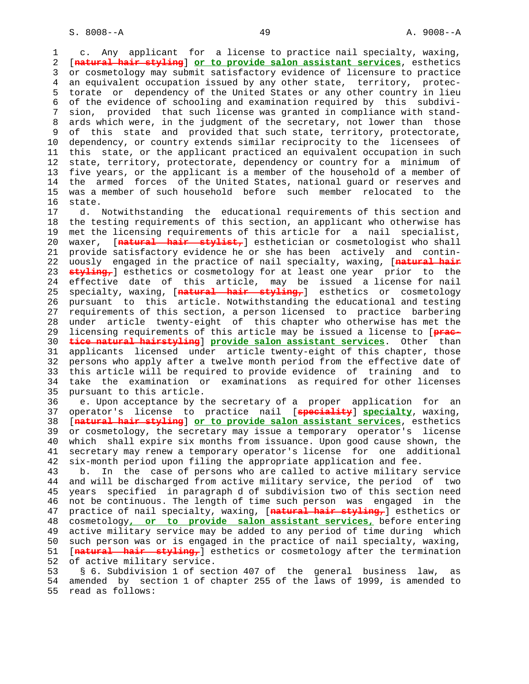1 c. Any applicant for a license to practice nail specialty, waxing, 2 [**natural hair styling**] **or to provide salon assistant services**, esthetics 3 or cosmetology may submit satisfactory evidence of licensure to practice 4 an equivalent occupation issued by any other state, territory, protec- 5 torate or dependency of the United States or any other country in lieu 6 of the evidence of schooling and examination required by this subdivi- 7 sion, provided that such license was granted in compliance with stand- 8 ards which were, in the judgment of the secretary, not lower than those 9 of this state and provided that such state, territory, protectorate,<br>10 dependency, or country extends similar reciprocity to the licensees of dependency, or country extends similar reciprocity to the licensees of 11 this state, or the applicant practiced an equivalent occupation in such 12 state, territory, protectorate, dependency or country for a minimum of 13 five years, or the applicant is a member of the household of a member of 14 the armed forces of the United States, national guard or reserves and 15 was a member of such household before such member relocated to the 16 state.

 17 d. Notwithstanding the educational requirements of this section and 18 the testing requirements of this section, an applicant who otherwise has 19 met the licensing requirements of this article for a nail specialist, 20 waxer, [**natural hair stylist,**] esthetician or cosmetologist who shall 21 provide satisfactory evidence he or she has been actively and contin- 22 uously engaged in the practice of nail specialty, waxing, [**natural hair** 23 **styling,**] esthetics or cosmetology for at least one year prior to the 24 effective date of this article, may be issued a license for nail 25 specialty, waxing, [**natural hair styling,**] esthetics or cosmetology 26 pursuant to this article. Notwithstanding the educational and testing 27 requirements of this section, a person licensed to practice barbering 28 under article twenty-eight of this chapter who otherwise has met the 29 licensing requirements of this article may be issued a license to [**prac-** 30 **tice natural hairstyling**] **provide salon assistant services**. Other than 31 applicants licensed under article twenty-eight of this chapter, those 32 persons who apply after a twelve month period from the effective date of 33 this article will be required to provide evidence of training and to 34 take the examination or examinations as required for other licenses 35 pursuant to this article.

 36 e. Upon acceptance by the secretary of a proper application for an 37 operator's license to practice nail [**speciality**] **specialty**, waxing, 38 [**natural hair styling**] **or to provide salon assistant services**, esthetics 39 or cosmetology, the secretary may issue a temporary operator's license 40 which shall expire six months from issuance. Upon good cause shown, the 41 secretary may renew a temporary operator's license for one additional 42 six-month period upon filing the appropriate application and fee.

 43 b. In the case of persons who are called to active military service 44 and will be discharged from active military service, the period of two 45 years specified in paragraph d of subdivision two of this section need 46 not be continuous. The length of time such person was engaged in the 47 practice of nail specialty, waxing, [**natural hair styling,**] esthetics or 48 cosmetology**, or to provide salon assistant services,** before entering 49 active military service may be added to any period of time during which 50 such person was or is engaged in the practice of nail specialty, waxing, 51 [**natural hair styling,**] esthetics or cosmetology after the termination 52 of active military service.

 53 § 6. Subdivision 1 of section 407 of the general business law, as 54 amended by section 1 of chapter 255 of the laws of 1999, is amended to 55 read as follows: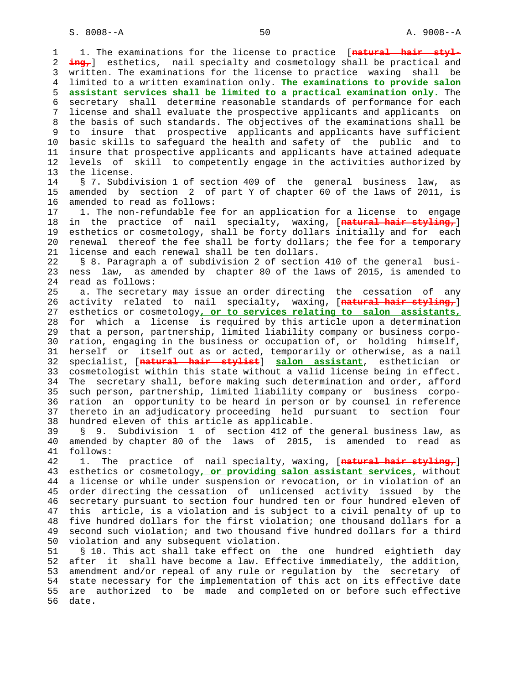1 1. The examinations for the license to practice [**natural hair styl-** 2 **ing,**] esthetics, nail specialty and cosmetology shall be practical and 3 written. The examinations for the license to practice waxing shall be 4 limited to a written examination only. **The examinations to provide salon** 5 **assistant services shall be limited to a practical examination only.** The 6 secretary shall determine reasonable standards of performance for each 7 license and shall evaluate the prospective applicants and applicants on 8 the basis of such standards. The objectives of the examinations shall be 9 to insure that prospective applicants and applicants have sufficient<br>10 basic skills to safeguard the health and safety of the public and to basic skills to safeguard the health and safety of the public and to 11 insure that prospective applicants and applicants have attained adequate 12 levels of skill to competently engage in the activities authorized by 13 the license. 14 § 7. Subdivision 1 of section 409 of the general business law, as 15 amended by section 2 of part Y of chapter 60 of the laws of 2011, is 16 amended to read as follows: 17 1. The non-refundable fee for an application for a license to engage 18 in the practice of nail specialty, waxing, [**natural hair styling,**] 19 esthetics or cosmetology, shall be forty dollars initially and for each 20 renewal thereof the fee shall be forty dollars; the fee for a temporary 21 license and each renewal shall be ten dollars. 22 § 8. Paragraph a of subdivision 2 of section 410 of the general busi- 23 ness law, as amended by chapter 80 of the laws of 2015, is amended to 24 read as follows: 25 a. The secretary may issue an order directing the cessation of any 26 activity related to nail specialty, waxing, [**natural hair styling,**] 27 esthetics or cosmetology**, or to services relating to salon assistants,** 28 for which a license is required by this article upon a determination 29 that a person, partnership, limited liability company or business corpo- 30 ration, engaging in the business or occupation of, or holding himself, 31 herself or itself out as or acted, temporarily or otherwise, as a nail 32 specialist, [**natural hair stylist**] **salon assistant**, esthetician or 33 cosmetologist within this state without a valid license being in effect. 34 The secretary shall, before making such determination and order, afford 35 such person, partnership, limited liability company or business corpo- 36 ration an opportunity to be heard in person or by counsel in reference 37 thereto in an adjudicatory proceeding held pursuant to section four 38 hundred eleven of this article as applicable. 39 § 9. Subdivision 1 of section 412 of the general business law, as 40 amended by chapter 80 of the laws of 2015, is amended to read as 41 follows: 42 1. The practice of nail specialty, waxing, [**natural hair styling,**] 43 esthetics or cosmetology**, or providing salon assistant services,** without 44 a license or while under suspension or revocation, or in violation of an 45 order directing the cessation of unlicensed activity issued by the 46 secretary pursuant to section four hundred ten or four hundred eleven of 47 this article, is a violation and is subject to a civil penalty of up to 48 five hundred dollars for the first violation; one thousand dollars for a 49 second such violation; and two thousand five hundred dollars for a third 50 violation and any subsequent violation. 51 § 10. This act shall take effect on the one hundred eightieth day 52 after it shall have become a law. Effective immediately, the addition, 53 amendment and/or repeal of any rule or regulation by the secretary of 54 state necessary for the implementation of this act on its effective date 55 are authorized to be made and completed on or before such effective 56 date.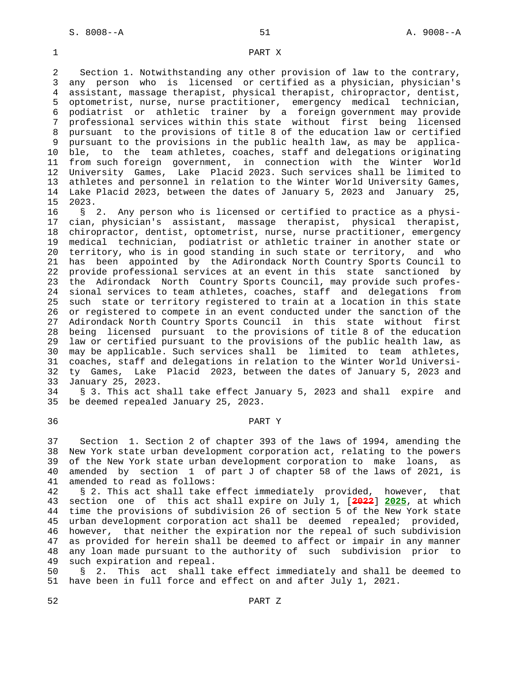### 1 PART X

 2 Section 1. Notwithstanding any other provision of law to the contrary, 3 any person who is licensed or certified as a physician, physician's 4 assistant, massage therapist, physical therapist, chiropractor, dentist, 5 optometrist, nurse, nurse practitioner, emergency medical technician, 6 podiatrist or athletic trainer by a foreign government may provide 7 professional services within this state without first being licensed 8 pursuant to the provisions of title 8 of the education law or certified 9 pursuant to the provisions in the public health law, as may be applica- 10 ble, to the team athletes, coaches, staff and delegations originating 11 from such foreign government, in connection with the Winter World 12 University Games, Lake Placid 2023. Such services shall be limited to 13 athletes and personnel in relation to the Winter World University Games, 14 Lake Placid 2023, between the dates of January 5, 2023 and January 25, 15 2023.

 16 § 2. Any person who is licensed or certified to practice as a physi- 17 cian, physician's assistant, massage therapist, physical therapist, 18 chiropractor, dentist, optometrist, nurse, nurse practitioner, emergency 19 medical technician, podiatrist or athletic trainer in another state or 20 territory, who is in good standing in such state or territory, and who 21 has been appointed by the Adirondack North Country Sports Council to 22 provide professional services at an event in this state sanctioned by 23 the Adirondack North Country Sports Council, may provide such profes- 24 sional services to team athletes, coaches, staff and delegations from 25 such state or territory registered to train at a location in this state 26 or registered to compete in an event conducted under the sanction of the 27 Adirondack North Country Sports Council in this state without first 28 being licensed pursuant to the provisions of title 8 of the education 29 law or certified pursuant to the provisions of the public health law, as 30 may be applicable. Such services shall be limited to team athletes, 31 coaches, staff and delegations in relation to the Winter World Universi- 32 ty Games, Lake Placid 2023, between the dates of January 5, 2023 and 33 January 25, 2023.

 34 § 3. This act shall take effect January 5, 2023 and shall expire and 35 be deemed repealed January 25, 2023.

### 36 PART Y

 37 Section 1. Section 2 of chapter 393 of the laws of 1994, amending the 38 New York state urban development corporation act, relating to the powers 39 of the New York state urban development corporation to make loans, as 40 amended by section 1 of part J of chapter 58 of the laws of 2021, is 41 amended to read as follows:

 42 § 2. This act shall take effect immediately provided, however, that 43 section one of this act shall expire on July 1, [**2022**] **2025**, at which 44 time the provisions of subdivision 26 of section 5 of the New York state 45 urban development corporation act shall be deemed repealed; provided, 46 however, that neither the expiration nor the repeal of such subdivision 47 as provided for herein shall be deemed to affect or impair in any manner 48 any loan made pursuant to the authority of such subdivision prior to 49 such expiration and repeal.

 50 § 2. This act shall take effect immediately and shall be deemed to 51 have been in full force and effect on and after July 1, 2021.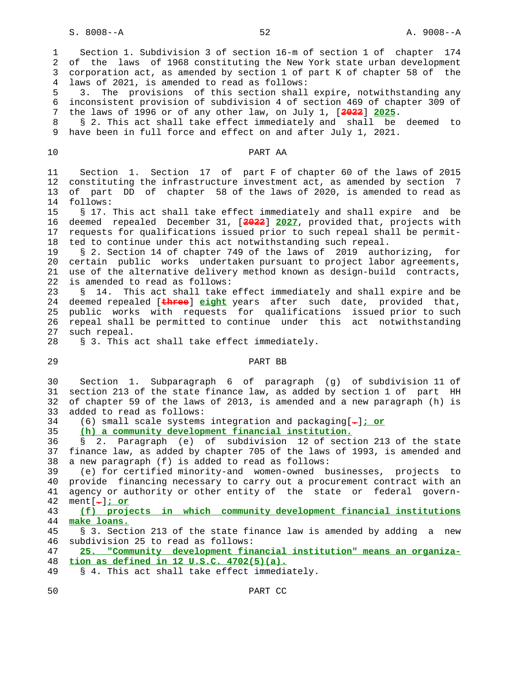1 Section 1. Subdivision 3 of section 16-m of section 1 of chapter 174 2 of the laws of 1968 constituting the New York state urban development 3 corporation act, as amended by section 1 of part K of chapter 58 of the 4 laws of 2021, is amended to read as follows: 5 3. The provisions of this section shall expire, notwithstanding any 6 inconsistent provision of subdivision 4 of section 469 of chapter 309 of 7 the laws of 1996 or of any other law, on July 1, [**2022**] **2025**. 8 § 2. This act shall take effect immediately and shall be deemed to 9 have been in full force and effect on and after July 1, 2021. 10 PART AA 11 Section 1. Section 17 of part F of chapter 60 of the laws of 2015 12 constituting the infrastructure investment act, as amended by section 7 13 of part DD of chapter 58 of the laws of 2020, is amended to read as 14 follows: 15 § 17. This act shall take effect immediately and shall expire and be 16 deemed repealed December 31, [**2022**] **2027**, provided that, projects with 17 requests for qualifications issued prior to such repeal shall be permit- 18 ted to continue under this act notwithstanding such repeal. 19 § 2. Section 14 of chapter 749 of the laws of 2019 authorizing, for 20 certain public works undertaken pursuant to project labor agreements, 21 use of the alternative delivery method known as design-build contracts, 22 is amended to read as follows: 23 § 14. This act shall take effect immediately and shall expire and be 24 deemed repealed [**three**] **eight** years after such date, provided that, 25 public works with requests for qualifications issued prior to such 26 repeal shall be permitted to continue under this act notwithstanding 27 such repeal. 28 § 3. This act shall take effect immediately. 29 PART BB 30 Section 1. Subparagraph 6 of paragraph (g) of subdivision 11 of 31 section 213 of the state finance law, as added by section 1 of part HH 32 of chapter 59 of the laws of 2013, is amended and a new paragraph (h) is 33 added to read as follows: 34 (6) small scale systems integration and packaging[**.**]**; or** 35 **(h) a community development financial institution.** 36 § 2. Paragraph (e) of subdivision 12 of section 213 of the state 37 finance law, as added by chapter 705 of the laws of 1993, is amended and 38 a new paragraph (f) is added to read as follows: 39 (e) for certified minority-and women-owned businesses, projects to 40 provide financing necessary to carry out a procurement contract with an 41 agency or authority or other entity of the state or federal govern- 42 ment[**.**]**; or** 43 **(f) projects in which community development financial institutions** 44 **make loans.** 45 § 3. Section 213 of the state finance law is amended by adding a new 46 subdivision 25 to read as follows: 47 **25. "Community development financial institution" means an organiza-** 48 **tion as defined in 12 U.S.C. 4702(5)(a).** 49 § 4. This act shall take effect immediately.

50 PART CC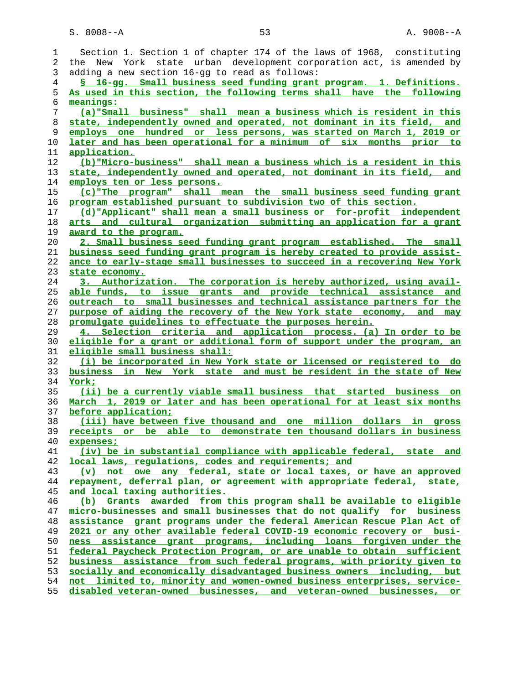S. 8008--A 53 A. 9008--A

| 1  | Section 1. Section 1 of chapter 174 of the laws of 1968, constituting            |
|----|----------------------------------------------------------------------------------|
| 2  | the New York state urban development corporation act, is amended by              |
| 3  | adding a new section 16-gg to read as follows:                                   |
| 4  | § 16-gg. Small business seed funding grant program. 1. Definitions.              |
| 5  | As used in this section, the following terms shall have the following            |
| б  | meanings:                                                                        |
| 7  | (a) "Small business" shall mean a business which is resident in this             |
| 8  | state, independently owned and operated, not dominant in its field, and          |
|    |                                                                                  |
| 9  | employs one hundred or less persons, was started on March 1, 2019 or             |
| 10 | later and has been operational for a minimum of six months prior to              |
| 11 | application.                                                                     |
| 12 | (b) "Micro-business" shall mean a business which is a resident in this           |
| 13 | state, independently owned and operated, not dominant in its field, and          |
| 14 | employs ten or less persons.                                                     |
| 15 | (c) "The program" shall mean the small business seed funding grant               |
| 16 | program established pursuant to subdivision two of this section.                 |
| 17 | (d) "Applicant" shall mean a small business or for-profit independent            |
| 18 | arts and cultural organization submitting an application for a grant             |
| 19 | award to the program.                                                            |
| 20 | 2. Small business seed funding grant program established. The small              |
| 21 | business seed funding grant program is hereby created to provide assist-         |
| 22 | ance to early-stage small businesses to succeed in a recovering New York         |
| 23 | state economy.                                                                   |
| 24 | 3. Authorization. The corporation is hereby authorized, using avail-             |
| 25 | able funds, to issue grants and provide technical assistance and                 |
| 26 | outreach to small businesses and technical assistance partners for the           |
| 27 | purpose of aiding the recovery of the New York state economy, and may            |
| 28 | promulgate quidelines to effectuate the purposes herein.                         |
| 29 | 4. Selection criteria and application process. (a) In order to be                |
| 30 | eligible for a grant or additional form of support under the program, an         |
| 31 | eligible small business shall:                                                   |
| 32 | (i) be incorporated in New York state or licensed or registered to do            |
| 33 | business in New York state and must be resident in the state of New              |
| 34 |                                                                                  |
|    | York;                                                                            |
| 35 | (ii) be a currently viable small business that started business on               |
| 36 | March 1, 2019 or later and has been operational for at least six months          |
| 37 | before application;                                                              |
| 38 | (iii) have between five thousand and one million dollars in gross                |
| 39 | receipts or be able to demonstrate ten thousand dollars in business              |
| 40 | expenses;                                                                        |
| 41 | (iv) be in substantial compliance with applicable federal, state and             |
| 42 | local laws, requlations, codes and requirements; and                             |
| 43 | not owe any federal, state or local taxes, or have an approved<br>$(\mathbf{v})$ |
| 44 | repayment, deferral plan, or agreement with appropriate federal, state,          |
| 45 | and local taxing authorities.                                                    |
| 46 | (b) Grants awarded from this program shall be available to eligible              |
| 47 | micro-businesses and small businesses that do not qualify for business           |
| 48 | assistance grant programs under the federal American Rescue Plan Act of          |
| 49 | 2021 or any other available federal COVID-19 economic recovery or busi-          |
| 50 | ness assistance grant programs, including loans forgiven under the               |
| 51 | federal Paycheck Protection Program, or are unable to obtain sufficient          |
| 52 | business assistance from such federal programs, with priority given to           |
| 53 | socially and economically disadvantaged business owners including, but           |
| 54 | not limited to, minority and women-owned business enterprises, service-          |
| 55 | disabled veteran-owned businesses, and veteran-owned businesses, or              |
|    |                                                                                  |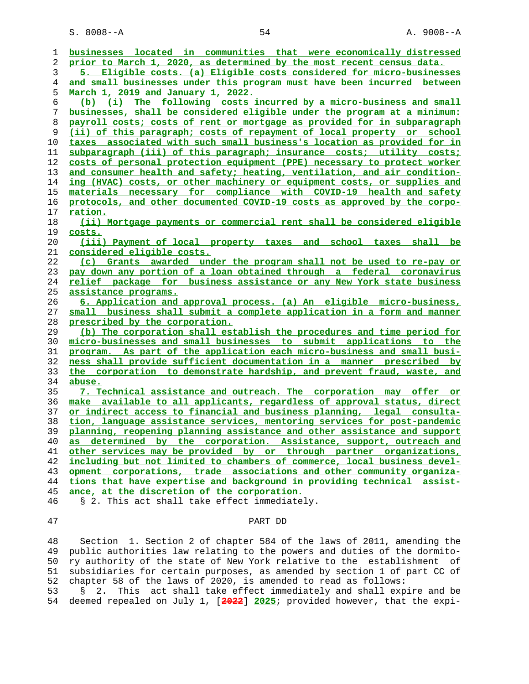S. 8008--A 54 A. 9008--A

| 1        | businesses located in communities that were economically distressed                         |
|----------|---------------------------------------------------------------------------------------------|
| 2        | prior to March 1, 2020, as determined by the most recent census data.                       |
| 3        | 5. Eligible costs. (a) Eligible costs considered for micro-businesses                       |
| 4        | and small businesses under this program must have been incurred between                     |
| 5        | March 1, 2019 and January 1, 2022.                                                          |
| 6        | (b) (i) The following costs incurred by a micro-business and small                          |
| 7        | businesses, shall be considered eligible under the program at a minimum:                    |
| 8        | payroll costs; costs of rent or mortgage as provided for in subparagraph                    |
| 9        | (ii) of this paragraph; costs of repayment of local property or school                      |
| 10       | taxes associated with such small business's location as provided for in                     |
| 11       | subparagraph (iii) of this paragraph; insurance costs; utility costs;                       |
| 12       | costs of personal protection equipment (PPE) necessary to protect worker                    |
| 13       | and consumer health and safety; heating, ventilation, and air condition-                    |
| 14       | ing (HVAC) costs, or other machinery or equipment costs, or supplies and                    |
| 15       | materials necessary for compliance with COVID-19 health and safety                          |
| 16       | protocols, and other documented COVID-19 costs as approved by the corpo-                    |
| 17       | <u>ration.</u>                                                                              |
| 18       | (ii) Mortgage payments or commercial rent shall be considered eligible                      |
| 19       | <u>costs.</u>                                                                               |
| 20       | (iii) Payment of local property taxes and school taxes shall be                             |
| 21       | <u>considered eligible costs.</u>                                                           |
| 22       | (c) Grants awarded under the program shall not be used to re-pay or                         |
| 23       | pay down any portion of a loan obtained through a federal coronavirus                       |
| 24       | relief package for business assistance or any New York state business                       |
| 25       | <u>assistance programs.</u>                                                                 |
| 26       | 6. Application and approval process. (a) An eligible micro-business,                        |
| 27       | small business shall submit a complete application in a form and manner                     |
| 28       | prescribed by the corporation.                                                              |
| 29       | (b) The corporation shall establish the procedures and time period for                      |
| 30       | micro-businesses and small businesses to submit applications to the                         |
| 31       | program. As part of the application each micro-business and small busi-                     |
| 32       | ness shall provide sufficient documentation in a manner prescribed by                       |
| 33       | the corporation to demonstrate hardship, and prevent fraud, waste, and                      |
| 34       | abuse.                                                                                      |
| 35       | 7. Technical assistance and outreach. The corporation may offer or                          |
| 36       | make available to all applicants, regardless of approval status, direct                     |
| 37       | or indirect access to financial and business planning, legal consulta-                      |
| 38       | tion, language assistance services, mentoring services for post-pandemic                    |
| 39       | planning, reopening planning assistance and other assistance and support                    |
| 40       | as determined by the corporation. Assistance, support, outreach and                         |
| 41       | other services may be provided by or through partner organizations,                         |
| 42       | including but not limited to chambers of commerce, local business devel-                    |
| 43       | opment corporations, trade associations and other community organiza-                       |
| 44       | tions that have expertise and background in providing technical assist-                     |
| 45<br>46 | ance, at the discretion of the corporation.<br>§ 2. This act shall take effect immediately. |
|          |                                                                                             |
| 47       | PART DD                                                                                     |
|          |                                                                                             |

 48 Section 1. Section 2 of chapter 584 of the laws of 2011, amending the 49 public authorities law relating to the powers and duties of the dormito- 50 ry authority of the state of New York relative to the establishment of 51 subsidiaries for certain purposes, as amended by section 1 of part CC of 52 chapter 58 of the laws of 2020, is amended to read as follows:<br>53 § 2. This act shall take effect immediately and shall exp

 53 § 2. This act shall take effect immediately and shall expire and be 54 deemed repealed on July 1, [**2022**] **2025**; provided however, that the expi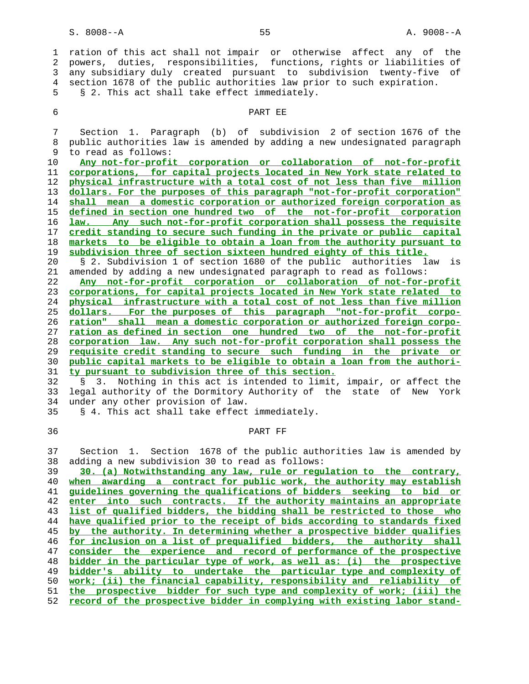1 ration of this act shall not impair or otherwise affect any of the 2 powers, duties, responsibilities, functions, rights or liabilities of 3 any subsidiary duly created pursuant to subdivision twenty-five of 4 section 1678 of the public authorities law prior to such expiration. 5 § 2. This act shall take effect immediately.

### 6 PART EE

 7 Section 1. Paragraph (b) of subdivision 2 of section 1676 of the 8 public authorities law is amended by adding a new undesignated paragraph 9 to read as follows:

**Any not-for-profit corporation or collaboration of not-for-profit corporations, for capital projects located in New York state related to physical infrastructure with a total cost of not less than five million dollars. For the purposes of this paragraph "not-for-profit corporation" shall mean a domestic corporation or authorized foreign corporation as defined in section one hundred two of the not-for-profit corporation law. Any such not-for-profit corporation shall possess the requisite credit standing to secure such funding in the private or public capital markets to be eligible to obtain a loan from the authority pursuant to subdivision three of section sixteen hundred eighty of this title.**

 20 § 2. Subdivision 1 of section 1680 of the public authorities law is 21 amended by adding a new undesignated paragraph to read as follows:

**Any not-for-profit corporation or collaboration of not-for-profit corporations, for capital projects located in New York state related to physical infrastructure with a total cost of not less than five million dollars. For the purposes of this paragraph "not-for-profit corpo- ration" shall mean a domestic corporation or authorized foreign corpo- ration as defined in section one hundred two of the not-for-profit corporation law. Any such not-for-profit corporation shall possess the requisite credit standing to secure such funding in the private or public capital markets to be eligible to obtain a loan from the authori- ty pursuant to subdivision three of this section.**

 32 § 3. Nothing in this act is intended to limit, impair, or affect the 33 legal authority of the Dormitory Authority of the state of New York 34 under any other provision of law.

35 § 4. This act shall take effect immediately.

## 36 PART FF

 37 Section 1. Section 1678 of the public authorities law is amended by 38 adding a new subdivision 30 to read as follows:

**30. (a) Notwithstanding any law, rule or regulation to the contrary, when awarding a contract for public work, the authority may establish guidelines governing the qualifications of bidders seeking to bid or enter into such contracts. If the authority maintains an appropriate list of qualified bidders, the bidding shall be restricted to those who have qualified prior to the receipt of bids according to standards fixed by the authority. In determining whether a prospective bidder qualifies for inclusion on a list of prequalified bidders, the authority shall consider the experience and record of performance of the prospective bidder in the particular type of work, as well as: (i) the prospective bidder's ability to undertake the particular type and complexity of work; (ii) the financial capability, responsibility and reliability of the prospective bidder for such type and complexity of work; (iii) the record of the prospective bidder in complying with existing labor stand-**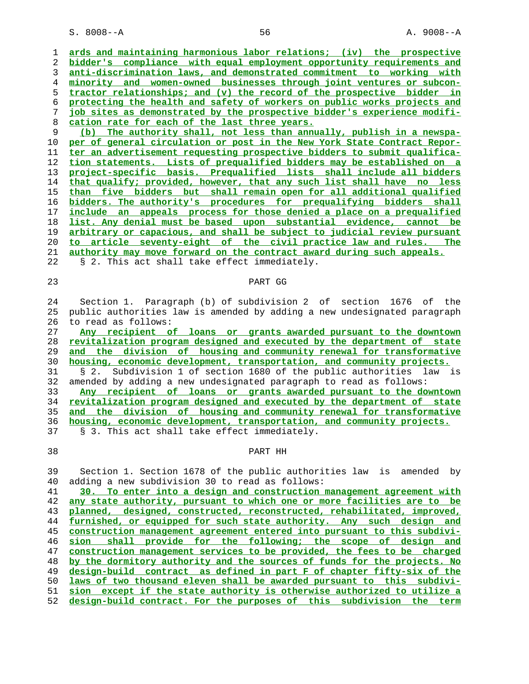S. 8008--A 56 A. 9008--A

**ards and maintaining harmonious labor relations; (iv) the prospective bidder's compliance with equal employment opportunity requirements and anti-discrimination laws, and demonstrated commitment to working with minority and women-owned businesses through joint ventures or subcon- tractor relationships; and (v) the record of the prospective bidder in protecting the health and safety of workers on public works projects and job sites as demonstrated by the prospective bidder's experience modifi- cation rate for each of the last three years.**

**(b) The authority shall, not less than annually, publish in a newspa- per of general circulation or post in the New York State Contract Repor- ter an advertisement requesting prospective bidders to submit qualifica- tion statements. Lists of prequalified bidders may be established on a project-specific basis. Prequalified lists shall include all bidders that qualify; provided, however, that any such list shall have no less than five bidders but shall remain open for all additional qualified bidders. The authority's procedures for prequalifying bidders shall include an appeals process for those denied a place on a prequalified list. Any denial must be based upon substantial evidence, cannot be arbitrary or capacious, and shall be subject to judicial review pursuant to article seventy-eight of the civil practice law and rules. The authority may move forward on the contract award during such appeals.**

22 § 2. This act shall take effect immediately.

## 23 PART GG

 24 Section 1. Paragraph (b) of subdivision 2 of section 1676 of the 25 public authorities law is amended by adding a new undesignated paragraph 26 to read as follows:

**Any recipient of loans or grants awarded pursuant to the downtown revitalization program designed and executed by the department of state and the division of housing and community renewal for transformative housing, economic development, transportation, and community projects.** 31 § 2. Subdivision 1 of section 1680 of the public authorities law is 32 amended by adding a new undesignated paragraph to read as follows: **Any recipient of loans or grants awarded pursuant to the downtown revitalization program designed and executed by the department of state and the division of housing and community renewal for transformative housing, economic development, transportation, and community projects.**

37 § 3. This act shall take effect immediately.

### 38 PART HH

 39 Section 1. Section 1678 of the public authorities law is amended by 40 adding a new subdivision 30 to read as follows:

**30. To enter into a design and construction management agreement with any state authority, pursuant to which one or more facilities are to be planned, designed, constructed, reconstructed, rehabilitated, improved, furnished, or equipped for such state authority. Any such design and construction management agreement entered into pursuant to this subdivi- sion shall provide for the following; the scope of design and construction management services to be provided, the fees to be charged by the dormitory authority and the sources of funds for the projects. No design-build contract as defined in part F of chapter fifty-six of the laws of two thousand eleven shall be awarded pursuant to this subdivi- sion except if the state authority is otherwise authorized to utilize a design-build contract. For the purposes of this subdivision the term**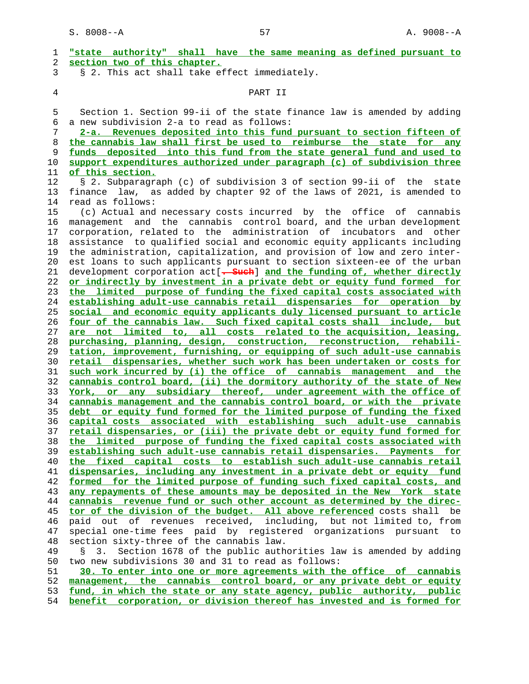| 1              | "state authority" shall have the same meaning as defined pursuant to                                           |
|----------------|----------------------------------------------------------------------------------------------------------------|
| 2              | section two of this chapter.                                                                                   |
| 3              | § 2. This act shall take effect immediately.                                                                   |
| $\overline{4}$ | PART II                                                                                                        |
| 5              | Section 1. Section 99-ii of the state finance law is amended by adding                                         |
| 6              | a new subdivision 2-a to read as follows:                                                                      |
| 7              | 2-a. Revenues deposited into this fund pursuant to section fifteen of                                          |
| 8              | the cannabis law shall first be used to reimburse the state for any                                            |
| 9              | funds deposited into this fund from the state general fund and used to                                         |
| 10             | support expenditures authorized under paragraph (c) of subdivision three                                       |
| 11             | of this section.                                                                                               |
| 12             | § 2. Subparagraph (c) of subdivision 3 of section 99-ii of the state                                           |
| 13             | finance law, as added by chapter 92 of the laws of 2021, is amended to                                         |
| 14             | read as follows:                                                                                               |
| 15             | (c) Actual and necessary costs incurred by the office of cannabis                                              |
| 16             | management and the cannabis control board, and the urban development                                           |
| 17             | corporation, related to the administration of<br>incubators and<br>other                                       |
| 18             | assistance to qualified social and economic equity applicants including                                        |
| 19             | the administration, capitalization, and provision of low and zero inter-                                       |
| 20             | est loans to such applicants pursuant to section sixteen-ee of the urban                                       |
| 21             | development corporation act [. Such] and the funding of, whether directly                                      |
| 22             | or indirectly by investment in a private debt or equity fund formed for                                        |
| 23             | the limited purpose of funding the fixed capital costs associated with                                         |
| 24             | establishing adult-use cannabis retail dispensaries for operation by                                           |
| 25             | social and economic equity applicants duly licensed pursuant to article                                        |
| 26             | four of the cannabis law. Such fixed capital costs shall include, but                                          |
| 27             | are not limited to, all costs related to the acquisition, leasing,                                             |
| 28             | purchasing, planning, design, construction, reconstruction, rehabili-                                          |
| 29             | tation, improvement, furnishing, or equipping of such adult-use cannabis                                       |
| 30             | retail dispensaries, whether such work has been undertaken or costs for                                        |
| 31             | such work incurred by (i) the office of cannabis management and the                                            |
| 32             | cannabis control board, (ii) the dormitory authority of the state of New                                       |
| 33             | York, or any subsidiary thereof, under agreement with the office of                                            |
| 34             | cannabis management and the cannabis control board, or with the private                                        |
| 35             | debt or equity fund formed for the limited purpose of funding the fixed                                        |
| 36             | capital costs associated with establishing such adult-use cannabis                                             |
| 37             | retail dispensaries, or (iii) the private debt or equity fund formed for                                       |
| 38             | the limited purpose of funding the fixed capital costs associated with                                         |
| 39             | establishing such adult-use cannabis retail dispensaries. Payments for                                         |
| 40             | the fixed capital costs to establish such adult-use cannabis retail                                            |
| 41             | dispensaries, including any investment in a private debt or equity fund                                        |
| 42             | formed for the limited purpose of funding such fixed capital costs, and                                        |
| 43             | any repayments of these amounts may be deposited in the New York state                                         |
| 44             | cannabis revenue fund or such other account as determined by the direc-                                        |
| 45             | tor of the division of the budget. All above referenced costs shall be                                         |
| 46             | paid out of revenues received, including, but not limited to, from                                             |
| 47             | special one-time fees paid by registered organizations pursuant to<br>section sixty-three of the cannabis law. |
| 48<br>49       | Section 1678 of the public authorities law is amended by adding<br>3.                                          |
| 50             | two new subdivisions 30 and 31 to read as follows:                                                             |
| 51             | 30. To enter into one or more agreements with the office of cannabis                                           |
| 52             | management, the cannabis control board, or any private debt or equity                                          |
| 53             | fund, in which the state or any state agency, public authority, public                                         |
| 54             | benefit corporation, or division thereof has invested and is formed for                                        |
|                |                                                                                                                |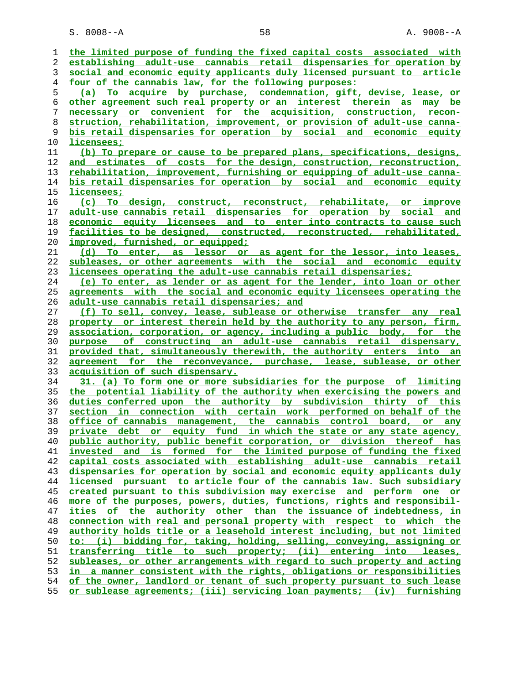S. 8008--A 58 A. 9008--A

| 1  | the limited purpose of funding the fixed capital costs associated with      |
|----|-----------------------------------------------------------------------------|
| 2  | establishing adult-use cannabis retail dispensaries for operation by        |
| 3  | social and economic equity applicants duly licensed pursuant to article     |
| 4  | four of the cannabis law, for the following purposes:                       |
| 5  | (a) To acquire by purchase, condemnation, gift, devise, lease, or           |
| 6  | other agreement such real property or an interest therein as may be         |
| 7  | necessary or convenient for the acquisition, construction, recon-           |
| 8  | struction, rehabilitation, improvement, or provision of adult-use canna-    |
| 9  | bis retail dispensaries for operation by social and economic equity         |
| 10 | licensees;                                                                  |
| 11 | (b) To prepare or cause to be prepared plans, specifications, designs,      |
| 12 | and estimates of costs for the design, construction, reconstruction,        |
| 13 | rehabilitation, improvement, furnishing or equipping of adult-use canna-    |
| 14 | bis retail dispensaries for operation by social and economic equity         |
| 15 | licensees;                                                                  |
| 16 | (c) To design, construct, reconstruct, rehabilitate, or improve             |
| 17 | adult-use cannabis retail dispensaries for operation by social and          |
| 18 | economic equity licensees and to enter into contracts to cause such         |
| 19 | facilities to be designed, constructed, reconstructed, rehabilitated,       |
| 20 | improved, furnished, or equipped;                                           |
| 21 | (d) To enter, as lessor or as agent for the lessor, into leases,            |
| 22 | subleases, or other agreements with the social and economic equity          |
| 23 | licensees operating the adult-use cannabis retail dispensaries;             |
| 24 | (e) To enter, as lender or as agent for the lender, into loan or other      |
| 25 | agreements with the social and economic equity licensees operating the      |
| 26 | adult-use cannabis retail dispensaries; and                                 |
| 27 | (f) To sell, convey, lease, sublease or otherwise transfer any real         |
| 28 | property or interest therein held by the authority to any person, firm,     |
| 29 | association, corporation, or agency, including a public body, for the       |
| 30 | purpose of constructing an adult-use cannabis retail dispensary,            |
| 31 | provided that, simultaneously therewith, the authority enters into an       |
| 32 | agreement for the reconveyance, purchase, lease, sublease, or other         |
| 33 | acquisition of such dispensary.                                             |
| 34 | 31. (a) To form one or more subsidiaries for the purpose of limiting        |
| 35 | the potential liability of the authority when exercising the powers and     |
| 36 | duties conferred upon the authority by subdivision thirty of this           |
| 37 | section in connection with certain work performed on behalf of the          |
| 38 | office of cannabis management, the cannabis control board, or any           |
| 39 | private debt or equity fund in which the state or any state agency,         |
| 40 | public authority, public benefit corporation, or division thereof has       |
| 41 | invested and is formed for the limited purpose of funding the fixed         |
| 42 | capital costs associated with establishing adult-use cannabis retail        |
| 43 | dispensaries for operation by social and economic equity applicants duly    |
| 44 | licensed pursuant to article four of the cannabis law. Such subsidiary      |
| 45 | <u>created pursuant to this subdivision may exercise and perform one or</u> |
| 46 | more of the purposes, powers, duties, functions, rights and responsibil-    |
| 47 | ities of the authority other than the issuance of indebtedness, in          |
| 48 | connection with real and personal property with respect to which the        |
| 49 | authority holds title or a leasehold interest including, but not limited    |
| 50 | (i) bidding for, taking, holding, selling, conveying, assigning or<br>to:   |
| 51 | <u>transferring title to such property; (ii) entering into </u><br>leases,  |
| 52 | subleases, or other arrangements with regard to such property and acting    |
| 53 | in a manner consistent with the rights, obligations or responsibilities     |
| 54 | of the owner, landlord or tenant of such property pursuant to such lease    |
| 55 | or sublease agreements; (iii) servicing loan payments; (iv) furnishing      |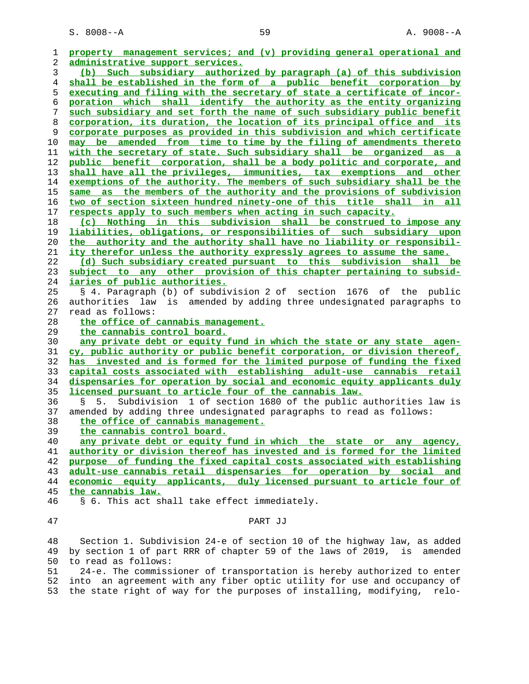| ı  | property management services; and (v) providing general operational and    |
|----|----------------------------------------------------------------------------|
| 2  | administrative support services.                                           |
| 3  | (b) Such subsidiary authorized by paragraph (a) of this subdivision        |
| 4  | shall be established in the form of a public benefit corporation by        |
| 5  | executing and filing with the secretary of state a certificate of incor-   |
| 6  | poration which shall identify the authority as the entity organizing       |
| 7  | such subsidiary and set forth the name of such subsidiary public benefit   |
| 8  | corporation, its duration, the location of its principal office and its    |
| 9  | corporate purposes as provided in this subdivision and which certificate   |
| 10 | may be amended from time to time by the filing of amendments thereto       |
| 11 | with the secretary of state. Such subsidiary shall be organized as a       |
| 12 | public benefit corporation, shall be a body politic and corporate, and     |
| 13 | shall have all the privileges, immunities, tax exemptions and other        |
| 14 | exemptions of the authority. The members of such subsidiary shall be the   |
|    |                                                                            |
| 15 | same as the members of the authority and the provisions of subdivision     |
| 16 | two of section sixteen hundred ninety-one of this title shall in all       |
| 17 | respects apply to such members when acting in such capacity.               |
| 18 | (c) Nothing in this subdivision shall be construed to impose any           |
| 19 | liabilities, obligations, or responsibilities of such subsidiary upon      |
| 20 | the authority and the authority shall have no liability or responsibil-    |
| 21 | ity therefor unless the authority expressly agrees to assume the same.     |
| 22 | (d) Such subsidiary created pursuant to this subdivision shall be          |
| 23 | subject to any other provision of this chapter pertaining to subsid-       |
| 24 | iaries of public authorities.                                              |
| 25 | § 4. Paragraph (b) of subdivision 2 of section 1676 of the public          |
| 26 | authorities law<br>is amended by adding three undesignated paragraphs to   |
| 27 | read as follows:                                                           |
| 28 | the office of cannabis management.                                         |
| 29 | the cannabis control board.                                                |
| 30 | any private debt or equity fund in which the state or any state agen-      |
| 31 | cy, public authority or public benefit corporation, or division thereof,   |
| 32 | has invested and is formed for the limited purpose of funding the fixed    |
| 33 | capital costs associated with establishing adult-use cannabis retail       |
| 34 | dispensaries for operation by social and economic equity applicants duly   |
| 35 | licensed pursuant to article four of the cannabis law.                     |
| 36 | Subdivision 1 of section 1680 of the public authorities law is<br>Š.<br>5. |
| 37 | amended by adding three undesignated paragraphs to read as follows:        |
| 38 | the office of cannabis management.                                         |
| 39 | the cannabis control board.                                                |
| 40 | any private debt or equity fund in which the state or any agency,          |
| 41 | authority or division thereof has invested and is formed for the limited   |
| 42 | purpose of funding the fixed capital costs associated with establishing    |
| 43 | adult-use cannabis retail dispensaries for operation by social and         |
| 44 | economic equity applicants, duly licensed pursuant to article four of      |
| 45 | the cannabis law.                                                          |
| 46 | § 6. This act shall take effect immediately.                               |
|    |                                                                            |
| 47 | PART JJ                                                                    |
|    |                                                                            |
| 48 | Section 1. Subdivision 24-e of section 10 of the highway law, as added     |
| 49 | by section 1 of part RRR of chapter 59 of the laws of 2019, is amended     |
| 50 | to read as follows:                                                        |

 51 24-e. The commissioner of transportation is hereby authorized to enter 52 into an agreement with any fiber optic utility for use and occupancy of 53 the state right of way for the purposes of installing, modifying, relo-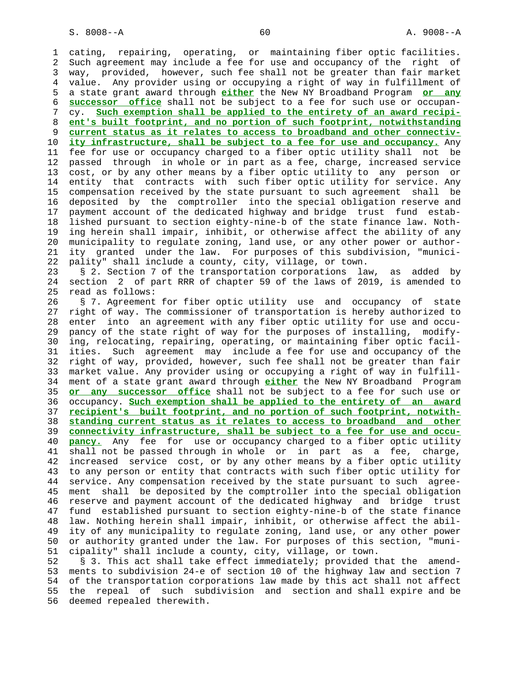1 cating, repairing, operating, or maintaining fiber optic facilities. 2 Such agreement may include a fee for use and occupancy of the right of 3 way, provided, however, such fee shall not be greater than fair market 4 value. Any provider using or occupying a right of way in fulfillment of 5 a state grant award through **either** the New NY Broadband Program **or any** 6 **successor office** shall not be subject to a fee for such use or occupan- 7 cy. **Such exemption shall be applied to the entirety of an award recipi-** 8 **ent's built footprint, and no portion of such footprint, notwithstanding** 9 **current status as it relates to access to broadband and other connectiv-** 10 **ity infrastructure, shall be subject to a fee for use and occupancy.** Any 11 fee for use or occupancy charged to a fiber optic utility shall not be 12 passed through in whole or in part as a fee, charge, increased service 13 cost, or by any other means by a fiber optic utility to any person or 14 entity that contracts with such fiber optic utility for service. Any 15 compensation received by the state pursuant to such agreement shall be 16 deposited by the comptroller into the special obligation reserve and 17 payment account of the dedicated highway and bridge trust fund estab- 18 lished pursuant to section eighty-nine-b of the state finance law. Noth- 19 ing herein shall impair, inhibit, or otherwise affect the ability of any 20 municipality to regulate zoning, land use, or any other power or author- 21 ity granted under the law. For purposes of this subdivision, "munici- 22 pality" shall include a county, city, village, or town. 23 § 2. Section 7 of the transportation corporations law, as added by 24 section 2 of part RRR of chapter 59 of the laws of 2019, is amended to 25 read as follows: 26 § 7. Agreement for fiber optic utility use and occupancy of state 27 right of way. The commissioner of transportation is hereby authorized to 28 enter into an agreement with any fiber optic utility for use and occu- 29 pancy of the state right of way for the purposes of installing, modify- 30 ing, relocating, repairing, operating, or maintaining fiber optic facil- 31 ities. Such agreement may include a fee for use and occupancy of the 32 right of way, provided, however, such fee shall not be greater than fair 33 market value. Any provider using or occupying a right of way in fulfill- 34 ment of a state grant award through **either** the New NY Broadband Program 35 **or any successor office** shall not be subject to a fee for such use or 36 occupancy. **Such exemption shall be applied to the entirety of an award** 37 **recipient's built footprint, and no portion of such footprint, notwith-** 38 **standing current status as it relates to access to broadband and other** 39 **connectivity infrastructure, shall be subject to a fee for use and occu-** 40 **pancy.** Any fee for use or occupancy charged to a fiber optic utility 41 shall not be passed through in whole or in part as a fee, charge, 42 increased service cost, or by any other means by a fiber optic utility 43 to any person or entity that contracts with such fiber optic utility for 44 service. Any compensation received by the state pursuant to such agree- 45 ment shall be deposited by the comptroller into the special obligation 46 reserve and payment account of the dedicated highway and bridge trust 47 fund established pursuant to section eighty-nine-b of the state finance 48 law. Nothing herein shall impair, inhibit, or otherwise affect the abil- 49 ity of any municipality to regulate zoning, land use, or any other power 50 or authority granted under the law. For purposes of this section, "muni- 51 cipality" shall include a county, city, village, or town.

 52 § 3. This act shall take effect immediately; provided that the amend- 53 ments to subdivision 24-e of section 10 of the highway law and section 7 54 of the transportation corporations law made by this act shall not affect 55 the repeal of such subdivision and section and shall expire and be 56 deemed repealed therewith.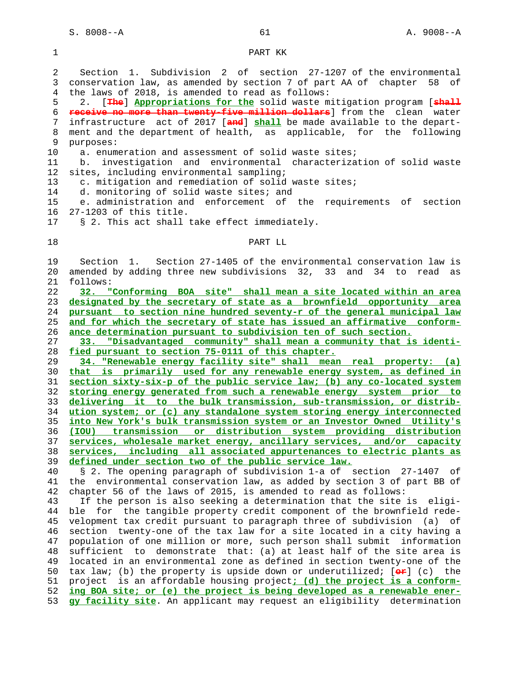1 PART KK

 2 Section 1. Subdivision 2 of section 27-1207 of the environmental 3 conservation law, as amended by section 7 of part AA of chapter 58 of 4 the laws of 2018, is amended to read as follows: 5 2. [**The**] **Appropriations for the** solid waste mitigation program [**shall** 6 **receive no more than twenty-five million dollars**] from the clean water 7 infrastructure act of 2017 [**and**] **shall** be made available to the depart- 8 ment and the department of health, as applicable, for the following 9 purposes: 10 a. enumeration and assessment of solid waste sites; 11 b. investigation and environmental characterization of solid waste 12 sites, including environmental sampling; 13 c. mitigation and remediation of solid waste sites; 14 d. monitoring of solid waste sites; and 15 e. administration and enforcement of the requirements of section 16 27-1203 of this title. 17 § 2. This act shall take effect immediately. 18 PART LL 19 Section 1. Section 27-1405 of the environmental conservation law is 20 amended by adding three new subdivisions 32, 33 and 34 to read as 21 follows: 22 **32. "Conforming BOA site" shall mean a site located within an area** 23 **designated by the secretary of state as a brownfield opportunity area** 24 **pursuant to section nine hundred seventy-r of the general municipal law** 25 **and for which the secretary of state has issued an affirmative conform-** 26 **ance determination pursuant to subdivision ten of such section.** 27 **33. "Disadvantaged community" shall mean a community that is identi-** 28 **fied pursuant to section 75-0111 of this chapter.** 29 **34. "Renewable energy facility site" shall mean real property: (a)** 30 **that is primarily used for any renewable energy system, as defined in** 31 **section sixty-six-p of the public service law; (b) any co-located system** 32 **storing energy generated from such a renewable energy system prior to** 33 **delivering it to the bulk transmission, sub-transmission, or distrib-** 34 **ution system; or (c) any standalone system storing energy interconnected** 35 **into New York's bulk transmission system or an Investor Owned Utility's** 36 **(IOU) transmission or distribution system providing distribution** 37 **services, wholesale market energy, ancillary services, and/or capacity** 38 **services, including all associated appurtenances to electric plants as** 39 **defined under section two of the public service law.** 40 § 2. The opening paragraph of subdivision 1-a of section 27-1407 of 41 the environmental conservation law, as added by section 3 of part BB of 42 chapter 56 of the laws of 2015, is amended to read as follows: 43 If the person is also seeking a determination that the site is eligi- 44 ble for the tangible property credit component of the brownfield rede- 45 velopment tax credit pursuant to paragraph three of subdivision (a) of 46 section twenty-one of the tax law for a site located in a city having a 47 population of one million or more, such person shall submit information 48 sufficient to demonstrate that: (a) at least half of the site area is 49 located in an environmental zone as defined in section twenty-one of the 50 tax law; (b) the property is upside down or underutilized; [**or**] (c) the 51 project is an affordable housing project**; (d) the project is a conform-** 52 **ing BOA site; or (e) the project is being developed as a renewable ener-** 53 **gy facility site**. An applicant may request an eligibility determination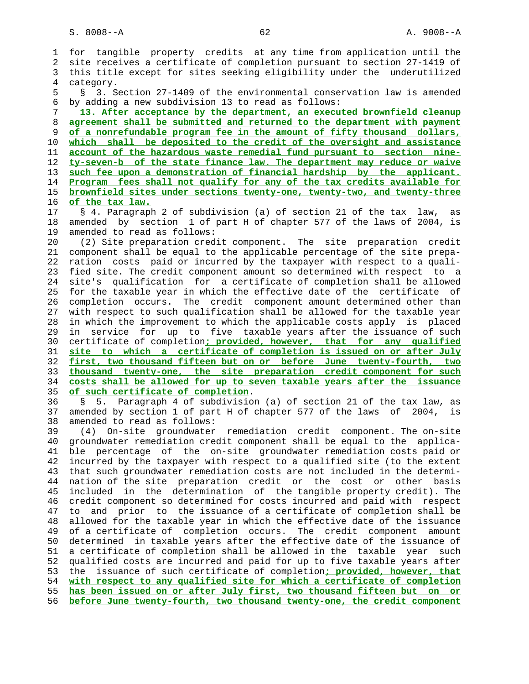1 for tangible property credits at any time from application until the 2 site receives a certificate of completion pursuant to section 27-1419 of 3 this title except for sites seeking eligibility under the underutilized 4 category. 5 § 3. Section 27-1409 of the environmental conservation law is amended 6 by adding a new subdivision 13 to read as follows: 7 **13. After acceptance by the department, an executed brownfield cleanup** 8 **agreement shall be submitted and returned to the department with payment** 9 **of a nonrefundable program fee in the amount of fifty thousand dollars,** 10 **which shall be deposited to the credit of the oversight and assistance** 11 **account of the hazardous waste remedial fund pursuant to section nine-** 12 **ty-seven-b of the state finance law. The department may reduce or waive** 13 **such fee upon a demonstration of financial hardship by the applicant.** 14 **Program fees shall not qualify for any of the tax credits available for** 15 **brownfield sites under sections twenty-one, twenty-two, and twenty-three** 16 **of the tax law.** 17 § 4. Paragraph 2 of subdivision (a) of section 21 of the tax law, as 18 amended by section 1 of part H of chapter 577 of the laws of 2004, is 19 amended to read as follows: 20 (2) Site preparation credit component. The site preparation credit 21 component shall be equal to the applicable percentage of the site prepa- 22 ration costs paid or incurred by the taxpayer with respect to a quali- 23 fied site. The credit component amount so determined with respect to a 24 site's qualification for a certificate of completion shall be allowed 25 for the taxable year in which the effective date of the certificate of 26 completion occurs. The credit component amount determined other than 27 with respect to such qualification shall be allowed for the taxable year 28 in which the improvement to which the applicable costs apply is placed 29 in service for up to five taxable years after the issuance of such 30 certificate of completion**; provided, however, that for any qualified** 31 **site to which a certificate of completion is issued on or after July** 32 **first, two thousand fifteen but on or before June twenty-fourth, two** 33 **thousand twenty-one, the site preparation credit component for such** 34 **costs shall be allowed for up to seven taxable years after the issuance** 35 **of such certificate of completion**. 36 § 5. Paragraph 4 of subdivision (a) of section 21 of the tax law, as 37 amended by section 1 of part H of chapter 577 of the laws of 2004, is 38 amended to read as follows: 39 (4) On-site groundwater remediation credit component. The on-site 40 groundwater remediation credit component shall be equal to the applica- 41 ble percentage of the on-site groundwater remediation costs paid or 42 incurred by the taxpayer with respect to a qualified site (to the extent 43 that such groundwater remediation costs are not included in the determi- 44 nation of the site preparation credit or the cost or other basis 45 included in the determination of the tangible property credit). The 46 credit component so determined for costs incurred and paid with respect 47 to and prior to the issuance of a certificate of completion shall be 48 allowed for the taxable year in which the effective date of the issuance 49 of a certificate of completion occurs. The credit component amount 50 determined in taxable years after the effective date of the issuance of 51 a certificate of completion shall be allowed in the taxable year such 52 qualified costs are incurred and paid for up to five taxable years after 53 the issuance of such certificate of completion**; provided, however, that** 54 **with respect to any qualified site for which a certificate of completion** 55 **has been issued on or after July first, two thousand fifteen but on or** 56 **before June twenty-fourth, two thousand twenty-one, the credit component**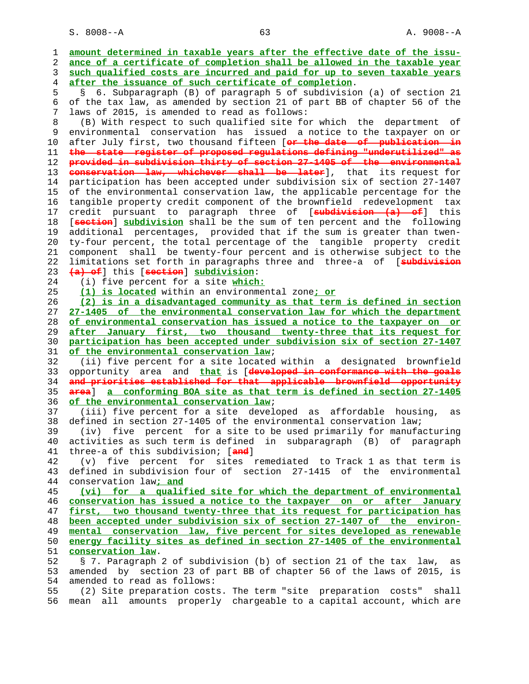S. 8008--A 63 A. 9008--A

| 1              | amount determined in taxable years after the effective date of the issu-   |
|----------------|----------------------------------------------------------------------------|
| $\overline{2}$ | ance of a certificate of completion shall be allowed in the taxable year   |
| 3              | such qualified costs are incurred and paid for up to seven taxable years   |
|                |                                                                            |
| 4              | after the issuance of such certificate of completion.                      |
| 5              | § 6. Subparagraph (B) of paragraph 5 of subdivision (a) of section 21      |
| 6              | of the tax law, as amended by section 21 of part BB of chapter 56 of the   |
| 7              | laws of 2015, is amended to read as follows:                               |
| 8              | (B) With respect to such qualified site for which the department<br>of     |
| 9              | environmental conservation has issued a notice to the taxpayer on or       |
| 10             | after July first, two thousand fifteen [or the date of publication in      |
| 11             | the state register of proposed regulations defining "underutilized" as     |
| 12             | provided in subdivision thirty of section 27-1405 of the environmental     |
| 13             | conservation law, whichever shall be later], that its request for          |
| 14             | participation has been accepted under subdivision six of section 27-1407   |
|                |                                                                            |
| 15             | of the environmental conservation law, the applicable percentage for the   |
| 16             | tangible property credit component of the brownfield redevelopment tax     |
| 17             | credit pursuant to paragraph three of [ <b>subdivision (a) of</b> ] this   |
| 18             | [section] subdivision shall be the sum of ten percent and the following    |
| 19             | additional percentages, provided that if the sum is greater than twen-     |
| 20             | ty-four percent, the total percentage of the tangible property credit      |
| 21             | component shall be twenty-four percent and is otherwise subject to the     |
| 22             | limitations set forth in paragraphs three and three-a of [subdivision      |
| 23             | (a) of this [section] subdivision:                                         |
| 24             | (i) five percent for a site which:                                         |
| 25             | (1) is located within an environmental zone; or                            |
| 26             | (2) is in a disadvantaged community as that term is defined in section     |
| 27             |                                                                            |
|                | 27-1405 of the environmental conservation law for which the department     |
| 28             | of environmental conservation has issued a notice to the taxpayer on or    |
| 29             | after January first, two thousand twenty-three that its request for        |
| 30             | participation has been accepted under subdivision six of section 27-1407   |
| 31             | of the environmental conservation law;                                     |
| 32             | (ii) five percent for a site located within a designated brownfield        |
| 33             | opportunity area and that is [developed in conformance with the goals      |
| 34             | and priorities established for that applicable brownfield opportunity      |
| 35             | area] a conforming BOA site as that term is defined in section 27-1405     |
| 36             | of the environmental conservation law;                                     |
| 37             | (iii) five percent for a site developed as affordable housing,<br>as       |
| 38             | defined in section 27-1405 of the environmental conservation law;          |
| 39             | five percent for a site to be used primarily for manufacturing<br>(iv)     |
| 40             | activities as such term is defined in subparagraph (B) of paragraph        |
| 41             | three-a of this subdivision; [and]                                         |
| 42             | (v) five percent for sites remediated to Track 1 as that term is           |
| 43             | defined in subdivision four of section 27-1415 of the environmental        |
| 44             | conservation law; and                                                      |
|                |                                                                            |
| 45             | (vi) for a qualified site for which the department of environmental        |
| 46             | conservation has issued a notice to the taxpayer on or after January       |
| 47             | first, two thousand twenty-three that its request for participation has    |
| 48             | been accepted under subdivision six of section 27-1407 of the environ-     |
| 49             | mental conservation law, five percent for sites developed as renewable     |
| 50             | energy facility sites as defined in section 27-1405 of the environmental   |
| 51             | conservation law.                                                          |
| 52             | § 7. Paragraph 2 of subdivision (b) of section 21 of the tax law,<br>as    |
| 53             | amended by section 23 of part BB of chapter 56 of the laws of 2015, is     |
| 54             | amended to read as follows:                                                |
| 55             | (2) Site preparation costs. The term "site preparation costs"<br>shall     |
| 56             | amounts properly chargeable to a capital account, which are<br>mean<br>all |
|                |                                                                            |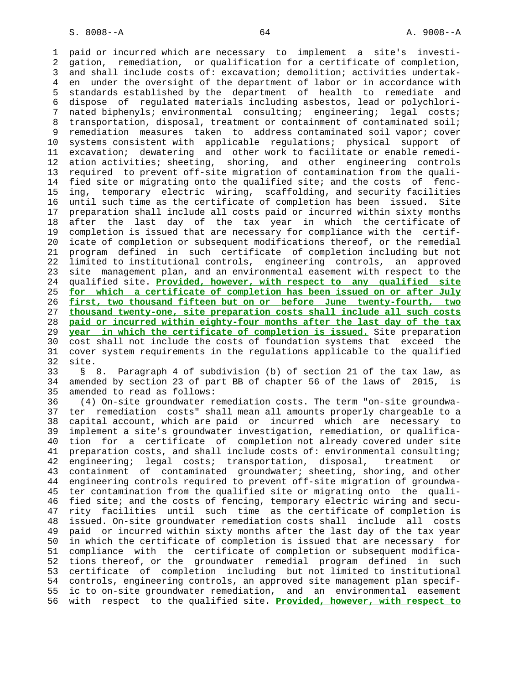1 paid or incurred which are necessary to implement a site's investi- 2 gation, remediation, or qualification for a certificate of completion, 3 and shall include costs of: excavation; demolition; activities undertak- 4 en under the oversight of the department of labor or in accordance with 5 standards established by the department of health to remediate and 6 dispose of regulated materials including asbestos, lead or polychlori- 7 nated biphenyls; environmental consulting; engineering; legal costs; 8 transportation, disposal, treatment or containment of contaminated soil; 9 remediation measures taken to address contaminated soil vapor; cover 10 systems consistent with applicable regulations; physical support of 11 excavation; dewatering and other work to facilitate or enable remedi- 12 ation activities; sheeting, shoring, and other engineering controls 13 required to prevent off-site migration of contamination from the quali- 14 fied site or migrating onto the qualified site; and the costs of fenc- 15 ing, temporary electric wiring, scaffolding, and security facilities 16 until such time as the certificate of completion has been issued. Site 17 preparation shall include all costs paid or incurred within sixty months 18 after the last day of the tax year in which the certificate of 19 completion is issued that are necessary for compliance with the certif- 20 icate of completion or subsequent modifications thereof, or the remedial 21 program defined in such certificate of completion including but not 22 limited to institutional controls, engineering controls, an approved 23 site management plan, and an environmental easement with respect to the 24 qualified site. **Provided, however, with respect to any qualified site** 25 **for which a certificate of completion has been issued on or after July** 26 **first, two thousand fifteen but on or before June twenty-fourth, two** 27 **thousand twenty-one, site preparation costs shall include all such costs** 28 **paid or incurred within eighty-four months after the last day of the tax** 29 **year in which the certificate of completion is issued.** Site preparation 30 cost shall not include the costs of foundation systems that exceed the 31 cover system requirements in the regulations applicable to the qualified 32 site.

 33 § 8. Paragraph 4 of subdivision (b) of section 21 of the tax law, as 34 amended by section 23 of part BB of chapter 56 of the laws of 2015, is 35 amended to read as follows:

 36 (4) On-site groundwater remediation costs. The term "on-site groundwa- 37 ter remediation costs" shall mean all amounts properly chargeable to a 38 capital account, which are paid or incurred which are necessary to 39 implement a site's groundwater investigation, remediation, or qualifica- 40 tion for a certificate of completion not already covered under site 41 preparation costs, and shall include costs of: environmental consulting; 42 engineering; legal costs; transportation, disposal, treatment or 43 containment of contaminated groundwater; sheeting, shoring, and other 44 engineering controls required to prevent off-site migration of groundwa- 45 ter contamination from the qualified site or migrating onto the quali- 46 fied site; and the costs of fencing, temporary electric wiring and secu- 47 rity facilities until such time as the certificate of completion is 48 issued. On-site groundwater remediation costs shall include all costs 49 paid or incurred within sixty months after the last day of the tax year 50 in which the certificate of completion is issued that are necessary for 51 compliance with the certificate of completion or subsequent modifica- 52 tions thereof, or the groundwater remedial program defined in such 53 certificate of completion including but not limited to institutional 54 controls, engineering controls, an approved site management plan specif- 55 ic to on-site groundwater remediation, and an environmental easement 56 with respect to the qualified site. **Provided, however, with respect to**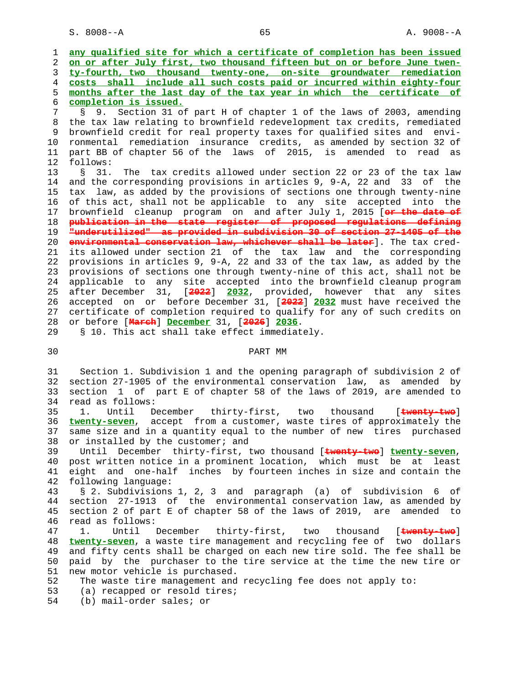S. 8008--A 65 A. 9008--A

 1 **any qualified site for which a certificate of completion has been issued** 2 **on or after July first, two thousand fifteen but on or before June twen-** 3 **ty-fourth, two thousand twenty-one, on-site groundwater remediation** 4 **costs shall include all such costs paid or incurred within eighty-four** 5 **months after the last day of the tax year in which the certificate of** 6 **completion is issued.** 7 § 9. Section 31 of part H of chapter 1 of the laws of 2003, amending 8 the tax law relating to brownfield redevelopment tax credits, remediated 9 brownfield credit for real property taxes for qualified sites and envi-<br>10 ronmental remediation insurance credits, as amended by section 32 of 10 ronmental remediation insurance credits, as amended by section 32 of 11 part BB of chapter 56 of the laws of 2015, is amended to read as 12 follows: 13 § 31. The tax credits allowed under section 22 or 23 of the tax law 14 and the corresponding provisions in articles 9, 9-A, 22 and 33 of the 15 tax law, as added by the provisions of sections one through twenty-nine 16 of this act, shall not be applicable to any site accepted into the 17 brownfield cleanup program on and after July 1, 2015 [**or the date of** 18 **publication in the state register of proposed regulations defining** 19 **"underutilized" as provided in subdivision 30 of section 27-1405 of the** 20 **environmental conservation law, whichever shall be later**]. The tax cred- 21 its allowed under section 21 of the tax law and the corresponding 22 provisions in articles 9, 9-A, 22 and 33 of the tax law, as added by the 23 provisions of sections one through twenty-nine of this act, shall not be 24 applicable to any site accepted into the brownfield cleanup program 25 after December 31, [**2022**] **2032**, provided, however that any sites 26 accepted on or before December 31, [**2022**] **2032** must have received the 27 certificate of completion required to qualify for any of such credits on 28 or before [**March**] **December** 31, [**2026**] **2036**. 29 § 10. This act shall take effect immediately. 30 PART MM 31 Section 1. Subdivision 1 and the opening paragraph of subdivision 2 of 32 section 27-1905 of the environmental conservation law, as amended by

 33 section 1 of part E of chapter 58 of the laws of 2019, are amended to 34 read as follows: 35 1. Until December thirty-first, two thousand [**twenty-two**] 36 **twenty-seven**, accept from a customer, waste tires of approximately the 37 same size and in a quantity equal to the number of new tires purchased

38 or installed by the customer; and 39 Until December thirty-first, two thousand [**twenty-two**] **twenty-seven**, 40 post written notice in a prominent location, which must be at least 41 eight and one-half inches by fourteen inches in size and contain the 42 following language:

 43 § 2. Subdivisions 1, 2, 3 and paragraph (a) of subdivision 6 of 44 section 27-1913 of the environmental conservation law, as amended by<br>45 section 2 of part E of chapter 58 of the laws of 2019. are amended to section 2 of part E of chapter 58 of the laws of 2019, are amended to 46 read as follows:

 47 1. Until December thirty-first, two thousand [**twenty-two**] 48 **twenty-seven**, a waste tire management and recycling fee of two dollars 49 and fifty cents shall be charged on each new tire sold. The fee shall be 50 paid by the purchaser to the tire service at the time the new tire or 51 new motor vehicle is purchased.

- 52 The waste tire management and recycling fee does not apply to:
- 53 (a) recapped or resold tires;
- 54 (b) mail-order sales; or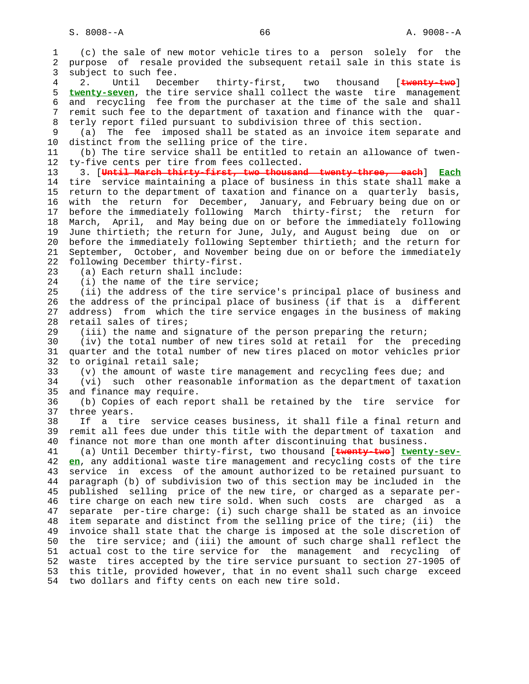1 (c) the sale of new motor vehicle tires to a person solely for the 2 purpose of resale provided the subsequent retail sale in this state is 3 subject to such fee. 4 2. Until December thirty-first, two thousand [**twenty-two**] 5 **twenty-seven**, the tire service shall collect the waste tire management 6 and recycling fee from the purchaser at the time of the sale and shall 7 remit such fee to the department of taxation and finance with the quar- 8 terly report filed pursuant to subdivision three of this section. 9 (a) The fee imposed shall be stated as an invoice item separate and 10 distinct from the selling price of the tire. 11 (b) The tire service shall be entitled to retain an allowance of twen- 12 ty-five cents per tire from fees collected. 13 3. [**Until March thirty-first, two thousand twenty-three, each**] **Each** 14 tire service maintaining a place of business in this state shall make a 15 return to the department of taxation and finance on a quarterly basis, 16 with the return for December, January, and February being due on or 17 before the immediately following March thirty-first; the return for 18 March, April, and May being due on or before the immediately following 19 June thirtieth; the return for June, July, and August being due on or 20 before the immediately following September thirtieth; and the return for 21 September, October, and November being due on or before the immediately 22 following December thirty-first. 23 (a) Each return shall include: 24 (i) the name of the tire service; 25 (ii) the address of the tire service's principal place of business and 26 the address of the principal place of business (if that is a different 27 address) from which the tire service engages in the business of making 28 retail sales of tires; 29 (iii) the name and signature of the person preparing the return; 30 (iv) the total number of new tires sold at retail for the preceding 31 quarter and the total number of new tires placed on motor vehicles prior 32 to original retail sale; 33 (v) the amount of waste tire management and recycling fees due; and 34 (vi) such other reasonable information as the department of taxation 35 and finance may require. 36 (b) Copies of each report shall be retained by the tire service for 37 three years. 38 If a tire service ceases business, it shall file a final return and 39 remit all fees due under this title with the department of taxation and 40 finance not more than one month after discontinuing that business. 41 (a) Until December thirty-first, two thousand [**twenty-two**] **twenty-sev-** 42 **en**, any additional waste tire management and recycling costs of the tire 43 service in excess of the amount authorized to be retained pursuant to 44 paragraph (b) of subdivision two of this section may be included in the 45 published selling price of the new tire, or charged as a separate per- 46 tire charge on each new tire sold. When such costs are charged as a 47 separate per-tire charge: (i) such charge shall be stated as an invoice 48 item separate and distinct from the selling price of the tire; (ii) the 49 invoice shall state that the charge is imposed at the sole discretion of 50 the tire service; and (iii) the amount of such charge shall reflect the 51 actual cost to the tire service for the management and recycling of 52 waste tires accepted by the tire service pursuant to section 27-1905 of 53 this title, provided however, that in no event shall such charge exceed 54 two dollars and fifty cents on each new tire sold.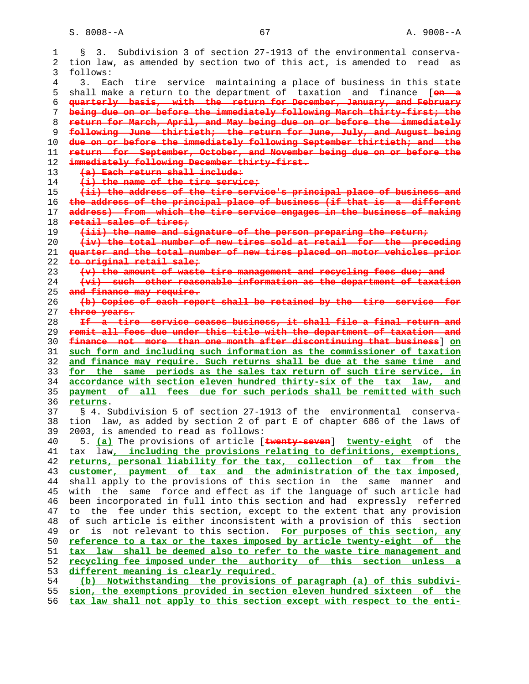$S. 8008--A$  67  $A. 9008--A$ 

| S.       | Subdivision 3 of section 27-1913 of the environmental conserva-<br>3.                                                                              |
|----------|----------------------------------------------------------------------------------------------------------------------------------------------------|
|          | tion law, as amended by section two of this act, is amended to<br>read<br>as                                                                       |
| follows: |                                                                                                                                                    |
| 3.       | Each tire service maintaining a place of business in this state                                                                                    |
|          | shall make a return to the department of taxation and finance [on a                                                                                |
|          | quarterly basis, with the return for December, January, and February                                                                               |
|          | being due on or before the immediately following March thirty-first, the                                                                           |
|          | return for March, April, and May being due on or before the immediately                                                                            |
|          | following June thirtieth, the return for June, July, and August being                                                                              |
|          | due on or before the immediately following September thirtieth, and the                                                                            |
|          | return for September, October, and November being due on or before the                                                                             |
|          | immediately following December thirty-first.                                                                                                       |
|          | (a) Each return shall include:<br>$(i)$ the name of the tire service;                                                                              |
|          | (ii) the address of the tire service's principal place of business and                                                                             |
|          | the address of the principal place of business (if that is a different                                                                             |
|          | address) from which the tire service engages in the business of making                                                                             |
|          | retail sales of tires,                                                                                                                             |
|          | (iii) the name and signature of the person preparing the return,                                                                                   |
|          | (iv) the total number of new tires sold at retail for the preceding                                                                                |
|          | quarter and the total number of new tires placed on motor vehicles prior                                                                           |
|          | to original retail sale,                                                                                                                           |
|          | (v) the amount of waste tire management and recycling fees due, and                                                                                |
|          | (vi) such other reasonable information as the department of taxation                                                                               |
|          | and finance may require.                                                                                                                           |
|          | (b) Copies of each report shall be retained by the tire service for                                                                                |
|          | three years.                                                                                                                                       |
|          | If a tire service ceases business, it shall file a final return and<br>remit all fees due under this title with the department of taxation and     |
|          | finance not more than one month after discontinuing that business 3 on                                                                             |
|          | such form and including such information as the commissioner of taxation                                                                           |
|          | and finance may require. Such returns shall be due at the same time and                                                                            |
|          | for the same periods as the sales tax return of such tire service, in                                                                              |
|          | accordance with section eleven hundred thirty-six of the tax law, and                                                                              |
|          | payment of all fees due for such periods shall be remitted with such                                                                               |
|          |                                                                                                                                                    |
|          | returns.                                                                                                                                           |
|          | § 4. Subdivision 5 of section 27-1913 of the<br>environmental<br>conserva-                                                                         |
|          | tion law, as added by section 2 of part E of chapter 686 of the laws of                                                                            |
|          | 2003, is amended to read as follows:                                                                                                               |
|          | 5. (a) The provisions of article [twenty-seven] twenty-eight of the                                                                                |
| tax      | law, including the provisions relating to definitions, exemptions,                                                                                 |
|          | returns, personal liability for the tax, collection of tax from the                                                                                |
|          | customer, payment of tax and the administration of the tax imposed,                                                                                |
|          | shall apply to the provisions of this section in the same<br>and<br>manner                                                                         |
| with     | same force and effect as if the language of such article had<br>the                                                                                |
|          | been incorporated in full into this section and had expressly referred                                                                             |
|          | to the fee under this section, except to the extent that any provision                                                                             |
|          | of such article is either inconsistent with a provision of this<br>section                                                                         |
| or       | not relevant to this section. For purposes of this section, any<br>is                                                                              |
|          | reference to a tax or the taxes imposed by article twenty-eight of the                                                                             |
|          | tax law shall be deemed also to refer to the waste tire management and                                                                             |
|          | recycling fee imposed under the authority of this section unless a                                                                                 |
|          | different meaning is clearly required.                                                                                                             |
|          | Notwithstanding the provisions of paragraph (a) of this subdivi-<br>(b)                                                                            |
|          | sion, the exemptions provided in section eleven hundred sixteen of the<br>tax law shall not apply to this section except with respect to the enti- |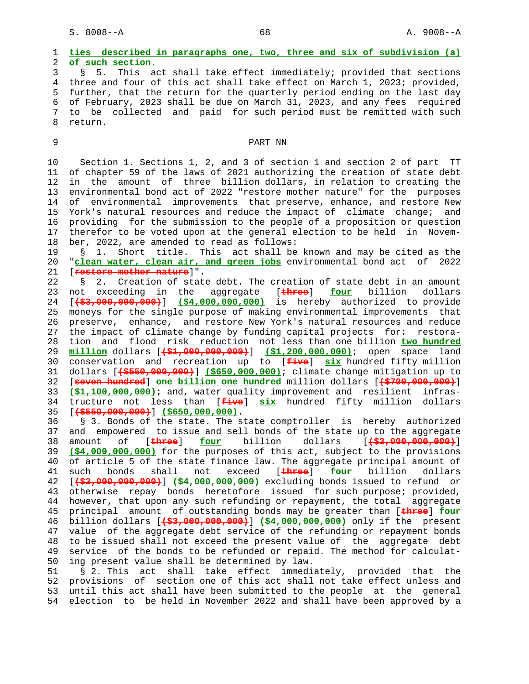# 1 **ties described in paragraphs one, two, three and six of subdivision (a)** 2 **of such section.** 3 § 5. This act shall take effect immediately; provided that sections 4 three and four of this act shall take effect on March 1, 2023; provided, 5 further, that the return for the quarterly period ending on the last day 6 of February, 2023 shall be due on March 31, 2023, and any fees required 7 to be collected and paid for such period must be remitted with such 8 return. 9 PART NN 10 Section 1. Sections 1, 2, and 3 of section 1 and section 2 of part TT 11 of chapter 59 of the laws of 2021 authorizing the creation of state debt 12 in the amount of three billion dollars, in relation to creating the 13 environmental bond act of 2022 "restore mother nature" for the purposes 14 of environmental improvements that preserve, enhance, and restore New 15 York's natural resources and reduce the impact of climate change; and 16 providing for the submission to the people of a proposition or question 17 therefor to be voted upon at the general election to be held in Novem- 18 ber, 2022, are amended to read as follows: 19 § 1. Short title. This act shall be known and may be cited as the 20 "**clean water, clean air, and green jobs** environmental bond act of 2022 21 [**restore mother nature**]". 22 § 2. Creation of state debt. The creation of state debt in an amount 23 not exceeding in the aggregate [**three**] **four** billion dollars 24 [**(\$3,000,000,000)**] **(\$4,000,000,000)** is hereby authorized to provide 25 moneys for the single purpose of making environmental improvements that 26 preserve, enhance, and restore New York's natural resources and reduce 27 the impact of climate change by funding capital projects for: restora- 28 tion and flood risk reduction not less than one billion **two hundred** 29 **million** dollars [**(\$1,000,000,000)**] **(\$1,200,000,000)**; open space land 30 conservation and recreation up to [**five**] **six** hundred fifty million 31 dollars [**(\$550,000,000)**] **(\$650,000,000)**; climate change mitigation up to 32 [**seven hundred**] **one billion one hundred** million dollars [**(\$700,000,000)**] 33 **(\$1,100,000,000)**; and, water quality improvement and resilient infras- 34 tructure not less than [**five**] **six** hundred fifty million dollars 35 [**(\$550,000,000)**] **(\$650,000,000)**. 36 § 3. Bonds of the state. The state comptroller is hereby authorized 37 and empowered to issue and sell bonds of the state up to the aggregate 38 amount of [**three**] **four** billion dollars [**(\$3,000,000,000)**] 39 **(\$4,000,000,000)** for the purposes of this act, subject to the provisions 40 of article 5 of the state finance law. The aggregate principal amount of 41 such bonds shall not exceed [**three**] **four** billion dollars 42 [**(\$3,000,000,000)**] **(\$4,000,000,000)** excluding bonds issued to refund or 43 otherwise repay bonds heretofore issued for such purpose; provided, 44 however, that upon any such refunding or repayment, the total aggregate 45 principal amount of outstanding bonds may be greater than [**three**] **four** 46 billion dollars [**(\$3,000,000,000)**] **(\$4,000,000,000)** only if the present 47 value of the aggregate debt service of the refunding or repayment bonds

 48 to be issued shall not exceed the present value of the aggregate debt 49 service of the bonds to be refunded or repaid. The method for calculat- 50 ing present value shall be determined by law.

 51 § 2. This act shall take effect immediately, provided that the 52 provisions of section one of this act shall not take effect unless and 53 until this act shall have been submitted to the people at the general 54 election to be held in November 2022 and shall have been approved by a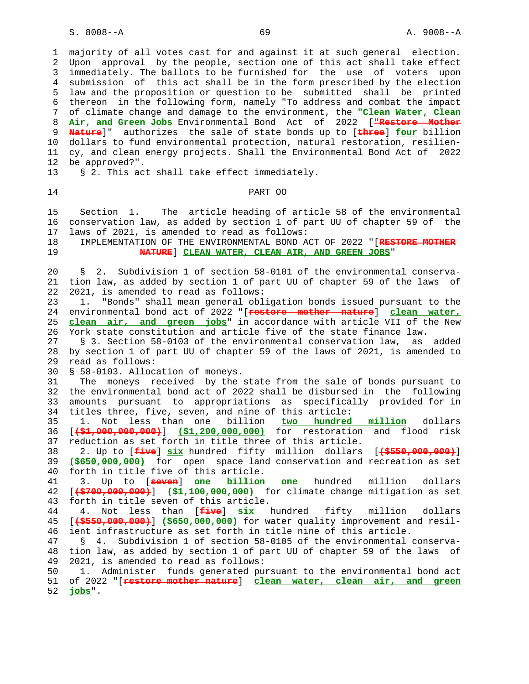1 majority of all votes cast for and against it at such general election. 2 Upon approval by the people, section one of this act shall take effect 3 immediately. The ballots to be furnished for the use of voters upon 4 submission of this act shall be in the form prescribed by the election 5 law and the proposition or question to be submitted shall be printed 6 thereon in the following form, namely "To address and combat the impact 7 of climate change and damage to the environment, the **"Clean Water, Clean** 8 **Air, and Green Jobs** Environmental Bond Act of 2022 [**"Restore Mother** 9 **Nature**]" authorizes the sale of state bonds up to [**three**] **four** billion 10 dollars to fund environmental protection, natural restoration, resilien- 11 cy, and clean energy projects. Shall the Environmental Bond Act of 2022 12 be approved?".

13 § 2. This act shall take effect immediately.

## 14 PART OO

 15 Section 1. The article heading of article 58 of the environmental 16 conservation law, as added by section 1 of part UU of chapter 59 of the 17 laws of 2021, is amended to read as follows:

 18 IMPLEMENTATION OF THE ENVIRONMENTAL BOND ACT OF 2022 "[**RESTORE MOTHER** 19 **NATURE**] **CLEAN WATER, CLEAN AIR, AND GREEN JOBS**"

 20 § 2. Subdivision 1 of section 58-0101 of the environmental conserva- 21 tion law, as added by section 1 of part UU of chapter 59 of the laws of 22 2021, is amended to read as follows:

 23 1. "Bonds" shall mean general obligation bonds issued pursuant to the 24 environmental bond act of 2022 "[**restore mother nature**] **clean water,** 25 **clean air, and green jobs**" in accordance with article VII of the New 26 York state constitution and article five of the state finance law.

 27 § 3. Section 58-0103 of the environmental conservation law, as added 28 by section 1 of part UU of chapter 59 of the laws of 2021, is amended to 29 read as follows:

30 § 58-0103. Allocation of moneys.

 31 The moneys received by the state from the sale of bonds pursuant to 32 the environmental bond act of 2022 shall be disbursed in the following 33 amounts pursuant to appropriations as specifically provided for in 34 titles three, five, seven, and nine of this article:

 35 1. Not less than one billion **two hundred million** dollars 36 [**(\$1,000,000,000)**] **(\$1,200,000,000)** for restoration and flood risk 37 reduction as set forth in title three of this article.

 38 2. Up to [**five**] **six** hundred fifty million dollars [**(\$550,000,000)**] 39 **(\$650,000,000)** for open space land conservation and recreation as set 40 forth in title five of this article.

 41 3. Up to [**seven**] **one billion one** hundred million dollars 42 [**(\$700,000,000)**] **(\$1,100,000,000)** for climate change mitigation as set 43 forth in title seven of this article.

 44 4. Not less than [**five**] **six** hundred fifty million dollars 45 [**(\$550,000,000)**] **(\$650,000,000)** for water quality improvement and resil- 46 ient infrastructure as set forth in title nine of this article.

 47 § 4. Subdivision 1 of section 58-0105 of the environmental conserva- 48 tion law, as added by section 1 of part UU of chapter 59 of the laws of 49 2021, is amended to read as follows:

 50 1. Administer funds generated pursuant to the environmental bond act 51 of 2022 "[**restore mother nature**] **clean water, clean air, and green** 52 **jobs**".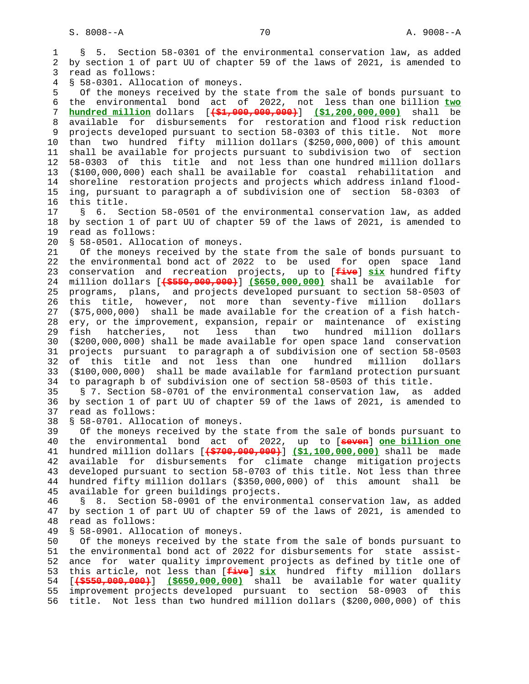1 § 5. Section 58-0301 of the environmental conservation law, as added 2 by section 1 of part UU of chapter 59 of the laws of 2021, is amended to 3 read as follows: 4 § 58-0301. Allocation of moneys. 5 Of the moneys received by the state from the sale of bonds pursuant to 6 the environmental bond act of 2022, not less than one billion **two** 7 **hundred million** dollars [**(\$1,000,000,000)**] **(\$1,200,000,000)** shall be 8 available for disbursements for restoration and flood risk reduction 9 projects developed pursuant to section 58-0303 of this title. Not more 10 than two hundred fifty million dollars (\$250,000,000) of this amount 11 shall be available for projects pursuant to subdivision two of section 12 58-0303 of this title and not less than one hundred million dollars 13 (\$100,000,000) each shall be available for coastal rehabilitation and 14 shoreline restoration projects and projects which address inland flood- 15 ing, pursuant to paragraph a of subdivision one of section 58-0303 of 16 this title. 17 § 6. Section 58-0501 of the environmental conservation law, as added 18 by section 1 of part UU of chapter 59 of the laws of 2021, is amended to 19 read as follows: 20 § 58-0501. Allocation of moneys. 21 Of the moneys received by the state from the sale of bonds pursuant to 22 the environmental bond act of 2022 to be used for open space land 23 conservation and recreation projects, up to [**five**] **six** hundred fifty 24 million dollars [**(\$550,000,000)**] **(\$650,000,000)** shall be available for 25 programs, plans, and projects developed pursuant to section 58-0503 of 26 this title, however, not more than seventy-five million dollars 27 (\$75,000,000) shall be made available for the creation of a fish hatch- 28 ery, or the improvement, expansion, repair or maintenance of existing 29 fish hatcheries, not less than two hundred million dollars 30 (\$200,000,000) shall be made available for open space land conservation 31 projects pursuant to paragraph a of subdivision one of section 58-0503 32 of this title and not less than one hundred million dollars 33 (\$100,000,000) shall be made available for farmland protection pursuant 34 to paragraph b of subdivision one of section 58-0503 of this title. 35 § 7. Section 58-0701 of the environmental conservation law, as added 36 by section 1 of part UU of chapter 59 of the laws of 2021, is amended to 37 read as follows: 38 § 58-0701. Allocation of moneys. 39 Of the moneys received by the state from the sale of bonds pursuant to 40 the environmental bond act of 2022, up to [**seven**] **one billion one** 41 hundred million dollars [**(\$700,000,000)**] **(\$1,100,000,000)** shall be made 42 available for disbursements for climate change mitigation projects 43 developed pursuant to section 58-0703 of this title. Not less than three 44 hundred fifty million dollars (\$350,000,000) of this amount shall be 45 available for green buildings projects. 46 § 8. Section 58-0901 of the environmental conservation law, as added 47 by section 1 of part UU of chapter 59 of the laws of 2021, is amended to 48 read as follows: 49 § 58-0901. Allocation of moneys. 50 Of the moneys received by the state from the sale of bonds pursuant to 51 the environmental bond act of 2022 for disbursements for state assist- 52 ance for water quality improvement projects as defined by title one of 53 this article, not less than [**five**] **six** hundred fifty million dollars 54 [**(\$550,000,000)**] **(\$650,000,000)** shall be available for water quality

 55 improvement projects developed pursuant to section 58-0903 of this 56 title. Not less than two hundred million dollars (\$200,000,000) of this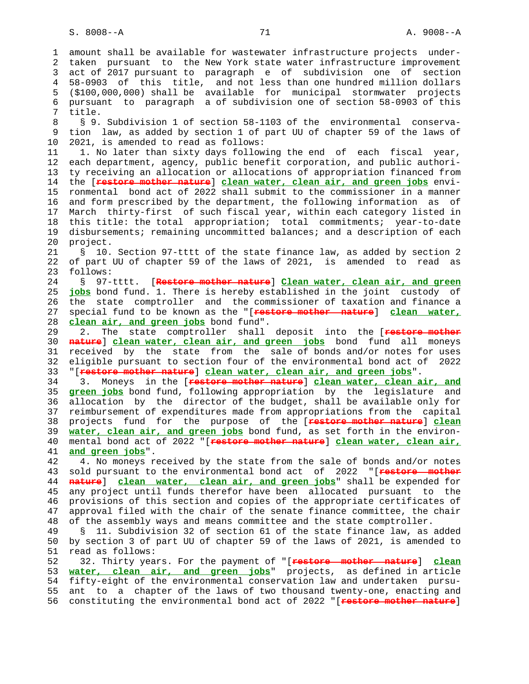1 amount shall be available for wastewater infrastructure projects under- 2 taken pursuant to the New York state water infrastructure improvement 3 act of 2017 pursuant to paragraph e of subdivision one of section 4 58-0903 of this title, and not less than one hundred million dollars 5 (\$100,000,000) shall be available for municipal stormwater projects 6 pursuant to paragraph a of subdivision one of section 58-0903 of this 7 title. 8 § 9. Subdivision 1 of section 58-1103 of the environmental conserva- 9 tion law, as added by section 1 of part UU of chapter 59 of the laws of 10 2021, is amended to read as follows: 11 1. No later than sixty days following the end of each fiscal year, 12 each department, agency, public benefit corporation, and public authori- 13 ty receiving an allocation or allocations of appropriation financed from 14 the [**restore mother nature**] **clean water, clean air, and green jobs** envi- 15 ronmental bond act of 2022 shall submit to the commissioner in a manner 16 and form prescribed by the department, the following information as of 17 March thirty-first of such fiscal year, within each category listed in 18 this title: the total appropriation; total commitments; year-to-date 19 disbursements; remaining uncommitted balances; and a description of each 20 project. 21 § 10. Section 97-tttt of the state finance law, as added by section 2 22 of part UU of chapter 59 of the laws of 2021, is amended to read as 23 follows: 24 § 97-tttt. [**Restore mother nature**] **Clean water, clean air, and green** 25 **jobs** bond fund. 1. There is hereby established in the joint custody of 26 the state comptroller and the commissioner of taxation and finance a 27 special fund to be known as the "[**restore mother nature**] **clean water,** 28 **clean air, and green jobs** bond fund". 29 2. The state comptroller shall deposit into the [**restore mother** 30 **nature**] **clean water, clean air, and green jobs** bond fund all moneys 31 received by the state from the sale of bonds and/or notes for uses 32 eligible pursuant to section four of the environmental bond act of 2022 33 "[**restore mother nature**] **clean water, clean air, and green jobs**". 34 3. Moneys in the [**restore mother nature**] **clean water, clean air, and** 35 **green jobs** bond fund, following appropriation by the legislature and 36 allocation by the director of the budget, shall be available only for 37 reimbursement of expenditures made from appropriations from the capital 38 projects fund for the purpose of the [**restore mother nature**] **clean** 39 **water, clean air, and green jobs** bond fund, as set forth in the environ- 40 mental bond act of 2022 "[**restore mother nature**] **clean water, clean air,** 41 **and green jobs**". 42 4. No moneys received by the state from the sale of bonds and/or notes 43 sold pursuant to the environmental bond act of 2022 "[**restore mother** 44 **nature**] **clean water, clean air, and green jobs**" shall be expended for 45 any project until funds therefor have been allocated pursuant to the 46 provisions of this section and copies of the appropriate certificates of<br>47 approval filed with the chair of the senate finance committee. the chair approval filed with the chair of the senate finance committee, the chair 48 of the assembly ways and means committee and the state comptroller. 49 § 11. Subdivision 32 of section 61 of the state finance law, as added 50 by section 3 of part UU of chapter 59 of the laws of 2021, is amended to 51 read as follows: 52 32. Thirty years. For the payment of "[**restore mother nature**] **clean** 53 **water, clean air, and green jobs**" projects, as defined in article 54 fifty-eight of the environmental conservation law and undertaken pursu- 55 ant to a chapter of the laws of two thousand twenty-one, enacting and 56 constituting the environmental bond act of 2022 "[**restore mother nature**]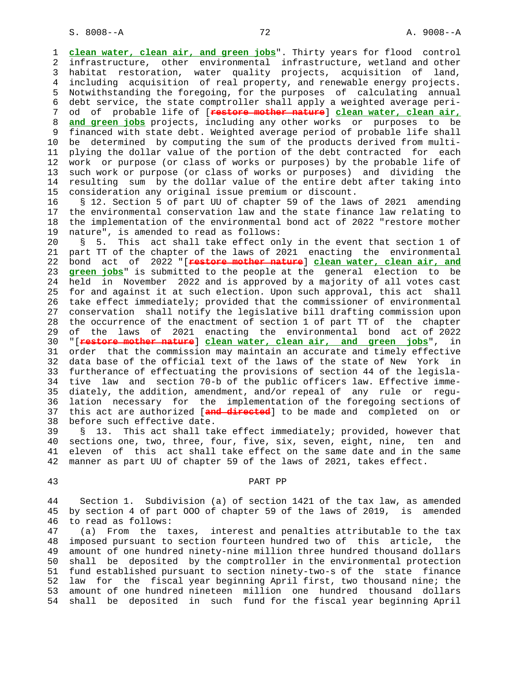1 **clean water, clean air, and green jobs**". Thirty years for flood control 2 infrastructure, other environmental infrastructure, wetland and other 3 habitat restoration, water quality projects, acquisition of land, 4 including acquisition of real property, and renewable energy projects. 5 Notwithstanding the foregoing, for the purposes of calculating annual 6 debt service, the state comptroller shall apply a weighted average peri- 7 od of probable life of [**restore mother nature**] **clean water, clean air,** 8 **and green jobs** projects, including any other works or purposes to be 9 financed with state debt. Weighted average period of probable life shall<br>10 be determined by computing the sum of the products derived from multibe determined by computing the sum of the products derived from multi- 11 plying the dollar value of the portion of the debt contracted for each 12 work or purpose (or class of works or purposes) by the probable life of 13 such work or purpose (or class of works or purposes) and dividing the 14 resulting sum by the dollar value of the entire debt after taking into 15 consideration any original issue premium or discount.

 16 § 12. Section 5 of part UU of chapter 59 of the laws of 2021 amending 17 the environmental conservation law and the state finance law relating to 18 the implementation of the environmental bond act of 2022 "restore mother 19 nature", is amended to read as follows:

 20 § 5. This act shall take effect only in the event that section 1 of 21 part TT of the chapter of the laws of 2021 enacting the environmental 22 bond act of 2022 "[**restore mother nature**] **clean water, clean air, and** 23 **green jobs**" is submitted to the people at the general election to be 24 held in November 2022 and is approved by a majority of all votes cast 25 for and against it at such election. Upon such approval, this act shall 26 take effect immediately; provided that the commissioner of environmental 27 conservation shall notify the legislative bill drafting commission upon 28 the occurrence of the enactment of section 1 of part TT of the chapter 29 of the laws of 2021 enacting the environmental bond act of 2022 30 "[**restore mother nature**] **clean water, clean air, and green jobs**", in 31 order that the commission may maintain an accurate and timely effective 32 data base of the official text of the laws of the state of New York in 33 furtherance of effectuating the provisions of section 44 of the legisla- 34 tive law and section 70-b of the public officers law. Effective imme- 35 diately, the addition, amendment, and/or repeal of any rule or regu- 36 lation necessary for the implementation of the foregoing sections of 37 this act are authorized [**and directed**] to be made and completed on or 38 before such effective date.

 39 § 13. This act shall take effect immediately; provided, however that 40 sections one, two, three, four, five, six, seven, eight, nine, ten and 41 eleven of this act shall take effect on the same date and in the same 42 manner as part UU of chapter 59 of the laws of 2021, takes effect.

### 43 PART PP

 44 Section 1. Subdivision (a) of section 1421 of the tax law, as amended 45 by section 4 of part OOO of chapter 59 of the laws of 2019, is amended 46 to read as follows:

 47 (a) From the taxes, interest and penalties attributable to the tax 48 imposed pursuant to section fourteen hundred two of this article, the 49 amount of one hundred ninety-nine million three hundred thousand dollars 50 shall be deposited by the comptroller in the environmental protection 51 fund established pursuant to section ninety-two-s of the state finance 52 law for the fiscal year beginning April first, two thousand nine; the 53 amount of one hundred nineteen million one hundred thousand dollars 54 shall be deposited in such fund for the fiscal year beginning April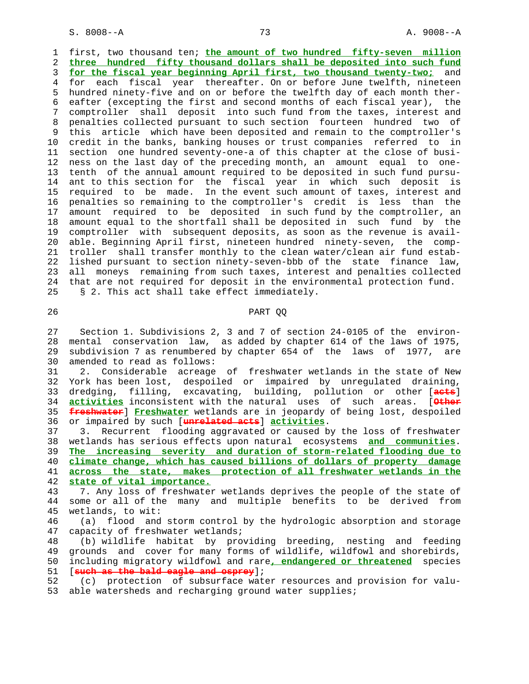1 first, two thousand ten; **the amount of two hundred fifty-seven million** 2 **three hundred fifty thousand dollars shall be deposited into such fund** 3 **for the fiscal year beginning April first, two thousand twenty-two;** and 4 for each fiscal year thereafter. On or before June twelfth, nineteen 5 hundred ninety-five and on or before the twelfth day of each month ther- 6 eafter (excepting the first and second months of each fiscal year), the 7 comptroller shall deposit into such fund from the taxes, interest and 8 penalties collected pursuant to such section fourteen hundred two of 9 this article which have been deposited and remain to the comptroller's 10 credit in the banks, banking houses or trust companies referred to in 11 section one hundred seventy-one-a of this chapter at the close of busi- 12 ness on the last day of the preceding month, an amount equal to one- 13 tenth of the annual amount required to be deposited in such fund pursu- 14 ant to this section for the fiscal year in which such deposit is 15 required to be made. In the event such amount of taxes, interest and 16 penalties so remaining to the comptroller's credit is less than the 17 amount required to be deposited in such fund by the comptroller, an 18 amount equal to the shortfall shall be deposited in such fund by the 19 comptroller with subsequent deposits, as soon as the revenue is avail- 20 able. Beginning April first, nineteen hundred ninety-seven, the comp- 21 troller shall transfer monthly to the clean water/clean air fund estab- 22 lished pursuant to section ninety-seven-bbb of the state finance law, 23 all moneys remaining from such taxes, interest and penalties collected 24 that are not required for deposit in the environmental protection fund. 25 § 2. This act shall take effect immediately.

## 26 PART QQ

 27 Section 1. Subdivisions 2, 3 and 7 of section 24-0105 of the environ- 28 mental conservation law, as added by chapter 614 of the laws of 1975, 29 subdivision 7 as renumbered by chapter 654 of the laws of 1977, are 30 amended to read as follows:

 31 2. Considerable acreage of freshwater wetlands in the state of New 32 York has been lost, despoiled or impaired by unregulated draining, 33 dredging, filling, excavating, building, pollution or other [**acts**] 34 **activities** inconsistent with the natural uses of such areas. [**Other** 35 **freshwater**] **Freshwater** wetlands are in jeopardy of being lost, despoiled 36 or impaired by such [**unrelated acts**] **activities**.

 37 3. Recurrent flooding aggravated or caused by the loss of freshwater 38 wetlands has serious effects upon natural ecosystems **and communities**. **The increasing severity and duration of storm-related flooding due to climate change, which has caused billions of dollars of property damage across the state, makes protection of all freshwater wetlands in the state of vital importance.**

 43 7. Any loss of freshwater wetlands deprives the people of the state of 44 some or all of the many and multiple benefits to be derived from 45 wetlands, to wit:

 46 (a) flood and storm control by the hydrologic absorption and storage 47 capacity of freshwater wetlands;

 48 (b) wildlife habitat by providing breeding, nesting and feeding 49 grounds and cover for many forms of wildlife, wildfowl and shorebirds, 50 including migratory wildfowl and rare**, endangered or threatened** species 51 [**such as the bald eagle and osprey**];

 52 (c) protection of subsurface water resources and provision for valu- 53 able watersheds and recharging ground water supplies;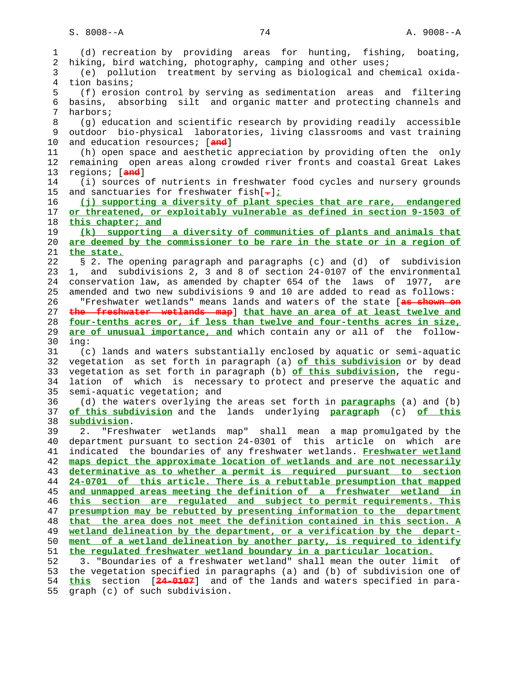1 (d) recreation by providing areas for hunting, fishing, boating, 2 hiking, bird watching, photography, camping and other uses; 3 (e) pollution treatment by serving as biological and chemical oxida- 4 tion basins; 5 (f) erosion control by serving as sedimentation areas and filtering 6 basins, absorbing silt and organic matter and protecting channels and 7 harbors; 8 (g) education and scientific research by providing readily accessible 9 outdoor bio-physical laboratories, living classrooms and vast training 10 and education resources; [**and**] 11 (h) open space and aesthetic appreciation by providing often the only 12 remaining open areas along crowded river fronts and coastal Great Lakes 13 regions; [**and**] 14 (i) sources of nutrients in freshwater food cycles and nursery grounds 15 and sanctuaries for freshwater fish[**.**]**;** 16 **(j) supporting a diversity of plant species that are rare, endangered** 17 **or threatened, or exploitably vulnerable as defined in section 9-1503 of** 18 **this chapter; and** 19 **(k) supporting a diversity of communities of plants and animals that** 20 **are deemed by the commissioner to be rare in the state or in a region of** 21 **the state.** 22 § 2. The opening paragraph and paragraphs (c) and (d) of subdivision 23 1, and subdivisions 2, 3 and 8 of section 24-0107 of the environmental 24 conservation law, as amended by chapter 654 of the laws of 1977, are 25 amended and two new subdivisions 9 and 10 are added to read as follows: 26 "Freshwater wetlands" means lands and waters of the state [**as shown on** 27 **the freshwater wetlands map**] **that have an area of at least twelve and** 28 **four-tenths acres or, if less than twelve and four-tenths acres in size,** 29 **are of unusual importance, and** which contain any or all of the follow- 30 ing: 31 (c) lands and waters substantially enclosed by aquatic or semi-aquatic 32 vegetation as set forth in paragraph (a) **of this subdivision** or by dead 33 vegetation as set forth in paragraph (b) **of this subdivision**, the regu- 34 lation of which is necessary to protect and preserve the aquatic and 35 semi-aquatic vegetation; and 36 (d) the waters overlying the areas set forth in **paragraphs** (a) and (b) 37 **of this subdivision** and the lands underlying **paragraph** (c) **of this** 38 **subdivision**. 39 2. "Freshwater wetlands map" shall mean a map promulgated by the 40 department pursuant to section 24-0301 of this article on which are 41 indicated the boundaries of any freshwater wetlands. **Freshwater wetland** 42 **maps depict the approximate location of wetlands and are not necessarily** 43 **determinative as to whether a permit is required pursuant to section** 44 **24-0701 of this article. There is a rebuttable presumption that mapped** 45 **and unmapped areas meeting the definition of a freshwater wetland in** 46 **this section are regulated and subject to permit requirements. This** 47 **presumption may be rebutted by presenting information to the department** 48 **that the area does not meet the definition contained in this section. A** 49 **wetland delineation by the department, or a verification by the depart-** 50 **ment of a wetland delineation by another party, is required to identify** 51 **the regulated freshwater wetland boundary in a particular location.** 52 3. "Boundaries of a freshwater wetland" shall mean the outer limit of 53 the vegetation specified in paragraphs (a) and (b) of subdivision one of 54 **this** section [**24-0107**] and of the lands and waters specified in para-

55 graph (c) of such subdivision.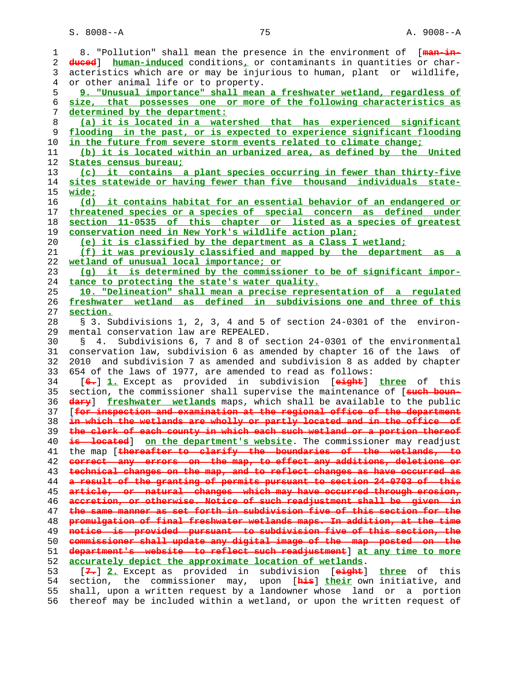S. 8008--A 75 A. 9008--A

| 1  | 8. "Pollution" shall mean the presence in the environment of [man-in-                                                                            |
|----|--------------------------------------------------------------------------------------------------------------------------------------------------|
| 2  | duced] human-induced conditions, or contaminants in quantities or char-                                                                          |
| 3  | acteristics which are or may be injurious to human, plant or wildlife,                                                                           |
| 4  | or other animal life or to property.                                                                                                             |
| 5  | 9. "Unusual importance" shall mean a freshwater wetland, regardless of                                                                           |
| 6  | size, that possesses one or more of the following characteristics as                                                                             |
|    |                                                                                                                                                  |
| 7  | determined by the department:                                                                                                                    |
| 8  | (a) it is located in a watershed that has experienced significant                                                                                |
| 9  | flooding in the past, or is expected to experience significant flooding                                                                          |
| 10 | in the future from severe storm events related to climate change;                                                                                |
| 11 | (b) it is located within an urbanized area, as defined by the United                                                                             |
| 12 | States census bureau;                                                                                                                            |
| 13 | (c) it contains a plant species occurring in fewer than thirty-five                                                                              |
| 14 | sites statewide or having fewer than five thousand individuals state-                                                                            |
| 15 | <u>wide;</u>                                                                                                                                     |
| 16 | (d) it contains habitat for an essential behavior of an endangered or                                                                            |
| 17 | threatened species or a species of special concern as defined under                                                                              |
| 18 | section 11-0535 of this chapter or listed as a species of greatest                                                                               |
| 19 | conservation need in New York's wildlife action plan;                                                                                            |
| 20 | (e) it is classified by the department as a Class I wetland;                                                                                     |
| 21 | (f) it was previously classified and mapped by the department                                                                                    |
|    | as a                                                                                                                                             |
| 22 | wetland of unusual local importance; or                                                                                                          |
| 23 | (q) it is determined by the commissioner to be of significant impor-                                                                             |
| 24 | tance to protecting the state's water quality.                                                                                                   |
| 25 | 10. "Delineation" shall mean a precise representation of a regulated                                                                             |
| 26 | freshwater wetland as defined in subdivisions one and three of this                                                                              |
| 27 | section.                                                                                                                                         |
| 28 | § 3. Subdivisions 1, 2, 3, 4 and 5 of section 24-0301 of the environ-                                                                            |
| 29 | mental conservation law are REPEALED.                                                                                                            |
| 30 | Subdivisions 6, 7 and 8 of section 24-0301 of the environmental<br>4.<br>S                                                                       |
| 31 | conservation law, subdivision 6 as amended by chapter 16 of the laws of                                                                          |
| 32 | and subdivision 7 as amended and subdivision 8 as added by chapter<br>2010                                                                       |
| 33 | 654 of the laws of 1977, are amended to read as follows:                                                                                         |
| 34 | [6.] 1. Except as provided in subdivision [eight] three of this                                                                                  |
| 35 | section, the commissioner shall supervise the maintenance of [such boun-                                                                         |
| 36 | dary] freshwater wetlands maps, which shall be available to the public                                                                           |
| 37 | [for inspection and examination at the regional office of the department                                                                         |
| 38 | in which the wetlands are wholly or partly located and in the office of                                                                          |
| 39 | the clerk of each county in which each such wetland or a portion thereof                                                                         |
| 40 | is located] on the department's website. The commissioner may readjust                                                                           |
| 41 | the map [thereafter to clarify the boundaries of the wetlands, to                                                                                |
| 42 | correct any errors on the map, to effect any additions, deletions or                                                                             |
| 43 | technical changes on the map, and to reflect changes as have occurred as                                                                         |
| 44 | a result of the granting of permits pursuant to sestion 24-0703 of this                                                                          |
|    | article, or natural changes which may have occurred through erosion,                                                                             |
| 45 | accretion, or otherwise. Notice of such readjustment shall be given in                                                                           |
| 46 | the same manner as set forth in subdivision five of this sestion for the                                                                         |
| 47 |                                                                                                                                                  |
| 48 | promulgation of final freshwater wetlands maps. In addition, at the time                                                                         |
| 49 | notice is provided pursuant to subdivision five of this section, the                                                                             |
| 50 | commissioner shall update any digital image of the map posted on the                                                                             |
| 51 | department's website to reflect such readjustment] at any time to more                                                                           |
| 52 | accurately depict the approximate location of wetlands.                                                                                          |
| 53 | [7.] 2. Except as provided in subdivision [eight] three of this                                                                                  |
|    |                                                                                                                                                  |
| 54 | section, the commissioner may, upon [ <b>his</b> ] their own initiative, and                                                                     |
| 55 | shall, upon a written request by a landowner whose land or a portion<br>thereof may be included within a wetland, or upon the written request of |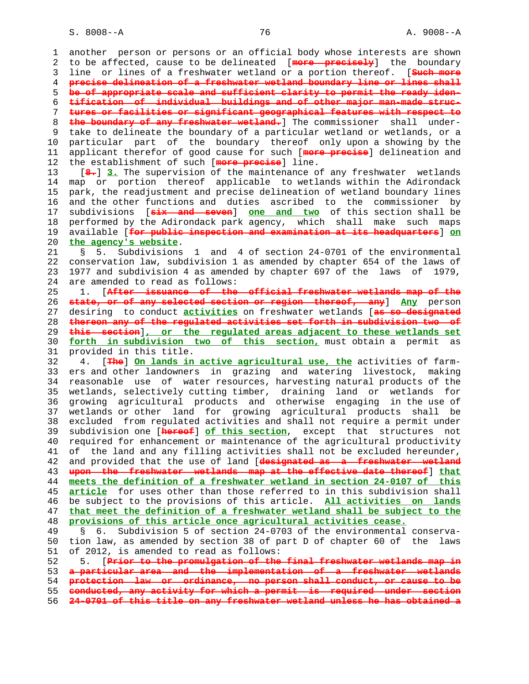S. 8008--A 2008 -- 2008 -- 2008 -- 2008 -- 2008 -- 2008 -- 2008 -- 2008 -- 2008 -- 2008 -- 2008 -- 2008 -- 20

 1 another person or persons or an official body whose interests are shown 2 to be affected, cause to be delineated [**more precisely**] the boundary 3 line or lines of a freshwater wetland or a portion thereof. [**Such more** 4 **precise delineation of a freshwater wetland boundary line or lines shall** 5 **be of appropriate scale and sufficient clarity to permit the ready iden-** 6 **tification of individual buildings and of other major man-made struc-** 7 **tures or facilities or significant geographical features with respect to** 8 **the boundary of any freshwater wetland.**] The commissioner shall under-9 take to delineate the boundary of a particular wetland or wetlands, or a<br>10 particular part of the boundary thereof only upon a showing by the particular part of the boundary thereof only upon a showing by the 11 applicant therefor of good cause for such [**more precise**] delineation and 12 the establishment of such [**more precise**] line. 13 [**8.**] **3.** The supervision of the maintenance of any freshwater wetlands 14 map or portion thereof applicable to wetlands within the Adirondack 15 park, the readjustment and precise delineation of wetland boundary lines 16 and the other functions and duties ascribed to the commissioner by 17 subdivisions [**six and seven**] **one and two** of this section shall be 18 performed by the Adirondack park agency, which shall make such maps 19 available [**for public inspection and examination at its headquarters**] **on** 20 **the agency's website**. 21 § 5. Subdivisions 1 and 4 of section 24-0701 of the environmental 22 conservation law, subdivision 1 as amended by chapter 654 of the laws of 23 1977 and subdivision 4 as amended by chapter 697 of the laws of 1979, 24 are amended to read as follows: 25 1. [**After issuance of the official freshwater wetlands map of the** 26 **state, or of any selected section or region thereof, any**] **Any** person 27 desiring to conduct **activities** on freshwater wetlands [**as so designated** 28 **thereon any of the regulated activities set forth in subdivision two of** 29 **this section**]**, or the regulated areas adjacent to these wetlands set** 30 **forth in subdivision two of this section,** must obtain a permit as 31 provided in this title. 32 4. [**The**] **On lands in active agricultural use, the** activities of farm- 33 ers and other landowners in grazing and watering livestock, making 34 reasonable use of water resources, harvesting natural products of the 35 wetlands, selectively cutting timber, draining land or wetlands for 36 growing agricultural products and otherwise engaging in the use of 37 wetlands or other land for growing agricultural products shall be 38 excluded from regulated activities and shall not require a permit under 39 subdivision one [**hereof**] **of this section**, except that structures not 40 required for enhancement or maintenance of the agricultural productivity 41 of the land and any filling activities shall not be excluded hereunder, 42 and provided that the use of land [**designated as a freshwater wetland** 43 **upon the freshwater wetlands map at the effective date thereof**] **that** 44 **meets the definition of a freshwater wetland in section 24-0107 of this** 45 **article** for uses other than those referred to in this subdivision shall 46 be subject to the provisions of this article. **All activities on lands** 47 **that meet the definition of a freshwater wetland shall be subject to the** 48 **provisions of this article once agricultural activities cease.** 49 § 6. Subdivision 5 of section 24-0703 of the environmental conserva- 50 tion law, as amended by section 38 of part D of chapter 60 of the laws 51 of 2012, is amended to read as follows: 52 5. [**Prior to the promulgation of the final freshwater wetlands map in** 53 **a particular area and the implementation of a freshwater wetlands** 54 **protection law or ordinance, no person shall conduct, or cause to be** 55 **conducted, any activity for which a permit is required under section** 56 **24-0701 of this title on any freshwater wetland unless he has obtained a**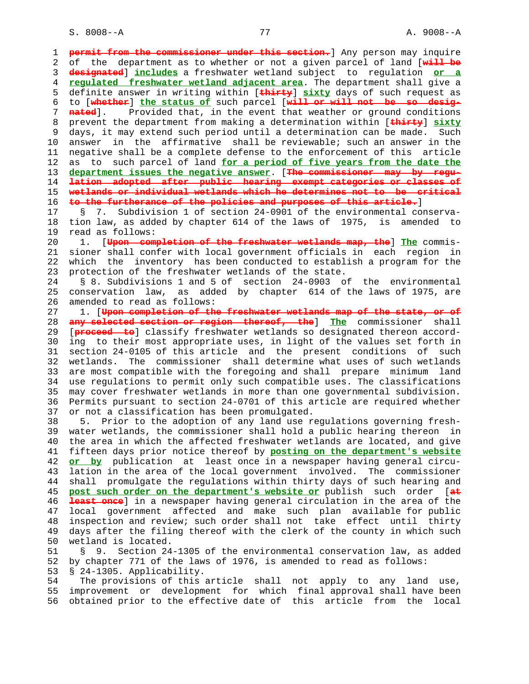| 1  | permit from the commissioner under this section. Any person may inquire             |
|----|-------------------------------------------------------------------------------------|
| 2  | of the department as to whether or not a given parcel of land [will be              |
| 3  | designated] includes a freshwater wetland subject to regulation or a                |
|    |                                                                                     |
| 4  | regulated freshwater wetland adjacent area. The department shall give a             |
| 5  | definite answer in writing within [thirty] sixty days of such request as            |
| 6  | to [whether] the status of such parcel [will or will not be so desig-               |
| 7  | Provided that, in the event that weather or ground conditions<br><del>nated</del> l |
| 8  | prevent the department from making a determination within [thirty] sixty            |
| 9  | days, it may extend such period until a determination can be made. Such             |
| 10 | in the affirmative shall be reviewable; such an answer in the<br>answer             |
| 11 | negative shall be a complete defense to the enforcement of this<br>article          |
| 12 | such parcel of land for a period of five years from the date the<br>as<br>to        |
| 13 | department issues the negative answer. [The commissioner may by regu-               |
| 14 | lation adopted after public hearing exempt categories or classes of                 |
| 15 | wetlands or individual wetlands which he determines not to be critical              |
| 16 | to the furtherance of the policies and purposes of this article.]                   |
| 17 | Subdivision 1 of section 24-0901 of the environmental conserva-<br>S<br>7.          |
|    |                                                                                     |
| 18 | tion law, as added by chapter 614 of the laws of 1975, is amended to                |
| 19 | read as follows:                                                                    |
| 20 | 1. [Upon completion of the freshwater wetlands map, the] The commis-                |
| 21 | sioner shall confer with local government officials in each region in               |
| 22 | which the inventory has been conducted to establish a program for the               |
| 23 | protection of the freshwater wetlands of the state.                                 |
| 24 | § 8. Subdivisions 1 and 5 of section 24-0903 of the environmental                   |
| 25 | conservation law, as added by chapter 614 of the laws of 1975, are                  |
| 26 | amended to read as follows:                                                         |
| 27 | 1. [Upon completion of the freshwater wetlands map of the state, or of              |
| 28 | any selected section or region thereof, the Ine commissioner<br>shall               |
| 29 | [proceed to] classify freshwater wetlands so designated thereon accord-             |
| 30 | ing to their most appropriate uses, in light of the values set forth in             |
| 31 | section 24-0105 of this article and the present conditions of such                  |
| 32 | The commissioner shall determine what uses of such wetlands<br>wetlands.            |
| 33 | are most compatible with the foregoing and shall prepare minimum<br>land            |
| 34 | use regulations to permit only such compatible uses. The classifications            |
| 35 | may cover freshwater wetlands in more than one governmental subdivision.            |
| 36 | Permits pursuant to section 24-0701 of this article are required whether            |
| 37 | or not a classification has been promulgated.                                       |
| 38 | Prior to the adoption of any land use regulations governing fresh-<br>5.            |
| 39 | water wetlands, the commissioner shall hold a public hearing thereon in             |
| 40 | the area in which the affected freshwater wetlands are located, and give            |
| 41 | fifteen days prior notice thereof by posting on the department's website            |
| 42 |                                                                                     |
|    | or by publication at least once in a newspaper having general circu-                |
| 43 | lation in the area of the local government involved. The commissioner               |
| 44 | shall promulgate the regulations within thirty days of such hearing and             |
| 45 | post such order on the department's website or publish such order [at               |
| 46 | least once] in a newspaper having general circulation in the area of the            |
| 47 | local government affected and make such plan available for public                   |
| 48 | inspection and review; such order shall not take effect until thirty                |
| 49 | days after the filing thereof with the clerk of the county in which such            |
| 50 | wetland is located.                                                                 |
| 51 | Section 24-1305 of the environmental conservation law, as added<br>Š.<br>9.         |
| 52 | by chapter 771 of the laws of 1976, is amended to read as follows:                  |
| 53 | § 24-1305. Applicability.                                                           |
| 54 | The provisions of this article shall not apply to any land use,                     |
| 55 | improvement or development for which final approval shall have been                 |
| 56 | obtained prior to the effective date of this article from the<br>local              |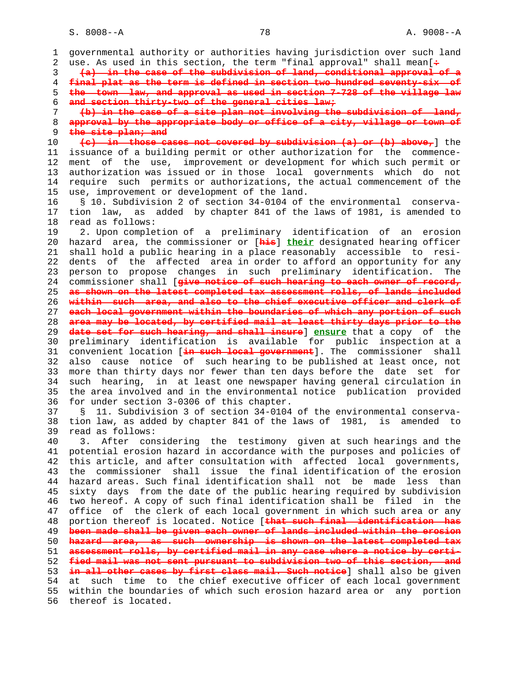S. 8008--A 78 A. 9008--A

 1 governmental authority or authorities having jurisdiction over such land 2 use. As used in this section, the term "final approval" shall mean[**:** 3 **(a) in the case of the subdivision of land, conditional approval of a** 4 **final plat as the term is defined in section two hundred seventy-six of** 5 **the town law, and approval as used in section 7-728 of the village law** 6 **and section thirty-two of the general cities law;** 7 **(b) in the case of a site plan not involving the subdivision of land,** 8 **approval by the appropriate body or office of a city, village or town of** 9 **the site plan; and**<br>0 <del>(c) in those cases</del> 10 **(c) in those cases not covered by subdivision (a) or (b) above,**] the 11 issuance of a building permit or other authorization for the commence- 12 ment of the use, improvement or development for which such permit or 13 authorization was issued or in those local governments which do not 14 require such permits or authorizations, the actual commencement of the 15 use, improvement or development of the land. 16 § 10. Subdivision 2 of section 34-0104 of the environmental conserva- 17 tion law, as added by chapter 841 of the laws of 1981, is amended to 18 read as follows: 19 2. Upon completion of a preliminary identification of an erosion 20 hazard area, the commissioner or [**his**] **their** designated hearing officer 21 shall hold a public hearing in a place reasonably accessible to resi- 22 dents of the affected area in order to afford an opportunity for any 23 person to propose changes in such preliminary identification. The 24 commissioner shall [**give notice of such hearing to each owner of record,** 25 **as shown on the latest completed tax assessment rolls, of lands included** 26 **within such area, and also to the chief executive officer and clerk of** 27 **each local government within the boundaries of which any portion of such** 28 **area may be located, by certified mail at least thirty days prior to the** 29 **date set for such hearing, and shall insure**] **ensure** that a copy of the 30 preliminary identification is available for public inspection at a 31 convenient location [**in such local government**]. The commissioner shall 32 also cause notice of such hearing to be published at least once, not 33 more than thirty days nor fewer than ten days before the date set for 34 such hearing, in at least one newspaper having general circulation in 35 the area involved and in the environmental notice publication provided 36 for under section 3-0306 of this chapter. 37 § 11. Subdivision 3 of section 34-0104 of the environmental conserva- 38 tion law, as added by chapter 841 of the laws of 1981, is amended to 39 read as follows: 40 3. After considering the testimony given at such hearings and the 41 potential erosion hazard in accordance with the purposes and policies of 42 this article, and after consultation with affected local governments, 43 the commissioner shall issue the final identification of the erosion 44 hazard areas. Such final identification shall not be made less than 45 sixty days from the date of the public hearing required by subdivision 46 two hereof. A copy of such final identification shall be filed in the 47 office of the clerk of each local government in which such area or any 48 portion thereof is located. Notice [**that such final identification has** 49 **been made shall be given each owner of lands included within the erosion** 50 **hazard area, as such ownership is shown on the latest completed tax** 51 **assessment rolls, by certified mail in any case where a notice by certi-** 52 **fied mail was not sent pursuant to subdivision two of this section, and** 53 **in all other cases by first class mail. Such notice**] shall also be given 54 at such time to the chief executive officer of each local government 55 within the boundaries of which such erosion hazard area or any portion 56 thereof is located.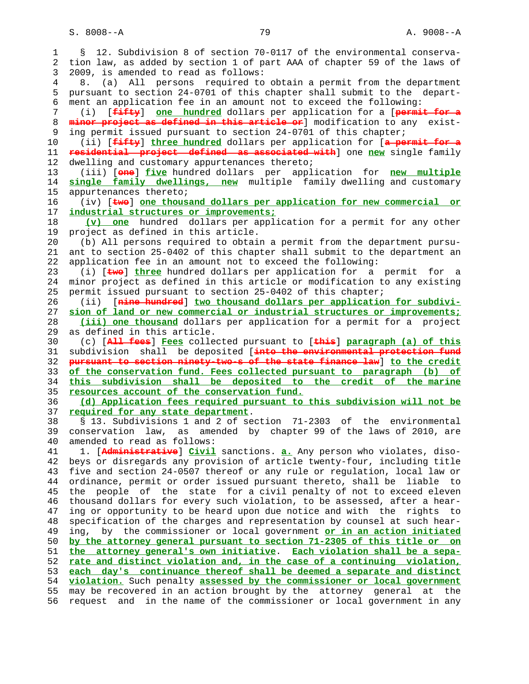S. 8008--A 79 A. 9008--A

 1 § 12. Subdivision 8 of section 70-0117 of the environmental conserva- 2 tion law, as added by section 1 of part AAA of chapter 59 of the laws of 3 2009, is amended to read as follows: 4 8. (a) All persons required to obtain a permit from the department 5 pursuant to section 24-0701 of this chapter shall submit to the depart- 6 ment an application fee in an amount not to exceed the following: 7 (i) [**fifty**] **one hundred** dollars per application for a [**permit for a** 8 **minor project as defined in this article or**] modification to any exist- 9 ing permit issued pursuant to section 24-0701 of this chapter; 10 (ii) [**fifty**] **three hundred** dollars per application for [**a permit for a** 11 **residential project defined as associated with**] one **new** single family 12 dwelling and customary appurtenances thereto; 13 (iii) [**one**] **five** hundred dollars per application for **new multiple** 14 **single family dwellings, new** multiple family dwelling and customary 15 appurtenances thereto; 16 (iv) [**two**] **one thousand dollars per application for new commercial or** 17 **industrial structures or improvements;** 18 **(v) one** hundred dollars per application for a permit for any other 19 project as defined in this article. 20 (b) All persons required to obtain a permit from the department pursu- 21 ant to section 25-0402 of this chapter shall submit to the department an 22 application fee in an amount not to exceed the following: 23 (i) [**two**] **three** hundred dollars per application for a permit for a 24 minor project as defined in this article or modification to any existing 25 permit issued pursuant to section 25-0402 of this chapter; 26 (ii) [**nine hundred**] **two thousand dollars per application for subdivi-** 27 **sion of land or new commercial or industrial structures or improvements;** 28 **(iii) one thousand** dollars per application for a permit for a project 29 as defined in this article. 30 (c) [**All fees**] **Fees** collected pursuant to [**this**] **paragraph (a) of this** 31 subdivision shall be deposited [**into the environmental protection fund** 32 **pursuant to section ninety-two-s of the state finance law**] **to the credit** 33 **of the conservation fund. Fees collected pursuant to paragraph (b) of** 34 **this subdivision shall be deposited to the credit of the marine** 35 **resources account of the conservation fund.** 36 **(d) Application fees required pursuant to this subdivision will not be** 37 **required for any state department**. 38 § 13. Subdivisions 1 and 2 of section 71-2303 of the environmental 39 conservation law, as amended by chapter 99 of the laws of 2010, are 40 amended to read as follows: 41 1. [**Administrative**] **Civil** sanctions. **a.** Any person who violates, diso- 42 beys or disregards any provision of article twenty-four, including title 43 five and section 24-0507 thereof or any rule or regulation, local law or 44 ordinance, permit or order issued pursuant thereto, shall be liable to 45 the people of the state for a civil penalty of not to exceed eleven 46 thousand dollars for every such violation, to be assessed, after a hear- 47 ing or opportunity to be heard upon due notice and with the rights to 48 specification of the charges and representation by counsel at such hear- 49 ing, by the commissioner or local government **or in an action initiated** 50 **by the attorney general pursuant to section 71-2305 of this title or on** 51 **the attorney general's own initiative**. **Each violation shall be a sepa-** 52 **rate and distinct violation and, in the case of a continuing violation,** 53 **each day's continuance thereof shall be deemed a separate and distinct** 54 **violation.** Such penalty **assessed by the commissioner or local government** 55 may be recovered in an action brought by the attorney general at the 56 request and in the name of the commissioner or local government in any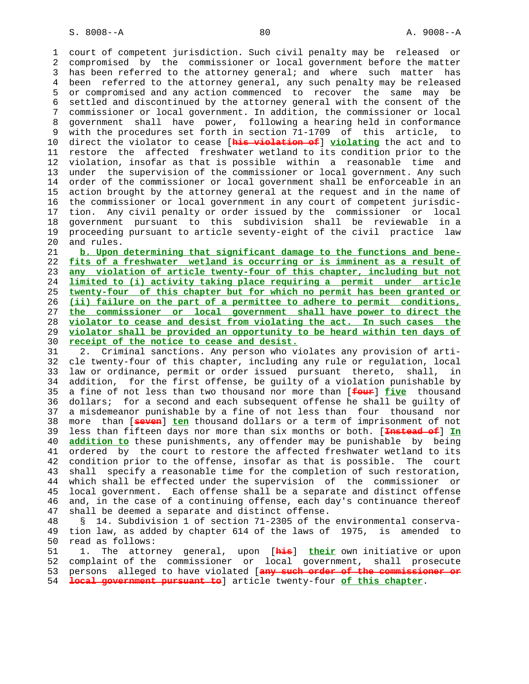1 court of competent jurisdiction. Such civil penalty may be released or 2 compromised by the commissioner or local government before the matter 3 has been referred to the attorney general; and where such matter has 4 been referred to the attorney general, any such penalty may be released 5 or compromised and any action commenced to recover the same may be 6 settled and discontinued by the attorney general with the consent of the 7 commissioner or local government. In addition, the commissioner or local 8 government shall have power, following a hearing held in conformance 9 with the procedures set forth in section 71-1709 of this article, to 10 direct the violator to cease [**his violation of**] **violating** the act and to 11 restore the affected freshwater wetland to its condition prior to the 12 violation, insofar as that is possible within a reasonable time and 13 under the supervision of the commissioner or local government. Any such 14 order of the commissioner or local government shall be enforceable in an 15 action brought by the attorney general at the request and in the name of 16 the commissioner or local government in any court of competent jurisdic- 17 tion. Any civil penalty or order issued by the commissioner or local 18 government pursuant to this subdivision shall be reviewable in a 19 proceeding pursuant to article seventy-eight of the civil practice law 20 and rules.

**b. Upon determining that significant damage to the functions and bene- fits of a freshwater wetland is occurring or is imminent as a result of any violation of article twenty-four of this chapter, including but not limited to (i) activity taking place requiring a permit under article twenty-four of this chapter but for which no permit has been granted or (ii) failure on the part of a permittee to adhere to permit conditions, the commissioner or local government shall have power to direct the violator to cease and desist from violating the act. In such cases the violator shall be provided an opportunity to be heard within ten days of receipt of the notice to cease and desist.**

 31 2. Criminal sanctions. Any person who violates any provision of arti- 32 cle twenty-four of this chapter, including any rule or regulation, local 33 law or ordinance, permit or order issued pursuant thereto, shall, in 34 addition, for the first offense, be guilty of a violation punishable by 35 a fine of not less than two thousand nor more than [**four**] **five** thousand 36 dollars; for a second and each subsequent offense he shall be guilty of 37 a misdemeanor punishable by a fine of not less than four thousand nor 38 more than [**seven**] **ten** thousand dollars or a term of imprisonment of not 39 less than fifteen days nor more than six months or both. [**Instead of**] **In** 40 **addition to** these punishments, any offender may be punishable by being 41 ordered by the court to restore the affected freshwater wetland to its 42 condition prior to the offense, insofar as that is possible. The court 43 shall specify a reasonable time for the completion of such restoration, 44 which shall be effected under the supervision of the commissioner or 45 local government. Each offense shall be a separate and distinct offense 46 and, in the case of a continuing offense, each day's continuance thereof 47 shall be deemed a separate and distinct offense.

 48 § 14. Subdivision 1 of section 71-2305 of the environmental conserva- 49 tion law, as added by chapter 614 of the laws of 1975, is amended to 50 read as follows:

 51 1. The attorney general, upon [**his**] **their** own initiative or upon 52 complaint of the commissioner or local government, shall prosecute 53 persons alleged to have violated [**any such order of the commissioner or** 54 **local government pursuant to**] article twenty-four **of this chapter**.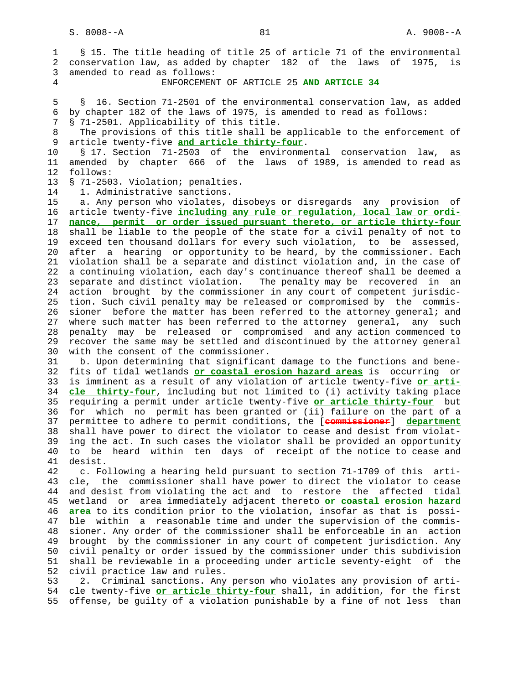1 § 15. The title heading of title 25 of article 71 of the environmental 2 conservation law, as added by chapter 182 of the laws of 1975, is 3 amended to read as follows: 4 ENFORCEMENT OF ARTICLE 25 **AND ARTICLE 34**

 5 § 16. Section 71-2501 of the environmental conservation law, as added 6 by chapter 182 of the laws of 1975, is amended to read as follows:

7 § 71-2501. Applicability of this title.

8 The provisions of this title shall be applicable to the enforcement of article twenty-five and article thirty-four. 9 article twenty-five **and article thirty-four**.

 10 § 17. Section 71-2503 of the environmental conservation law, as 11 amended by chapter 666 of the laws of 1989, is amended to read as 12 follows:

13 § 71-2503. Violation; penalties.

14 1. Administrative sanctions.

 15 a. Any person who violates, disobeys or disregards any provision of 16 article twenty-five **including any rule or regulation, local law or ordi-** 17 **nance, permit or order issued pursuant thereto, or article thirty-four** 18 shall be liable to the people of the state for a civil penalty of not to 19 exceed ten thousand dollars for every such violation, to be assessed, 20 after a hearing or opportunity to be heard, by the commissioner. Each 21 violation shall be a separate and distinct violation and, in the case of 22 a continuing violation, each day's continuance thereof shall be deemed a 23 separate and distinct violation. The penalty may be recovered in an 24 action brought by the commissioner in any court of competent jurisdic- 25 tion. Such civil penalty may be released or compromised by the commis- 26 sioner before the matter has been referred to the attorney general; and 27 where such matter has been referred to the attorney general, any such 28 penalty may be released or compromised and any action commenced to 29 recover the same may be settled and discontinued by the attorney general 30 with the consent of the commissioner.

 31 b. Upon determining that significant damage to the functions and bene- 32 fits of tidal wetlands **or coastal erosion hazard areas** is occurring or 33 is imminent as a result of any violation of article twenty-five **or arti-** 34 **cle thirty-four**, including but not limited to (i) activity taking place 35 requiring a permit under article twenty-five **or article thirty-four** but 36 for which no permit has been granted or (ii) failure on the part of a 37 permittee to adhere to permit conditions, the [**commissioner**] **department** 38 shall have power to direct the violator to cease and desist from violat- 39 ing the act. In such cases the violator shall be provided an opportunity 40 to be heard within ten days of receipt of the notice to cease and 41 desist.

 42 c. Following a hearing held pursuant to section 71-1709 of this arti- 43 cle, the commissioner shall have power to direct the violator to cease 44 and desist from violating the act and to restore the affected tidal 45 wetland or area immediately adjacent thereto **or coastal erosion hazard** 46 **area** to its condition prior to the violation, insofar as that is possi- 47 ble within a reasonable time and under the supervision of the commis- 48 sioner. Any order of the commissioner shall be enforceable in an action 49 brought by the commissioner in any court of competent jurisdiction. Any 50 civil penalty or order issued by the commissioner under this subdivision 51 shall be reviewable in a proceeding under article seventy-eight of the 52 civil practice law and rules.

 53 2. Criminal sanctions. Any person who violates any provision of arti- 54 cle twenty-five **or article thirty-four** shall, in addition, for the first 55 offense, be guilty of a violation punishable by a fine of not less than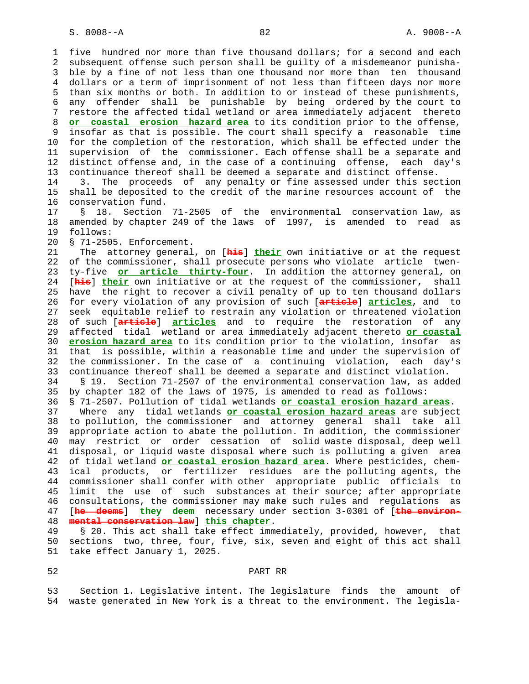1 five hundred nor more than five thousand dollars; for a second and each 2 subsequent offense such person shall be guilty of a misdemeanor punisha- 3 ble by a fine of not less than one thousand nor more than ten thousand 4 dollars or a term of imprisonment of not less than fifteen days nor more 5 than six months or both. In addition to or instead of these punishments, 6 any offender shall be punishable by being ordered by the court to 7 restore the affected tidal wetland or area immediately adjacent thereto 8 **or coastal erosion hazard area** to its condition prior to the offense, 9 insofar as that is possible. The court shall specify a reasonable time 10 for the completion of the restoration, which shall be effected under the 11 supervision of the commissioner. Each offense shall be a separate and 12 distinct offense and, in the case of a continuing offense, each day's 13 continuance thereof shall be deemed a separate and distinct offense. 14 3. The proceeds of any penalty or fine assessed under this section 15 shall be deposited to the credit of the marine resources account of the 16 conservation fund. 17 § 18. Section 71-2505 of the environmental conservation law, as 18 amended by chapter 249 of the laws of 1997, is amended to read as 19 follows: 20 § 71-2505. Enforcement. 21 The attorney general, on [**his**] **their** own initiative or at the request 22 of the commissioner, shall prosecute persons who violate article twen- 23 ty-five **or article thirty-four**. In addition the attorney general, on 24 [**his**] **their** own initiative or at the request of the commissioner, shall 25 have the right to recover a civil penalty of up to ten thousand dollars 26 for every violation of any provision of such [**article**] **articles**, and to 27 seek equitable relief to restrain any violation or threatened violation 28 of such [**article**] **articles** and to require the restoration of any 29 affected tidal wetland or area immediately adjacent thereto **or coastal** 30 **erosion hazard area** to its condition prior to the violation, insofar as 31 that is possible, within a reasonable time and under the supervision of 32 the commissioner. In the case of a continuing violation, each day's 33 continuance thereof shall be deemed a separate and distinct violation. 34 § 19. Section 71-2507 of the environmental conservation law, as added 35 by chapter 182 of the laws of 1975, is amended to read as follows: 36 § 71-2507. Pollution of tidal wetlands **or coastal erosion hazard areas**. 37 Where any tidal wetlands **or coastal erosion hazard areas** are subject 38 to pollution, the commissioner and attorney general shall take all 39 appropriate action to abate the pollution. In addition, the commissioner 40 may restrict or order cessation of solid waste disposal, deep well 41 disposal, or liquid waste disposal where such is polluting a given area 42 of tidal wetland **or coastal erosion hazard area**. Where pesticides, chem- 43 ical products, or fertilizer residues are the polluting agents, the 44 commissioner shall confer with other appropriate public officials to 45 limit the use of such substances at their source; after appropriate 46 consultations, the commissioner may make such rules and regulations as 47 [**he deems**] **they deem** necessary under section 3-0301 of [**the environ-** 48 **mental conservation law**] **this chapter**. 49 § 20. This act shall take effect immediately, provided, however, that

 50 sections two, three, four, five, six, seven and eight of this act shall 51 take effect January 1, 2025.

## 52 PART RR

 53 Section 1. Legislative intent. The legislature finds the amount of 54 waste generated in New York is a threat to the environment. The legisla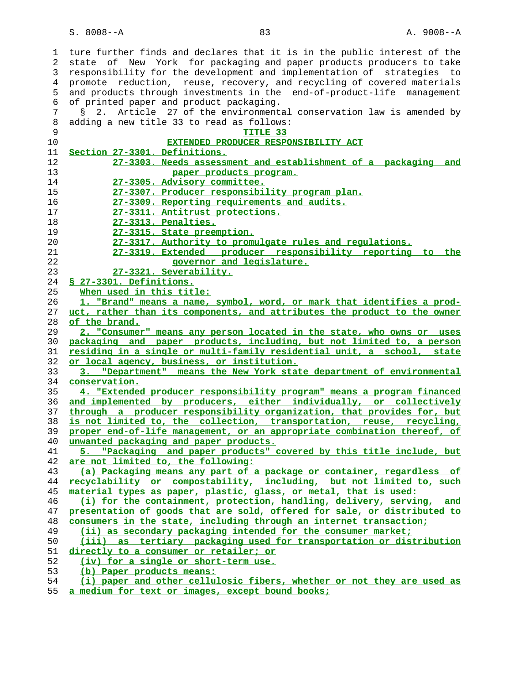S. 8008--A 83 A. 9008--A

 1 ture further finds and declares that it is in the public interest of the 2 state of New York for packaging and paper products producers to take 3 responsibility for the development and implementation of strategies to 4 promote reduction, reuse, recovery, and recycling of covered materials 5 and products through investments in the end-of-product-life management 6 of printed paper and product packaging. 7 § 2. Article 27 of the environmental conservation law is amended by 8 adding a new title 33 to read as follows: **TITLE 33 EXTENDED PRODUCER RESPONSIBILITY ACT Section 27-3301. Definitions. 27-3303. Needs assessment and establishment of a packaging and paper products program. 27-3305. Advisory committee. 27-3307. Producer responsibility program plan. 27-3309. Reporting requirements and audits. 27-3311. Antitrust protections. 27-3313. Penalties. 27-3315. State preemption. 27-3317. Authority to promulgate rules and regulations. 27-3319. Extended producer responsibility reporting to the governor and legislature. 27-3321. Severability. § 27-3301. Definitions. When used in this title: 1. "Brand" means a name, symbol, word, or mark that identifies a prod- uct, rather than its components, and attributes the product to the owner of the brand. 2. "Consumer" means any person located in the state, who owns or uses packaging and paper products, including, but not limited to, a person residing in a single or multi-family residential unit, a school, state or local agency, business, or institution. 3. "Department" means the New York state department of environmental conservation. 4. "Extended producer responsibility program" means a program financed and implemented by producers, either individually, or collectively through a producer responsibility organization, that provides for, but is not limited to, the collection, transportation, reuse, recycling, proper end-of-life management, or an appropriate combination thereof, of unwanted packaging and paper products. 5. "Packaging and paper products" covered by this title include, but are not limited to, the following: (a) Packaging means any part of a package or container, regardless of recyclability or compostability, including, but not limited to, such material types as paper, plastic, glass, or metal, that is used: (i) for the containment, protection, handling, delivery, serving, and presentation of goods that are sold, offered for sale, or distributed to consumers in the state, including through an internet transaction; (ii) as secondary packaging intended for the consumer market; (iii) as tertiary packaging used for transportation or distribution directly to a consumer or retailer; or (iv) for a single or short-term use. (b) Paper products means: (i) paper and other cellulosic fibers, whether or not they are used as a medium for text or images, except bound books;**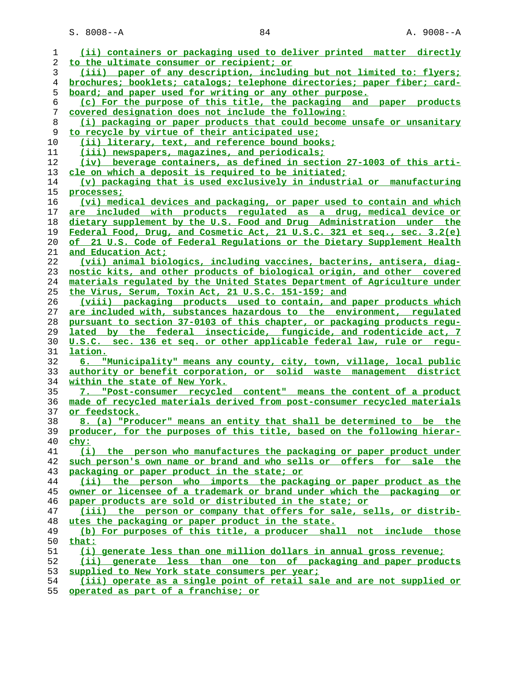| 1  | (ii) containers or packaging used to deliver printed matter directly     |
|----|--------------------------------------------------------------------------|
| 2  | to the ultimate consumer or recipient; or                                |
| 3  | (iii) paper of any description, including but not limited to: flyers;    |
| 4  | brochures; booklets; catalogs; telephone directories; paper fiber; card- |
| 5  | board; and paper used for writing or any other purpose.                  |
| 6  | (c) For the purpose of this title, the packaging and paper products      |
| 7  | covered designation does not include the following:                      |
| 8  | (i) packaging or paper products that could become unsafe or unsanitary   |
| 9  | to recycle by virtue of their anticipated use;                           |
| 10 | (ii) literary, text, and reference bound books;                          |
| 11 | (iii) newspapers, magazines, and periodicals;                            |
| 12 | (iv) beverage containers, as defined in section 27-1003 of this arti-    |
| 13 | cle on which a deposit is required to be initiated;                      |
| 14 | (v) packaging that is used exclusively in industrial or manufacturing    |
| 15 | processes;                                                               |
| 16 | (vi) medical devices and packaging, or paper used to contain and which   |
| 17 | are included with products regulated as a drug, medical device or        |
| 18 | dietary supplement by the U.S. Food and Drug Administration under the    |
| 19 | Federal Food, Drug, and Cosmetic Act, 21 U.S.C. 321 et seq., sec. 3.2(e) |
| 20 | of 21 U.S. Code of Federal Regulations or the Dietary Supplement Health  |
| 21 | and Education Act;                                                       |
| 22 | (vii) animal biologics, including vaccines, bacterins, antisera, diag-   |
| 23 | nostic kits, and other products of biological origin, and other covered  |
| 24 | materials regulated by the United States Department of Agriculture under |
| 25 | the Virus, Serum, Toxin Act, 21 U.S.C. 151-159; and                      |
| 26 | (viii) packaging products used to contain, and paper products which      |
| 27 | are included with, substances hazardous to the environment, requlated    |
| 28 | pursuant to section 37-0103 of this chapter, or packaging products requ- |
| 29 | lated by the federal insecticide, fungicide, and rodenticide act, 7      |
| 30 | U.S.C. sec. 136 et seq. or other applicable federal law, rule or requ-   |
| 31 | lation.                                                                  |
| 32 | 6. "Municipality" means any county, city, town, village, local public    |
| 33 | authority or benefit corporation, or solid waste management district     |
| 34 | within the state of New York.                                            |
| 35 | 7. "Post-consumer recycled content" means the content of a product       |
| 36 | made of recycled materials derived from post-consumer recycled materials |
| 37 | or feedstock.                                                            |
| 38 | 8. (a) "Producer" means an entity that shall be determined to be the     |
| 39 | producer, for the purposes of this title, based on the following hierar- |
| 40 | chy:                                                                     |
| 41 | (i) the person who manufactures the packaging or paper product under     |
| 42 | such person's own name or brand and who sells or offers for sale the     |
| 43 | packaging or paper product in the state; or                              |
| 44 | (ii) the person who imports the packaging or paper product as the        |
| 45 | owner or licensee of a trademark or brand under which the packaging or   |
| 46 | paper products are sold or distributed in the state; or                  |
| 47 | (iii) the person or company that offers for sale, sells, or distrib-     |
| 48 | utes the packaging or paper product in the state.                        |
| 49 | (b) For purposes of this title, a producer shall not include those       |
| 50 | that:                                                                    |
| 51 | (i) generate less than one million dollars in annual gross revenue;      |
| 52 | (ii) generate less than one ton of packaging and paper products          |
| 53 | supplied to New York state consumers per year;                           |
| 54 | (iii) operate as a single point of retail sale and are not supplied or   |

**operated as part of a franchise; or**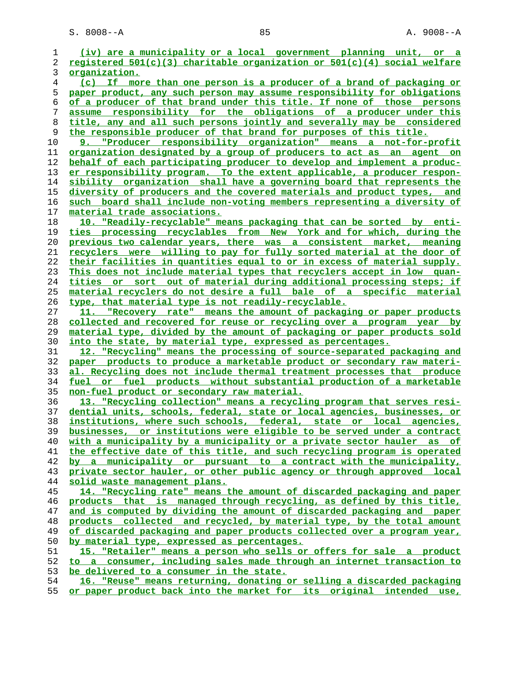| 1        | (iv) are a municipality or a local government planning unit, or a                                                                                  |
|----------|----------------------------------------------------------------------------------------------------------------------------------------------------|
| 2        | registered 501(c)(3) charitable organization or 501(c)(4) social welfare                                                                           |
| 3        | organization.                                                                                                                                      |
| 4        | (c) If more than one person is a producer of a brand of packaging or                                                                               |
| 5        | paper product, any such person may assume responsibility for obligations                                                                           |
| 6        | of a producer of that brand under this title. If none of those persons                                                                             |
| 7        | assume responsibility for the obligations of a producer under this                                                                                 |
| 8        | title, any and all such persons jointly and severally may be considered                                                                            |
| 9        | the responsible producer of that brand for purposes of this title.                                                                                 |
| 10       | 9. "Producer responsibility organization" means a not-for-profit                                                                                   |
| 11       | organization designated by a group of producers to act as an agent on                                                                              |
| 12       | behalf of each participating producer to develop and implement a produc-                                                                           |
| 13       | er responsibility program. To the extent applicable, a producer respon-                                                                            |
| 14       | sibility organization shall have a governing board that represents the                                                                             |
| 15       | diversity of producers and the covered materials and product types, and                                                                            |
| 16       | such board shall include non-voting members representing a diversity of                                                                            |
| 17       | material trade associations.                                                                                                                       |
| 18       | 10. "Readily-recyclable" means packaging that can be sorted by enti-                                                                               |
| 19       | ties processing recyclables from New York and for which, during the                                                                                |
| 20       | previous two calendar years, there was a consistent market, meaning                                                                                |
| 21       | recyclers were willing to pay for fully sorted material at the door of                                                                             |
| 22       | their facilities in quantities equal to or in excess of material supply.                                                                           |
| 23       | This does not include material types that recyclers accept in low quan-                                                                            |
| 24<br>25 | tities or sort out of material during additional processing steps; if                                                                              |
| 26       | material recyclers do not desire a full bale of a specific material<br>type, that material type is not readily-recyclable.                         |
| 27       | 11. "Recovery rate" means the amount of packaging or paper products                                                                                |
| 28       | collected and recovered for reuse or recycling over a program year by                                                                              |
| 29       | material type, divided by the amount of packaging or paper products sold                                                                           |
| 30       | into the state, by material type, expressed as percentages.                                                                                        |
| 31       | 12. "Recycling" means the processing of source-separated packaging and                                                                             |
| 32       | paper products to produce a marketable product or secondary raw materi-                                                                            |
| 33       | al. Recycling does not include thermal treatment processes that produce                                                                            |
| 34       | or fuel products without substantial production of a marketable<br>fuel                                                                            |
| 35       | non-fuel product or secondary raw material.                                                                                                        |
| 36       | 13. "Recycling collection" means a recycling program that serves resi-                                                                             |
| 37       | dential units, schools, federal, state or local agencies, businesses, or                                                                           |
| 38       | institutions, where such schools, federal, state or local agencies,                                                                                |
| 39       | businesses, or institutions were eligible to be served under a contract                                                                            |
| 40       | with a municipality by a municipality or a private sector hauler as of                                                                             |
| 41       | the effective date of this title, and such recycling program is operated                                                                           |
| 42       | by a municipality or pursuant to a contract with the municipality,                                                                                 |
| 43       | private sector hauler, or other public agency or through approved local                                                                            |
| 44       | solid waste management plans.                                                                                                                      |
| 45       | 14. "Recycling rate" means the amount of discarded packaging and paper                                                                             |
| 46       | products that is managed through recycling, as defined by this title,                                                                              |
| 47       | and is computed by dividing the amount of discarded packaging and paper                                                                            |
| 48<br>49 | products collected and recycled, by material type, by the total amount<br>of discarded packaging and paper products collected over a program year, |
| 50       | by material type, expressed as percentages.                                                                                                        |
| 51       | 15. "Retailer" means a person who sells or offers for sale a product                                                                               |
| 52       | to a consumer, including sales made through an internet transaction to                                                                             |
| 53       | be delivered to a consumer in the state.                                                                                                           |
| 54       | 16. "Reuse" means returning, donating or selling a discarded packaging                                                                             |
| 55       | or paper product back into the market for its original intended use,                                                                               |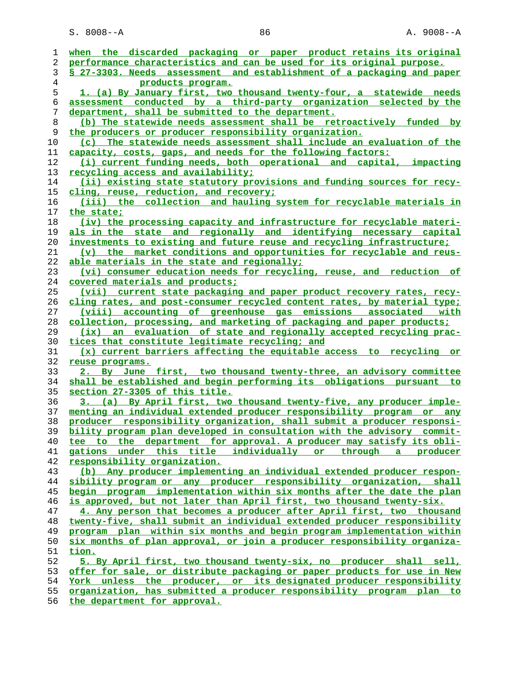| ı              | when the discarded packaging or paper product retains its original       |
|----------------|--------------------------------------------------------------------------|
| 2              | performance characteristics and can be used for its original purpose.    |
| 3              | § 27-3303. Needs assessment and establishment of a packaging and paper   |
| $\overline{4}$ | products program.                                                        |
| 5              | 1. (a) By January first, two thousand twenty-four, a statewide needs     |
| 6              | assessment conducted by a third-party organization selected by the       |
| 7              | department, shall be submitted to the department.                        |
| 8              | (b) The statewide needs assessment shall be retroactively funded by      |
| 9              | the producers or producer responsibility organization.                   |
| 10             | (c) The statewide needs assessment shall include an evaluation of the    |
| 11             | capacity, costs, gaps, and needs for the following factors:              |
| 12             | (i) current funding needs, both operational and capital, impacting       |
| 13             | recycling access and availability;                                       |
| 14             | (ii) existing state statutory provisions and funding sources for recy-   |
| 15             | cling, reuse, reduction, and recovery;                                   |
| 16             | (iii) the collection and hauling system for recyclable materials in      |
| 17             | the state;                                                               |
| 18             | (iv) the processing capacity and infrastructure for recyclable materi-   |
| 19             | als in the state and regionally and identifying necessary capital        |
| 20             | investments to existing and future reuse and recycling infrastructure;   |
| 21             | (v) the market conditions and opportunities for recyclable and reus-     |
| 22             | able materials in the state and regionally;                              |
| 23             | (vi) consumer education needs for recycling, reuse, and reduction of     |
| 24             | covered materials and products;                                          |
| 25             | (vii) current state packaging and paper product recovery rates, recy-    |
| 26             | cling rates, and post-consumer recycled content rates, by material type; |
| 27             | (viii) accounting of greenhouse gas emissions associated with            |
| 28             | collection, processing, and marketing of packaging and paper products;   |
| 29             | an evaluation of state and regionally accepted recycling prac-<br>(ix)   |
| 30             | tices that constitute legitimate recycling; and                          |
| 31             | (x) current barriers affecting the equitable access to recycling or      |
| 32             | reuse programs.                                                          |
| 33             | 2. By June first, two thousand twenty-three, an advisory committee       |
| 34             | shall be established and begin performing its obligations pursuant to    |
| 35             | section 27-3305 of this title.                                           |
| 36             | 3. (a) By April first, two thousand twenty-five, any producer imple-     |
| 37             | menting an individual extended producer responsibility program or any    |
| 38             | producer responsibility organization, shall submit a producer responsi-  |
| 39             | bility program plan developed in consultation with the advisory commit-  |
| 40             | tee to the department for approval. A producer may satisfy its obli-     |
| 41             | gations under this title individually or through a producer              |
| 42             | responsibility organization.                                             |
| 43             | (b) Any producer implementing an individual extended producer respon-    |
| 44             | sibility program or any producer responsibility organization, shall      |
| 45             | begin program implementation within six months after the date the plan   |
| 46             | is approved, but not later than April first, two thousand twenty-six.    |
| 47             | 4. Any person that becomes a producer after April first, two thousand    |
| 48             | twenty-five, shall submit an individual extended producer responsibility |
| 49             | program plan within six months and begin program implementation within   |
| 50             | six months of plan approval, or join a producer responsibility organiza- |
| 51             | tion.                                                                    |
| 52             | 5. By April first, two thousand twenty-six, no producer shall sell,      |
| 53             | offer for sale, or distribute packaging or paper products for use in New |
| 54             | York unless the producer, or its designated producer responsibility      |
| 55             | organization, has submitted a producer responsibility program plan to    |
|                |                                                                          |

**the department for approval.**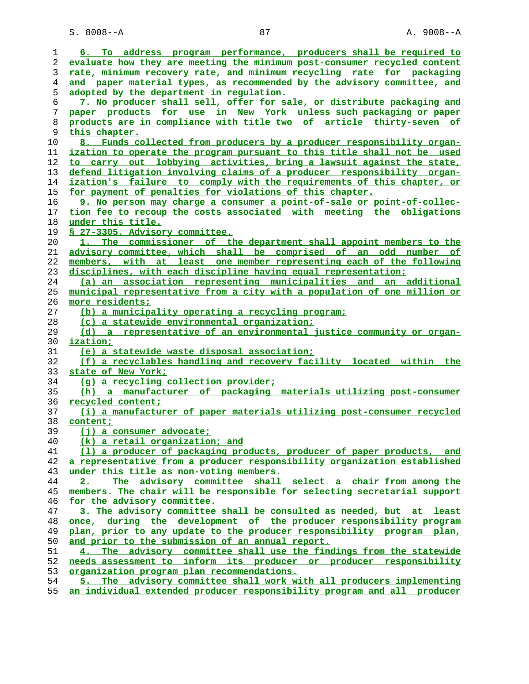S. 8008--A 87 87 A. 9008--A

| 1              | 6. To address program performance, producers shall be required to        |
|----------------|--------------------------------------------------------------------------|
| 2              | evaluate how they are meeting the minimum post-consumer recycled content |
| 3              | rate, minimum recovery rate, and minimum recycling rate for packaging    |
| $\overline{4}$ | and paper material types, as recommended by the advisory committee, and  |
| 5              | adopted by the department in regulation.                                 |
| 6              | 7. No producer shall sell, offer for sale, or distribute packaging and   |
| 7              | paper products for use in New York unless such packaging or paper        |
| 8              | products are in compliance with title two of article thirty-seven of     |
| 9              | this chapter.                                                            |
| 10             | 8. Funds collected from producers by a producer responsibility organ-    |
| 11             | ization to operate the program pursuant to this title shall not be used  |
| 12             | to carry out lobbying activities, bring a lawsuit against the state,     |
| 13             | defend litigation involving claims of a producer responsibility organ-   |
| 14             | ization's failure to comply with the requirements of this chapter, or    |
| 15             | for payment of penalties for violations of this chapter.                 |
| 16             | 9. No person may charge a consumer a point-of-sale or point-of-collec-   |
| 17             | tion fee to recoup the costs associated with meeting the obligations     |
| 18             | under this title.                                                        |
| 19             | § 27-3305. Advisory committee.                                           |
| 20             | 1. The commissioner of the department shall appoint members to the       |
|                |                                                                          |
| 21             | advisory committee, which shall be comprised of an odd number of         |
| 22             | members, with at least one member representing each of the following     |
| 23             | disciplines, with each discipline having equal representation:           |
| 24             | (a) an association representing municipalities and an additional         |
| 25             | municipal representative from a city with a population of one million or |
| 26             | more residents;                                                          |
| 27             | (b) a municipality operating a recycling program;                        |
| 28             | (c) a statewide environmental organization;                              |
| 29             | (d) a representative of an environmental justice community or organ-     |
| 30             | ization;                                                                 |
| 31             | (e) a statewide waste disposal association;                              |
| 32             | (f) a recyclables handling and recovery facility located within the      |
| 33             | state of New York;                                                       |
| 34             | (g) a recycling collection provider;                                     |
| 35             | (h) a manufacturer of packaging materials utilizing post-consumer        |
| 36             | recycled content;                                                        |
| 37             | (i) a manufacturer of paper materials utilizing post-consumer recycled   |
| 38             | content;                                                                 |
| 39             | $(i)$ a consumer advocate;                                               |
| 40             | (k) a retail organization; and                                           |
| 41             | (1) a producer of packaging products, producer of paper products, and    |
| 42             | a representative from a producer responsibility organization established |
| 43             | under this title as non-voting members.                                  |
| 44             | 2. The advisory committee shall select a chair from among the            |
| 45             | members. The chair will be responsible for selecting secretarial support |
| 46             | for the advisory committee.                                              |
| 47             | 3. The advisory committee shall be consulted as needed, but at least     |
| 48             | once, during the development of the producer responsibility program      |
| 49             | plan, prior to any update to the producer responsibility program plan,   |
| 50             | and prior to the submission of an annual report.                         |
| 51             | 4. The advisory committee shall use the findings from the statewide      |
| 52             | needs assessment to inform its producer or producer responsibility       |
| 53             | organization program plan recommendations.                               |
| 54             | 5. The advisory committee shall work with all producers implementing     |
| 55             | an individual extended producer responsibility program and all producer  |
|                |                                                                          |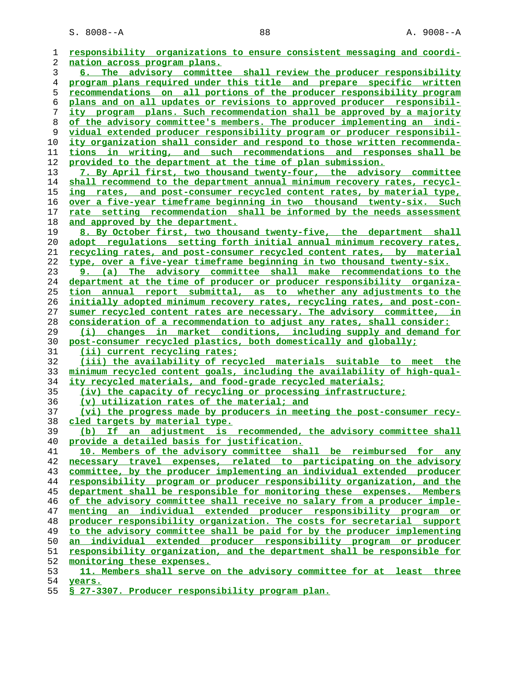| 1              | responsibility organizations to ensure consistent messaging and coordi-                                                                        |
|----------------|------------------------------------------------------------------------------------------------------------------------------------------------|
| 2              | <u>nation across program plans.</u>                                                                                                            |
| 3              | 6. The advisory committee shall review the producer responsibility                                                                             |
| $\overline{4}$ | program plans required under this title and prepare specific written                                                                           |
| 5              | recommendations on all portions of the producer responsibility program                                                                         |
| 6              | plans and on all updates or revisions to approved producer responsibil-                                                                        |
| 7              | ity program plans. Such recommendation shall be approved by a majority                                                                         |
| 8              | of the advisory committee's members. The producer implementing an indi-                                                                        |
| 9              | vidual extended producer responsibility program or producer responsibil-                                                                       |
| 10             | ity organization shall consider and respond to those written recommenda-                                                                       |
| 11             | tions in writing, and such recommendations and responses shall be                                                                              |
| 12             | provided to the department at the time of plan submission.                                                                                     |
| 13             | 7. By April first, two thousand twenty-four, the advisory committee                                                                            |
| 14             | shall recommend to the department annual minimum recovery rates, recycl-                                                                       |
| 15             | ing rates, and post-consumer recycled content rates, by material type,                                                                         |
| 16             | <u>over a five-year timeframe beginning in two thousand twenty-six. Such</u>                                                                   |
| 17             | rate setting recommendation shall be informed by the needs assessment                                                                          |
| 18             | and approved by the department.                                                                                                                |
| 19             | 8. By October first, two thousand twenty-five, the department shall                                                                            |
| 20             | adopt regulations setting forth initial annual minimum recovery rates,                                                                         |
| 21             | recycling rates, and post-consumer recycled content rates, by material                                                                         |
| 22             | type, over a five-year timeframe beginning in two thousand twenty-six.                                                                         |
| 23             | 9. (a) The advisory committee shall make recommendations to the                                                                                |
| 24             | department at the time of producer or producer responsibility organiza-                                                                        |
| 25             | tion annual report submittal, as to whether any adjustments to the                                                                             |
| 26             | initially adopted minimum recovery rates, recycling rates, and post-con-                                                                       |
| 27             | sumer recycled content rates are necessary. The advisory committee, in                                                                         |
| 28             | consideration of a recommendation to adjust any rates, shall consider:                                                                         |
| 29             | changes in market conditions, including supply and demand for<br>(i)                                                                           |
| 30             | post-consumer recycled plastics, both domestically and globally;                                                                               |
| 31             | (ii) current recycling rates;                                                                                                                  |
| 32             | (iii) the availability of recycled materials suitable to meet the                                                                              |
| 33             | minimum recycled content goals, including the availability of high-qual-                                                                       |
| 34             | ity recycled materials, and food-grade recycled materials;                                                                                     |
| 35             | (iv) the capacity of recycling or processing infrastructure;                                                                                   |
| 36             | (v) utilization rates of the material; and                                                                                                     |
| 37             | (vi) the progress made by producers in meeting the post-consumer recy-                                                                         |
| 38             | cled targets by material type.                                                                                                                 |
| 39             | (b) If an adjustment is recommended, the advisory committee shall                                                                              |
| 40             | provide a detailed basis for justification.                                                                                                    |
| 41             | 10. Members of the advisory committee shall be reimbursed for any                                                                              |
| 42             | necessary travel expenses, related to participating on the advisory                                                                            |
| 43             | committee, by the producer implementing an individual extended producer                                                                        |
| 44             | responsibility program or producer responsibility organization, and the                                                                        |
| 45             | department shall be responsible for monitoring these expenses. Members                                                                         |
| 46             | of the advisory committee shall receive no salary from a producer imple-                                                                       |
| 47             | menting an individual extended producer responsibility program or                                                                              |
| 48             | producer responsibility organization. The costs for secretarial support                                                                        |
| 49<br>50       | to the advisory committee shall be paid for by the producer implementing<br>an individual extended producer responsibility program or producer |
|                | responsibility organization, and the department shall be responsible for                                                                       |
| 51<br>52       |                                                                                                                                                |
|                | monitoring these expenses.                                                                                                                     |
| 53             | 11. Members shall serve on the advisory committee for at least three                                                                           |

**years.**

**§ 27-3307. Producer responsibility program plan.**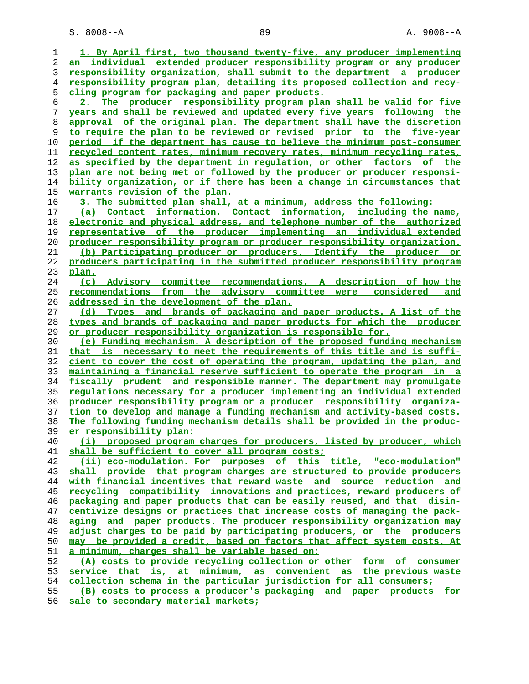S. 8008--A 89 89 A. 9008--A

|    | 1. By April first, two thousand twenty-five, any producer implementing    |
|----|---------------------------------------------------------------------------|
| 1  |                                                                           |
| 2  | an individual extended producer responsibility program or any producer    |
| 3  | responsibility organization, shall submit to the department a producer    |
| 4  | responsibility program plan, detailing its proposed collection and recy-  |
| 5  | cling program for packaging and paper products.                           |
| 6  | 2. The producer responsibility program plan shall be valid for five       |
| 7  | years and shall be reviewed and updated every five years following the    |
|    |                                                                           |
| 8  | approval of the original plan. The department shall have the discretion   |
| 9  | to require the plan to be reviewed or revised prior to the five-year      |
| 10 | period if the department has cause to believe the minimum post-consumer   |
| 11 | recycled content rates, minimum recovery rates, minimum recycling rates,  |
| 12 | as specified by the department in requlation, or other factors of the     |
| 13 | plan are not being met or followed by the producer or producer responsi-  |
| 14 | bility organization, or if there has been a change in circumstances that  |
| 15 | <u>warrants revision of the plan.</u>                                     |
|    |                                                                           |
| 16 | 3. The submitted plan shall, at a minimum, address the following:         |
| 17 | (a) Contact information. Contact information, including the name,         |
| 18 | electronic and physical address, and telephone number of the authorized   |
| 19 | representative of the producer implementing an individual extended        |
| 20 | producer responsibility program or producer responsibility organization.  |
| 21 | (b) Participating producer or producers. Identify the producer or         |
| 22 | producers participating in the submitted producer responsibility program  |
|    |                                                                           |
| 23 | <u>plan.</u>                                                              |
| 24 | Advisory committee recommendations. A description of how the<br>(c)       |
| 25 | recommendations from the advisory committee were considered<br><u>and</u> |
| 26 | addressed in the development of the plan.                                 |
| 27 | (d) Types and brands of packaging and paper products. A list of the       |
| 28 | types and brands of packaging and paper products for which the producer   |
| 29 | <u>or producer responsibility organization is responsible for.</u>        |
| 30 | (e) Funding mechanism. A description of the proposed funding mechanism    |
| 31 | that is necessary to meet the requirements of this title and is suffi-    |
|    |                                                                           |
| 32 | cient to cover the cost of operating the program, updating the plan, and  |
| 33 | maintaining a financial reserve sufficient to operate the program in a    |
| 34 | fiscally prudent and responsible manner. The department may promulgate    |
| 35 | regulations necessary for a producer implementing an individual extended  |
| 36 | producer responsibility program or a producer responsibility organiza-    |
| 37 | tion to develop and manage a funding mechanism and activity-based costs.  |
| 38 | The following funding mechanism details shall be provided in the produc-  |
| 39 | er responsibility plan:                                                   |
| 40 | (i) proposed program charges for producers, listed by producer, which     |
| 41 | shall be sufficient to cover all program costs;                           |
|    |                                                                           |
| 42 | (ii) eco-modulation. For purposes of this title, "eco-modulation"         |
| 43 | shall provide that program charges are structured to provide producers    |
| 44 | with financial incentives that reward waste and source reduction and      |
| 45 | recycling compatibility innovations and practices, reward producers of    |
| 46 | packaging and paper products that can be easily reused, and that disin-   |
| 47 | centivize designs or practices that increase costs of managing the pack-  |
| 48 | aging and paper products. The producer responsibility organization may    |
| 49 | adjust charges to be paid by participating producers, or the producers    |
| 50 | may be provided a credit, based on factors that affect system costs. At   |
|    |                                                                           |
| 51 | a minimum, charges shall be variable based on:                            |
| 52 | (A) costs to provide recycling collection or other form of consumer       |
| 53 | service that is, at minimum, as convenient as the previous waste          |
| 54 | collection schema in the particular jurisdiction for all consumers;       |
| 55 | (B) costs to process a producer's packaging and paper products for        |
| 56 | sale to secondary material markets;                                       |
|    |                                                                           |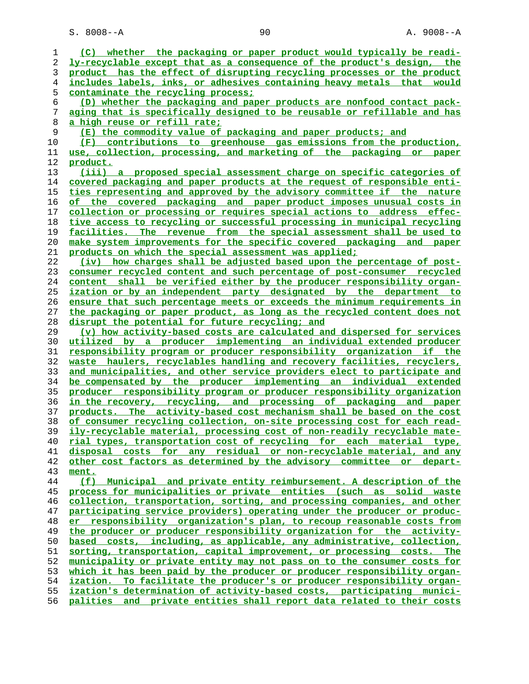S. 8008--A 90 90 A. 9008--A

| 1  | (C) whether the packaging or paper product would typically be readi-      |
|----|---------------------------------------------------------------------------|
| 2  | ly-recyclable except that as a consequence of the product's design, the   |
| 3  | product has the effect of disrupting recycling processes or the product   |
|    |                                                                           |
| 4  | includes labels, inks, or adhesives containing heavy metals that would    |
| 5  | contaminate the recycling process:                                        |
| 6  | (D) whether the packaging and paper products are nonfood contact pack-    |
| 7  | aging that is specifically designed to be reusable or refillable and has  |
| 8  | <u>a high reuse or refill rate;</u>                                       |
| 9  | (E) the commodity value of packaging and paper products; and              |
| 10 | (F) contributions to greenhouse gas emissions from the production,        |
| 11 | use, collection, processing, and marketing of the packaging or paper      |
| 12 | product.                                                                  |
| 13 | (iii) a proposed special assessment charge on specific categories of      |
| 14 | covered packaging and paper products at the request of responsible enti-  |
| 15 | ties representing and approved by the advisory committee if the nature    |
| 16 | of the covered packaging and paper product imposes unusual costs in       |
| 17 | collection or processing or requires special actions to address effec-    |
|    |                                                                           |
| 18 | tive access to recycling or successful processing in municipal recycling  |
| 19 | facilities. The revenue from the special assessment shall be used to      |
| 20 | make system improvements for the specific covered packaging and paper     |
| 21 | products on which the special assessment was applied;                     |
| 22 | (iv) how charges shall be adjusted based upon the percentage of post-     |
| 23 | consumer recycled content and such percentage of post-consumer recycled   |
| 24 | content shall be verified either by the producer responsibility organ-    |
| 25 | ization or by an independent party designated by the department to        |
| 26 | ensure that such percentage meets or exceeds the minimum requirements in  |
| 27 | the packaging or paper product, as long as the recycled content does not  |
| 28 | disrupt the potential for future recycling; and                           |
| 29 | (v) how activity-based costs are calculated and dispersed for services    |
| 30 | utilized by a producer implementing an individual extended producer       |
| 31 | responsibility program or producer responsibility organization if the     |
| 32 | waste haulers, recyclables handling and recovery facilities, recyclers,   |
| 33 | and municipalities, and other service providers elect to participate and  |
| 34 |                                                                           |
|    | be compensated by the producer implementing an individual extended        |
| 35 | producer responsibility program or producer responsibility organization   |
| 36 | in the recovery, recycling, and processing of packaging and paper         |
| 37 | products. The activity-based cost mechanism shall be based on the cost    |
| 38 | of consumer recycling collection, on-site processing cost for each read-  |
| 39 | ily-recyclable material, processing cost of non-readily recyclable mate-  |
| 40 | rial types, transportation cost of recycling for each material type,      |
| 41 | disposal costs for any residual or non-recyclable material, and any       |
| 42 | other cost factors as determined by the advisory committee or depart-     |
| 43 | ment.                                                                     |
| 44 | (f) Municipal and private entity reimbursement. A description of the      |
| 45 | process for municipalities or private entities (such as solid waste       |
| 46 | collection, transportation, sorting, and processing companies, and other  |
| 47 | participating service providers) operating under the producer or produc-  |
| 48 | er responsibility organization's plan, to recoup reasonable costs from    |
| 49 | the producer or producer responsibility organization for the activity-    |
| 50 | based costs, including, as applicable, any administrative, collection,    |
| 51 | sorting, transportation, capital improvement, or processing costs. The    |
| 52 | municipality or private entity may not pass on to the consumer costs for  |
|    |                                                                           |
| 53 | which it has been paid by the producer or producer responsibility organ-  |
| 54 | ization. To facilitate the producer's or producer responsibility organ-   |
| 55 | ization's determination of activity-based costs, participating munici-    |
| 56 | and private entities shall report data related to their costs<br>palities |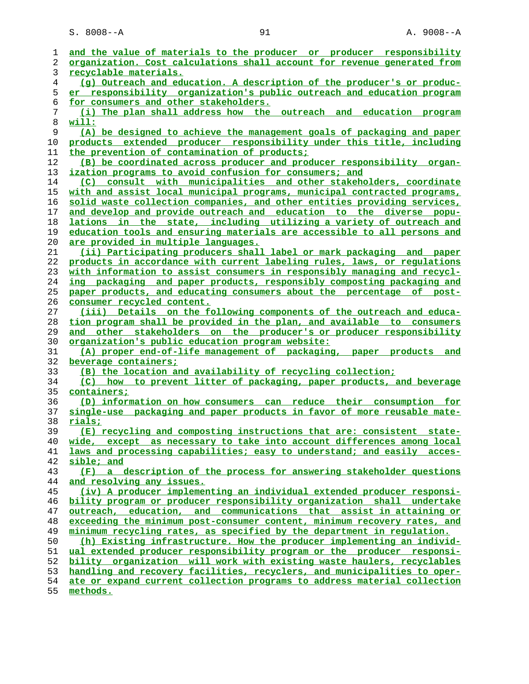S. 8008--A 91 91 A. 9008--A

| 1        | and the value of materials to the producer or producer responsibility                                                                         |
|----------|-----------------------------------------------------------------------------------------------------------------------------------------------|
| 2        | organization. Cost calculations shall account for revenue generated from                                                                      |
| 3        | recyclable materials.                                                                                                                         |
| 4        | (g) Outreach and education. A description of the producer's or produc-                                                                        |
| 5        | er responsibility organization's public outreach and education program                                                                        |
| 6        | for consumers and other stakeholders.                                                                                                         |
| 7        | (i) The plan shall address how the outreach and education program                                                                             |
| 8        | with:                                                                                                                                         |
| 9        | (A) be designed to achieve the management goals of packaging and paper                                                                        |
| 10       | products extended producer responsibility under this title, including                                                                         |
| 11       | the prevention of contamination of products;                                                                                                  |
| 12       | (B) be coordinated across producer and producer responsibility organ-                                                                         |
| 13       | ization programs to avoid confusion for consumers; and                                                                                        |
| 14       | (C) consult with municipalities and other stakeholders, coordinate                                                                            |
| 15       | with and assist local municipal programs, municipal contracted programs,                                                                      |
| 16       | solid waste collection companies, and other entities providing services,                                                                      |
| 17       | and develop and provide outreach and education to the diverse popu-                                                                           |
| 18       | lations in the state, including utilizing a variety of outreach and                                                                           |
| 19       | education tools and ensuring materials are accessible to all persons and                                                                      |
| 20       | <u>are provided in multiple languages.</u>                                                                                                    |
| 21       | (ii) Participating producers shall label or mark packaging and paper                                                                          |
| 22       | products in accordance with current labeling rules, laws, or requlations                                                                      |
| 23       | with information to assist consumers in responsibly managing and recycl-                                                                      |
| 24       | ing packaging and paper products, responsibly composting packaging and                                                                        |
| 25       | paper products, and educating consumers about the percentage of post-                                                                         |
| 26       | consumer recycled content.                                                                                                                    |
| 27       | (iii) Details on the following components of the outreach and educa-                                                                          |
| 28<br>29 | tion program shall be provided in the plan, and available to consumers<br>and other stakeholders on the producer's or producer responsibility |
| 30       | <u>organization's public education program website:</u>                                                                                       |
| 31       | (A) proper end-of-life management of packaging, paper products<br>and                                                                         |
| 32       | beverage containers;                                                                                                                          |
| 33       | (B) the location and availability of recycling collection;                                                                                    |
| 34       | (C) how to prevent litter of packaging, paper products, and beverage                                                                          |
| 35       | <u>containers;</u>                                                                                                                            |
| 36       | (D) information on how consumers can reduce their consumption for                                                                             |
| 37       | single-use packaging and paper products in favor of more reusable mate-                                                                       |
| 38       | rials;                                                                                                                                        |
| 39       | (E) recycling and composting instructions that are: consistent state-                                                                         |
| 40       | wide, except as necessary to take into account differences among local                                                                        |
| 41       | laws and processing capabilities; easy to understand; and easily acces-                                                                       |
| 42       | sible; and                                                                                                                                    |
| 43       | (F) a description of the process for answering stakeholder questions                                                                          |
| 44       | and resolving any issues.                                                                                                                     |
| 45       | (iv) A producer implementing an individual extended producer responsi-                                                                        |
| 46       | bility program or producer responsibility organization shall undertake                                                                        |
| 47       | outreach, education, and communications that assist in attaining or                                                                           |
| 48       | exceeding the minimum post-consumer content, minimum recovery rates, and                                                                      |
| 49       | minimum recycling rates, as specified by the department in regulation.                                                                        |
| 50       | (h) Existing infrastructure. How the producer implementing an individ-                                                                        |
| 51       | ual extended producer responsibility program or the producer responsi-                                                                        |
| 52       | bility organization will work with existing waste haulers, recyclables                                                                        |
| 53       | handling and recovery facilities, recyclers, and municipalities to oper-                                                                      |
| 54       | ate or expand current collection programs to address material collection                                                                      |
| 55       | methods.                                                                                                                                      |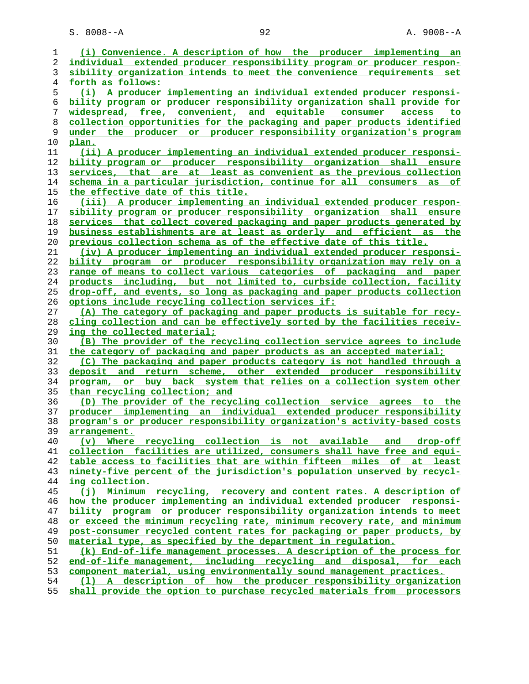S. 8008--A 92 A. 9008--A

| 1  | (i) Convenience. A description of how the producer implementing an       |
|----|--------------------------------------------------------------------------|
| 2  | individual extended producer responsibility program or producer respon-  |
| 3  | sibility organization intends to meet the convenience requirements set   |
| 4  | <u>forth as follows:</u>                                                 |
| 5  | (i) A producer implementing an individual extended producer responsi-    |
| 6  | bility program or producer responsibility organization shall provide for |
| 7  | widespread, free, convenient, and equitable consumer<br>access<br>to:    |
| 8  | collection opportunities for the packaging and paper products identified |
| 9  | the producer or producer responsibility organization's program<br>under  |
| 10 | <u>plan.</u>                                                             |
| 11 | (ii) A producer implementing an individual extended producer responsi-   |
| 12 | bility program or producer responsibility organization shall ensure      |
| 13 | services, that are at least as convenient as the previous collection     |
| 14 | schema in a particular jurisdiction, continue for all consumers as of    |
| 15 | the effective date of this title.                                        |
| 16 | (iii) A producer implementing an individual extended producer respon-    |
| 17 | sibility program or producer responsibility organization shall ensure    |
| 18 | services that collect covered packaging and paper products generated by  |
| 19 | business establishments are at least as orderly and efficient as the     |
| 20 | previous collection schema as of the effective date of this title.       |
| 21 | (iv) A producer implementing an individual extended producer responsi-   |
| 22 | bility program or producer responsibility organization may rely on a     |
| 23 | range of means to collect various categories of packaging and paper      |
| 24 | products including, but not limited to, curbside collection, facility    |
| 25 | drop-off, and events, so long as packaging and paper products collection |
| 26 | options include recycling collection services if:                        |
| 27 | (A) The category of packaging and paper products is suitable for recy-   |
| 28 | cling collection and can be effectively sorted by the facilities receiv- |
| 29 | <u>ing the collected material;</u>                                       |
| 30 | (B) The provider of the recycling collection service agrees to include   |
| 31 | the category of packaging and paper products as an accepted material;    |
| 32 | (C) The packaging and paper products category is not handled through a   |
| 33 | deposit and return scheme, other extended producer responsibility        |
| 34 | program, or buy back system that relies on a collection system other     |
| 35 | than recycling collection; and                                           |
| 36 | (D) The provider of the recycling collection service agrees to the       |
| 37 | producer implementing an individual extended producer responsibility     |
| 38 | program's or producer responsibility organization's activity-based costs |
| 39 | arrangement.                                                             |
| 40 | (v) Where recycling collection is not available and drop-off             |
| 41 | collection facilities are utilized, consumers shall have free and equi-  |
| 42 | table access to facilities that are within fifteen miles of at least     |
| 43 | ninety-five percent of the jurisdiction's population unserved by recycl- |
| 44 | ing collection.                                                          |
| 45 | (j) Minimum recycling, recovery and content rates. A description of      |
| 46 | how the producer implementing an individual extended producer responsi-  |
| 47 | bility program or producer responsibility organization intends to meet   |
| 48 | or exceed the minimum recycling rate, minimum recovery rate, and minimum |
| 49 | post-consumer recycled content rates for packaging or paper products, by |
| 50 | material type, as specified by the department in requlation.             |
| 51 | (k) End-of-life management processes. A description of the process for   |
| 52 | end-of-life management, including recycling and disposal, for each       |
| 53 | component material, using environmentally sound management practices.    |
| 54 | (1) A description of how the producer responsibility organization        |
| 55 | shall provide the option to purchase recycled materials from processors  |
|    |                                                                          |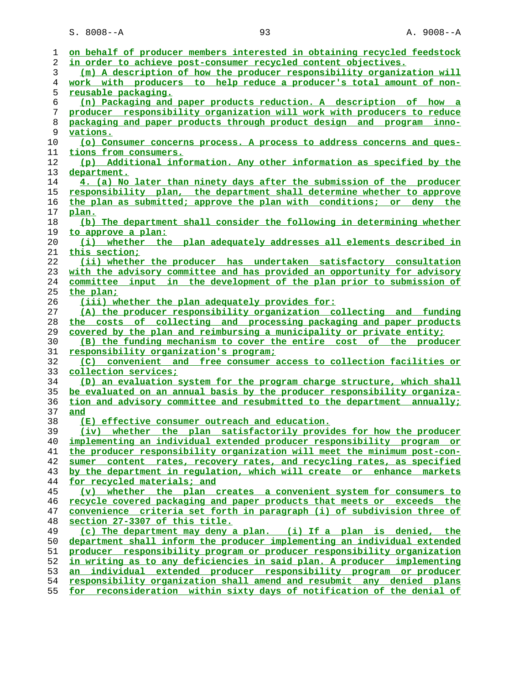| ı  | on behalf of producer members interested in obtaining recycled feedstock |
|----|--------------------------------------------------------------------------|
| 2  | in order to achieve post-consumer recycled content objectives.           |
| 3  | (m) A description of how the producer responsibility organization will   |
| 4  | work with producers to help reduce a producer's total amount of non-     |
| 5  | <u>reusable packaging.</u>                                               |
| 6  | (n) Packaging and paper products reduction. A description of how a       |
| 7  | producer responsibility organization will work with producers to reduce  |
| 8  | packaging and paper products through product design and program inno-    |
| 9  | vations.                                                                 |
| 10 | (o) Consumer concerns process. A process to address concerns and ques-   |
| 11 | tions from consumers.                                                    |
| 12 | (p) Additional information. Any other information as specified by the    |
| 13 | department.                                                              |
| 14 | 4. (a) No later than ninety days after the submission of the producer    |
| 15 | responsibility plan, the department shall determine whether to approve   |
| 16 | the plan as submitted; approve the plan with conditions; or deny the     |
| 17 | plan.                                                                    |
| 18 | (b) The department shall consider the following in determining whether   |
| 19 | to approve a plan:                                                       |
| 20 | (i) whether the plan adequately addresses all elements described in      |
| 21 | this section;                                                            |
| 22 | (ii) whether the producer has undertaken satisfactory consultation       |
| 23 | with the advisory committee and has provided an opportunity for advisory |
| 24 | committee input in the development of the plan prior to submission of    |
| 25 | the plan:                                                                |
| 26 | (iii) whether the plan adequately provides for:                          |
| 27 | (A) the producer responsibility organization collecting and funding      |
| 28 | the costs of collecting and processing packaging and paper products      |
| 29 | covered by the plan and reimbursing a municipality or private entity;    |
| 30 | (B) the funding mechanism to cover the entire cost of the producer       |
| 31 | <u>responsibility organization's program;</u>                            |
| 32 | (C) convenient and free consumer access to collection facilities or      |
| 33 | collection services;                                                     |
| 34 | (D) an evaluation system for the program charge structure, which shall   |
| 35 | be evaluated on an annual basis by the producer responsibility organiza- |
| 36 | tion and advisory committee and resubmitted to the department annually;  |
| 37 | and                                                                      |
| 38 | (E) effective consumer outreach and education.                           |
| 39 | whether the plan satisfactorily provides for how the producer<br>(iv)    |
| 40 | implementing an individual extended producer responsibility program or   |
| 41 | the producer responsibility organization will meet the minimum post-con- |
| 42 | sumer content rates, recovery rates, and recycling rates, as specified   |
| 43 | by the department in requlation, which will create or enhance markets    |
| 44 | for recycled materials; and                                              |
| 45 | (v) whether the plan creates a convenient system for consumers to        |
| 46 | recycle covered packaging and paper products that meets or exceeds the   |
| 47 | convenience criteria set forth in paragraph (i) of subdivision three of  |
| 48 | section 27-3307 of this title.                                           |
| 49 | (c) The department may deny a plan. (i) If a plan is denied, the         |
| 50 | department shall inform the producer implementing an individual extended |
| 51 | producer responsibility program or producer responsibility organization  |
| 52 | in writing as to any deficiencies in said plan. A producer implementing  |
| 53 | an individual extended producer responsibility program or producer       |
| 54 | responsibility organization shall amend and resubmit any denied plans    |
| 55 | for reconsideration within sixty days of notification of the denial of   |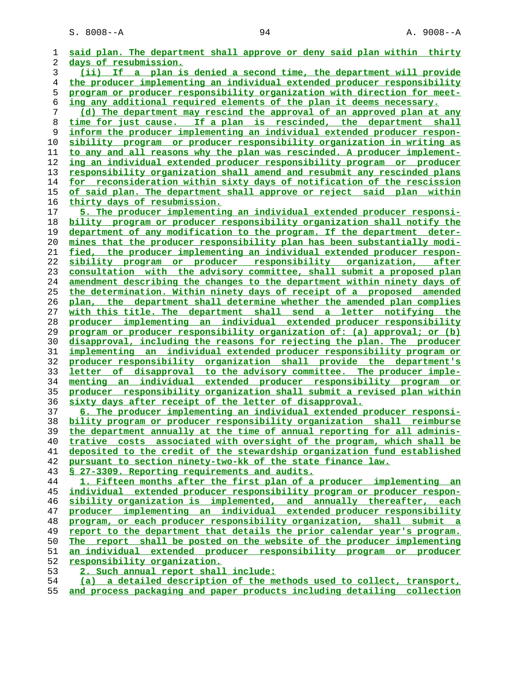**said plan. The department shall approve or deny said plan within thirty days of resubmission. (ii) If a plan is denied a second time, the department will provide the producer implementing an individual extended producer responsibility program or producer responsibility organization with direction for meet- ing any additional required elements of the plan it deems necessary. (d) The department may rescind the approval of an approved plan at any time for just cause. If a plan is rescinded, the department shall inform the producer implementing an individual extended producer respon- sibility program or producer responsibility organization in writing as to any and all reasons why the plan was rescinded. A producer implement- ing an individual extended producer responsibility program or producer responsibility organization shall amend and resubmit any rescinded plans for reconsideration within sixty days of notification of the rescission of said plan. The department shall approve or reject said plan within thirty days of resubmission. 5. The producer implementing an individual extended producer responsi- bility program or producer responsibility organization shall notify the department of any modification to the program. If the department deter- mines that the producer responsibility plan has been substantially modi- fied, the producer implementing an individual extended producer respon- sibility program or producer responsibility organization, after consultation with the advisory committee, shall submit a proposed plan amendment describing the changes to the department within ninety days of the determination. Within ninety days of receipt of a proposed amended plan, the department shall determine whether the amended plan complies with this title. The department shall send a letter notifying the producer implementing an individual extended producer responsibility program or producer responsibility organization of: (a) approval; or (b) disapproval, including the reasons for rejecting the plan. The producer implementing an individual extended producer responsibility program or producer responsibility organization shall provide the department's letter of disapproval to the advisory committee. The producer imple- menting an individual extended producer responsibility program or producer responsibility organization shall submit a revised plan within sixty days after receipt of the letter of disapproval. 6. The producer implementing an individual extended producer responsi- bility program or producer responsibility organization shall reimburse the department annually at the time of annual reporting for all adminis- trative costs associated with oversight of the program, which shall be deposited to the credit of the stewardship organization fund established pursuant to section ninety-two-kk of the state finance law. § 27-3309. Reporting requirements and audits. 1. Fifteen months after the first plan of a producer implementing an individual extended producer responsibility program or producer respon- sibility organization is implemented, and annually thereafter, each producer implementing an individual extended producer responsibility program, or each producer responsibility organization, shall submit a report to the department that details the prior calendar year's program.** The report shall be posted on the website of the producer implementing **an individual extended producer responsibility program or producer responsibility organization. 2. Such annual report shall include: (a) a detailed description of the methods used to collect, transport,**

**and process packaging and paper products including detailing collection**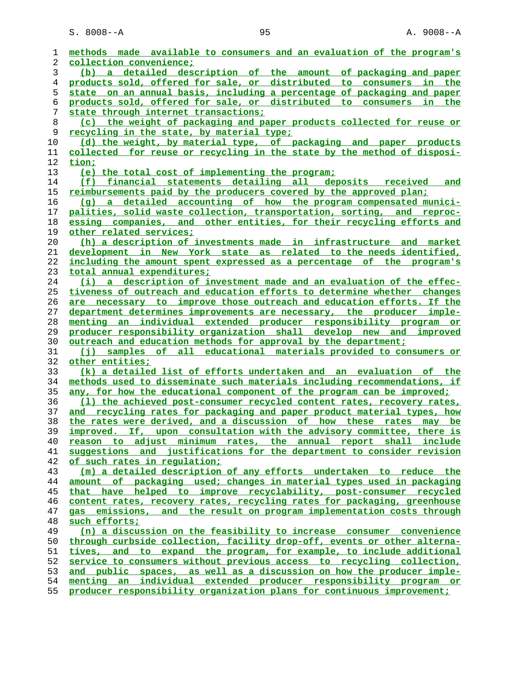S. 8008--A 95 95 A. 9008--A

| 1  | methods made available to consumers and an evaluation of the program's   |
|----|--------------------------------------------------------------------------|
| 2  | collection convenience;                                                  |
| 3  | (b) a detailed description of the amount of packaging and paper          |
| 4  | products sold, offered for sale, or distributed to consumers in the      |
| 5  | state on an annual basis, including a percentage of packaging and paper  |
|    | products sold, offered for sale, or distributed to consumers in the      |
| 6  |                                                                          |
| 7  | state through internet transactions;                                     |
| 8  | (c) the weight of packaging and paper products collected for reuse or    |
| 9  | <u>recycling in the state, by material type;</u>                         |
| 10 | (d) the weight, by material type, of packaging and paper products        |
| 11 | collected for reuse or recycling in the state by the method of disposi-  |
| 12 | tion;                                                                    |
| 13 | (e) the total cost of implementing the program;                          |
| 14 | (f) financial statements detailing all deposits received<br>and          |
| 15 | reimbursements paid by the producers covered by the approved plan:       |
| 16 | (g) a detailed accounting of how the program compensated munici-         |
| 17 | palities, solid waste collection, transportation, sorting, and reproc-   |
| 18 | essing companies, and other entities, for their recycling efforts and    |
| 19 | other related services;                                                  |
| 20 | (h) a description of investments made in infrastructure and market       |
| 21 | development in New York state as related to the needs identified,        |
| 22 | including the amount spent expressed as a percentage of the program's    |
| 23 | total annual expenditures;                                               |
| 24 | (i) a description of investment made and an evaluation of the effec-     |
| 25 | tiveness of outreach and education efforts to determine whether changes  |
| 26 | are necessary to improve those outreach and education efforts. If the    |
| 27 | department determines improvements are necessary, the producer imple-    |
| 28 | menting an individual extended producer responsibility program or        |
| 29 | producer responsibility organization shall develop new and improved      |
| 30 | outreach and education methods for approval by the department;           |
| 31 | (i) samples of all educational materials provided to consumers or        |
| 32 | other entities;                                                          |
| 33 | (k) a detailed list of efforts undertaken and an evaluation of the       |
| 34 | methods used to disseminate such materials including recommendations, if |
| 35 | any, for how the educational component of the program can be improved;   |
| 36 | (1) the achieved post-consumer recycled content rates, recovery rates,   |
| 37 | and recycling rates for packaging and paper product material types, how  |
| 38 | the rates were derived, and a discussion of how these rates may be       |
| 39 | improved. If, upon consultation with the advisory committee, there is    |
| 40 | reason to adjust minimum rates, the annual report shall include          |
| 41 | suggestions and justifications for the department to consider revision   |
| 42 | of such rates in regulation;                                             |
| 43 | (m) a detailed description of any efforts undertaken to reduce the       |
| 44 | amount of packaging used; changes in material types used in packaging    |
| 45 | that have helped to improve recyclability, post-consumer recycled        |
| 46 | content rates, recovery rates, recycling rates for packaging, greenhouse |
| 47 | emissions, and the result on program implementation costs through<br>gas |
| 48 | such efforts;                                                            |
| 49 | (n) a discussion on the feasibility to increase consumer convenience     |
| 50 | through curbside collection, facility drop-off, events or other alterna- |
| 51 | and to expand the program, for example, to include additional<br>tives,  |
| 52 | service to consumers without previous access to recycling collection,    |
| 53 | and public spaces, as well as a discussion on how the producer imple-    |
| 54 | menting an individual extended producer responsibility program or        |
| 55 | producer responsibility organization plans for continuous improvement;   |
|    |                                                                          |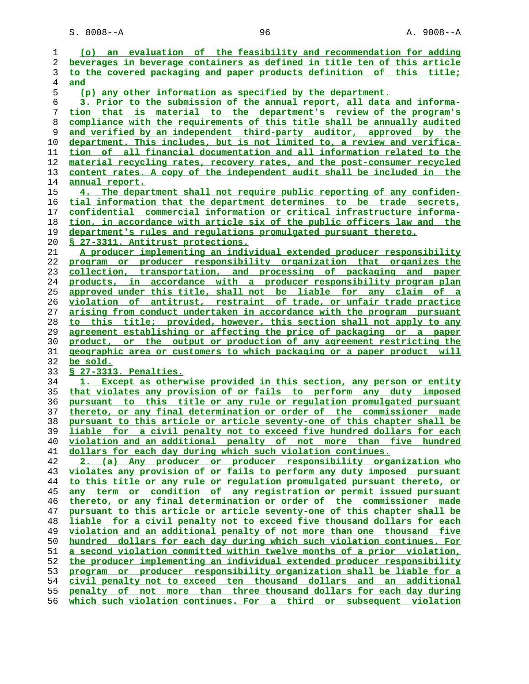S. 8008--A 96 96 A. 9008--A

| 1                                      | (o) an evaluation of the feasibility and recommendation for adding                                                                         |
|----------------------------------------|--------------------------------------------------------------------------------------------------------------------------------------------|
| 2                                      | beverages in beverage containers as defined in title ten of this article                                                                   |
|                                        | to the covered packaging and paper products definition of this title;                                                                      |
| 3<br>4                                 | and                                                                                                                                        |
| 5                                      | (p) any other information as specified by the department.                                                                                  |
| 6                                      | 3. Prior to the submission of the annual report, all data and informa-                                                                     |
|                                        | tion that is material to the department's review of the program's                                                                          |
|                                        |                                                                                                                                            |
|                                        | compliance with the requirements of this title shall be annually audited                                                                   |
|                                        | and verified by an independent third-party auditor, approved by the                                                                        |
|                                        | department. This includes, but is not limited to, a review and verifica-                                                                   |
|                                        | tion of all financial documentation and all information related to the                                                                     |
|                                        | material recycling rates, recovery rates, and the post-consumer recycled                                                                   |
|                                        | content rates. A copy of the independent audit shall be included in the                                                                    |
|                                        | <u>annual report.</u>                                                                                                                      |
|                                        | 4. The department shall not require public reporting of any confiden-                                                                      |
|                                        | tial information that the department determines to be trade secrets,                                                                       |
|                                        | confidential commercial information or critical infrastructure informa-                                                                    |
|                                        | tion, in accordance with article six of the public officers law and the                                                                    |
|                                        | department's rules and regulations promulgated pursuant thereto.                                                                           |
|                                        | <u>§ 27-3311. Antitrust protections.</u>                                                                                                   |
|                                        | A producer implementing an individual extended producer responsibility                                                                     |
|                                        | program or producer responsibility organization that organizes the                                                                         |
|                                        | collection, transportation, and processing of packaging and paper                                                                          |
|                                        | products, in accordance with a producer responsibility program plan<br>approved under this title, shall not be liable for any claim of a   |
|                                        | violation of antitrust, restraint of trade, or unfair trade practice                                                                       |
|                                        | arising from conduct undertaken in accordance with the program pursuant                                                                    |
|                                        | to this title; provided, however, this section shall not apply to any                                                                      |
|                                        | agreement establishing or affecting the price of packaging or a paper                                                                      |
|                                        | product, or the output or production of any agreement restricting the                                                                      |
|                                        | geographic area or customers to which packaging or a paper product will                                                                    |
|                                        | be sold.                                                                                                                                   |
|                                        | § 27-3313. Penalties.                                                                                                                      |
|                                        | 1. Except as otherwise provided in this section, any person or entity                                                                      |
|                                        | that violates any provision of or fails to perform any duty imposed                                                                        |
|                                        | pursuant to this title or any rule or regulation promulgated pursuant                                                                      |
|                                        | thereto, or any final determination or order of the commissioner made                                                                      |
|                                        | pursuant to this article or article seventy-one of this chapter shall be                                                                   |
|                                        | liable for a civil penalty not to exceed five hundred dollars for each                                                                     |
|                                        | violation and an additional penalty of not more than five hundred                                                                          |
|                                        | dollars for each day during which such violation continues.                                                                                |
|                                        | 2. (a) Any producer or producer responsibility organization who                                                                            |
|                                        | violates any provision of or fails to perform any duty imposed pursuant                                                                    |
|                                        | to this title or any rule or regulation promulgated pursuant thereto, or                                                                   |
|                                        | <u>any term or condition of any registration or permit issued pursuant</u>                                                                 |
|                                        | thereto, or any final determination or order of the commissioner made                                                                      |
|                                        | pursuant to this article or article seventy-one of this chapter shall be                                                                   |
|                                        | liable for a civil penalty not to exceed five thousand dollars for each                                                                    |
|                                        | violation and an additional penalty of not more than one thousand five                                                                     |
|                                        | hundred dollars for each day during which such violation continues. For                                                                    |
|                                        | a second violation committed within twelve months of a prior violation,                                                                    |
|                                        |                                                                                                                                            |
|                                        |                                                                                                                                            |
|                                        | the producer implementing an individual extended producer responsibility                                                                   |
|                                        | program or producer responsibility organization shall be liable for a                                                                      |
|                                        | civil penalty not to exceed ten thousand dollars and an additional                                                                         |
| 50<br>51<br>52<br>53<br>54<br>55<br>56 | penalty of not more than three thousand dollars for each day during<br>which such violation continues. For a third or subsequent violation |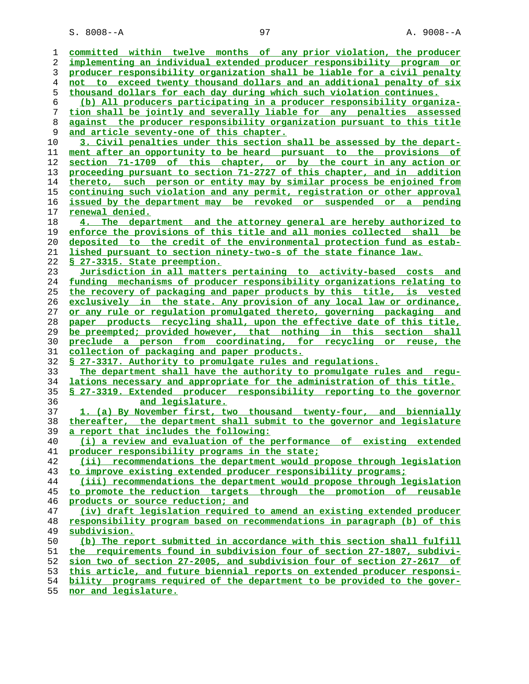| 1              | committed within twelve months of any prior violation, the producer      |
|----------------|--------------------------------------------------------------------------|
| 2              | implementing an individual extended producer responsibility program or   |
| 3              | producer responsibility organization shall be liable for a civil penalty |
| $\overline{4}$ | not to exceed twenty thousand dollars and an additional penalty of six   |
| 5              | thousand dollars for each day during which such violation continues.     |
| 6              | (b) All producers participating in a producer responsibility organiza-   |
| 7              | tion shall be jointly and severally liable for any penalties assessed    |
| 8              | against the producer responsibility organization pursuant to this title  |
| 9              | and article seventy-one of this chapter.                                 |
| 10             | 3. Civil penalties under this section shall be assessed by the depart-   |
| 11             | ment after an opportunity to be heard pursuant to the provisions of      |
| 12             | section 71-1709 of this chapter, or by the court in any action or        |
| 13             | proceeding pursuant to section 71-2727 of this chapter, and in addition  |
| 14             | thereto, such person or entity may by similar process be enjoined from   |
| 15             | continuing such violation and any permit, registration or other approval |
| 16             | issued by the department may be revoked or suspended or a pending        |
| 17             | renewal denied.                                                          |
| 18             | 4. The department and the attorney general are hereby authorized to      |
| 19             | enforce the provisions of this title and all monies collected shall be   |
| 20             | deposited to the credit of the environmental protection fund as estab-   |
| 21             | lished pursuant to section ninety-two-s of the state finance law.        |
| 22             | § 27-3315. State preemption.                                             |
| 23             | Jurisdiction in all matters pertaining to activity-based costs and       |
| 24             | funding mechanisms of producer responsibility organizations relating to  |
| 25             | the recovery of packaging and paper products by this title, is vested    |
| 26             | exclusively in the state. Any provision of any local law or ordinance,   |
| 27             | or any rule or regulation promulgated thereto, governing packaging and   |
| 28             | paper products recycling shall, upon the effective date of this title,   |
| 29             | be preempted; provided however, that nothing in this section shall       |
| 30             | preclude a person from coordinating, for recycling or reuse, the         |
| 31             | <u>collection of packaging and paper products.</u>                       |
| 32             | \$ 27-3317. Authority to promulgate rules and regulations.               |
| 33             | The department shall have the authority to promulgate rules and requ-    |
| 34             | lations necessary and appropriate for the administration of this title.  |
| 35             | \$ 27-3319. Extended producer responsibility reporting to the governor   |
| 36             | and legislature.                                                         |
| 37             | 1. (a) By November first, two thousand twenty-four, and biennially       |
| 38             | thereafter, the department shall submit to the governor and legislature  |
| 39             | a report that includes the following:                                    |
| 40             | (i) a review and evaluation of the performance of existing extended      |
| 41             | producer responsibility programs in the state;                           |
| 42             | (ii) recommendations the department would propose through legislation    |
| 43             | to improve existing extended producer responsibility programs;           |
| 44             | (iii) recommendations the department would propose through legislation   |
| 45             | to promote the reduction targets through the promotion of reusable       |
| 46             | products or source reduction; and                                        |
| 47             | (iv) draft legislation required to amend an existing extended producer   |
| 48             | responsibility program based on recommendations in paragraph (b) of this |
| 49             | subdivision.                                                             |
| 50             | (b) The report submitted in accordance with this section shall fulfill   |
| 51             | the requirements found in subdivision four of section 27-1807, subdivi-  |
| 52             | sion two of section 27-2005, and subdivision four of section 27-2617 of  |
| 53             | this article, and future biennial reports on extended producer responsi- |
| 54             | bility programs required of the department to be provided to the gover-  |
| 55             | nor and legislature.                                                     |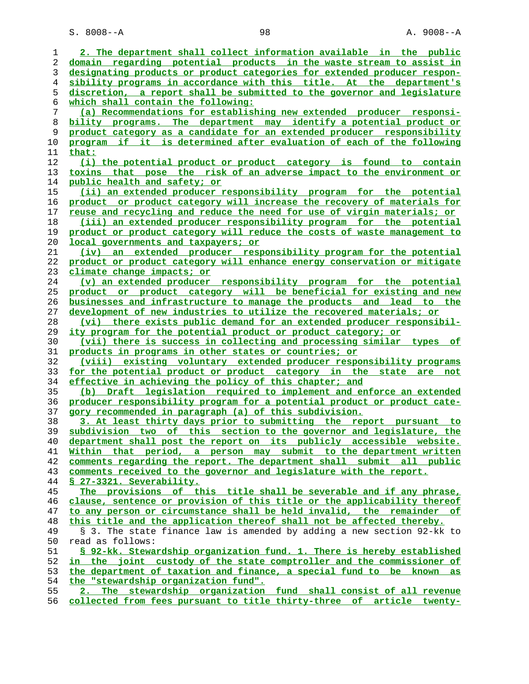S. 8008--A 98 98 A. 9008--A

| 1  | 2. The department shall collect information available in the public      |
|----|--------------------------------------------------------------------------|
| 2  | domain regarding potential products in the waste stream to assist in     |
| 3  | designating products or product categories for extended producer respon- |
| 4  | sibility programs in accordance with this title. At the department's     |
| 5  | discretion, a report shall be submitted to the governor and legislature  |
| 6  | which shall contain the following:                                       |
| 7  | (a) Recommendations for establishing new extended producer responsi-     |
|    |                                                                          |
| 8  | bility programs. The department may identify a potential product or      |
| 9  | product category as a candidate for an extended producer responsibility  |
| 10 | program if it is determined after evaluation of each of the following    |
| 11 | that:                                                                    |
| 12 | (i) the potential product or product category is found to contain        |
| 13 | toxins that pose the risk of an adverse impact to the environment or     |
| 14 | public health and safety; or                                             |
| 15 | (ii) an extended producer responsibility program for the potential       |
| 16 | product or product category will increase the recovery of materials for  |
| 17 |                                                                          |
|    | reuse and recycling and reduce the need for use of virgin materials; or  |
| 18 | (iii) an extended producer responsibility program for the potential      |
| 19 | product or product category will reduce the costs of waste management to |
| 20 | local governments and taxpayers; or                                      |
| 21 | (iv) an extended producer responsibility program for the potential       |
| 22 | product or product category will enhance energy conservation or mitigate |
| 23 | climate change impacts; or                                               |
| 24 | (v) an extended producer responsibility program for the potential        |
| 25 | product or product category will be beneficial for existing and new      |
| 26 | businesses and infrastructure to manage the products and lead to the     |
| 27 | development of new industries to utilize the recovered materials; or     |
| 28 | (vi) there exists public demand for an extended producer responsibil-    |
|    |                                                                          |
| 29 | <u>ity program for the potential product or product category; or</u>     |
| 30 | (vii) there is success in collecting and processing similar types<br>оf  |
| 31 | products in programs in other states or countries; or                    |
| 32 | (viii) existing voluntary extended producer responsibility programs      |
| 33 | for the potential product or product category in the state are<br>not    |
| 34 | effective in achieving the policy of this chapter; and                   |
| 35 | (b) Draft legislation required to implement and enforce an extended      |
| 36 | producer responsibility program for a potential product or product cate- |
| 37 | gory recommended in paragraph (a) of this subdivision.                   |
| 38 | 3. At least thirty days prior to submitting the report pursuant to       |
| 39 | subdivision two of this section to the governor and legislature, the     |
| 40 | department shall post the report on its publicly accessible website.     |
| 41 | Within that period, a person may submit to the department written        |
| 42 | comments regarding the report. The department shall submit all public    |
|    |                                                                          |
| 43 | comments received to the governor and legislature with the report.       |
| 44 | S 27-3321. Severability.                                                 |
| 45 | The provisions of this title shall be severable and if any phrase,       |
| 46 | clause, sentence or provision of this title or the applicability thereof |
| 47 | to any person or circumstance shall be held invalid, the remainder of    |
| 48 | this title and the application thereof shall not be affected thereby.    |
| 49 | § 3. The state finance law is amended by adding a new section 92-kk to   |
| 50 | read as follows:                                                         |
| 51 | § 92-kk. Stewardship organization fund. 1. There is hereby established   |
| 52 | in the joint custody of the state comptroller and the commissioner of    |
| 53 | the department of taxation and finance, a special fund to be known as    |
| 54 | the "stewardship organization fund".                                     |
| 55 | 2. The stewardship organization fund shall consist of all revenue        |
|    |                                                                          |
| 56 | collected from fees pursuant to title thirty-three of article twenty-    |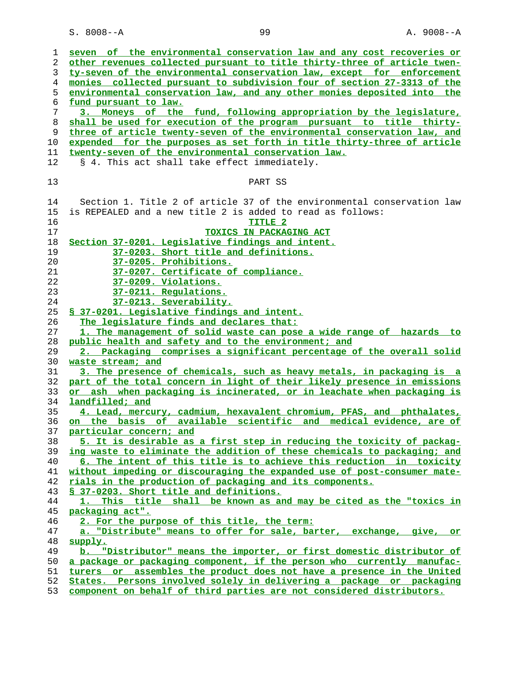| 1              | seven of the environmental conservation law and any cost recoveries or   |
|----------------|--------------------------------------------------------------------------|
| 2              | other revenues collected pursuant to title thirty-three of article twen- |
| 3              | ty-seven of the environmental conservation law, except for enforcement   |
|                |                                                                          |
| $\overline{4}$ | monies collected pursuant to subdivision four of section 27-3313 of the  |
| 5              | environmental conservation law, and any other monies deposited into the  |
| 6              | fund pursuant to law.                                                    |
| 7              | 3. Moneys of the fund, following appropriation by the legislature,       |
| 8              | shall be used for execution of the program pursuant to title thirty-     |
|                |                                                                          |
| 9              | three of article twenty-seven of the environmental conservation law, and |
| 10             | expended for the purposes as set forth in title thirty-three of article  |
| 11             | twenty-seven of the environmental conservation law.                      |
| 12             | § 4. This act shall take effect immediately.                             |
|                |                                                                          |
|                |                                                                          |
| 13             | PART SS                                                                  |
|                |                                                                          |
| 14             | Section 1. Title 2 of article 37 of the environmental conservation law   |
| 15             | is REPEALED and a new title 2 is added to read as follows:               |
| 16             | TITLE <sub>2</sub>                                                       |
|                |                                                                          |
| 17             | TOXICS IN PACKAGING ACT                                                  |
| 18             | Section 37-0201. Legislative findings and intent.                        |
| 19             | 37-0203. Short title and definitions.                                    |
| 20             | 37-0205. Prohibitions.                                                   |
| 21             | 37-0207. Certificate of compliance.                                      |
|                |                                                                          |
| 22             | 37-0209. Violations.                                                     |
| 23             | 37-0211. Regulations.                                                    |
| 24             | 37-0213. Severability.                                                   |
| 25             | § 37-0201. Legislative findings and intent.                              |
| 26             | The legislature finds and declares that:                                 |
| 27             | 1. The management of solid waste can pose a wide range of hazards to     |
|                |                                                                          |
| 28             | public health and safety and to the environment; and                     |
| 29             | 2. Packaging comprises a significant percentage of the overall solid     |
| 30             | waste stream; and                                                        |
| 31             | 3. The presence of chemicals, such as heavy metals, in packaging is a    |
| 32             | part of the total concern in light of their likely presence in emissions |
| 33             | or ash when packaging is incinerated, or in leachate when packaging is   |
|                |                                                                          |
| 34             | landfilled; and                                                          |
| 35             | 4. Lead, mercury, cadmium, hexavalent chromium, PFAS, and phthalates,    |
| 36             | on the basis of available scientific and medical evidence, are of        |
| 37             | particular concern; and                                                  |
| 38             | 5. It is desirable as a first step in reducing the toxicity of packag-   |
| 39             | ing waste to eliminate the addition of these chemicals to packaging; and |
|                |                                                                          |
| 40             | 6. The intent of this title is to achieve this reduction in toxicity     |
| 41             | without impeding or discouraging the expanded use of post-consumer mate- |
| 42             | rials in the production of packaging and its components.                 |
| 43             | § 37-0203. Short title and definitions.                                  |
| 44             | 1. This title shall be known as and may be cited as the "toxics in       |
| 45             | packaging act".                                                          |
|                |                                                                          |
| 46             | 2. For the purpose of this title, the term:                              |
| 47             | a. "Distribute" means to offer for sale, barter, exchange, give, or      |
| 48             | supply.                                                                  |
| 49             | "Distributor" means the importer, or first domestic distributor of<br>ь. |
| 50             | a package or packaging component, if the person who currently manufac-   |
|                |                                                                          |
| 51             | turers or assembles the product does not have a presence in the United   |
| 52             | States. Persons involved solely in delivering a package or packaging     |
| 53             | component on behalf of third parties are not considered distributors.    |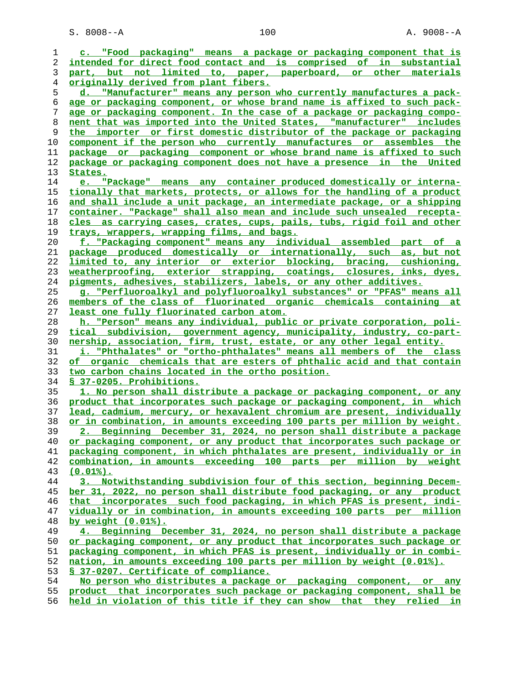S. 8008--A 100 A. 9008--A

| 1  | c. "Food packaging" means a package or packaging component that is       |
|----|--------------------------------------------------------------------------|
| 2  | intended for direct food contact and is comprised of in substantial      |
| 3  | part, but not limited to, paper, paperboard, or other materials          |
| 4  | originally derived from plant fibers.                                    |
| 5  | d. "Manufacturer" means any person who currently manufactures a pack-    |
| 6  | age or packaging component, or whose brand name is affixed to such pack- |
| 7  | age or packaging component. In the case of a package or packaging compo- |
| 8  | nent that was imported into the United States, "manufacturer" includes   |
| 9  | the importer or first domestic distributor of the package or packaging   |
| 10 | component if the person who currently manufactures or assembles the      |
| 11 | package or packaging component or whose brand name is affixed to such    |
|    | package or packaging component does not have a presence in the United    |
| 12 |                                                                          |
| 13 | <u>States.</u>                                                           |
| 14 | e. "Package" means any container produced domestically or interna-       |
| 15 | tionally that markets, protects, or allows for the handling of a product |
| 16 | and shall include a unit package, an intermediate package, or a shipping |
| 17 | container. "Package" shall also mean and include such unsealed recepta-  |
| 18 | cles as carrying cases, crates, cups, pails, tubs, rigid foil and other  |
| 19 | trays, wrappers, wrapping films, and bags.                               |
| 20 | f. "Packaging component" means any individual assembled part of a        |
| 21 | package produced domestically or internationally, such as, but not       |
| 22 | limited to, any interior or exterior blocking, bracing, cushioning,      |
| 23 | weatherproofing, exterior strapping, coatings, closures, inks, dyes,     |
| 24 | pigments, adhesives, stabilizers, labels, or any other additives.        |
| 25 | g. "Perfluoroalkyl and polyfluoroalkyl substances" or "PFAS" means all   |
| 26 | members of the class of fluorinated organic chemicals containing at      |
| 27 | least one fully fluorinated carbon atom.                                 |
| 28 | h. "Person" means any individual, public or private corporation, poli-   |
| 29 | tical subdivision, government agency, municipality, industry, co-part-   |
| 30 | nership, association, firm, trust, estate, or any other legal entity.    |
| 31 | i. "Phthalates" or "ortho-phthalates" means all members of the class     |
| 32 | of organic chemicals that are esters of phthalic acid and that contain   |
| 33 | two carbon chains located in the ortho position.                         |
| 34 | § 37-0205. Prohibitions.                                                 |
|    |                                                                          |
| 35 | 1. No person shall distribute a package or packaging component, or any   |
| 36 | product that incorporates such package or packaging component, in which  |
| 37 | lead, cadmium, mercury, or hexavalent chromium are present, individually |
| 38 | or in combination, in amounts exceeding 100 parts per million by weight. |
| 39 | 2. Beginning December 31, 2024, no person shall distribute a package     |
| 40 | or packaging component, or any product that incorporates such package or |
| 41 | packaging component, in which phthalates are present, individually or in |
| 42 | combination, in amounts exceeding 100 parts per million by weight        |
| 43 | $(0.01\%)$ .                                                             |
| 44 | 3. Notwithstanding subdivision four of this section, beginning Decem-    |
| 45 | ber 31, 2022, no person shall distribute food packaging, or any product  |
| 46 | that incorporates such food packaging, in which PFAS is present, indi-   |
| 47 | vidually or in combination, in amounts exceeding 100 parts per million   |
| 48 | by weight $(0.01\%)$ .                                                   |
| 49 | 4. Beginning December 31, 2024, no person shall distribute a package     |
| 50 | or packaging component, or any product that incorporates such package or |
| 51 | packaging component, in which PFAS is present, individually or in combi- |
| 52 | nation, in amounts exceeding 100 parts per million by weight (0.01%).    |
| 53 | § 37-0207. Certificate of compliance.                                    |
| 54 | No person who distributes a package or packaging component, or any       |
| 55 | product that incorporates such package or packaging component, shall be  |
|    |                                                                          |

**held in violation of this title if they can show that they relied in**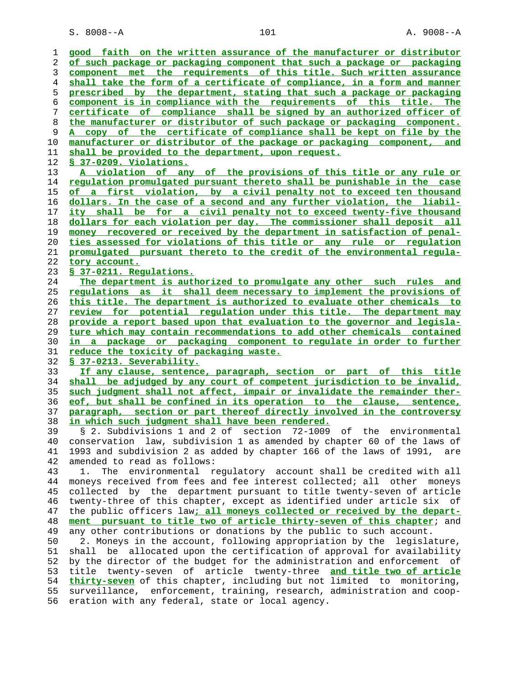S. 8008--A 101 A. 9008--A

| 1  | good faith on the written assurance of the manufacturer or distributor         |
|----|--------------------------------------------------------------------------------|
|    |                                                                                |
| 2  | of such package or packaging component that such a package or packaging        |
| 3  | component met the requirements of this title. Such written assurance           |
| 4  | shall take the form of a certificate of compliance, in a form and manner       |
| 5  | prescribed by the department, stating that such a package or packaging         |
| 6  | component is in compliance with the requirements of this title. The            |
| 7  | certificate of compliance shall be signed by an authorized officer of          |
| 8  | the manufacturer or distributor of such package or packaging component.        |
| 9  | A copy of the certificate of compliance shall be kept on file by the           |
| 10 | manufacturer or distributor of the package or packaging component, and         |
|    |                                                                                |
| 11 | shall be provided to the department, upon request.                             |
| 12 | § 37-0209. Violations.                                                         |
| 13 | A violation of any of the provisions of this title or any rule or              |
| 14 | <u>regulation promulgated pursuant thereto shall be punishable in the case</u> |
| 15 | of a first violation, by a civil penalty not to exceed ten thousand            |
| 16 | <u>dollars. In the case of a second and any further violation, the liabil-</u> |
| 17 | <u>ity shall be for a civil penalty not to exceed twenty-five thousand</u>     |
| 18 | dollars for each violation per day. The commissioner shall deposit all         |
| 19 | money recovered or received by the department in satisfaction of penal-        |
| 20 | ties assessed for violations of this title or any rule or regulation           |
| 21 | promulgated pursuant thereto to the credit of the environmental regula-        |
|    |                                                                                |
| 22 | tory account.                                                                  |
| 23 | § 37-0211. Regulations.                                                        |
| 24 | The department is authorized to promulgate any other such rules and            |
| 25 | <u>requlations as it shall deem necessary to implement the provisions of</u>   |
| 26 | <u>this title. The department is authorized to evaluate other chemicals to</u> |
| 27 | review for potential requlation under this title. The department may           |
| 28 | provide a report based upon that evaluation to the governor and legisla-       |
| 29 | ture which may contain recommendations to add other chemicals contained        |
| 30 | in a package or packaging component to regulate in order to further            |
| 31 | <u>reduce the toxicity of packaging waste.</u>                                 |
| 32 | § 37-0213. Severability.                                                       |
| 33 | If any clause, sentence, paragraph, section or part of this title              |
| 34 | shall be adjudged by any court of competent jurisdiction to be invalid,        |
| 35 | such judgment shall not affect, impair or invalidate the remainder ther-       |
|    | eof, but shall be confined in its operation to the clause, sentence,           |
| 36 |                                                                                |
| 37 | paragraph, section or part thereof directly involved in the controversy        |
| 38 | <u>in which such judgment shall have been rendered.</u>                        |
| 39 | § 2. Subdivisions 1 and 2 of section 72-1009 of the environmental              |
| 40 | conservation law, subdivision 1 as amended by chapter 60 of the laws of        |
| 41 | 1993 and subdivision 2 as added by chapter 166 of the laws of 1991, are        |
| 42 | amended to read as follows:                                                    |
| 43 | The<br>environmental regulatory account shall be credited with all<br>$1$ .    |
| 44 | moneys received from fees and fee interest collected; all other moneys         |
| 45 | collected by the department pursuant to title twenty-seven of article          |
| 46 | twenty-three of this chapter, except as identified under article six of        |
| 47 | the public officers law; all moneys collected or received by the depart-       |
| 48 | ment pursuant to title two of article thirty-seven of this chapter; and        |
| 49 | any other contributions or donations by the public to such account.            |
| 50 | 2. Moneys in the account, following appropriation by the legislature,          |
| 51 | shall be allocated upon the certification of approval for availability         |
|    |                                                                                |
| 52 | by the director of the budget for the administration and enforcement of        |
| 53 | twenty-seven of article twenty-three and title two of article<br>title         |
| 54 | thirty-seven of this chapter, including but not limited to monitoring,         |
| 55 | surveillance, enforcement, training, research, administration and coop-        |
| 56 | eration with any federal, state or local agency.                               |
|    |                                                                                |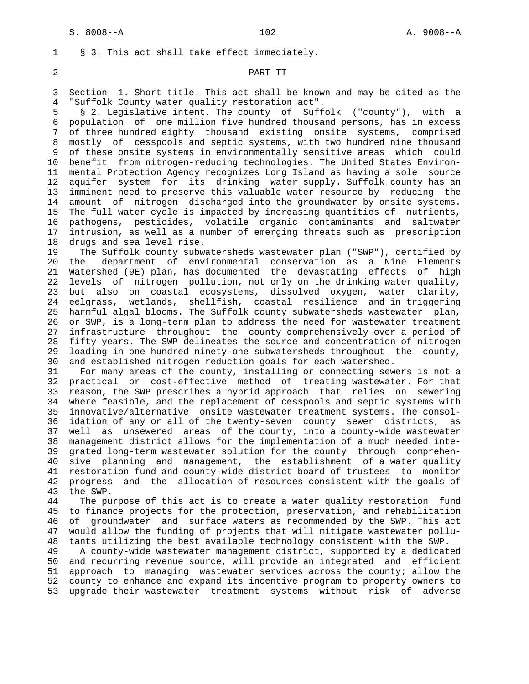2 PART TT

 3 Section 1. Short title. This act shall be known and may be cited as the 4 "Suffolk County water quality restoration act".

1 § 3. This act shall take effect immediately.

 5 § 2. Legislative intent. The county of Suffolk ("county"), with a 6 population of one million five hundred thousand persons, has in excess 7 of three hundred eighty thousand existing onsite systems, comprised 8 mostly of cesspools and septic systems, with two hundred nine thousand 9 of these onsite systems in environmentally sensitive areas which could 10 benefit from nitrogen-reducing technologies. The United States Environ- 11 mental Protection Agency recognizes Long Island as having a sole source 12 aquifer system for its drinking water supply. Suffolk county has an 13 imminent need to preserve this valuable water resource by reducing the 14 amount of nitrogen discharged into the groundwater by onsite systems. 15 The full water cycle is impacted by increasing quantities of nutrients, 16 pathogens, pesticides, volatile organic contaminants and saltwater 17 intrusion, as well as a number of emerging threats such as prescription 18 drugs and sea level rise.

 19 The Suffolk county subwatersheds wastewater plan ("SWP"), certified by 20 the department of environmental conservation as a Nine Elements 21 Watershed (9E) plan, has documented the devastating effects of high 22 levels of nitrogen pollution, not only on the drinking water quality, 23 but also on coastal ecosystems, dissolved oxygen, water clarity, 24 eelgrass, wetlands, shellfish, coastal resilience and in triggering 25 harmful algal blooms. The Suffolk county subwatersheds wastewater plan, 26 or SWP, is a long-term plan to address the need for wastewater treatment 27 infrastructure throughout the county comprehensively over a period of 28 fifty years. The SWP delineates the source and concentration of nitrogen 29 loading in one hundred ninety-one subwatersheds throughout the county, 30 and established nitrogen reduction goals for each watershed.

 31 For many areas of the county, installing or connecting sewers is not a 32 practical or cost-effective method of treating wastewater. For that 33 reason, the SWP prescribes a hybrid approach that relies on sewering 34 where feasible, and the replacement of cesspools and septic systems with 35 innovative/alternative onsite wastewater treatment systems. The consol- 36 idation of any or all of the twenty-seven county sewer districts, as 37 well as unsewered areas of the county, into a county-wide wastewater 38 management district allows for the implementation of a much needed inte- 39 grated long-term wastewater solution for the county through comprehen- 40 sive planning and management, the establishment of a water quality 41 restoration fund and county-wide district board of trustees to monitor 42 progress and the allocation of resources consistent with the goals of 43 the SWP.

 44 The purpose of this act is to create a water quality restoration fund 45 to finance projects for the protection, preservation, and rehabilitation 46 of groundwater and surface waters as recommended by the SWP. This act 47 would allow the funding of projects that will mitigate wastewater pollu- 48 tants utilizing the best available technology consistent with the SWP. 49 A county-wide wastewater management district, supported by a dedicated

 50 and recurring revenue source, will provide an integrated and efficient 51 approach to managing wastewater services across the county; allow the 52 county to enhance and expand its incentive program to property owners to 53 upgrade their wastewater treatment systems without risk of adverse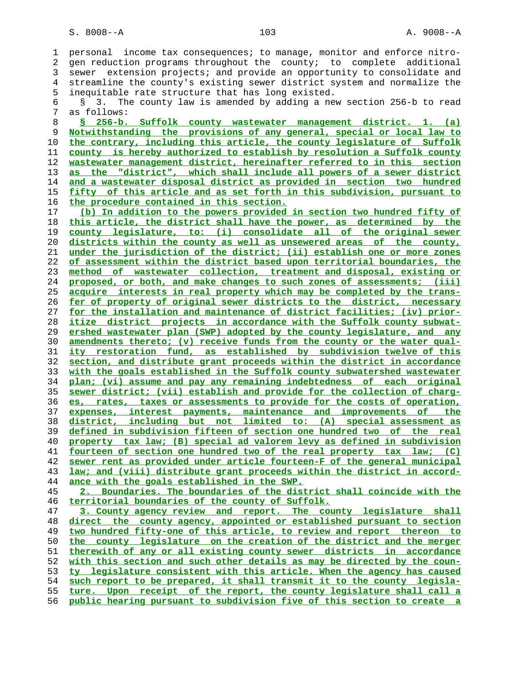1 personal income tax consequences; to manage, monitor and enforce nitro- 2 gen reduction programs throughout the county; to complete additional 3 sewer extension projects; and provide an opportunity to consolidate and 4 streamline the county's existing sewer district system and normalize the 5 inequitable rate structure that has long existed. 6 § 3. The county law is amended by adding a new section 256-b to read 7 as follows: **§ 256-b. Suffolk county wastewater management district. 1. (a)**

**Notwithstanding the provisions of any general, special or local law to the contrary, including this article, the county legislature of Suffolk county is hereby authorized to establish by resolution a Suffolk county wastewater management district, hereinafter referred to in this section as the "district", which shall include all powers of a sewer district and a wastewater disposal district as provided in section two hundred fifty of this article and as set forth in this subdivision, pursuant to the procedure contained in this section.**

**(b) In addition to the powers provided in section two hundred fifty of this article, the district shall have the power, as determined by the county legislature, to: (i) consolidate all of the original sewer districts within the county as well as unsewered areas of the county, under the jurisdiction of the district; (ii) establish one or more zones of assessment within the district based upon territorial boundaries, the method of wastewater collection, treatment and disposal, existing or proposed, or both, and make changes to such zones of assessments; (iii) acquire interests in real property which may be completed by the trans- fer of property of original sewer districts to the district, necessary for the installation and maintenance of district facilities; (iv) prior- itize district projects in accordance with the Suffolk county subwat- ershed wastewater plan (SWP) adopted by the county legislature, and any amendments thereto; (v) receive funds from the county or the water qual- ity restoration fund, as established by subdivision twelve of this section, and distribute grant proceeds within the district in accordance with the goals established in the Suffolk county subwatershed wastewater plan; (vi) assume and pay any remaining indebtedness of each original sewer district; (vii) establish and provide for the collection of charg- es, rates, taxes or assessments to provide for the costs of operation, expenses, interest payments, maintenance and improvements of the district, including but not limited to: (A) special assessment as defined in subdivision fifteen of section one hundred two of the real property tax law; (B) special ad valorem levy as defined in subdivision fourteen of section one hundred two of the real property tax law; (C) sewer rent as provided under article fourteen-F of the general municipal law; and (viii) distribute grant proceeds within the district in accord- ance with the goals established in the SWP.**

**2. Boundaries. The boundaries of the district shall coincide with the territorial boundaries of the county of Suffolk.**

**3. County agency review and report. The county legislature shall direct the county agency, appointed or established pursuant to section two hundred fifty-one of this article, to review and report thereon to the county legislature on the creation of the district and the merger therewith of any or all existing county sewer districts in accordance with this section and such other details as may be directed by the coun- ty legislature consistent with this article. When the agency has caused such report to be prepared, it shall transmit it to the county legisla- ture. Upon receipt of the report, the county legislature shall call a public hearing pursuant to subdivision five of this section to create a**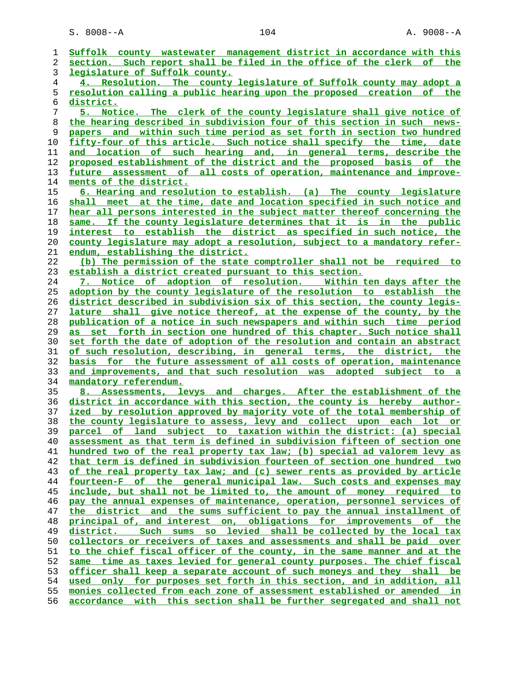**Suffolk county wastewater management district in accordance with this section. Such report shall be filed in the office of the clerk of the legislature of Suffolk county. 4. Resolution. The county legislature of Suffolk county may adopt a resolution calling a public hearing upon the proposed creation of the district. 5. Notice. The clerk of the county legislature shall give notice of the hearing described in subdivision four of this section in such news- papers and within such time period as set forth in section two hundred fifty-four of this article. Such notice shall specify the time, date and location of such hearing and, in general terms, describe the proposed establishment of the district and the proposed basis of the future assessment of all costs of operation, maintenance and improve- ments of the district. 6. Hearing and resolution to establish. (a) The county legislature shall meet at the time, date and location specified in such notice and hear all persons interested in the subject matter thereof concerning the same. If the county legislature determines that it is in the public interest to establish the district as specified in such notice, the county legislature may adopt a resolution, subject to a mandatory refer- endum, establishing the district. (b) The permission of the state comptroller shall not be required to establish a district created pursuant to this section. 7. Notice of adoption of resolution. Within ten days after the adoption by the county legislature of the resolution to establish the district described in subdivision six of this section, the county legis- lature shall give notice thereof, at the expense of the county, by the publication of a notice in such newspapers and within such time period as set forth in section one hundred of this chapter. Such notice shall set forth the date of adoption of the resolution and contain an abstract of such resolution, describing, in general terms, the district, the basis for the future assessment of all costs of operation, maintenance and improvements, and that such resolution was adopted subject to a mandatory referendum. 8. Assessments, levys and charges. After the establishment of the district in accordance with this section, the county is hereby author- ized by resolution approved by majority vote of the total membership of the county legislature to assess, levy and collect upon each lot or parcel of land subject to taxation within the district: (a) special assessment as that term is defined in subdivision fifteen of section one hundred two of the real property tax law; (b) special ad valorem levy as that term is defined in subdivision fourteen of section one hundred two of the real property tax law; and (c) sewer rents as provided by article fourteen-F of the general municipal law. Such costs and expenses may include, but shall not be limited to, the amount of money required to pay the annual expenses of maintenance, operation, personnel services of the district and the sums sufficient to pay the annual installment of principal of, and interest on, obligations for improvements of the district. Such sums so levied shall be collected by the local tax collectors or receivers of taxes and assessments and shall be paid over to the chief fiscal officer of the county, in the same manner and at the same time as taxes levied for general county purposes. The chief fiscal officer shall keep a separate account of such moneys and they shall be used only for purposes set forth in this section, and in addition, all monies collected from each zone of assessment established or amended in accordance with this section shall be further segregated and shall not**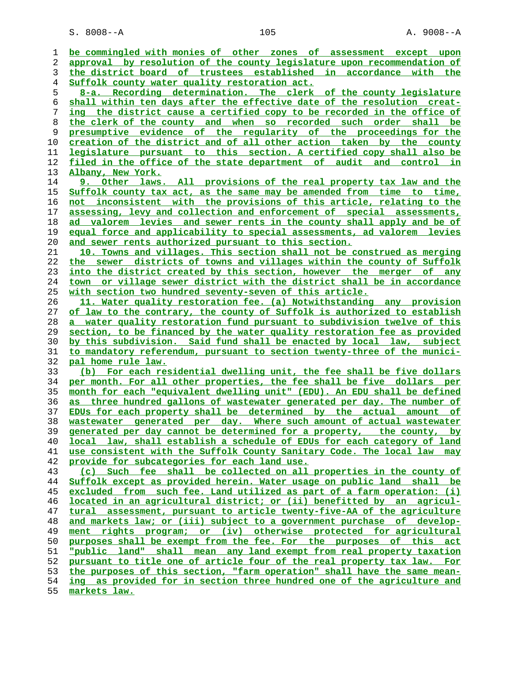S. 8008--A 105 A. 9008--A

**be commingled with monies of other zones of assessment except upon approval by resolution of the county legislature upon recommendation of the district board of trustees established in accordance with the Suffolk county water quality restoration act. 8-a. Recording determination. The clerk of the county legislature shall within ten days after the effective date of the resolution creat- ing the district cause a certified copy to be recorded in the office of the clerk of the county and when so recorded such order shall be presumptive evidence of the regularity of the proceedings for the creation of the district and of all other action taken by the county legislature pursuant to this section. A certified copy shall also be filed in the office of the state department of audit and control in Albany, New York. 9. Other laws. All provisions of the real property tax law and the Suffolk county tax act, as the same may be amended from time to time, not inconsistent with the provisions of this article, relating to the assessing, levy and collection and enforcement of special assessments, ad valorem levies and sewer rents in the county shall apply and be of equal force and applicability to special assessments, ad valorem levies and sewer rents authorized pursuant to this section. 10. Towns and villages. This section shall not be construed as merging the sewer districts of towns and villages within the county of Suffolk into the district created by this section, however the merger of any town or village sewer district with the district shall be in accordance with section two hundred seventy-seven of this article. 11. Water quality restoration fee. (a) Notwithstanding any provision of law to the contrary, the county of Suffolk is authorized to establish a water quality restoration fund pursuant to subdivision twelve of this section, to be financed by the water quality restoration fee as provided by this subdivision. Said fund shall be enacted by local law, subject to mandatory referendum, pursuant to section twenty-three of the munici- pal home rule law. (b) For each residential dwelling unit, the fee shall be five dollars per month. For all other properties, the fee shall be five dollars per month for each "equivalent dwelling unit" (EDU). An EDU shall be defined as three hundred gallons of wastewater generated per day. The number of EDUs for each property shall be determined by the actual amount of wastewater generated per day. Where such amount of actual wastewater generated per day cannot be determined for a property, the county, by local law, shall establish a schedule of EDUs for each category of land use consistent with the Suffolk County Sanitary Code. The local law may provide for subcategories for each land use. (c) Such fee shall be collected on all properties in the county of Suffolk except as provided herein. Water usage on public land shall be excluded from such fee. Land utilized as part of a farm operation: (i) located in an agricultural district; or (ii) benefitted by an agricul- tural assessment, pursuant to article twenty-five-AA of the agriculture and markets law; or (iii) subject to a government purchase of develop- ment rights program; or (iv) otherwise protected for agricultural purposes shall be exempt from the fee. For the purposes of this act "public land" shall mean any land exempt from real property taxation pursuant to title one of article four of the real property tax law. For the purposes of this section, "farm operation" shall have the same mean- ing as provided for in section three hundred one of the agriculture and markets law.**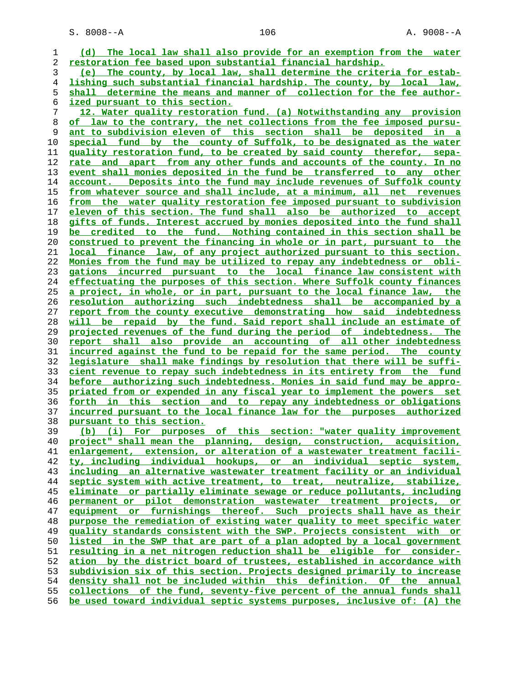S. 8008--A 106 A. 9008--A

**(d) The local law shall also provide for an exemption from the water restoration fee based upon substantial financial hardship. (e) The county, by local law, shall determine the criteria for estab- lishing such substantial financial hardship. The county, by local law, shall determine the means and manner of collection for the fee author- ized pursuant to this section. 12. Water quality restoration fund. (a) Notwithstanding any provision of law to the contrary, the net collections from the fee imposed pursu- ant to subdivision eleven of this section shall be deposited in a special fund by the county of Suffolk, to be designated as the water quality restoration fund, to be created by said county therefor, sepa- rate and apart from any other funds and accounts of the county. In no event shall monies deposited in the fund be transferred to any other account. Deposits into the fund may include revenues of Suffolk county from whatever source and shall include, at a minimum, all net revenues from the water quality restoration fee imposed pursuant to subdivision eleven of this section. The fund shall also be authorized to accept gifts of funds. Interest accrued by monies deposited into the fund shall be credited to the fund. Nothing contained in this section shall be construed to prevent the financing in whole or in part, pursuant to the local finance law, of any project authorized pursuant to this section. Monies from the fund may be utilized to repay any indebtedness or obli- gations incurred pursuant to the local finance law consistent with effectuating the purposes of this section. Where Suffolk county finances a project, in whole, or in part, pursuant to the local finance law, the resolution authorizing such indebtedness shall be accompanied by a report from the county executive demonstrating how said indebtedness will be repaid by the fund. Said report shall include an estimate of projected revenues of the fund during the period of indebtedness. The report shall also provide an accounting of all other indebtedness incurred against the fund to be repaid for the same period. The county legislature shall make findings by resolution that there will be suffi- cient revenue to repay such indebtedness in its entirety from the fund before authorizing such indebtedness. Monies in said fund may be appro- priated from or expended in any fiscal year to implement the powers set forth in this section and to repay any indebtedness or obligations incurred pursuant to the local finance law for the purposes authorized pursuant to this section. (b) (i) For purposes of this section: "water quality improvement project" shall mean the planning, design, construction, acquisition, enlargement, extension, or alteration of a wastewater treatment facili- ty, including individual hookups, or an individual septic system, including an alternative wastewater treatment facility or an individual septic system with active treatment, to treat, neutralize, stabilize, eliminate or partially eliminate sewage or reduce pollutants, including permanent or pilot demonstration wastewater treatment projects, or equipment or furnishings thereof. Such projects shall have as their purpose the remediation of existing water quality to meet specific water quality standards consistent with the SWP. Projects consistent with or listed in the SWP that are part of a plan adopted by a local government resulting in a net nitrogen reduction shall be eligible for consider- ation by the district board of trustees, established in accordance with subdivision six of this section. Projects designed primarily to increase density shall not be included within this definition. Of the annual collections of the fund, seventy-five percent of the annual funds shall be used toward individual septic systems purposes, inclusive of: (A) the**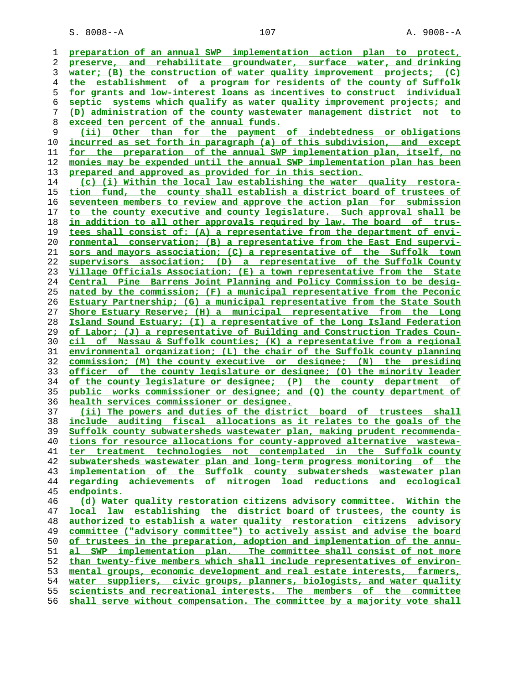**preparation of an annual SWP implementation action plan to protect, preserve, and rehabilitate groundwater, surface water, and drinking water; (B) the construction of water quality improvement projects; (C) the establishment of a program for residents of the county of Suffolk for grants and low-interest loans as incentives to construct individual septic systems which qualify as water quality improvement projects; and (D) administration of the county wastewater management district not to exceed ten percent of the annual funds. (ii) Other than for the payment of indebtedness or obligations** incurred as set forth in paragraph (a) of this subdivision, and except **for the preparation of the annual SWP implementation plan, itself, no monies may be expended until the annual SWP implementation plan has been prepared and approved as provided for in this section. (c) (i) Within the local law establishing the water quality restora- tion fund, the county shall establish a district board of trustees of seventeen members to review and approve the action plan for submission to the county executive and county legislature. Such approval shall be in addition to all other approvals required by law. The board of trus- tees shall consist of: (A) a representative from the department of envi- ronmental conservation; (B) a representative from the East End supervi- sors and mayors association; (C) a representative of the Suffolk town supervisors association; (D) a representative of the Suffolk County Village Officials Association; (E) a town representative from the State Central Pine Barrens Joint Planning and Policy Commission to be desig- nated by the commission; (F) a municipal representative from the Peconic Estuary Partnership; (G) a municipal representative from the State South Shore Estuary Reserve; (H) a municipal representative from the Long Island Sound Estuary; (I) a representative of the Long Island Federation of Labor; (J) a representative of Building and Construction Trades Coun- cil of Nassau & Suffolk counties; (K) a representative from a regional environmental organization; (L) the chair of the Suffolk county planning commission; (M) the county executive or designee; (N) the presiding officer of the county legislature or designee; (O) the minority leader of the county legislature or designee; (P) the county department of public works commissioner or designee; and (Q) the county department of health services commissioner or designee. (ii) The powers and duties of the district board of trustees shall include auditing fiscal allocations as it relates to the goals of the Suffolk county subwatersheds wastewater plan, making prudent recommenda- tions for resource allocations for county-approved alternative wastewa- ter treatment technologies not contemplated in the Suffolk county subwatersheds wastewater plan and long-term progress monitoring of the implementation of the Suffolk county subwatersheds wastewater plan regarding achievements of nitrogen load reductions and ecological endpoints. (d) Water quality restoration citizens advisory committee. Within the local law establishing the district board of trustees, the county is authorized to establish a water quality restoration citizens advisory committee ("advisory committee") to actively assist and advise the board of trustees in the preparation, adoption and implementation of the annu- al SWP implementation plan. The committee shall consist of not more than twenty-five members which shall include representatives of environ- mental groups, economic development and real estate interests, farmers, water suppliers, civic groups, planners, biologists, and water quality scientists and recreational interests. The members of the committee**

**shall serve without compensation. The committee by a majority vote shall**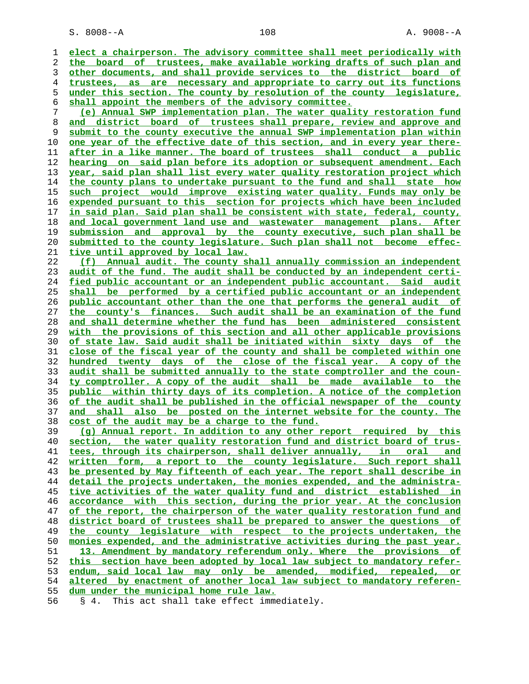S. 8008--A 108 A. 9008--A

**elect a chairperson. The advisory committee shall meet periodically with the board of trustees, make available working drafts of such plan and other documents, and shall provide services to the district board of trustees, as are necessary and appropriate to carry out its functions under this section. The county by resolution of the county legislature, shall appoint the members of the advisory committee. (e) Annual SWP implementation plan. The water quality restoration fund and district board of trustees shall prepare, review and approve and submit to the county executive the annual SWP implementation plan within one year of the effective date of this section, and in every year there- after in a like manner. The board of trustees shall conduct a public hearing on said plan before its adoption or subsequent amendment. Each year, said plan shall list every water quality restoration project which the county plans to undertake pursuant to the fund and shall state how such project would improve existing water quality. Funds may only be expended pursuant to this section for projects which have been included in said plan. Said plan shall be consistent with state, federal, county, and local government land use and wastewater management plans. After submission and approval by the county executive, such plan shall be submitted to the county legislature. Such plan shall not become effec- tive until approved by local law. (f) Annual audit. The county shall annually commission an independent audit of the fund. The audit shall be conducted by an independent certi- fied public accountant or an independent public accountant. Said audit shall be performed by a certified public accountant or an independent public accountant other than the one that performs the general audit of the county's finances. Such audit shall be an examination of the fund and shall determine whether the fund has been administered consistent with the provisions of this section and all other applicable provisions of state law. Said audit shall be initiated within sixty days of the close of the fiscal year of the county and shall be completed within one hundred twenty days of the close of the fiscal year. A copy of the audit shall be submitted annually to the state comptroller and the coun- ty comptroller. A copy of the audit shall be made available to the public within thirty days of its completion. A notice of the completion of the audit shall be published in the official newspaper of the county and shall also be posted on the internet website for the county. The cost of the audit may be a charge to the fund. (g) Annual report. In addition to any other report required by this section, the water quality restoration fund and district board of trus- tees, through its chairperson, shall deliver annually, in oral and written form, a report to the county legislature. Such report shall be presented by May fifteenth of each year. The report shall describe in detail the projects undertaken, the monies expended, and the administra- tive activities of the water quality fund and district established in accordance with this section, during the prior year. At the conclusion of the report, the chairperson of the water quality restoration fund and district board of trustees shall be prepared to answer the questions of the county legislature with respect to the projects undertaken, the** monies expended, and the administrative activities during the past year. **13. Amendment by mandatory referendum only. Where the provisions of this section have been adopted by local law subject to mandatory refer- endum, said local law may only be amended, modified, repealed, or altered by enactment of another local law subject to mandatory referen- dum under the municipal home rule law.**

56 § 4. This act shall take effect immediately.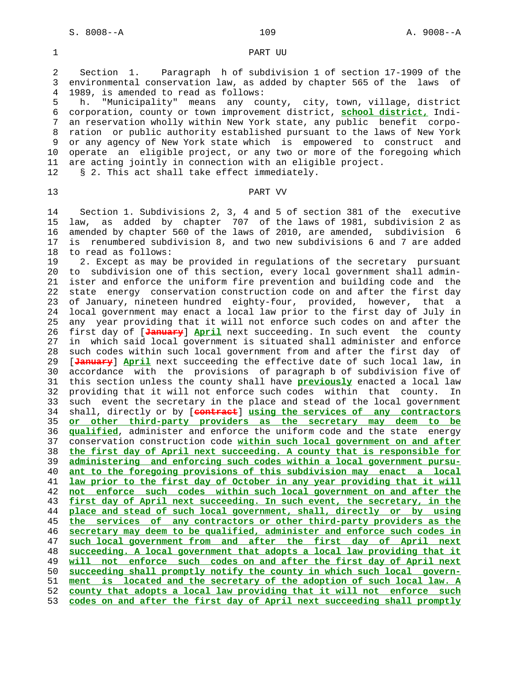### 1 PART UU

 2 Section 1. Paragraph h of subdivision 1 of section 17-1909 of the 3 environmental conservation law, as added by chapter 565 of the laws of 4 1989, is amended to read as follows:

 5 h. "Municipality" means any county, city, town, village, district 6 corporation, county or town improvement district, **school district,** Indi- 7 an reservation wholly within New York state, any public benefit corpo- 8 ration or public authority established pursuant to the laws of New York 9 or any agency of New York state which is empowered to construct and 10 operate an eligible project, or any two or more of the foregoing which 11 are acting jointly in connection with an eligible project.

12 § 2. This act shall take effect immediately.

## 13 PART VV

 14 Section 1. Subdivisions 2, 3, 4 and 5 of section 381 of the executive 15 law, as added by chapter 707 of the laws of 1981, subdivision 2 as 16 amended by chapter 560 of the laws of 2010, are amended, subdivision 6 17 is renumbered subdivision 8, and two new subdivisions 6 and 7 are added 18 to read as follows:

 19 2. Except as may be provided in regulations of the secretary pursuant 20 to subdivision one of this section, every local government shall admin- 21 ister and enforce the uniform fire prevention and building code and the 22 state energy conservation construction code on and after the first day 23 of January, nineteen hundred eighty-four, provided, however, that a 24 local government may enact a local law prior to the first day of July in 25 any year providing that it will not enforce such codes on and after the 26 first day of [**January**] **April** next succeeding. In such event the county 27 in which said local government is situated shall administer and enforce 28 such codes within such local government from and after the first day of 29 [**January**] **April** next succeeding the effective date of such local law, in 30 accordance with the provisions of paragraph b of subdivision five of 31 this section unless the county shall have **previously** enacted a local law 32 providing that it will not enforce such codes within that county. In 33 such event the secretary in the place and stead of the local government 34 shall, directly or by [**contract**] **using the services of any contractors** 35 **or other third-party providers as the secretary may deem to be** 36 **qualified**, administer and enforce the uniform code and the state energy 37 conservation construction code **within such local government on and after** 38 **the first day of April next succeeding. A county that is responsible for** 39 **administering and enforcing such codes within a local government pursu-** 40 **ant to the foregoing provisions of this subdivision may enact a local** 41 **law prior to the first day of October in any year providing that it will** 42 **not enforce such codes within such local government on and after the** 43 **first day of April next succeeding. In such event, the secretary, in the** 44 **place and stead of such local government, shall, directly or by using** 45 **the services of any contractors or other third-party providers as the** 46 **secretary may deem to be qualified, administer and enforce such codes in** 47 **such local government from and after the first day of April next** 48 **succeeding. A local government that adopts a local law providing that it** 49 **will not enforce such codes on and after the first day of April next** 50 **succeeding shall promptly notify the county in which such local govern-** 51 **ment is located and the secretary of the adoption of such local law. A** 52 **county that adopts a local law providing that it will not enforce such** 53 **codes on and after the first day of April next succeeding shall promptly**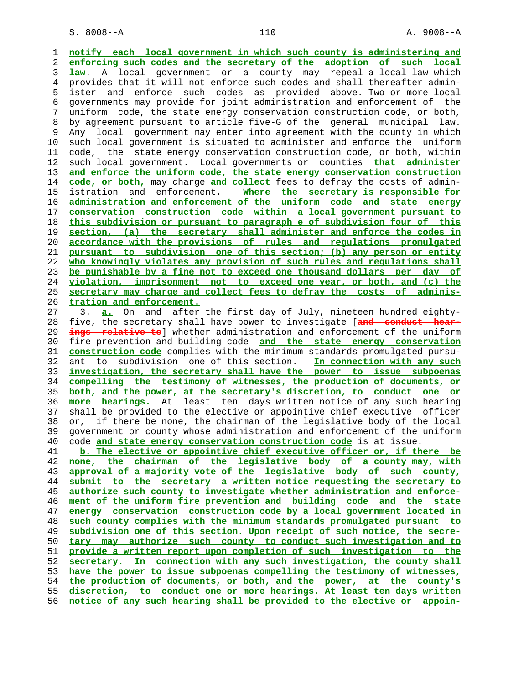**notify each local government in which such county is administering and enforcing such codes and the secretary of the adoption of such local law**. A local government or a county may repeal a local law which 4 provides that it will not enforce such codes and shall thereafter admin- 5 ister and enforce such codes as provided above. Two or more local 6 governments may provide for joint administration and enforcement of the 7 uniform code, the state energy conservation construction code, or both, 8 by agreement pursuant to article five-G of the general municipal law. 9 Any local government may enter into agreement with the county in which 10 such local government is situated to administer and enforce the uniform 11 code, the state energy conservation construction code, or both, within 12 such local government. Local governments or counties **that administer and enforce the uniform code, the state energy conservation construction code, or both,** may charge **and collect** fees to defray the costs of admin- 15 istration and enforcement. **Where the secretary is responsible for administration and enforcement of the uniform code and state energy conservation construction code within a local government pursuant to this subdivision or pursuant to paragraph e of subdivision four of this section, (a) the secretary shall administer and enforce the codes in accordance with the provisions of rules and regulations promulgated pursuant to subdivision one of this section; (b) any person or entity who knowingly violates any provision of such rules and regulations shall be punishable by a fine not to exceed one thousand dollars per day of violation, imprisonment not to exceed one year, or both, and (c) the secretary may charge and collect fees to defray the costs of adminis- tration and enforcement.** 27 3. **a.** On and after the first day of July, nineteen hundred eighty- 28 five, the secretary shall have power to investigate [**and conduct hear- ings relative to**] whether administration and enforcement of the uniform 30 fire prevention and building code **and the state energy conservation construction code** complies with the minimum standards promulgated pursu- 32 ant to subdivision one of this section. **In connection with any such investigation, the secretary shall have the power to issue subpoenas compelling the testimony of witnesses, the production of documents, or both, and the power, at the secretary's discretion, to conduct one or more hearings.** At least ten days written notice of any such hearing 37 shall be provided to the elective or appointive chief executive officer 38 or, if there be none, the chairman of the legislative body of the local 39 government or county whose administration and enforcement of the uniform 40 code **and state energy conservation construction code** is at issue. **b. The elective or appointive chief executive officer or, if there be none, the chairman of the legislative body of a county may, with approval of a majority vote of the legislative body of such county, submit to the secretary a written notice requesting the secretary to authorize such county to investigate whether administration and enforce- ment of the uniform fire prevention and building code and the state energy conservation construction code by a local government located in such county complies with the minimum standards promulgated pursuant to subdivision one of this section. Upon receipt of such notice, the secre- tary may authorize such county to conduct such investigation and to provide a written report upon completion of such investigation to the secretary. In connection with any such investigation, the county shall have the power to issue subpoenas compelling the testimony of witnesses, the production of documents, or both, and the power, at the county's discretion, to conduct one or more hearings. At least ten days written notice of any such hearing shall be provided to the elective or appoin-**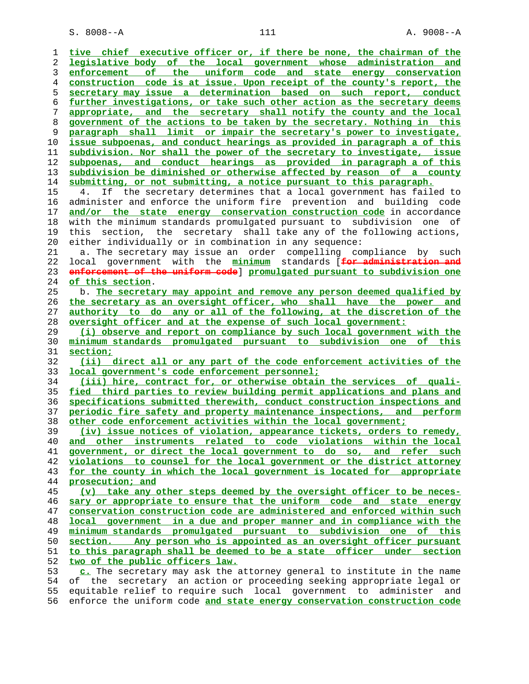S. 8008--A 111 A. 9008--A

| 1  | tive chief executive officer or, if there be none, the chairman of the   |
|----|--------------------------------------------------------------------------|
| 2  | legislative body of the local government whose administration and        |
| 3  | the uniform code and state energy conservation<br>enforcement of         |
| 4  | construction code is at issue. Upon receipt of the county's report, the  |
| 5  | secretary may issue a determination based on such report, conduct        |
| 6  | further investigations, or take such other action as the secretary deems |
| 7  | appropriate, and the secretary shall notify the county and the local     |
|    |                                                                          |
| 8  | government of the actions to be taken by the secretary. Nothing in this  |
| 9  | paragraph shall limit or impair the secretary's power to investigate,    |
| 10 | issue subpoenas, and conduct hearings as provided in paragraph a of this |
| 11 | subdivision. Nor shall the power of the secretary to investigate, issue  |
| 12 | subpoenas, and conduct hearings as provided in paragraph a of this       |
| 13 | subdivision be diminished or otherwise affected by reason of a county    |
| 14 | submitting, or not submitting, a notice pursuant to this paragraph.      |
| 15 | If the secretary determines that a local government has failed to<br>4.  |
| 16 | administer and enforce the uniform fire prevention and building code     |
| 17 | and/or the state energy conservation construction code in accordance     |
| 18 | with the minimum standards promulgated pursuant to subdivision one of    |
| 19 | section, the secretary shall take any of the following actions,<br>this  |
| 20 | either individually or in combination in any sequence:                   |
| 21 | a. The secretary may issue an order compelling compliance by such        |
| 22 | local government with the minimum standards [for administration and      |
|    |                                                                          |
| 23 | enforcement of the uniform code] promulgated pursuant to subdivision one |
| 24 | of this section.                                                         |
| 25 | b. The secretary may appoint and remove any person deemed qualified by   |
| 26 | the secretary as an oversight officer, who shall have the power and      |
| 27 | authority to do any or all of the following, at the discretion of the    |
| 28 | oversight officer and at the expense of such local government:           |
| 29 | (i) observe and report on compliance by such local government with the   |
| 30 | minimum standards promulgated pursuant to subdivision one of this        |
| 31 | section;                                                                 |
| 32 | (ii) direct all or any part of the code enforcement activities of the    |
| 33 | local government's code enforcement personnel;                           |
| 34 | (iii) hire, contract for, or otherwise obtain the services of quali-     |
| 35 | fied third parties to review building permit applications and plans and  |
| 36 | specifications submitted therewith, conduct construction inspections and |
| 37 | periodic fire safety and property maintenance inspections, and perform   |
| 38 | other code enforcement activities within the local government;           |
| 39 | (iv) issue notices of violation, appearance tickets, orders to remedy,   |
| 40 | and other instruments related to code violations within the local        |
| 41 | government, or direct the local government to do so, and refer such      |
| 42 | violations to counsel for the local government or the district attorney  |
|    | for the county in which the local government is located for appropriate  |
| 43 |                                                                          |
| 44 | prosecution; and                                                         |
| 45 | (v) take any other steps deemed by the oversight officer to be neces-    |
| 46 | sary or appropriate to ensure that the uniform code and state energy     |
| 47 | conservation construction code are administered and enforced within such |
| 48 | local government in a due and proper manner and in compliance with the   |
| 49 | minimum standards promulgated pursuant to subdivision one of this        |
| 50 | section. Any person who is appointed as an oversight officer pursuant    |
| 51 | to this paragraph shall be deemed to be a state officer under section    |
| 52 | two of the public officers law.                                          |
| 53 | c. The secretary may ask the attorney general to institute in the name   |
| 54 | of the secretary an action or proceeding seeking appropriate legal or    |
| 55 | equitable relief to require such local government to administer and      |
| 56 | enforce the uniform code and state energy conservation construction code |
|    |                                                                          |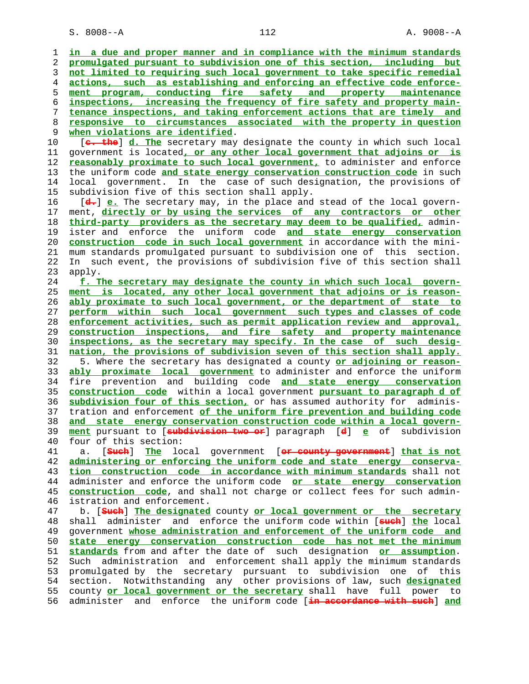S. 8008--A 112 A. 9008--A

 1 **in a due and proper manner and in compliance with the minimum standards** 2 **promulgated pursuant to subdivision one of this section, including but** 3 **not limited to requiring such local government to take specific remedial** 4 **actions, such as establishing and enforcing an effective code enforce-** 5 **ment program, conducting fire safety and property maintenance** 6 **inspections, increasing the frequency of fire safety and property main-** 7 **tenance inspections, and taking enforcement actions that are timely and** 8 **responsive to circumstances associated with the property in question** 9 <u>when violations are identified</u>.<br>10 [<del>c. the</del>] d. The secretary may [**c. the**] d. The secretary may designate the county in which such local 11 government is located**, or any other local government that adjoins or is** 12 **reasonably proximate to such local government,** to administer and enforce 13 the uniform code **and state energy conservation construction code** in such 14 local government. In the case of such designation, the provisions of 15 subdivision five of this section shall apply. 16 [**d.**] **e.** The secretary may, in the place and stead of the local govern- 17 ment, **directly or by using the services of any contractors or other** 18 **third-party providers as the secretary may deem to be qualified,** admin- 19 ister and enforce the uniform code **and state energy conservation** 20 **construction code in such local government** in accordance with the mini- 21 mum standards promulgated pursuant to subdivision one of this section. 22 In such event, the provisions of subdivision five of this section shall 23 apply. 24 **f. The secretary may designate the county in which such local govern-** 25 **ment is located, any other local government that adjoins or is reason-** 26 **ably proximate to such local government, or the department of state to** 27 **perform within such local government such types and classes of code** 28 **enforcement activities, such as permit application review and approval,** 29 **construction inspections, and fire safety and property maintenance** 30 **inspections, as the secretary may specify. In the case of such desig-** 31 **nation, the provisions of subdivision seven of this section shall apply.** 32 5. Where the secretary has designated a county **or adjoining or reason-** 33 **ably proximate local government** to administer and enforce the uniform 34 fire prevention and building code **and state energy conservation** 35 **construction code** within a local government **pursuant to paragraph d of** 36 **subdivision four of this section,** or has assumed authority for adminis- 37 tration and enforcement **of the uniform fire prevention and building code** 38 **and state energy conservation construction code within a local govern-** 39 **ment** pursuant to [**subdivision two or**] paragraph [**d**] **e** of subdivision 40 four of this section: 41 a. [**Such**] **The** local government [**or county government**] **that is not** 42 **administering or enforcing the uniform code and state energy conserva-** 43 **tion construction code in accordance with minimum standards** shall not 44 administer and enforce the uniform code **or state energy conservation** 45 **construction code**, and shall not charge or collect fees for such admin- 46 istration and enforcement. 47 b. [**Such**] **The designated** county **or local government or the secretary** 48 shall administer and enforce the uniform code within [**such**] **the** local 49 government **whose administration and enforcement of the uniform code and** 50 **state energy conservation construction code has not met the minimum** 51 **standards** from and after the date of such designation **or assumption**. 52 Such administration and enforcement shall apply the minimum standards 53 promulgated by the secretary pursuant to subdivision one of this 54 section. Notwithstanding any other provisions of law, such **designated** 55 county **or local government or the secretary** shall have full power to 56 administer and enforce the uniform code [**in accordance with such**] **and**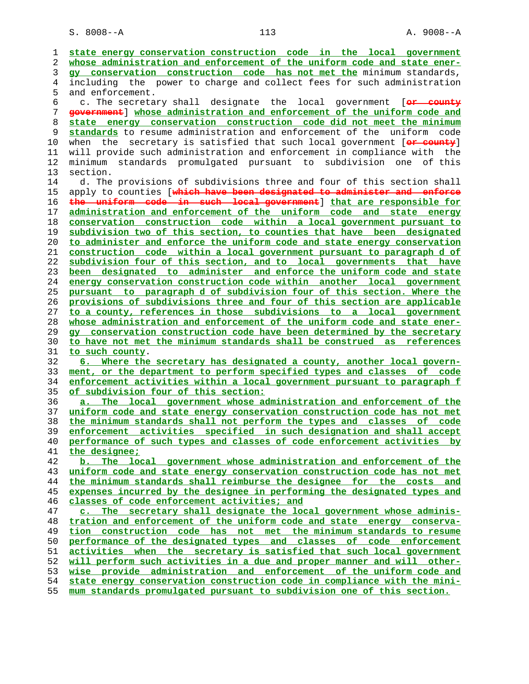**state energy conservation construction code in the local government whose administration and enforcement of the uniform code and state ener- gy conservation construction code has not met the** minimum standards, 4 including the power to charge and collect fees for such administration 5 and enforcement. 6 c. The secretary shall designate the local government [**or county government**] **whose administration and enforcement of the uniform code and state energy conservation construction code did not meet the minimum standards** to resume administration and enforcement of the uniform code 10 when the secretary is satisfied that such local government [**or county**] 11 will provide such administration and enforcement in compliance with the 12 minimum standards promulgated pursuant to subdivision one of this 13 section. 14 d. The provisions of subdivisions three and four of this section shall 15 apply to counties [**which have been designated to administer and enforce the uniform code in such local government**] **that are responsible for administration and enforcement of the uniform code and state energy conservation construction code within a local government pursuant to subdivision two of this section, to counties that have been designated to administer and enforce the uniform code and state energy conservation construction code within a local government pursuant to paragraph d of subdivision four of this section, and to local governments that have been designated to administer and enforce the uniform code and state energy conservation construction code within another local government pursuant to paragraph d of subdivision four of this section. Where the provisions of subdivisions three and four of this section are applicable to a county, references in those subdivisions to a local government whose administration and enforcement of the uniform code and state ener- gy conservation construction code have been determined by the secretary to have not met the minimum standards shall be construed as references to such county**. **6. Where the secretary has designated a county, another local govern- ment, or the department to perform specified types and classes of code enforcement activities within a local government pursuant to paragraph f of subdivision four of this section: a. The local government whose administration and enforcement of the uniform code and state energy conservation construction code has not met the minimum standards shall not perform the types and classes of code enforcement activities specified in such designation and shall accept performance of such types and classes of code enforcement activities by the designee; b. The local government whose administration and enforcement of the uniform code and state energy conservation construction code has not met the minimum standards shall reimburse the designee for the costs and expenses incurred by the designee in performing the designated types and classes of code enforcement activities; and c. The secretary shall designate the local government whose adminis- tration and enforcement of the uniform code and state energy conserva- tion construction code has not met the minimum standards to resume performance of the designated types and classes of code enforcement activities when the secretary is satisfied that such local government will perform such activities in a due and proper manner and will other- wise provide administration and enforcement of the uniform code and state energy conservation construction code in compliance with the mini- mum standards promulgated pursuant to subdivision one of this section.**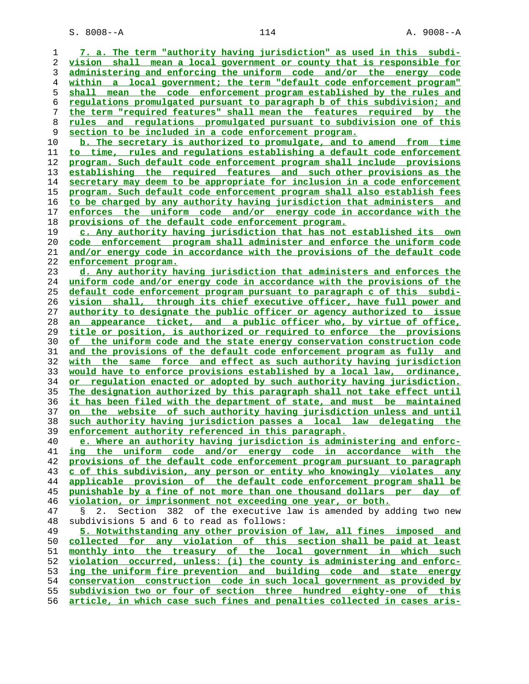S. 8008--A 114 A. 9008--A

**7. a. The term "authority having jurisdiction" as used in this subdi- vision shall mean a local government or county that is responsible for administering and enforcing the uniform code and/or the energy code within a local government; the term "default code enforcement program" shall mean the code enforcement program established by the rules and regulations promulgated pursuant to paragraph b of this subdivision; and the term "required features" shall mean the features required by the rules and regulations promulgated pursuant to subdivision one of this section to be included in a code enforcement program. b. The secretary is authorized to promulgate, and to amend from time to time, rules and regulations establishing a default code enforcement program. Such default code enforcement program shall include provisions establishing the required features and such other provisions as the secretary may deem to be appropriate for inclusion in a code enforcement program. Such default code enforcement program shall also establish fees to be charged by any authority having jurisdiction that administers and enforces the uniform code and/or energy code in accordance with the provisions of the default code enforcement program. c. Any authority having jurisdiction that has not established its own code enforcement program shall administer and enforce the uniform code and/or energy code in accordance with the provisions of the default code enforcement program. d. Any authority having jurisdiction that administers and enforces the uniform code and/or energy code in accordance with the provisions of the default code enforcement program pursuant to paragraph c of this subdi- vision shall, through its chief executive officer, have full power and authority to designate the public officer or agency authorized to issue an appearance ticket, and a public officer who, by virtue of office, title or position, is authorized or required to enforce the provisions of the uniform code and the state energy conservation construction code and the provisions of the default code enforcement program as fully and with the same force and effect as such authority having jurisdiction would have to enforce provisions established by a local law, ordinance, or regulation enacted or adopted by such authority having jurisdiction. The designation authorized by this paragraph shall not take effect until it has been filed with the department of state, and must be maintained on the website of such authority having jurisdiction unless and until such authority having jurisdiction passes a local law delegating the enforcement authority referenced in this paragraph. e. Where an authority having jurisdiction is administering and enforc- ing the uniform code and/or energy code in accordance with the provisions of the default code enforcement program pursuant to paragraph c of this subdivision, any person or entity who knowingly violates any applicable provision of the default code enforcement program shall be punishable by a fine of not more than one thousand dollars per day of violation, or imprisonment not exceeding one year, or both.** 47 § 2. Section 382 of the executive law is amended by adding two new 48 subdivisions 5 and 6 to read as follows: **5. Notwithstanding any other provision of law, all fines imposed and collected for any violation of this section shall be paid at least monthly into the treasury of the local government in which such violation occurred, unless: (i) the county is administering and enforc- ing the uniform fire prevention and building code and state energy conservation construction code in such local government as provided by subdivision two or four of section three hundred eighty-one of this**

**article, in which case such fines and penalties collected in cases aris-**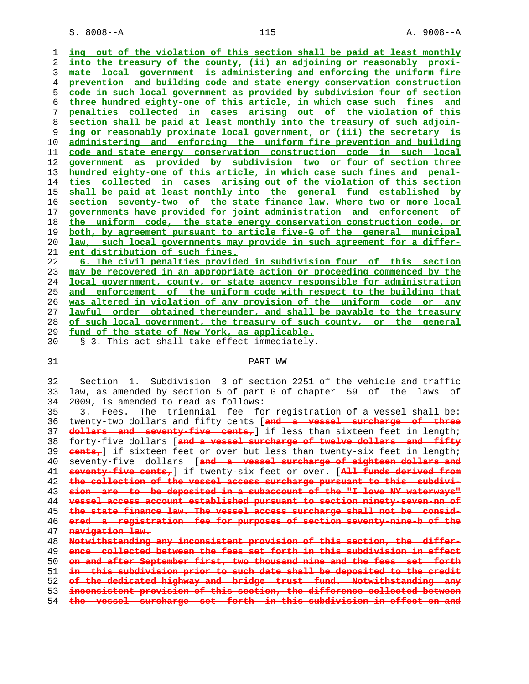S. 8008--A 115 A. 9008--A

**ing out of the violation of this section shall be paid at least monthly into the treasury of the county, (ii) an adjoining or reasonably proxi- mate local government is administering and enforcing the uniform fire prevention and building code and state energy conservation construction code in such local government as provided by subdivision four of section three hundred eighty-one of this article, in which case such fines and penalties collected in cases arising out of the violation of this section shall be paid at least monthly into the treasury of such adjoin- ing or reasonably proximate local government, or (iii) the secretary is administering and enforcing the uniform fire prevention and building code and state energy conservation construction code in such local government as provided by subdivision two or four of section three hundred eighty-one of this article, in which case such fines and penal- ties collected in cases arising out of the violation of this section shall be paid at least monthly into the general fund established by section seventy-two of the state finance law. Where two or more local governments have provided for joint administration and enforcement of the uniform code, the state energy conservation construction code, or both, by agreement pursuant to article five-G of the general municipal law, such local governments may provide in such agreement for a differ- ent distribution of such fines.**

**6. The civil penalties provided in subdivision four of this section may be recovered in an appropriate action or proceeding commenced by the local government, county, or state agency responsible for administration and enforcement of the uniform code with respect to the building that was altered in violation of any provision of the uniform code or any lawful order obtained thereunder, and shall be payable to the treasury of such local government, the treasury of such county, or the general fund of the state of New York, as applicable.**

30 § 3. This act shall take effect immediately.

### 31 PART WW

 32 Section 1. Subdivision 3 of section 2251 of the vehicle and traffic 33 law, as amended by section 5 of part G of chapter 59 of the laws of 34 2009, is amended to read as follows:

 35 3. Fees. The triennial fee for registration of a vessel shall be: 36 twenty-two dollars and fifty cents [**and a vessel surcharge of three dollars and seventy-five cents,**] if less than sixteen feet in length; 38 forty-five dollars [**and a vessel surcharge of twelve dollars and fifty cents,**] if sixteen feet or over but less than twenty-six feet in length; 40 seventy-five dollars [**and a vessel surcharge of eighteen dollars and seventy-five cents,**] if twenty-six feet or over. [**All funds derived from the collection of the vessel access surcharge pursuant to this subdivi- sion are to be deposited in a subaccount of the "I love NY waterways" vessel access account established pursuant to section ninety-seven-nn of the state finance law. The vessel access surcharge shall not be consid- ered a registration fee for purposes of section seventy-nine-b of the navigation law. Notwithstanding any inconsistent provision of this section, the differ- ence collected between the fees set forth in this subdivision in effect on and after September first, two thousand nine and the fees set forth in this subdivision prior to such date shall be deposited to the credit of the dedicated highway and bridge trust fund. Notwithstanding any inconsistent provision of this section, the difference collected between**

**the vessel surcharge set forth in this subdivision in effect on and**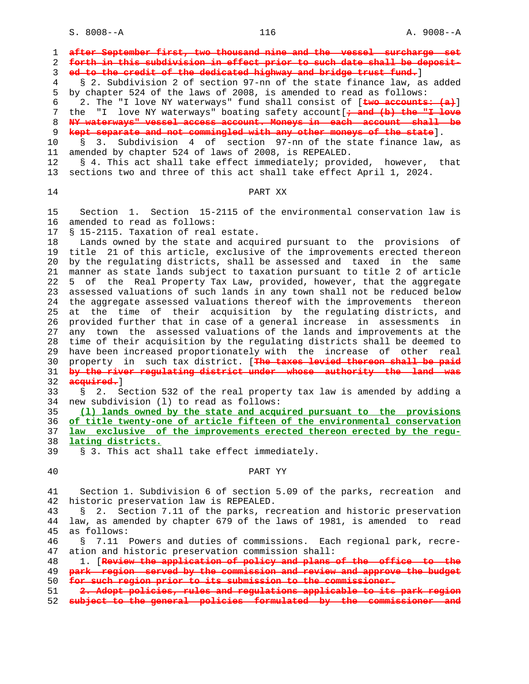S. 8008--A 116 116 A. 9008--A

| forth in this subdivision in effect prior to such date shall be deposit-                                                                       |
|------------------------------------------------------------------------------------------------------------------------------------------------|
| ed to the credit of the dedicated highway and bridge trust fund.]                                                                              |
| § 2. Subdivision 2 of section 97-nn of the state finance law, as added                                                                         |
| by chapter 524 of the laws of 2008, is amended to read as follows:                                                                             |
| 2. The "I love NY waterways" fund shall consist of [two accounts: (a)]                                                                         |
| love NY waterways" boating safety account [+ and (b) the "I love<br>the<br>" I —                                                               |
| NY waterways" vessel access account. Moneys in each account shall be                                                                           |
| kept separate and not commingled with any other moneys of the state].                                                                          |
| Subdivision 4 of section 97-nn of the state finance law, as<br>$\begin{matrix}8 & 3. \end{matrix}$                                             |
| amended by chapter 524 of laws of 2008, is REPEALED.                                                                                           |
| § 4. This act shall take effect immediately; provided, however, that                                                                           |
| sections two and three of this act shall take effect April 1, 2024.                                                                            |
| PART XX                                                                                                                                        |
|                                                                                                                                                |
| Section 1. Section 15-2115 of the environmental conservation law is                                                                            |
| amended to read as follows:                                                                                                                    |
| § 15-2115. Taxation of real estate.                                                                                                            |
| Lands owned by the state and acquired pursuant to the provisions of                                                                            |
| title 21 of this article, exclusive of the improvements erected thereon                                                                        |
| by the regulating districts, shall be assessed and taxed in the same                                                                           |
| manner as state lands subject to taxation pursuant to title 2 of article                                                                       |
| 5 of the Real Property Tax Law, provided, however, that the aggregate                                                                          |
| assessed valuations of such lands in any town shall not be reduced below                                                                       |
| the aggregate assessed valuations thereof with the improvements thereon                                                                        |
| the time of their acquisition by the regulating districts, and<br>at                                                                           |
| provided further that in case of a general increase in assessments in<br>any town the assessed valuations of the lands and improvements at the |
| time of their acquisition by the regulating districts shall be deemed to                                                                       |
| have been increased proportionately with the increase of other<br>real                                                                         |
| property in such tax district. [The taxes levied thereon shall be paid                                                                         |
| by the river regulating district under whose authority the land was                                                                            |
| acquired.                                                                                                                                      |
| 2. Section 532 of the real property tax law is amended by adding a<br>S                                                                        |
| new subdivision (1) to read as follows:                                                                                                        |
| (1) lands owned by the state and acquired pursuant to the provisions                                                                           |
| of title twenty-one of article fifteen of the environmental conservation                                                                       |
| law exclusive of the improvements erected thereon erected by the requ-                                                                         |
| lating districts.                                                                                                                              |
| § 3. This act shall take effect immediately.                                                                                                   |
|                                                                                                                                                |
| PART YY                                                                                                                                        |
| Section 1. Subdivision 6 of section 5.09 of the parks, recreation<br>and                                                                       |
| historic preservation law is REPEALED.                                                                                                         |
| § 2. Section 7.11 of the parks, recreation and historic preservation                                                                           |
| law, as amended by chapter 679 of the laws of 1981, is amended to read                                                                         |
| as follows:                                                                                                                                    |
| 7.11 Powers and duties of commissions. Each regional park, recre-<br>S.                                                                        |
| ation and historic preservation commission shall:                                                                                              |
| 1. [Review the application of policy and plans of the office<br><del>the</del>                                                                 |
|                                                                                                                                                |
| park region served by the commission and review and approve the budget                                                                         |
| for such region prior to its submission to the commissioner.                                                                                   |
| 2. Adopt policies, rules and regulations applicable to its park reg<br>subject to the general policies formulated by the commissioner and      |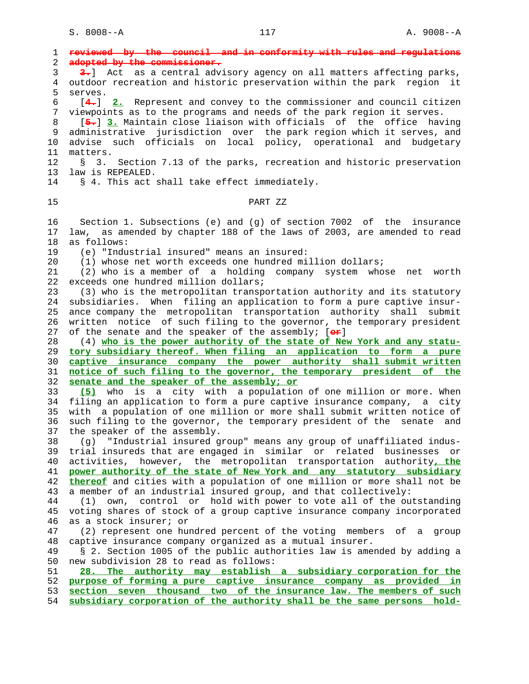1 **reviewed by the council and in conformity with rules and regulations** 2 **adopted by the commissioner.** 3 **3.**] Act as a central advisory agency on all matters affecting parks, 4 outdoor recreation and historic preservation within the park region it 5 serves. 6 [**4.**] **2.** Represent and convey to the commissioner and council citizen 7 viewpoints as to the programs and needs of the park region it serves. 8 [**5.**] **3.** Maintain close liaison with officials of the office having 9 administrative jurisdiction over the park region which it serves, and 10 advise such officials on local policy, operational and budgetary 11 matters. 12 § 3. Section 7.13 of the parks, recreation and historic preservation 13 law is REPEALED. 14 § 4. This act shall take effect immediately. 15 PART ZZ 16 Section 1. Subsections (e) and (g) of section 7002 of the insurance 17 law, as amended by chapter 188 of the laws of 2003, are amended to read 18 as follows: 19 (e) "Industrial insured" means an insured: 20 (1) whose net worth exceeds one hundred million dollars; 21 (2) who is a member of a holding company system whose net worth 22 exceeds one hundred million dollars; 23 (3) who is the metropolitan transportation authority and its statutory 24 subsidiaries. When filing an application to form a pure captive insur- 25 ance company the metropolitan transportation authority shall submit 26 written notice of such filing to the governor, the temporary president 27 of the senate and the speaker of the assembly; [**or**] 28 (4) **who is the power authority of the state of New York and any statu-** 29 **tory subsidiary thereof. When filing an application to form a pure** 30 **captive insurance company the power authority shall submit written** 31 **notice of such filing to the governor, the temporary president of the** 32 **senate and the speaker of the assembly; or** 33 **(5)** who is a city with a population of one million or more. When 34 filing an application to form a pure captive insurance company, a city 35 with a population of one million or more shall submit written notice of 36 such filing to the governor, the temporary president of the senate and 37 the speaker of the assembly. 38 (g) "Industrial insured group" means any group of unaffiliated indus- 39 trial insureds that are engaged in similar or related businesses or 40 activities, however, the metropolitan transportation authority**, the** 41 **power authority of the state of New York and any statutory subsidiary** 42 **thereof** and cities with a population of one million or more shall not be 43 a member of an industrial insured group, and that collectively: 44 (1) own, control or hold with power to vote all of the outstanding 45 voting shares of stock of a group captive insurance company incorporated 46 as a stock insurer; or 47 (2) represent one hundred percent of the voting members of a group 48 captive insurance company organized as a mutual insurer. 49 § 2. Section 1005 of the public authorities law is amended by adding a 50 new subdivision 28 to read as follows: 51 **28. The authority may establish a subsidiary corporation for the** 52 **purpose of forming a pure captive insurance company as provided in** 53 **section seven thousand two of the insurance law. The members of such** 54 **subsidiary corporation of the authority shall be the same persons hold-**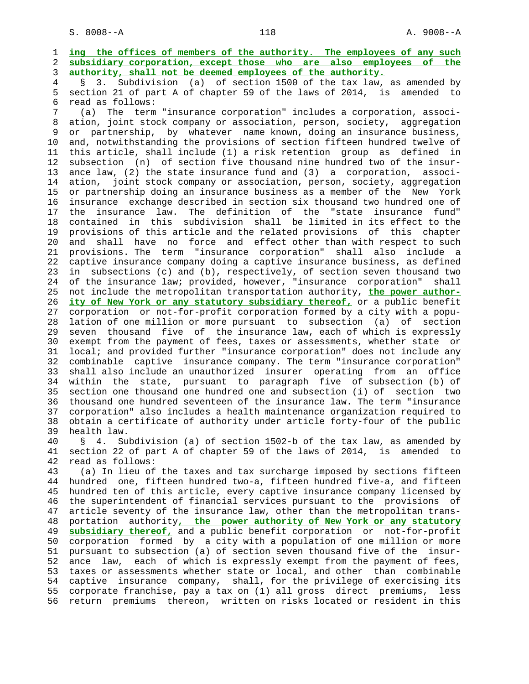1 **ing the offices of members of the authority. The employees of any such** 2 **subsidiary corporation, except those who are also employees of the** 3 **authority, shall not be deemed employees of the authority.**

 4 § 3. Subdivision (a) of section 1500 of the tax law, as amended by 5 section 21 of part A of chapter 59 of the laws of 2014, is amended to 6 read as follows:

 7 (a) The term "insurance corporation" includes a corporation, associ- 8 ation, joint stock company or association, person, society, aggregation 9 or partnership, by whatever name known, doing an insurance business, 10 and, notwithstanding the provisions of section fifteen hundred twelve of 11 this article, shall include (1) a risk retention group as defined in 12 subsection (n) of section five thousand nine hundred two of the insur- 13 ance law, (2) the state insurance fund and (3) a corporation, associ- 14 ation, joint stock company or association, person, society, aggregation 15 or partnership doing an insurance business as a member of the New York 16 insurance exchange described in section six thousand two hundred one of 17 the insurance law. The definition of the "state insurance fund" 18 contained in this subdivision shall be limited in its effect to the 19 provisions of this article and the related provisions of this chapter 20 and shall have no force and effect other than with respect to such 21 provisions. The term "insurance corporation" shall also include a 22 captive insurance company doing a captive insurance business, as defined 23 in subsections (c) and (b), respectively, of section seven thousand two 24 of the insurance law; provided, however, "insurance corporation" shall 25 not include the metropolitan transportation authority, **the power author-** 26 **ity of New York or any statutory subsidiary thereof,** or a public benefit 27 corporation or not-for-profit corporation formed by a city with a popu- 28 lation of one million or more pursuant to subsection (a) of section 29 seven thousand five of the insurance law, each of which is expressly 30 exempt from the payment of fees, taxes or assessments, whether state or 31 local; and provided further "insurance corporation" does not include any 32 combinable captive insurance company. The term "insurance corporation" 33 shall also include an unauthorized insurer operating from an office 34 within the state, pursuant to paragraph five of subsection (b) of 35 section one thousand one hundred one and subsection (i) of section two 36 thousand one hundred seventeen of the insurance law. The term "insurance 37 corporation" also includes a health maintenance organization required to 38 obtain a certificate of authority under article forty-four of the public 39 health law.

 40 § 4. Subdivision (a) of section 1502-b of the tax law, as amended by 41 section 22 of part A of chapter 59 of the laws of 2014, is amended to 42 read as follows:

 43 (a) In lieu of the taxes and tax surcharge imposed by sections fifteen 44 hundred one, fifteen hundred two-a, fifteen hundred five-a, and fifteen 45 hundred ten of this article, every captive insurance company licensed by 46 the superintendent of financial services pursuant to the provisions of 47 article seventy of the insurance law, other than the metropolitan trans- 48 portation authority**, the power authority of New York or any statutory** 49 **subsidiary thereof,** and a public benefit corporation or not-for-profit 50 corporation formed by a city with a population of one million or more 51 pursuant to subsection (a) of section seven thousand five of the insur- 52 ance law, each of which is expressly exempt from the payment of fees, 53 taxes or assessments whether state or local, and other than combinable 54 captive insurance company, shall, for the privilege of exercising its 55 corporate franchise, pay a tax on (1) all gross direct premiums, less 56 return premiums thereon, written on risks located or resident in this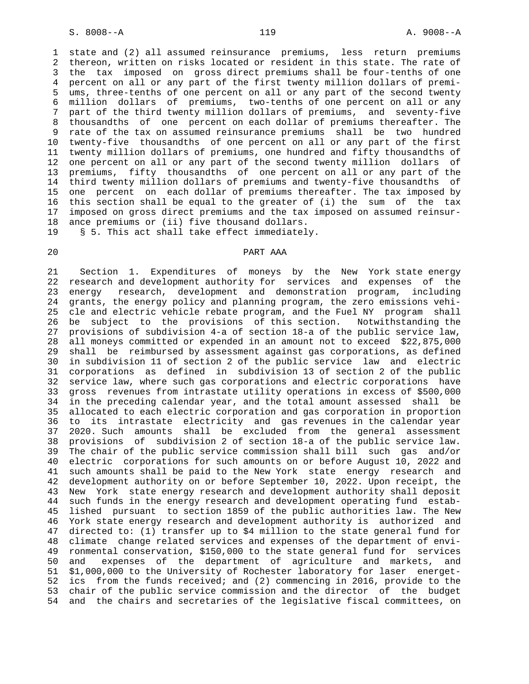1 state and (2) all assumed reinsurance premiums, less return premiums 2 thereon, written on risks located or resident in this state. The rate of 3 the tax imposed on gross direct premiums shall be four-tenths of one 4 percent on all or any part of the first twenty million dollars of premi- 5 ums, three-tenths of one percent on all or any part of the second twenty 6 million dollars of premiums, two-tenths of one percent on all or any 7 part of the third twenty million dollars of premiums, and seventy-five 8 thousandths of one percent on each dollar of premiums thereafter. The 9 rate of the tax on assumed reinsurance premiums shall be two hundred 10 twenty-five thousandths of one percent on all or any part of the first 11 twenty million dollars of premiums, one hundred and fifty thousandths of 12 one percent on all or any part of the second twenty million dollars of 13 premiums, fifty thousandths of one percent on all or any part of the 14 third twenty million dollars of premiums and twenty-five thousandths of 15 one percent on each dollar of premiums thereafter. The tax imposed by 16 this section shall be equal to the greater of (i) the sum of the tax 17 imposed on gross direct premiums and the tax imposed on assumed reinsur- 18 ance premiums or (ii) five thousand dollars.

19 § 5. This act shall take effect immediately.

# 20 PART AAA

 21 Section 1. Expenditures of moneys by the New York state energy 22 research and development authority for services and expenses of the 23 energy research, development and demonstration program, including 24 grants, the energy policy and planning program, the zero emissions vehi- 25 cle and electric vehicle rebate program, and the Fuel NY program shall 26 be subject to the provisions of this section. Notwithstanding the 27 provisions of subdivision 4-a of section 18-a of the public service law, 28 all moneys committed or expended in an amount not to exceed \$22,875,000 29 shall be reimbursed by assessment against gas corporations, as defined 30 in subdivision 11 of section 2 of the public service law and electric 31 corporations as defined in subdivision 13 of section 2 of the public 32 service law, where such gas corporations and electric corporations have 33 gross revenues from intrastate utility operations in excess of \$500,000 34 in the preceding calendar year, and the total amount assessed shall be 35 allocated to each electric corporation and gas corporation in proportion 36 to its intrastate electricity and gas revenues in the calendar year 37 2020. Such amounts shall be excluded from the general assessment 38 provisions of subdivision 2 of section 18-a of the public service law. 39 The chair of the public service commission shall bill such gas and/or 40 electric corporations for such amounts on or before August 10, 2022 and 41 such amounts shall be paid to the New York state energy research and 42 development authority on or before September 10, 2022. Upon receipt, the 43 New York state energy research and development authority shall deposit 44 such funds in the energy research and development operating fund estab- 45 lished pursuant to section 1859 of the public authorities law. The New 46 York state energy research and development authority is authorized and 47 directed to: (1) transfer up to \$4 million to the state general fund for 48 climate change related services and expenses of the department of envi- 49 ronmental conservation, \$150,000 to the state general fund for services 50 and expenses of the department of agriculture and markets, and 51 \$1,000,000 to the University of Rochester laboratory for laser energet- 52 ics from the funds received; and (2) commencing in 2016, provide to the 53 chair of the public service commission and the director of the budget 54 and the chairs and secretaries of the legislative fiscal committees, on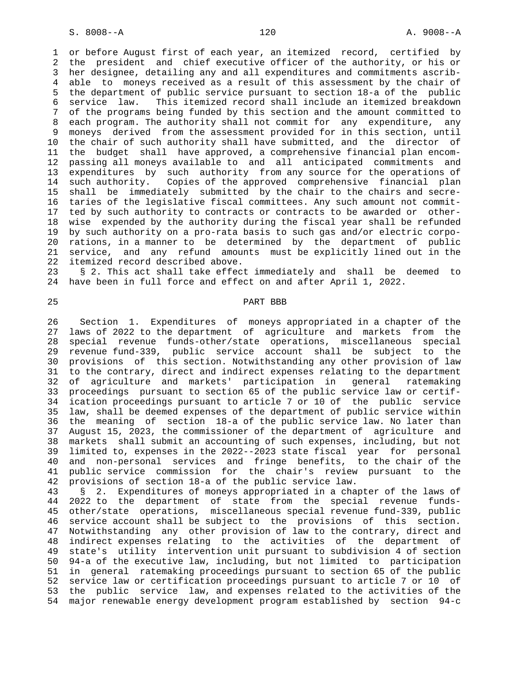1 or before August first of each year, an itemized record, certified by 2 the president and chief executive officer of the authority, or his or 3 her designee, detailing any and all expenditures and commitments ascrib- 4 able to moneys received as a result of this assessment by the chair of 5 the department of public service pursuant to section 18-a of the public 6 service law. This itemized record shall include an itemized breakdown 7 of the programs being funded by this section and the amount committed to 8 each program. The authority shall not commit for any expenditure, any 9 moneys derived from the assessment provided for in this section, until 10 the chair of such authority shall have submitted, and the director of 11 the budget shall have approved, a comprehensive financial plan encom- 12 passing all moneys available to and all anticipated commitments and 13 expenditures by such authority from any source for the operations of 14 such authority. Copies of the approved comprehensive financial plan 15 shall be immediately submitted by the chair to the chairs and secre- 16 taries of the legislative fiscal committees. Any such amount not commit- 17 ted by such authority to contracts or contracts to be awarded or other- 18 wise expended by the authority during the fiscal year shall be refunded 19 by such authority on a pro-rata basis to such gas and/or electric corpo- 20 rations, in a manner to be determined by the department of public 21 service, and any refund amounts must be explicitly lined out in the 22 itemized record described above.

 23 § 2. This act shall take effect immediately and shall be deemed to 24 have been in full force and effect on and after April 1, 2022.

# 25 PART BBB

 26 Section 1. Expenditures of moneys appropriated in a chapter of the 27 laws of 2022 to the department of agriculture and markets from the 28 special revenue funds-other/state operations, miscellaneous special 29 revenue fund-339, public service account shall be subject to the 30 provisions of this section. Notwithstanding any other provision of law 31 to the contrary, direct and indirect expenses relating to the department 32 of agriculture and markets' participation in general ratemaking 33 proceedings pursuant to section 65 of the public service law or certif- 34 ication proceedings pursuant to article 7 or 10 of the public service 35 law, shall be deemed expenses of the department of public service within 36 the meaning of section 18-a of the public service law. No later than 37 August 15, 2023, the commissioner of the department of agriculture and 38 markets shall submit an accounting of such expenses, including, but not 39 limited to, expenses in the 2022--2023 state fiscal year for personal 40 and non-personal services and fringe benefits, to the chair of the 41 public service commission for the chair's review pursuant to the 42 provisions of section 18-a of the public service law.

 43 § 2. Expenditures of moneys appropriated in a chapter of the laws of 44 2022 to the department of state from the special revenue funds- 45 other/state operations, miscellaneous special revenue fund-339, public 46 service account shall be subject to the provisions of this section. 47 Notwithstanding any other provision of law to the contrary, direct and 48 indirect expenses relating to the activities of the department of 49 state's utility intervention unit pursuant to subdivision 4 of section 50 94-a of the executive law, including, but not limited to participation 51 in general ratemaking proceedings pursuant to section 65 of the public 52 service law or certification proceedings pursuant to article 7 or 10 of 53 the public service law, and expenses related to the activities of the 54 major renewable energy development program established by section 94-c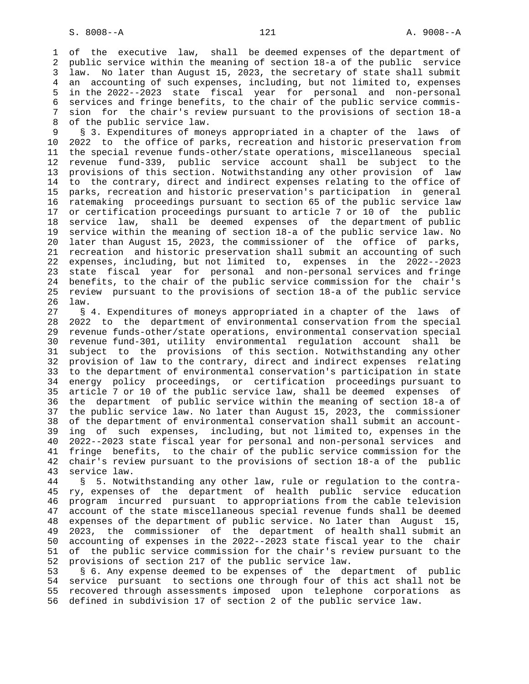1 of the executive law, shall be deemed expenses of the department of 2 public service within the meaning of section 18-a of the public service 3 law. No later than August 15, 2023, the secretary of state shall submit 4 an accounting of such expenses, including, but not limited to, expenses 5 in the 2022--2023 state fiscal year for personal and non-personal 6 services and fringe benefits, to the chair of the public service commis- 7 sion for the chair's review pursuant to the provisions of section 18-a 8 of the public service law.

 9 § 3. Expenditures of moneys appropriated in a chapter of the laws of 10 2022 to the office of parks, recreation and historic preservation from 11 the special revenue funds-other/state operations, miscellaneous special 12 revenue fund-339, public service account shall be subject to the 13 provisions of this section. Notwithstanding any other provision of law 14 to the contrary, direct and indirect expenses relating to the office of 15 parks, recreation and historic preservation's participation in general 16 ratemaking proceedings pursuant to section 65 of the public service law 17 or certification proceedings pursuant to article 7 or 10 of the public 18 service law, shall be deemed expenses of the department of public 19 service within the meaning of section 18-a of the public service law. No 20 later than August 15, 2023, the commissioner of the office of parks, 21 recreation and historic preservation shall submit an accounting of such 22 expenses, including, but not limited to, expenses in the 2022--2023 23 state fiscal year for personal and non-personal services and fringe 24 benefits, to the chair of the public service commission for the chair's 25 review pursuant to the provisions of section 18-a of the public service 26 law.

 27 § 4. Expenditures of moneys appropriated in a chapter of the laws of 28 2022 to the department of environmental conservation from the special 29 revenue funds-other/state operations, environmental conservation special 30 revenue fund-301, utility environmental regulation account shall be 31 subject to the provisions of this section. Notwithstanding any other 32 provision of law to the contrary, direct and indirect expenses relating 33 to the department of environmental conservation's participation in state 34 energy policy proceedings, or certification proceedings pursuant to 35 article 7 or 10 of the public service law, shall be deemed expenses of 36 the department of public service within the meaning of section 18-a of 37 the public service law. No later than August 15, 2023, the commissioner 38 of the department of environmental conservation shall submit an account- 39 ing of such expenses, including, but not limited to, expenses in the 40 2022--2023 state fiscal year for personal and non-personal services and 41 fringe benefits, to the chair of the public service commission for the 42 chair's review pursuant to the provisions of section 18-a of the public 43 service law.

 44 § 5. Notwithstanding any other law, rule or regulation to the contra- 45 ry, expenses of the department of health public service education 46 program incurred pursuant to appropriations from the cable television 47 account of the state miscellaneous special revenue funds shall be deemed 48 expenses of the department of public service. No later than August 15, 49 2023, the commissioner of the department of health shall submit an 50 accounting of expenses in the 2022--2023 state fiscal year to the chair 51 of the public service commission for the chair's review pursuant to the 52 provisions of section 217 of the public service law.

 53 § 6. Any expense deemed to be expenses of the department of public 54 service pursuant to sections one through four of this act shall not be 55 recovered through assessments imposed upon telephone corporations as 56 defined in subdivision 17 of section 2 of the public service law.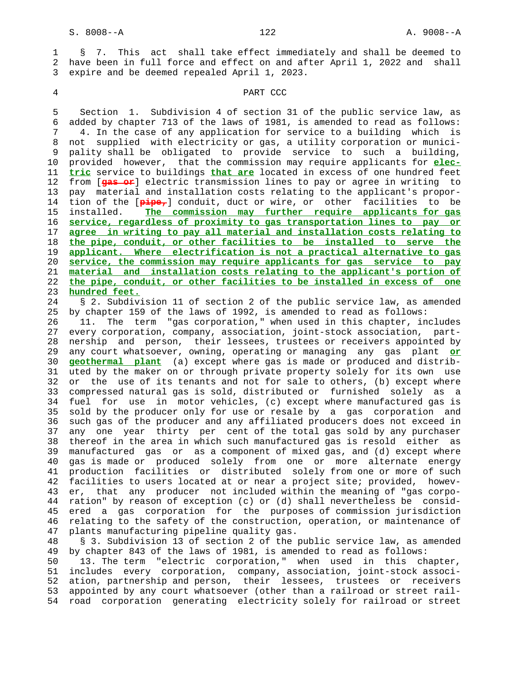1 § 7. This act shall take effect immediately and shall be deemed to 2 have been in full force and effect on and after April 1, 2022 and shall 3 expire and be deemed repealed April 1, 2023.

### 4 PART CCC

 5 Section 1. Subdivision 4 of section 31 of the public service law, as 6 added by chapter 713 of the laws of 1981, is amended to read as follows: 7 4. In the case of any application for service to a building which is 8 not supplied with electricity or gas, a utility corporation or munici- 9 pality shall be obligated to provide service to such a building, 10 provided however, that the commission may require applicants for **elec-** 11 **tric** service to buildings **that are** located in excess of one hundred feet 12 from [**gas or**] electric transmission lines to pay or agree in writing to 13 pay material and installation costs relating to the applicant's propor- 14 tion of the [**pipe,**] conduit, duct or wire, or other facilities to be 15 installed. **The commission may further require applicants for gas** 16 **service, regardless of proximity to gas transportation lines to pay or** 17 **agree in writing to pay all material and installation costs relating to** 18 **the pipe, conduit, or other facilities to be installed to serve the** 19 **applicant. Where electrification is not a practical alternative to gas** 20 **service, the commission may require applicants for gas service to pay** 21 **material and installation costs relating to the applicant's portion of** 22 **the pipe, conduit, or other facilities to be installed in excess of one** 23 **hundred feet.**

 24 § 2. Subdivision 11 of section 2 of the public service law, as amended 25 by chapter 159 of the laws of 1992, is amended to read as follows: 26 11. The term "gas corporation," when used in this chapter, includes

 27 every corporation, company, association, joint-stock association, part- 28 nership and person, their lessees, trustees or receivers appointed by 29 any court whatsoever, owning, operating or managing any gas plant **or** 30 **geothermal plant** (a) except where gas is made or produced and distrib- 31 uted by the maker on or through private property solely for its own use 32 or the use of its tenants and not for sale to others, (b) except where 33 compressed natural gas is sold, distributed or furnished solely as a 34 fuel for use in motor vehicles, (c) except where manufactured gas is 35 sold by the producer only for use or resale by a gas corporation and 36 such gas of the producer and any affiliated producers does not exceed in 37 any one year thirty per cent of the total gas sold by any purchaser 38 thereof in the area in which such manufactured gas is resold either as 39 manufactured gas or as a component of mixed gas, and (d) except where 40 gas is made or produced solely from one or more alternate energy 41 production facilities or distributed solely from one or more of such 42 facilities to users located at or near a project site; provided, howev- 43 er, that any producer not included within the meaning of "gas corpo- 44 ration" by reason of exception (c) or (d) shall nevertheless be consid- 45 ered a gas corporation for the purposes of commission jurisdiction 46 relating to the safety of the construction, operation, or maintenance of 47 plants manufacturing pipeline quality gas.

 48 § 3. Subdivision 13 of section 2 of the public service law, as amended 49 by chapter 843 of the laws of 1981, is amended to read as follows:

 50 13. The term "electric corporation," when used in this chapter, 51 includes every corporation, company, association, joint-stock associ- 52 ation, partnership and person, their lessees, trustees or receivers 53 appointed by any court whatsoever (other than a railroad or street rail- 54 road corporation generating electricity solely for railroad or street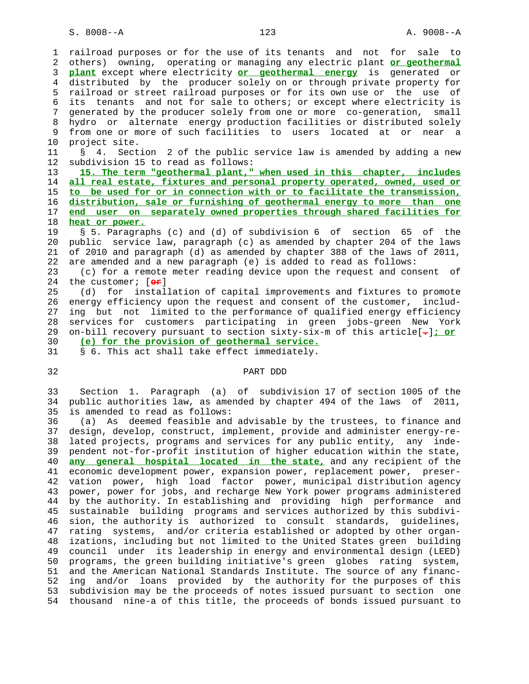S. 8008--A 123 A. 9008--A

 1 railroad purposes or for the use of its tenants and not for sale to 2 others) owning, operating or managing any electric plant **or geothermal** 3 **plant** except where electricity **or geothermal energy** is generated or 4 distributed by the producer solely on or through private property for 5 railroad or street railroad purposes or for its own use or the use of 6 its tenants and not for sale to others; or except where electricity is 7 generated by the producer solely from one or more co-generation, small 8 hydro or alternate energy production facilities or distributed solely 9 from one or more of such facilities to users located at or near a<br>10 project site. project site. 11 § 4. Section 2 of the public service law is amended by adding a new 12 subdivision 15 to read as follows: 13 **15. The term "geothermal plant," when used in this chapter, includes** 14 **all real estate, fixtures and personal property operated, owned, used or** 15 **to be used for or in connection with or to facilitate the transmission,** 16 **distribution, sale or furnishing of geothermal energy to more than one** 17 **end user on separately owned properties through shared facilities for** 18 **heat or power.** 19 § 5. Paragraphs (c) and (d) of subdivision 6 of section 65 of the 20 public service law, paragraph (c) as amended by chapter 204 of the laws 21 of 2010 and paragraph (d) as amended by chapter 388 of the laws of 2011, 22 are amended and a new paragraph (e) is added to read as follows: 23 (c) for a remote meter reading device upon the request and consent of 24 the customer; [**or**] 25 (d) for installation of capital improvements and fixtures to promote 26 energy efficiency upon the request and consent of the customer, includ- 27 ing but not limited to the performance of qualified energy efficiency 28 services for customers participating in green jobs-green New York 29 on-bill recovery pursuant to section sixty-six-m of this article[**.**]**; or** 30 **(e) for the provision of geothermal service.** 31 § 6. This act shall take effect immediately. 32 PART DDD 33 Section 1. Paragraph (a) of subdivision 17 of section 1005 of the 34 public authorities law, as amended by chapter 494 of the laws of 2011, 35 is amended to read as follows: 36 (a) As deemed feasible and advisable by the trustees, to finance and 37 design, develop, construct, implement, provide and administer energy-re- 38 lated projects, programs and services for any public entity, any inde- 39 pendent not-for-profit institution of higher education within the state, 40 **any general hospital located in the state,** and any recipient of the 41 economic development power, expansion power, replacement power, preser- 42 vation power, high load factor power, municipal distribution agency 43 power, power for jobs, and recharge New York power programs administered 44 by the authority. In establishing and providing high performance and 45 sustainable building programs and services authorized by this subdivi-

 46 sion, the authority is authorized to consult standards, guidelines, 47 rating systems, and/or criteria established or adopted by other organ- 48 izations, including but not limited to the United States green building 49 council under its leadership in energy and environmental design (LEED) 50 programs, the green building initiative's green globes rating system, 51 and the American National Standards Institute. The source of any financ- 52 ing and/or loans provided by the authority for the purposes of this 53 subdivision may be the proceeds of notes issued pursuant to section one 54 thousand nine-a of this title, the proceeds of bonds issued pursuant to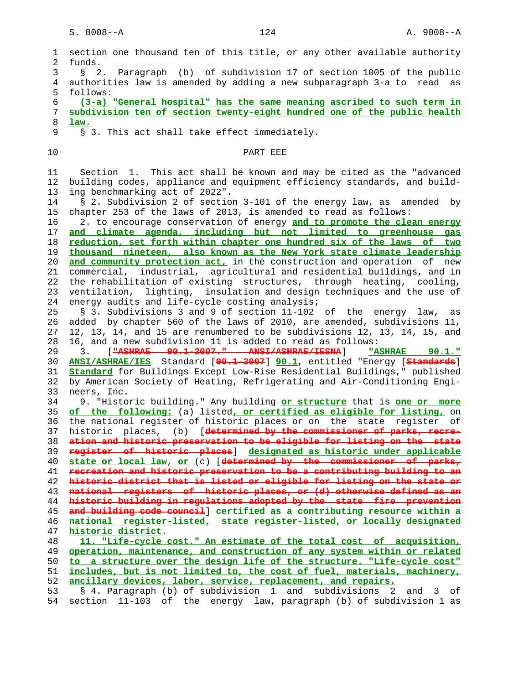1 section one thousand ten of this title, or any other available authority 2 funds. 3 § 2. Paragraph (b) of subdivision 17 of section 1005 of the public 4 authorities law is amended by adding a new subparagraph 3-a to read as 5 follows: 6 **(3-a) "General hospital" has the same meaning ascribed to such term in** 7 **subdivision ten of section twenty-eight hundred one of the public health** 8 **law.** 9 § 3. This act shall take effect immediately. 10 PART EEE 11 Section 1. This act shall be known and may be cited as the "advanced 12 building codes, appliance and equipment efficiency standards, and build- 13 ing benchmarking act of 2022". 14 § 2. Subdivision 2 of section 3-101 of the energy law, as amended by 15 chapter 253 of the laws of 2013, is amended to read as follows: 16 2. to encourage conservation of energy **and to promote the clean energy** 17 **and climate agenda, including but not limited to greenhouse gas** 18 **reduction, set forth within chapter one hundred six of the laws of two** 19 **thousand nineteen, also known as the New York state climate leadership** 20 **and community protection act,** in the construction and operation of new 21 commercial, industrial, agricultural and residential buildings, and in 22 the rehabilitation of existing structures, through heating, cooling, 23 ventilation, lighting, insulation and design techniques and the use of 24 energy audits and life-cycle costing analysis; 25 § 3. Subdivisions 3 and 9 of section 11-102 of the energy law, as 26 added by chapter 560 of the laws of 2010, are amended, subdivisions 11, 27 12, 13, 14, and 15 are renumbered to be subdivisions 12, 13, 14, 15, and 28 16, and a new subdivision 11 is added to read as follows: 29 3. [**"ASHRAE 90.1-2007." ANSI/ASHRAE/IESNA**] **"ASHRAE 90.1."** 30 **ANSI/ASHRAE/IES** Standard [**90.1-2007**] **90.1**, entitled "Energy [**Standards**] 31 **Standard** for Buildings Except Low-Rise Residential Buildings," published 32 by American Society of Heating, Refrigerating and Air-Conditioning Engi- 33 neers, Inc. 34 9. "Historic building." Any building **or structure** that is **one or more** 35 **of the following:** (a) listed**, or certified as eligible for listing,** on 36 the national register of historic places or on the state register of 37 historic places, (b) [**determined by the commissioner of parks, recre-** 38 **ation and historic preservation to be eligible for listing on the state** 39 **register of historic places**] **designated as historic under applicable** 40 **state or local law**, **or** (c) [**determined by the commissioner of parks,** 41 **recreation and historic preservation to be a contributing building to an** 42 **historic district that is listed or eligible for listing on the state or** 43 **national registers of historic places, or (d) otherwise defined as an** 44 **historic building in regulations adopted by the state fire prevention** 45 **and building code council**] **certified as a contributing resource within a** 46 **national register-listed, state register-listed, or locally designated** 47 **historic district**. 48 **11. "Life-cycle cost." An estimate of the total cost of acquisition,** 49 **operation, maintenance, and construction of any system within or related** 50 **to a structure over the design life of the structure. "Life-cycle cost"** 51 **includes, but is not limited to, the cost of fuel, materials, machinery,** 52 **ancillary devices, labor, service, replacement, and repairs.** 53 § 4. Paragraph (b) of subdivision 1 and subdivisions 2 and 3 of 54 section 11-103 of the energy law, paragraph (b) of subdivision 1 as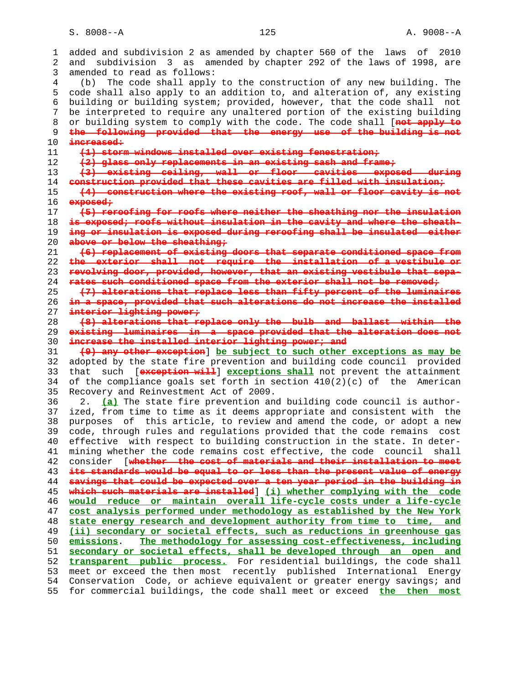S. 8008--A 125 A. 9008--A

 1 added and subdivision 2 as amended by chapter 560 of the laws of 2010 2 and subdivision 3 as amended by chapter 292 of the laws of 1998, are 3 amended to read as follows: 4 (b) The code shall apply to the construction of any new building. The 5 code shall also apply to an addition to, and alteration of, any existing 6 building or building system; provided, however, that the code shall not 7 be interpreted to require any unaltered portion of the existing building 8 or building system to comply with the code. The code shall [**not apply to** 9 **the following provided that the energy use of the building is not** 10 **increased:** 11 **(1) storm windows installed over existing fenestration;** 12 **(2) glass only replacements in an existing sash and frame;** 13 **(3) existing ceiling, wall or floor cavities exposed during** 14 **construction provided that these cavities are filled with insulation;** 15 **(4) construction where the existing roof, wall or floor cavity is not** 16 **exposed;** 17 **(5) reroofing for roofs where neither the sheathing nor the insulation** 18 **is exposed; roofs without insulation in the cavity and where the sheath-** 19 **ing or insulation is exposed during reroofing shall be insulated either** 20 **above or below the sheathing;** 21 **(6) replacement of existing doors that separate conditioned space from** 22 **the exterior shall not require the installation of a vestibule or** 23 **revolving door, provided, however, that an existing vestibule that sepa-** 24 **rates such conditioned space from the exterior shall not be removed;** 25 **(7) alterations that replace less than fifty percent of the luminaires** 26 **in a space, provided that such alterations do not increase the installed** 27 **interior lighting power;** 28 **(8) alterations that replace only the bulb and ballast within the** 29 **existing luminaires in a space provided that the alteration does not** 30 **increase the installed interior lighting power; and** 31 **(9) any other exception**] **be subject to such other exceptions as may be** 32 adopted by the state fire prevention and building code council provided 33 that such [**exception will**] **exceptions shall** not prevent the attainment 34 of the compliance goals set forth in section 410(2)(c) of the American 35 Recovery and Reinvestment Act of 2009. 36 2. **(a)** The state fire prevention and building code council is author- 37 ized, from time to time as it deems appropriate and consistent with the 38 purposes of this article, to review and amend the code, or adopt a new 39 code, through rules and regulations provided that the code remains cost 40 effective with respect to building construction in the state. In deter- 41 mining whether the code remains cost effective, the code council shall 42 consider [**whether the cost of materials and their installation to meet** 43 **its standards would be equal to or less than the present value of energy** 44 **savings that could be expected over a ten year period in the building in** 45 **which such materials are installed**] **(i) whether complying with the code** 46 **would reduce or maintain overall life-cycle costs under a life-cycle** 47 **cost analysis performed under methodology as established by the New York** 48 **state energy research and development authority from time to time, and** 49 **(ii) secondary or societal effects, such as reductions in greenhouse gas** 50 **emissions**. **The methodology for assessing cost-effectiveness, including** 51 **secondary or societal effects, shall be developed through an open and** 52 **transparent public process.** For residential buildings, the code shall 53 meet or exceed the then most recently published International Energy 54 Conservation Code, or achieve equivalent or greater energy savings; and 55 for commercial buildings, the code shall meet or exceed **the then most**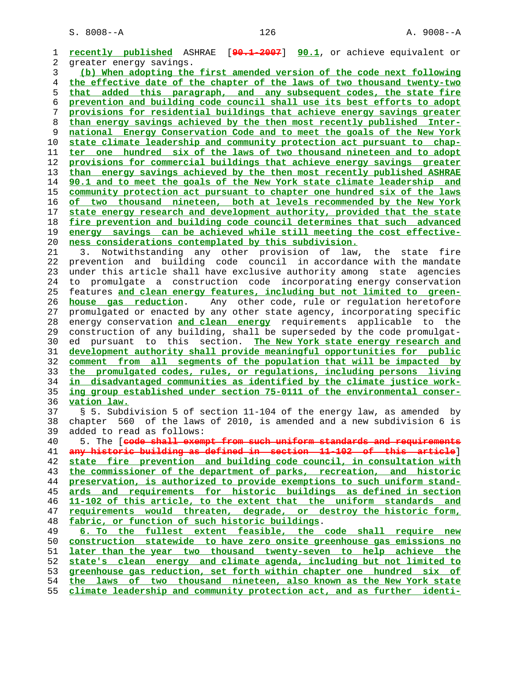S. 8008--A 126 A. 9008--A

**recently published** ASHRAE [**90.1-2007**] **90.1**, or achieve equivalent or 2 greater energy savings. **(b) When adopting the first amended version of the code next following the effective date of the chapter of the laws of two thousand twenty-two that added this paragraph, and any subsequent codes, the state fire prevention and building code council shall use its best efforts to adopt provisions for residential buildings that achieve energy savings greater than energy savings achieved by the then most recently published Inter- national Energy Conservation Code and to meet the goals of the New York state climate leadership and community protection act pursuant to chap- ter one hundred six of the laws of two thousand nineteen and to adopt provisions for commercial buildings that achieve energy savings greater than energy savings achieved by the then most recently published ASHRAE 90.1 and to meet the goals of the New York state climate leadership and community protection act pursuant to chapter one hundred six of the laws of two thousand nineteen, both at levels recommended by the New York state energy research and development authority, provided that the state fire prevention and building code council determines that such advanced energy savings can be achieved while still meeting the cost effective- ness considerations contemplated by this subdivision.** 21 3. Notwithstanding any other provision of law, the state fire 22 prevention and building code council in accordance with the mandate 23 under this article shall have exclusive authority among state agencies 24 to promulgate a construction code incorporating energy conservation 25 features **and clean energy features, including but not limited to green- house gas reduction**. Any other code, rule or regulation heretofore 27 promulgated or enacted by any other state agency, incorporating specific 28 energy conservation **and clean energy** requirements applicable to the 29 construction of any building, shall be superseded by the code promulgat- 30 ed pursuant to this section. **The New York state energy research and development authority shall provide meaningful opportunities for public comment from all segments of the population that will be impacted by the promulgated codes, rules, or regulations, including persons living in disadvantaged communities as identified by the climate justice work- ing group established under section 75-0111 of the environmental conser- vation law.** 37 § 5. Subdivision 5 of section 11-104 of the energy law, as amended by 38 chapter 560 of the laws of 2010, is amended and a new subdivision 6 is 39 added to read as follows: 40 5. The [**code shall exempt from such uniform standards and requirements any historic building as defined in section 11-102 of this article**] **state fire prevention and building code council, in consultation with the commissioner of the department of parks, recreation, and historic preservation, is authorized to provide exemptions to such uniform stand- ards and requirements for historic buildings as defined in section 11-102 of this article, to the extent that the uniform standards and requirements would threaten, degrade, or destroy the historic form, fabric, or function of such historic buildings**. **6. To the fullest extent feasible, the code shall require new construction statewide to have zero onsite greenhouse gas emissions no later than the year two thousand twenty-seven to help achieve the state's clean energy and climate agenda, including but not limited to greenhouse gas reduction, set forth within chapter one hundred six of the laws of two thousand nineteen, also known as the New York state climate leadership and community protection act, and as further identi-**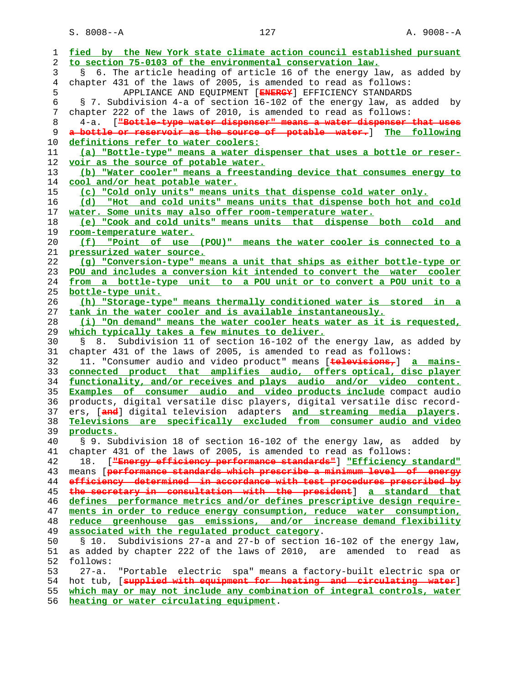S. 8008--A 127 A. 9008--A

| 1              | fied by the New York state climate action council established pursuant                |
|----------------|---------------------------------------------------------------------------------------|
| 2              | to section 75-0103 of the environmental conservation law.                             |
| 3              | 6. The article heading of article 16 of the energy law, as added by<br>$\mathcal{S}$  |
| $\overline{4}$ | chapter 431 of the laws of 2005, is amended to read as follows:                       |
| 5              | APPLIANCE AND EQUIPMENT [ENERGY] EFFICIENCY STANDARDS                                 |
| 6              | § 7. Subdivision 4-a of section 16-102 of the energy law, as added by                 |
| 7              | chapter 222 of the laws of 2010, is amended to read as follows:                       |
| 8              | ["Bottle-type water dispenser" means a water dispenser that uses<br>4-a.              |
| 9              | a bottle or reservoir as the source of potable water. Ine following                   |
| 10             | definitions refer to water coolers:                                                   |
| 11             | (a) "Bottle-type" means a water dispenser that uses a bottle or reser-                |
| 12             | voir as the source of potable water.                                                  |
|                | (b) "Water cooler" means a freestanding device that consumes energy to                |
| 13<br>14       |                                                                                       |
|                | cool and/or heat potable water.                                                       |
| 15             | (c) "Cold only units" means units that dispense cold water only.                      |
| 16             | (d) "Hot and cold units" means units that dispense both hot and cold                  |
| 17             | water. Some units may also offer room-temperature water.                              |
| 18             | (e) "Cook and cold units" means units that dispense both cold<br>and                  |
| 19             | room-temperature water.                                                               |
| 20             | (f) "Point of use (POU)" means the water cooler is connected to a                     |
| 21             | pressurized water source.                                                             |
| 22             | (q) "Conversion-type" means a unit that ships as either bottle-type or                |
| 23             | POU and includes a conversion kit intended to convert the water cooler                |
| 24             | from a bottle-type unit to a POU unit or to convert a POU unit to a                   |
| 25             | bottle-type unit.                                                                     |
| 26             | (h) "Storage-type" means thermally conditioned water is stored in a                   |
| 27             | tank in the water cooler and is available instantaneously.                            |
| 28             | (i) "On demand" means the water cooler heats water as it is requested,                |
| 29             | which typically takes a few minutes to deliver.                                       |
| 30             | Subdivision 11 of section 16-102 of the energy law, as added by<br>$\mathbb{S}$<br>8. |
| 31             | chapter 431 of the laws of 2005, is amended to read as follows:                       |
| 32             | 11. "Consumer audio and video product" means [televisions,] a mains-                  |
| 33             | connected product that amplifies audio, offers optical, disc player                   |
| 34             | functionality, and/or receives and plays audio and/or video content.                  |
| 35             | <b>Examples of consumer audio and video products include</b> compact audio            |
| 36             | products, digital versatile disc players, digital versatile disc record-              |
| 37             | ers, [and] digital television adapters and streaming media players.                   |
| 38             | Televisions are specifically excluded from consumer audio and video                   |
| 39             | products.                                                                             |
| 40             | § 9. Subdivision 18 of section 16-102 of the energy law, as added by                  |
| 41             | chapter 431 of the laws of 2005, is amended to read as follows:                       |
| 42             | [ "Energy efficiency performance standards"] "Efficiency standard"<br>18.             |
| 43             | means [performance standards which prescribe a minimum level of energy                |
| 44             | efficiency determined in accordance with test procedures prescribed by                |
| 45             | the secretary in consultation with the president] a standard that                     |
| 46             | defines performance metrics and/or defines prescriptive design require-               |
| 47             | ments in order to reduce energy consumption, reduce water consumption,                |
| 48             | reduce greenhouse gas emissions, and/or increase demand flexibility                   |
| 49             | associated with the regulated product category.                                       |
| 50             | Subdivisions 27-a and 27-b of section 16-102 of the energy law,<br>§ 10.              |
| 51             | as added by chapter 222 of the laws of 2010, are amended to read as                   |
| 52             | follows:                                                                              |
| 53             | $27 - a$ .<br>"Portable electric spa" means a factory-built electric spa or           |
|                |                                                                                       |
| 54             | hot tub, [supplied with equipment for heating and circulating water]                  |
| 55             | which may or may not include any combination of integral controls, water              |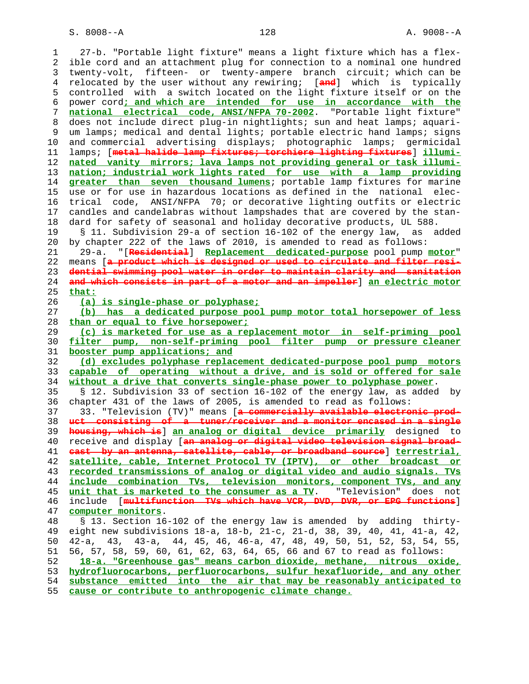S. 8008--A 128 A. 9008--A

 1 27-b. "Portable light fixture" means a light fixture which has a flex- 2 ible cord and an attachment plug for connection to a nominal one hundred 3 twenty-volt, fifteen- or twenty-ampere branch circuit; which can be 4 relocated by the user without any rewiring; [**and**] which is typically 5 controlled with a switch located on the light fixture itself or on the 6 power cord**; and which are intended for use in accordance with the** 7 **national electrical code, ANSI/NFPA 70-2002**. "Portable light fixture" 8 does not include direct plug-in nightlights; sun and heat lamps; aquari- 9 um lamps; medical and dental lights; portable electric hand lamps; signs 10 and commercial advertising displays; photographic lamps; germicidal 11 lamps; [**metal halide lamp fixtures; torchiere lighting fixtures**] **illumi-** 12 **nated vanity mirrors; lava lamps not providing general or task illumi-** 13 **nation; industrial work lights rated for use with a lamp providing** 14 **greater than seven thousand lumens**; portable lamp fixtures for marine 15 use or for use in hazardous locations as defined in the national elec- 16 trical code, ANSI/NFPA 70; or decorative lighting outfits or electric 17 candles and candelabras without lampshades that are covered by the stan- 18 dard for safety of seasonal and holiday decorative products, UL 588. 19 § 11. Subdivision 29-a of section 16-102 of the energy law, as added 20 by chapter 222 of the laws of 2010, is amended to read as follows: 21 29-a. "[**Residential**] **Replacement dedicated-purpose** pool pump **motor**" 22 means [**a product which is designed or used to circulate and filter resi-** 23 **dential swimming pool water in order to maintain clarity and sanitation** 24 **and which consists in part of a motor and an impeller**] **an electric motor** 25 **that:** 26 **(a) is single-phase or polyphase;** 27 **(b) has a dedicated purpose pool pump motor total horsepower of less** 28 **than or equal to five horsepower;** 29 **(c) is marketed for use as a replacement motor in self-priming pool** 30 **filter pump, non-self-priming pool filter pump or pressure cleaner** 31 **booster pump applications; and** 32 **(d) excludes polyphase replacement dedicated-purpose pool pump motors** 33 **capable of operating without a drive, and is sold or offered for sale** 34 **without a drive that converts single-phase power to polyphase power**. 35 § 12. Subdivision 33 of section 16-102 of the energy law, as added by 36 chapter 431 of the laws of 2005, is amended to read as follows: 37 33. "Television (TV)" means [**a commercially available electronic prod-** 38 **uct consisting of a tuner/receiver and a monitor encased in a single** 39 **housing, which is**] **an analog or digital device primarily** designed to 40 receive and display [**an analog or digital video television signal broad-** 41 **cast by an antenna, satellite, cable, or broadband source**] **terrestrial,** 42 **satellite, cable, Internet Protocol TV (IPTV), or other broadcast or** 43 **recorded transmissions of analog or digital video and audio signals. TVs** 44 **include combination TVs, television monitors, component TVs, and any** 45 **unit that is marketed to the consumer as a TV**. "Television" does not 46 include [**multifunction TVs which have VCR, DVD, DVR, or EPG functions**] 47 **computer monitors**. 48 § 13. Section 16-102 of the energy law is amended by adding thirty- 49 eight new subdivisions 18-a, 18-b, 21-c, 21-d, 38, 39, 40, 41, 41-a, 42, 50 42-a, 43, 43-a, 44, 45, 46, 46-a, 47, 48, 49, 50, 51, 52, 53, 54, 55, 51 56, 57, 58, 59, 60, 61, 62, 63, 64, 65, 66 and 67 to read as follows: 52 **18-a. "Greenhouse gas" means carbon dioxide, methane, nitrous oxide,** 53 **hydrofluorocarbons, perfluorocarbons, sulfur hexafluoride, and any other** 54 **substance emitted into the air that may be reasonably anticipated to** 55 **cause or contribute to anthropogenic climate change.**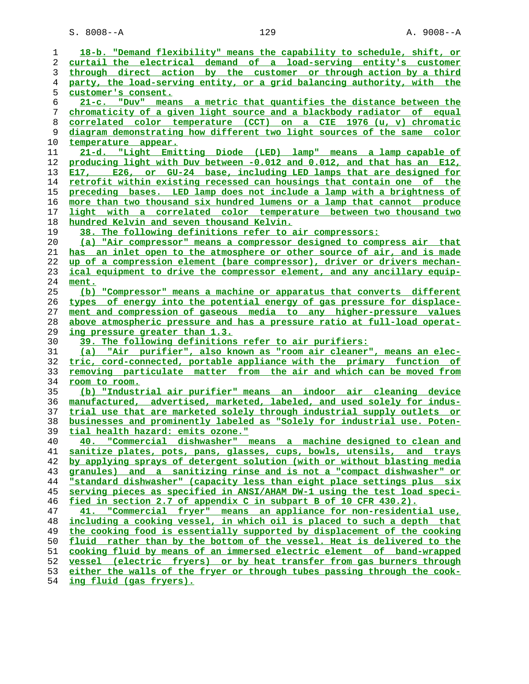S. 8008--A 129 A. 9008--A

| 1        | 18-b. "Demand flexibility" means the capability to schedule, shift, or                              |
|----------|-----------------------------------------------------------------------------------------------------|
| 2        | curtail the electrical demand of a load-serving entity's customer                                   |
| 3        | through direct action by the customer or through action by a third                                  |
| 4        | party, the load-serving entity, or a grid balancing authority, with the                             |
| 5        | customer's consent.                                                                                 |
| 6        | 21-c. "Duv" means a metric that quantifies the distance between the                                 |
| 7        | chromaticity of a given light source and a blackbody radiator of equal                              |
| 8        | correlated color temperature (CCT) on a CIE 1976 (u, v) chromatic                                   |
| 9        | diagram demonstrating how different two light sources of the same color                             |
| 10       | temperature appear.                                                                                 |
| 11       | 21-d. "Light Emitting Diode (LED) lamp" means a lamp capable of                                     |
| 12       | producing light with Duv between -0.012 and 0.012, and that has an E12,                             |
| 13       | E17, E26, or GU-24 base, including LED lamps that are designed for                                  |
| 14       | retrofit within existing recessed can housings that contain one of the                              |
| 15       | preceding bases. LED lamp does not include a lamp with a brightness of                              |
| 16       | more than two thousand six hundred lumens or a lamp that cannot produce                             |
|          | light with a correlated color temperature between two thousand two                                  |
| 17       |                                                                                                     |
| 18       | hundred Kelvin and seven thousand Kelvin.                                                           |
| 19       | 38. The following definitions refer to air compressors:                                             |
| 20       | (a) "Air compressor" means a compressor designed to compress air that                               |
| 21       | has an inlet open to the atmosphere or other source of air, and is made                             |
| 22       | up of a compression element (bare compressor), driver or drivers mechan-                            |
| 23       | ical equipment to drive the compressor element, and any ancillary equip-                            |
| 24       | ment.                                                                                               |
| 25       | (b) "Compressor" means a machine or apparatus that converts different                               |
| 26       | types of energy into the potential energy of gas pressure for displace-                             |
| 27       | ment and compression of gaseous media to any higher-pressure values                                 |
| 28       | above atmospheric pressure and has a pressure ratio at full-load operat-                            |
| 29       | ing pressure greater than 1.3.                                                                      |
| 30       | 39. The following definitions refer to air purifiers:                                               |
| 31       | (a) "Air purifier", also known as "room air cleaner", means an elec-                                |
| 32       | tric, cord-connected, portable appliance with the primary function of                               |
| 33       | removing particulate matter from the air and which can be moved from                                |
| 34       | room to room.                                                                                       |
| 35       | (b) "Industrial air purifier" means an indoor air cleaning device                                   |
| 36       | manufactured, advertised, marketed, labeled, and used solely for indus-                             |
| 37       | trial use that are marketed solely through industrial supply outlets or                             |
| 38       | businesses and prominently labeled as "Solely for industrial use. Poten-                            |
| 39       | tial health hazard: emits ozone."                                                                   |
| 40       | 40. "Commercial dishwasher" means a machine designed to clean and                                   |
| 41       | sanitize plates, pots, pans, glasses, cups, bowls, utensils, and trays                              |
| 42       | by applying sprays of detergent solution (with or without blasting media                            |
| 43       | granules) and a sanitizing rinse and is not a "compact dishwasher" or                               |
| 44       | "standard dishwasher" (capacity less than eight place settings plus six                             |
| 45       | serving pieces as specified in ANSI/AHAM DW-1 using the test load speci-                            |
| 46       | fied in section 2.7 of appendix C in subpart B of 10 CFR 430.2).                                    |
| 47       | "Commercial fryer" means an appliance for non-residential use,<br>41.                               |
| 48       |                                                                                                     |
|          | including a cooking vessel, in which oil is placed to such a depth that                             |
| 49       | the cooking food is essentially supported by displacement of the cooking                            |
| 50       | <u>fluid rather than by the bottom of the vessel. Heat is delivered to the</u>                      |
| 51       | cooking fluid by means of an immersed electric element of band-wrapped                              |
|          |                                                                                                     |
| 52       | vessel (electric fryers) or by heat transfer from gas burners through                               |
| 53<br>54 | either the walls of the fryer or through tubes passing through the cook-<br>ing fluid (gas fryers). |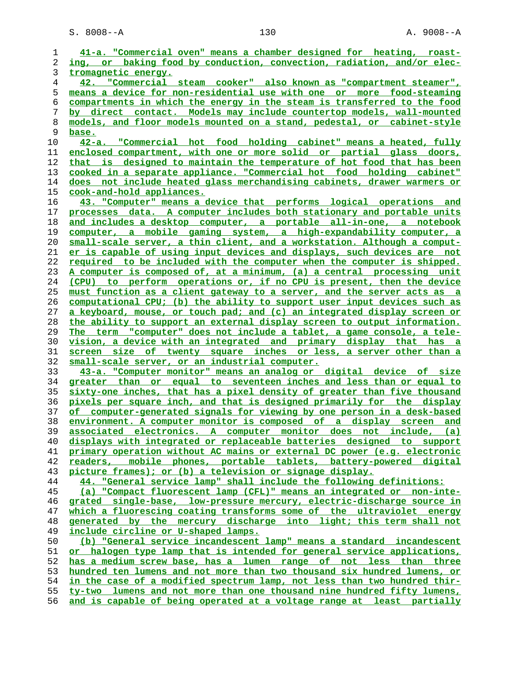S. 8008--A 130 A. 9008--A

| 1        | 41-a. "Commercial oven" means a chamber designed for heating, roast-                                                                         |
|----------|----------------------------------------------------------------------------------------------------------------------------------------------|
| 2        | ing, or baking food by conduction, convection, radiation, and/or elec-                                                                       |
| 3        | <u>tromagnetic energy.</u>                                                                                                                   |
| 4        | 42. "Commercial steam cooker" also known as "compartment steamer",                                                                           |
| 5        | means a device for non-residential use with one or more food-steaming                                                                        |
| 6        | compartments in which the energy in the steam is transferred to the food                                                                     |
| 7        | by direct contact. Models may include countertop models, wall-mounted                                                                        |
| 8        | models, and floor models mounted on a stand, pedestal, or cabinet-style                                                                      |
| 9        | base.                                                                                                                                        |
| 10       | 42-a. "Commercial hot food holding cabinet" means a heated, fully                                                                            |
| 11       | enclosed compartment, with one or more solid or partial glass doors,                                                                         |
| 12       | that is designed to maintain the temperature of hot food that has been                                                                       |
| 13       | cooked in a separate appliance. "Commercial hot food holding cabinet"                                                                        |
| 14       | does not include heated glass merchandising cabinets, drawer warmers or                                                                      |
| 15       | <u>cook-and-hold appliances.</u>                                                                                                             |
| 16       | 43. "Computer" means a device that performs logical operations and                                                                           |
| 17       | processes data. A computer includes both stationary and portable units                                                                       |
| 18       | and includes a desktop computer, a portable all-in-one, a notebook                                                                           |
| 19       | computer, a mobile gaming system, a high-expandability computer, a                                                                           |
| 20       | small-scale server, a thin client, and a workstation. Although a comput-                                                                     |
| 21       | er is capable of using input devices and displays, such devices are not                                                                      |
| 22       | required to be included with the computer when the computer is shipped.                                                                      |
| 23       | A computer is composed of, at a minimum, (a) a central processing unit                                                                       |
| 24       | (CPU) to perform operations or, if no CPU is present, then the device                                                                        |
| 25       | must function as a client gateway to a server, and the server acts as a                                                                      |
| 26       | computational CPU; (b) the ability to support user input devices such as                                                                     |
| 27       | a keyboard, mouse, or touch pad; and (c) an integrated display screen or                                                                     |
| 28       | the ability to support an external display screen to output information.                                                                     |
| 29       | The term "computer" does not include a tablet, a game console, a tele-                                                                       |
| 30       | vision, a device with an integrated and primary display that has a                                                                           |
| 31       | screen size of twenty square inches or less, a server other than a                                                                           |
| 32       | small-scale server, or an industrial computer.                                                                                               |
| 33       | 43-a. "Computer monitor" means an analog or digital device of size                                                                           |
| 34       | greater than or equal to seventeen inches and less than or equal to                                                                          |
| 35       | sixty-one inches, that has a pixel density of greater than five thousand                                                                     |
| 36       | pixels per square inch, and that is designed primarily for the display                                                                       |
| 37       | of computer-generated signals for viewing by one person in a desk-based                                                                      |
| 38       | <u>environment. A computer monitor is composed of a display screen and </u>                                                                  |
| 39       | associated electronics. A computer monitor does not include, (a)                                                                             |
| 40       | displays with integrated or replaceable batteries designed to support                                                                        |
| 41       | primary operation without AC mains or external DC power (e.g. electronic                                                                     |
| 42       | readers, mobile phones, portable tablets, battery-powered digital<br>picture frames); or (b) a television or signage display.                |
| 43<br>44 |                                                                                                                                              |
| 45       | 44. "General service lamp" shall include the following definitions:<br>(a) "Compact fluorescent lamp (CFL)" means an integrated or non-inte- |
| 46       | grated single-base, low-pressure mercury, electric-discharge source in                                                                       |
| 47       | which a fluorescing coating transforms some of the ultraviolet energy                                                                        |
| 48       | generated by the mercury discharge into light; this term shall not                                                                           |
| 49       | include circline or U-shaped lamps.                                                                                                          |
| 50       | (b) "General service incandescent lamp" means a standard incandescent                                                                        |
| 51       | or halogen type lamp that is intended for general service applications,                                                                      |
| 52       | has a medium screw base, has a lumen range of not less than three                                                                            |
| 53       | hundred ten lumens and not more than two thousand six hundred lumens, or                                                                     |
| 54       | in the case of a modified spectrum lamp, not less than two hundred thir-                                                                     |
| 55       | ty-two lumens and not more than one thousand nine hundred fifty lumens,                                                                      |
| 56       | and is capable of being operated at a voltage range at least partially                                                                       |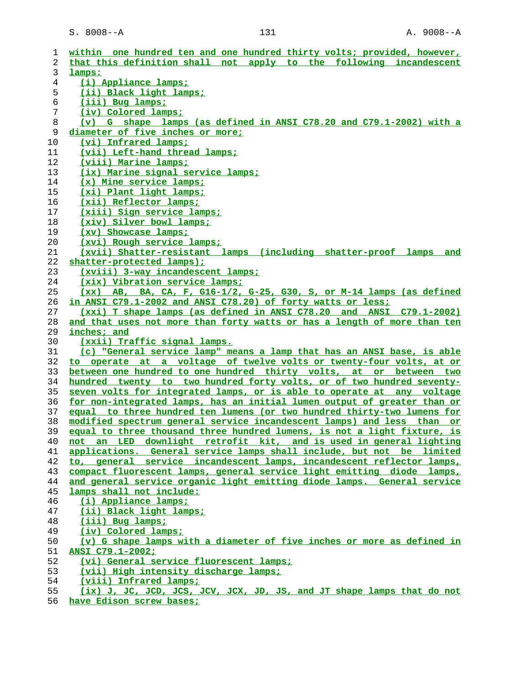| ı  | within one hundred ten and one hundred thirty volts; provided, however,  |
|----|--------------------------------------------------------------------------|
| 2  | that this definition shall not apply to the following incandescent       |
| 3  | lamps:                                                                   |
| 4  | (i) Appliance lamps;                                                     |
|    |                                                                          |
| 5  | (ii) Black light lamps;                                                  |
| 6  | (iii) Bug lamps;                                                         |
| 7  | (iv) Colored lamps;                                                      |
| 8  | (v) G shape lamps (as defined in ANSI C78.20 and C79.1-2002) with a      |
| 9  | diameter of five inches or more;                                         |
| 10 | (vi) Infrared lamps;                                                     |
| 11 | (vii) Left-hand thread lamps;                                            |
| 12 | <u>(viii) Marine lamps;</u>                                              |
| 13 | (ix) Marine signal service lamps;                                        |
| 14 | (x) Mine service lamps;                                                  |
| 15 | (xi) Plant light lamps;                                                  |
| 16 | (xii) Reflector lamps;                                                   |
| 17 | (xiii) Sign service lamps;                                               |
| 18 | (xiv) Silver bowl lamps;                                                 |
| 19 | (xv) Showcase lamps;                                                     |
| 20 | <u>(xvi) Rough service lamps;</u>                                        |
| 21 | (xvii) Shatter-resistant lamps (including shatter-proof lamps and        |
| 22 | shatter-protected lamps);                                                |
| 23 | (xviii) 3-way incandescent lamps;                                        |
| 24 | (xix) Vibration service lamps;                                           |
| 25 | (xx) AB, BA, CA, F, G16-1/2, G-25, G30, S, or M-14 lamps (as defined     |
| 26 | in ANSI C79.1-2002 and ANSI C78.20) of forty watts or less;              |
| 27 | (xxi) T shape lamps (as defined in ANSI C78.20 and ANSI C79.1-2002)      |
| 28 | and that uses not more than forty watts or has a length of more than ten |
|    |                                                                          |
| 29 | inches; and                                                              |
| 30 | (xxii) Traffic signal lamps.                                             |
| 31 | (c) "General service lamp" means a lamp that has an ANSI base, is able   |
| 32 | to operate at a voltage of twelve volts or twenty-four volts, at or      |
| 33 | between one hundred to one hundred thirty volts, at or between two       |
| 34 | hundred twenty to two hundred forty volts, or of two hundred seventy-    |
| 35 | seven volts for integrated lamps, or is able to operate at any voltage   |
| 36 | for non-integrated lamps, has an initial lumen output of greater than or |
| 37 | equal to three hundred ten lumens (or two hundred thirty-two lumens for  |
| 38 | modified spectrum general service incandescent lamps) and less than or   |
| 39 | equal to three thousand three hundred lumens, is not a light fixture, is |
| 40 | not an LED downlight retrofit kit, and is used in general lighting       |
| 41 | applications. General service lamps shall include, but not be limited    |
| 42 | to, general service incandescent lamps, incandescent reflector lamps,    |
| 43 | compact fluorescent lamps, general service light emitting diode lamps,   |
| 44 | and general service organic light emitting diode lamps. General service  |
| 45 | lamps shall not include:                                                 |
| 46 | (i) Appliance lamps;                                                     |
| 47 | (ii) Black light lamps;                                                  |
| 48 | (iii) Bug lamps;                                                         |
| 49 | (iv) Colored lamps;                                                      |
| 50 | (v) G shape lamps with a diameter of five inches or more as defined in   |
| 51 | ANSI C79.1-2002;                                                         |
| 52 | (vi) General service fluorescent lamps;                                  |
| 53 | (vii) High intensity discharge lamps:                                    |
| 54 | (viii) Infrared lamps;                                                   |
| 55 | (ix) J, JC, JCD, JCS, JCV, JCX, JD, JS, and JT shape lamps that do not   |
|    |                                                                          |

**have Edison screw bases;**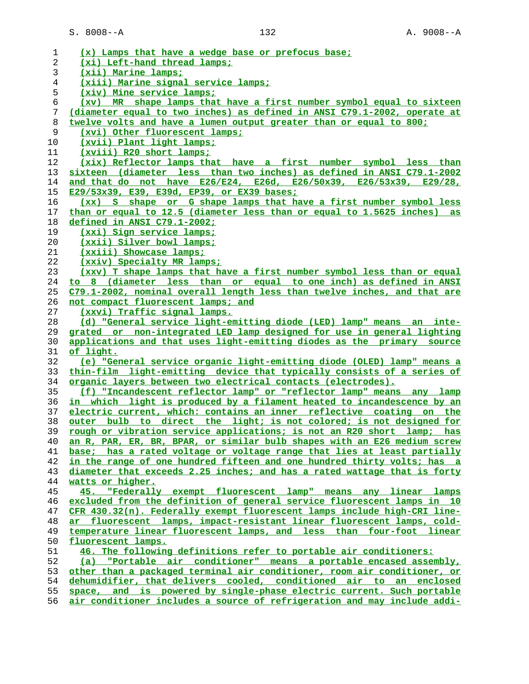| 1  | (x) Lamps that have a wedge base or prefocus base;                               |
|----|----------------------------------------------------------------------------------|
| 2  | (xi) Left-hand thread lamps;                                                     |
| 3  | (xii) Marine lamps;                                                              |
| 4  | (xiii) Marine signal service lamps;                                              |
| 5  | (xiv) Mine service lamps;                                                        |
| 6  | (xv) MR shape lamps that have a first number symbol equal to sixteen             |
| 7  | (diameter equal to two inches) as defined in ANSI C79.1-2002, operate at         |
| 8  | twelve volts and have a lumen output greater than or equal to 800;               |
| 9  | (xvi) Other fluorescent lamps;                                                   |
| 10 | (xvii) Plant light lamps;                                                        |
| 11 | (xviii) R20 short lamps;                                                         |
| 12 | (xix) Reflector lamps that have a first number symbol less than                  |
| 13 | sixteen (diameter less than two inches) as defined in ANSI C79.1-2002            |
| 14 | and that do not have $E26/E24$ , $E26d$ , $E26/50x39$ , $E26/53x39$ , $E29/28$ , |
| 15 | E29/53x39, E39, E39d, EP39, or EX39 bases;                                       |
| 16 | (xx) S shape or G shape lamps that have a first number symbol less               |
| 17 | than or equal to 12.5 (diameter less than or equal to 1.5625 inches) as          |
| 18 | defined in ANSI C79.1-2002;                                                      |
| 19 | (xxi) Sign service lamps;                                                        |
| 20 | (xxii) Silver bowl lamps:                                                        |
| 21 | (xxiii) Showcase lamps;                                                          |
| 22 | (xxiv) Specialty MR lamps;                                                       |
| 23 | (xxv) T shape lamps that have a first number symbol less than or equal           |
| 24 | to 8 (diameter less than or equal to one inch) as defined in ANSI                |
| 25 | C79.1-2002, nominal overall length less than twelve inches, and that are         |
| 26 | not compact fluorescent lamps; and                                               |
| 27 | (xxvi) Traffic signal lamps.                                                     |
| 28 | (d) "General service light-emitting diode (LED) lamp" means an inte-             |
| 29 | grated or non-integrated LED lamp designed for use in general lighting           |
| 30 | applications and that uses light-emitting diodes as the primary source           |
| 31 | of light.                                                                        |
| 32 | (e) "General service organic light-emitting diode (OLED) lamp" means a           |
| 33 | thin-film light-emitting device that typically consists of a series of           |
| 34 | organic layers between two electrical contacts (electrodes).                     |
| 35 | (f) "Incandescent reflector lamp" or "reflector lamp" means any lamp             |
| 36 | in which light is produced by a filament heated to incandescence by an           |
| 37 | electric current, which: contains an inner reflective coating on the             |
| 38 | <u>outer bulb to direct the light; is not colored; is not designed for</u>       |
| 39 | rough or vibration service applications; is not an R20 short lamp; has           |
| 40 | an R, PAR, ER, BR, BPAR, or similar bulb shapes with an E26 medium screw         |
| 41 | base; has a rated voltage or voltage range that lies at least partially          |
| 42 | in the range of one hundred fifteen and one hundred thirty volts; has a          |
| 43 | diameter that exceeds 2.25 inches; and has a rated wattage that is forty         |
| 44 | watts or higher.                                                                 |
| 45 | 45. "Federally exempt fluorescent lamp" means any linear lamps                   |
| 46 | excluded from the definition of general service fluorescent lamps in 10          |
| 47 | CFR 430.32(n). Federally exempt fluorescent lamps include high-CRI line-         |
| 48 | ar fluorescent lamps, impact-resistant linear fluorescent lamps, cold-           |
| 49 | temperature linear fluorescent lamps, and less than four-foot linear             |
| 50 | fluorescent lamps.                                                               |
| 51 | 46. The following definitions refer to portable air conditioners:                |
| 52 | "Portable air conditioner" means a portable encased assembly,<br>(a)             |
| 53 | other than a packaged terminal air conditioner, room air conditioner, or         |
| 54 | dehumidifier, that delivers cooled, conditioned air to an enclosed               |
| 55 | space, and is powered by single-phase electric current. Such portable            |

**air conditioner includes a source of refrigeration and may include addi-**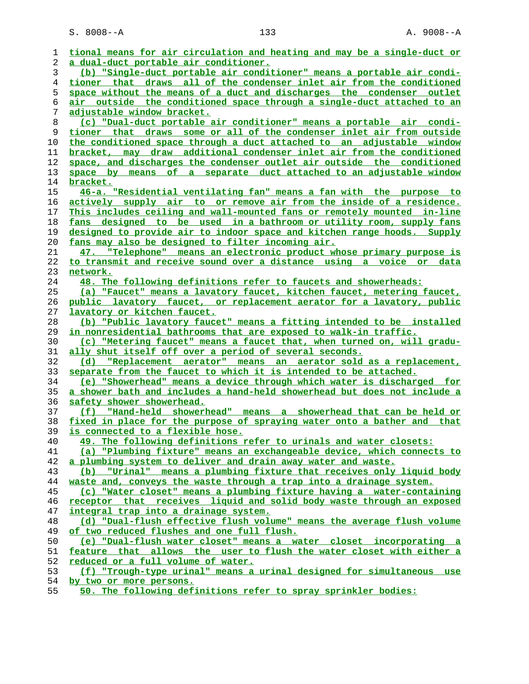S. 8008--A 133 A. 9008--A

| 1  | tional means for air circulation and heating and may be a single-duct or                  |
|----|-------------------------------------------------------------------------------------------|
| 2  | a dual-duct portable air conditioner.                                                     |
| 3  | (b) "Single-duct portable air conditioner" means a portable air condi-                    |
| 4  | tioner that draws all of the condenser inlet air from the conditioned                     |
| 5  | space without the means of a duct and discharges the condenser outlet                     |
| 6  | <u>air outside the conditioned space through a single-duct attached to an</u>             |
| 7  | <u>adjustable window bracket.</u>                                                         |
| 8  | (c) "Dual-duct portable air conditioner" means a portable air condi-                      |
| 9  | tioner that draws some or all of the condenser inlet air from outside                     |
| 10 | the conditioned space through a duct attached to an adjustable window                     |
| 11 | bracket, may draw additional condenser inlet air from the conditioned                     |
| 12 | space, and discharges the condenser outlet air outside the conditioned                    |
| 13 | space by means of a separate duct attached to an adjustable window                        |
| 14 | bracket.                                                                                  |
| 15 | 46-a. "Residential ventilating fan" means a fan with the purpose to                       |
| 16 | actively supply air to or remove air from the inside of a residence.                      |
| 17 | This includes ceiling and wall-mounted fans or remotely mounted in-line                   |
| 18 | fans designed to be used in a bathroom or utility room, supply fans                       |
| 19 | designed to provide air to indoor space and kitchen range hoods. Supply                   |
| 20 | fans may also be designed to filter incoming air.                                         |
| 21 | 47. "Telephone" means an electronic product whose primary purpose is                      |
| 22 | to transmit and receive sound over a distance using a voice or data                       |
| 23 | network.                                                                                  |
| 24 | 48. The following definitions refer to faucets and showerheads:                           |
| 25 | (a) "Faucet" means a lavatory faucet, kitchen faucet, metering faucet,                    |
| 26 | public lavatory faucet, or replacement aerator for a lavatory, public                     |
| 27 | lavatory or kitchen faucet.                                                               |
| 28 | (b) "Public lavatory faucet" means a fitting intended to be installed                     |
| 29 | in nonresidential bathrooms that are exposed to walk-in traffic.                          |
| 30 | (c) "Metering faucet" means a faucet that, when turned on, will gradu-                    |
| 31 | ally shut itself off over a period of several seconds.                                    |
| 32 | (d) "Replacement aerator" means an aerator sold as a replacement,                         |
| 33 | separate from the faucet to which it is intended to be attached.                          |
| 34 | (e) "Showerhead" means a device through which water is discharged for                     |
| 35 | a shower bath and includes a hand-held showerhead but does not include a                  |
| 36 | safety shower showerhead.                                                                 |
| 37 | <u>(f)</u> "Hand-held showerhead" means a showerhead that can be held or                  |
| 38 | fixed in place for the purpose of spraying water onto a bather and that                   |
| 39 | is connected to a flexible hose.                                                          |
| 40 | 49. The following definitions refer to urinals and water closets:                         |
| 41 | (a) "Plumbing fixture" means an exchangeable device, which connects to                    |
| 42 | a plumbing system to deliver and drain away water and waste.                              |
| 43 | "Urinal" means a plumbing fixture that receives only liquid body<br>(b)                   |
| 44 | waste and, conveys the waste through a trap into a drainage system.                       |
| 45 | (c) "Water closet" means a plumbing fixture having a water-containing                     |
| 46 | receptor that receives liquid and solid body waste through an exposed                     |
| 47 | integral trap into a drainage system.                                                     |
| 48 | (d) "Dual-flush effective flush volume" means the average flush volume                    |
| 49 | of two reduced flushes and one full flush.                                                |
| 50 | (e) "Dual-flush water closet" means a water closet incorporating a                        |
| 51 | feature that allows the user to flush the water closet with either a                      |
| 52 | reduced or a full volume of water.                                                        |
| 53 | (f) "Trough-type urinal" means a urinal designed for simultaneous use                     |
| 54 | by two or more persons.<br>50. The following definitions refer to spray sprinkler bodies: |
| 55 |                                                                                           |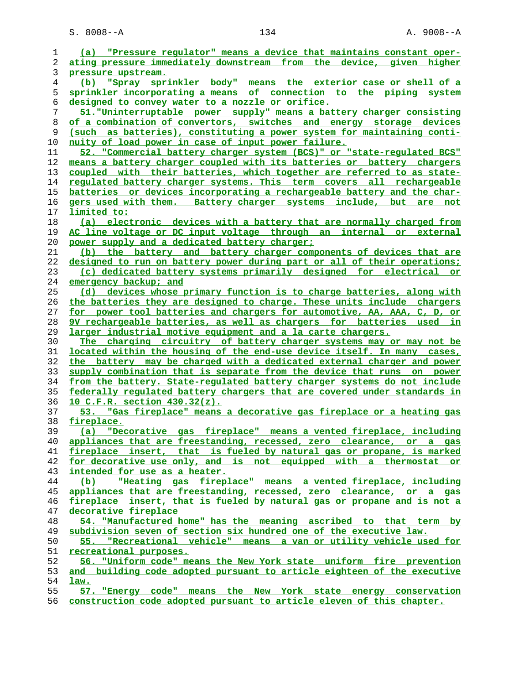S. 8008--A 134 A. 9008--A

| 1              | (a) "Pressure regulator" means a device that maintains constant oper-          |
|----------------|--------------------------------------------------------------------------------|
| 2              | ating pressure immediately downstream from the device, given higher            |
| 3              | pressure upstream.                                                             |
| $\overline{4}$ | "Spray sprinkler body" means the exterior case or shell of a<br>(b)            |
| 5              | sprinkler incorporating a means of connection to the piping system             |
| 6              | designed to convey water to a nozzle or orifice.                               |
| 7              | 51. "Uninterruptable power supply" means a battery charger consisting          |
|                | of a combination of convertors, switches and energy storage devices            |
| 8              |                                                                                |
| 9              | (such as batteries), constituting a power system for maintaining conti-        |
| 10             | nuity of load power in case of input power failure.                            |
| 11             | 52. "Commercial battery charger system (BCS)" or "state-regulated BCS"         |
| 12             | means a battery charger coupled with its batteries or battery chargers         |
| 13             | coupled with their batteries, which together are referred to as state-         |
| 14             | regulated battery charger systems. This term covers all rechargeable           |
| 15             | batteries or devices incorporating a rechargeable battery and the char-        |
| 16             | gers used with them. Battery charger systems include, but are not              |
| 17             | limited to:                                                                    |
| 18             | (a) electronic devices with a battery that are normally charged from           |
|                |                                                                                |
| 19             | AC line voltage or DC input voltage through an internal or external            |
| 20             | power supply and a dedicated battery charger;                                  |
| 21             | (b) the battery and battery charger components of devices that are             |
| 22             | designed to run on battery power during part or all of their operations;       |
| 23             | (c) dedicated battery systems primarily designed for electrical or             |
| 24             | emergency backup; and                                                          |
| 25             | (d) devices whose primary function is to charge batteries, along with          |
| 26             | the batteries they are designed to charge. These units include chargers        |
| 27             | for power tool batteries and chargers for automotive, AA, AAA, C, D, or        |
| 28             | 9V rechargeable batteries, as well as chargers for batteries used in           |
| 29             | larger industrial motive equipment and a la carte chargers.                    |
| 30             | The charging circuitry of battery charger systems may or may not be            |
| 31             | located within the housing of the end-use device itself. In many cases,        |
| 32             | the battery may be charged with a dedicated external charger and power         |
| 33             | supply combination that is separate from the device that runs on power         |
| 34             | from the battery. State-regulated battery charger systems do not include       |
|                |                                                                                |
| 35             | federally requlated battery chargers that are covered under standards in       |
| 36             | <u>10 C.F.R. section 430.32(z).</u>                                            |
| 37             | 53. "Gas fireplace" means a decorative gas fireplace or a heating gas          |
| 38             | <u>fireplace.</u>                                                              |
| 39             | fireplace"<br>means a vented fireplace, including<br>"Decorative<br>(a)<br>gas |
| 40             | appliances that are freestanding, recessed, zero clearance, or a gas           |
| 41             | fireplace insert, that is fueled by natural gas or propane, is marked          |
| 42             | for decorative use only, and is not equipped with a thermostat or              |
| 43             | intended for use as a heater.                                                  |
| 44             | "Heating gas fireplace" means a vented fireplace, including<br>(b)             |
| 45             | appliances that are freestanding, recessed, zero clearance, or a gas           |
| 46             | fireplace insert, that is fueled by natural gas or propane and is not a        |
| 47             | decorative fireplace                                                           |
| 48             | 54. "Manufactured home" has the meaning ascribed to that term by               |
| 49             | subdivision seven of section six hundred one of the executive law.             |
| 50             | 55. "Recreational vehicle" means a van or utility vehicle used for             |
| 51             | recreational purposes.                                                         |
| 52             | 56. "Uniform code" means the New York state uniform fire prevention            |
|                |                                                                                |
| 53             | and building code adopted pursuant to article eighteen of the executive        |
| 54             | law.                                                                           |
| 55             | 57. "Energy code" means the New York state energy conservation                 |
| 56             | construction code adopted pursuant to article eleven of this chapter.          |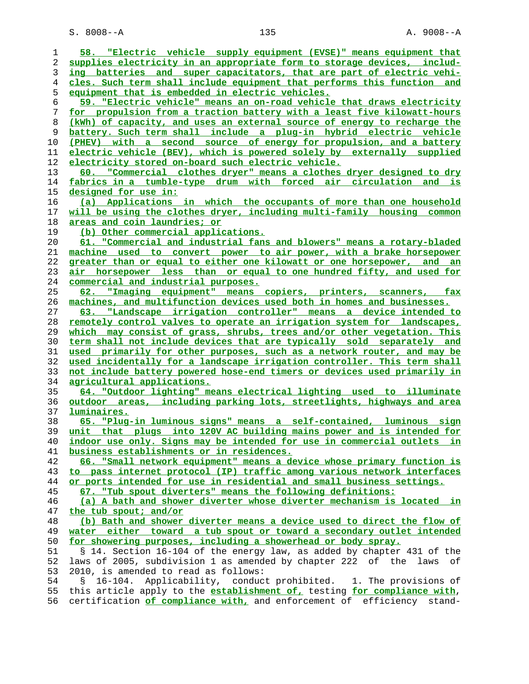S. 8008--A 135 A. 9008--A

| 1  | 58. "Electric vehicle supply equipment (EVSE)" means equipment that          |
|----|------------------------------------------------------------------------------|
| 2  | supplies electricity in an appropriate form to storage devices, includ-      |
| 3  | ing batteries and super capacitators, that are part of electric vehi-        |
| 4  | cles. Such term shall include equipment that performs this function and      |
| 5  | equipment that is embedded in electric vehicles.                             |
| 6  | 59. "Electric vehicle" means an on-road vehicle that draws electricity       |
| 7  | for propulsion from a traction battery with a least five kilowatt-hours      |
| 8  | (kWh) of capacity, and uses an external source of energy to recharge the     |
| 9  | battery. Such term shall include a plug-in hybrid electric vehicle           |
| 10 | (PHEV) with a second source of energy for propulsion, and a battery          |
|    | electric vehicle (BEV), which is powered solely by externally supplied       |
| 11 |                                                                              |
| 12 | electricity stored on-board such electric vehicle.                           |
| 13 | 60. "Commercial clothes dryer" means a clothes dryer designed to dry         |
| 14 | fabrics in a tumble-type drum with forced air circulation and is             |
| 15 | <u>designed for use in:</u>                                                  |
| 16 | (a) Applications in which the occupants of more than one household           |
| 17 | will be using the clothes dryer, including multi-family housing common       |
| 18 | areas and coin laundries; or                                                 |
| 19 | (b) Other commercial applications.                                           |
| 20 | 61. "Commercial and industrial fans and blowers" means a rotary-bladed       |
| 21 | machine used to convert power to air power, with a brake horsepower          |
| 22 | greater than or equal to either one kilowatt or one horsepower, and an       |
| 23 | air horsepower less than or equal to one hundred fifty, and used for         |
| 24 | commercial and industrial purposes.                                          |
| 25 | 62. "Imaging equipment" means copiers, printers, scanners, fax               |
| 26 | machines, and multifunction devices used both in homes and businesses.       |
| 27 | "Landscape irrigation controller" means a device intended to<br>63.          |
| 28 | remotely control valves to operate an irrigation system for landscapes,      |
| 29 | which may consist of grass, shrubs, trees and/or other vegetation. This      |
| 30 | term shall not include devices that are typically sold separately and        |
| 31 | used primarily for other purposes, such as a network router, and may be      |
|    |                                                                              |
| 32 | used incidentally for a landscape irrigation controller. This term shall     |
| 33 | not include battery powered hose-end timers or devices used primarily in     |
| 34 | agricultural applications.                                                   |
| 35 | 64. "Outdoor lighting" means electrical lighting used to illuminate          |
| 36 | outdoor areas, including parking lots, streetlights, highways and area       |
| 37 | luminaires.                                                                  |
| 38 | 65. "Plug-in luminous signs" means a self-contained, luminous sign           |
| 39 | unit that plugs into 120V AC building mains power and is intended for        |
| 40 | indoor use only. Signs may be intended for use in commercial outlets in      |
| 41 | business establishments or in residences.                                    |
| 42 | 66. "Small network equipment" means a device whose primary function is       |
| 43 | to pass internet protocol (IP) traffic among various network interfaces      |
| 44 | or ports intended for use in residential and small business settings.        |
| 45 | 67. "Tub spout diverters" means the following definitions:                   |
| 46 | (a) A bath and shower diverter whose diverter mechanism is located in        |
| 47 | the tub spout; and/or                                                        |
| 48 | (b) Bath and shower diverter means a device used to direct the flow of       |
| 49 | water either toward a tub spout or toward a secondary outlet intended        |
| 50 | for showering purposes, including a showerhead or body spray.                |
| 51 | § 14. Section 16-104 of the energy law, as added by chapter 431 of the       |
| 52 | laws of 2005, subdivision 1 as amended by chapter 222 of the laws of         |
| 53 | 2010, is amended to read as follows:                                         |
| 54 | Applicability, conduct prohibited. 1. The provisions of<br>$16 - 104$ .<br>S |
| 55 | this article apply to the establishment of, testing for compliance with,     |
|    |                                                                              |
| 56 | certification of compliance with, and enforcement of efficiency stand-       |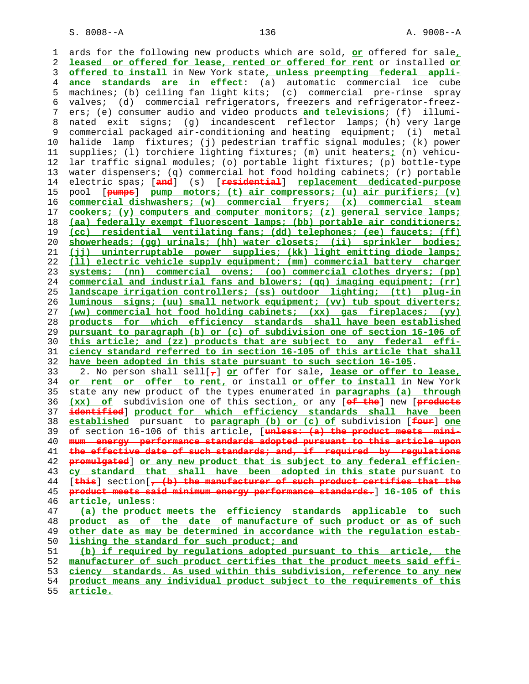1 ards for the following new products which are sold, **or** offered for sale**, leased or offered for lease, rented or offered for rent** or installed **or offered to install** in New York state**, unless preempting federal appli- ance standards are in effect**: (a) automatic commercial ice cube 5 machines; (b) ceiling fan light kits; (c) commercial pre-rinse spray 6 valves; (d) commercial refrigerators, freezers and refrigerator-freez- 7 ers; (e) consumer audio and video products **and televisions**; (f) illumi- 8 nated exit signs; (g) incandescent reflector lamps; (h) very large 9 commercial packaged air-conditioning and heating equipment; (i) metal<br>10 halide lamp fixtures; (j) pedestrian traffic signal modules; (k) power halide lamp fixtures; (j) pedestrian traffic signal modules; (k) power 11 supplies; (l) torchiere lighting fixtures; (m) unit heaters**;** (n) vehicu- 12 lar traffic signal modules; (o) portable light fixtures; (p) bottle-type 13 water dispensers; (q) commercial hot food holding cabinets; (r) portable 14 electric spas; [**and**] (s) [**residential**] **replacement dedicated-purpose** 15 pool [**pumps**] **pump motors; (t) air compressors; (u) air purifiers; (v) commercial dishwashers; (w) commercial fryers; (x) commercial steam cookers; (y) computers and computer monitors; (z) general service lamps; (aa) federally exempt fluorescent lamps; (bb) portable air conditioners; (cc) residential ventilating fans; (dd) telephones; (ee) faucets; (ff) showerheads; (gg) urinals; (hh) water closets; (ii) sprinkler bodies; (jj) uninterruptable power supplies; (kk) light emitting diode lamps; (ll) electric vehicle supply equipment; (mm) commercial battery charger systems; (nn) commercial ovens; (oo) commercial clothes dryers; (pp) commercial and industrial fans and blowers; (qq) imaging equipment; (rr) landscape irrigation controllers; (ss) outdoor lighting; (tt) plug-in luminous signs; (uu) small network equipment; (vv) tub spout diverters; (ww) commercial hot food holding cabinets; (xx) gas fireplaces; (yy) products for which efficiency standards shall have been established pursuant to paragraph (b) or (c) of subdivision one of section 16-106 of this article; and (zz) products that are subject to any federal effi- ciency standard referred to in section 16-105 of this article that shall have been adopted in this state pursuant to such section 16-105**. 33 2. No person shall sell[**,**] **or** offer for sale, **lease or offer to lease, or rent or offer to rent,** or install **or offer to install** in New York 35 state any new product of the types enumerated in **paragraphs (a) through (xx) of** subdivision one of this section**,** or any [**of the**] new [**products identified**] **product for which efficiency standards shall have been established** pursuant to **paragraph (b) or (c) of** subdivision [**four**] **one** 39 of section 16-106 of this article, [**unless: (a) the product meets mini- mum energy performance standards adopted pursuant to this article upon the effective date of such standards; and, if required by regulations promulgated**] **or any new product that is subject to any federal efficien- cy standard that shall have been adopted in this state** pursuant to 44 [**this**] section[**, (b) the manufacturer of such product certifies that the product meets said minimum energy performance standards.**] **16-105 of this article, unless: (a) the product meets the efficiency standards applicable to such product as of the date of manufacture of such product or as of such other date as may be determined in accordance with the regulation estab lishing the standard for such product; and (b) if required by regulations adopted pursuant to this article, the manufacturer of such product certifies that the product meets said effi- ciency standards. As used within this subdivision, reference to any new product means any individual product subject to the requirements of this article.**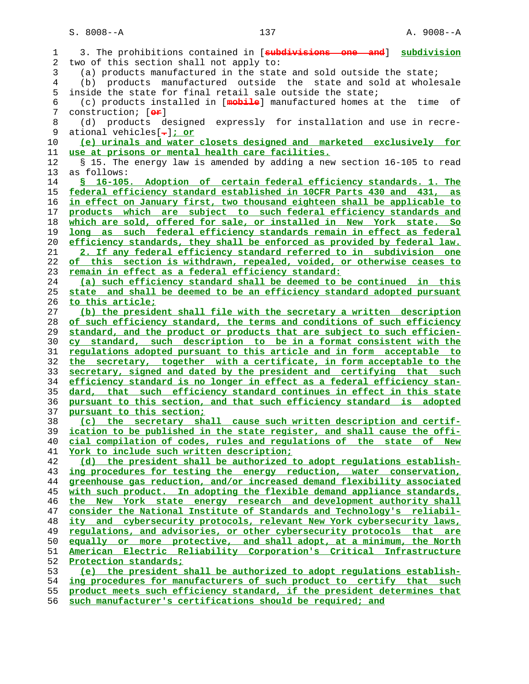1 3. The prohibitions contained in [**subdivisions one and**] **subdivision** 2 two of this section shall not apply to: 3 (a) products manufactured in the state and sold outside the state; 4 (b) products manufactured outside the state and sold at wholesale 5 inside the state for final retail sale outside the state; 6 (c) products installed in [**mobile**] manufactured homes at the time of 7 construction; [**or**] 8 (d) products designed expressly for installation and use in recre- 9 ational vehicles[**.**]**; or (e) urinals and water closets designed and marketed exclusively for use at prisons or mental health care facilities.** 12 § 15. The energy law is amended by adding a new section 16-105 to read 13 as follows: **§ 16-105. Adoption of certain federal efficiency standards. 1. The federal efficiency standard established in 10CFR Parts 430 and 431, as in effect on January first, two thousand eighteen shall be applicable to products which are subject to such federal efficiency standards and which are sold, offered for sale, or installed in New York state. So long as such federal efficiency standards remain in effect as federal efficiency standards, they shall be enforced as provided by federal law. 2. If any federal efficiency standard referred to in subdivision one of this section is withdrawn, repealed, voided, or otherwise ceases to remain in effect as a federal efficiency standard: (a) such efficiency standard shall be deemed to be continued in this state and shall be deemed to be an efficiency standard adopted pursuant to this article; (b) the president shall file with the secretary a written description of such efficiency standard, the terms and conditions of such efficiency standard, and the product or products that are subject to such efficien- cy standard, such description to be in a format consistent with the regulations adopted pursuant to this article and in form acceptable to the secretary, together with a certificate, in form acceptable to the secretary, signed and dated by the president and certifying that such efficiency standard is no longer in effect as a federal efficiency stan- dard, that such efficiency standard continues in effect in this state pursuant to this section, and that such efficiency standard is adopted pursuant to this section; (c) the secretary shall cause such written description and certif- ication to be published in the state register, and shall cause the offi- cial compilation of codes, rules and regulations of the state of New York to include such written description; (d) the president shall be authorized to adopt regulations establish- ing procedures for testing the energy reduction, water conservation, greenhouse gas reduction, and/or increased demand flexibility associated with such product. In adopting the flexible demand appliance standards, the New York state energy research and development authority shall consider the National Institute of Standards and Technology's reliabil- ity and cybersecurity protocols, relevant New York cybersecurity laws, regulations, and advisories, or other cybersecurity protocols that are equally or more protective, and shall adopt, at a minimum, the North American Electric Reliability Corporation's Critical Infrastructure Protection standards; (e) the president shall be authorized to adopt regulations establish- ing procedures for manufacturers of such product to certify that such product meets such efficiency standard, if the president determines that**

**such manufacturer's certifications should be required; and**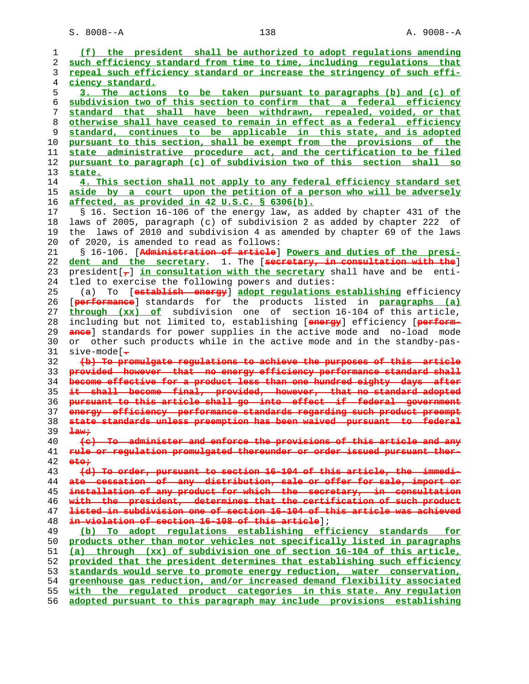S. 8008--A 138 138 A. 9008--A

| $\mathbf 1$ | (f) the president shall be authorized to adopt regulations amending                 |
|-------------|-------------------------------------------------------------------------------------|
| 2           | such efficiency standard from time to time, including requlations that              |
| 3           | repeal such efficiency standard or increase the stringency of such effi-            |
| 4           | ciency standard.                                                                    |
| 5           | 3. The actions to be taken pursuant to paragraphs (b) and (c) of                    |
| 6           | subdivision two of this section to confirm that a federal efficiency                |
|             |                                                                                     |
| 7           | standard that shall have been withdrawn, repealed, voided, or that                  |
| 8           | otherwise shall have ceased to remain in effect as a federal efficiency             |
| 9           | standard, continues to be applicable in this state, and is adopted                  |
| 10          | pursuant to this section, shall be exempt from the provisions of the                |
| 11          | state administrative procedure act, and the certification to be filed               |
| 12          | pursuant to paragraph (c) of subdivision two of this section shall so               |
| 13          | state.                                                                              |
| 14          | 4. This section shall not apply to any federal efficiency standard set              |
| 15          | aside by a court upon the petition of a person who will be adversely                |
| 16          | affected, as provided in 42 U.S.C. § 6306(b).                                       |
| 17          | § 16. Section 16-106 of the energy law, as added by chapter 431 of the              |
| 18          | laws of 2005, paragraph (c) of subdivision 2 as added by chapter 222 of             |
| 19          | laws of 2010 and subdivision 4 as amended by chapter 69 of the laws<br>the          |
| 20          |                                                                                     |
|             | of 2020, is amended to read as follows:                                             |
| 21          | § 16-106. [Administration of article] Powers and duties of the presi-               |
| 22          | dent and the secretary. 1. The [secretary, in consultation with the]                |
| 23          | president $\tau$ in consultation with the secretary shall have and be enti-         |
| 24          | tled to exercise the following powers and duties:                                   |
| 25          | (a) To [establish energy] adopt regulations establishing efficiency                 |
| 26          | [performance] standards for the products listed in paragraphs (a)                   |
| 27          | through (xx) of subdivision one of section 16-104 of this article,                  |
| 28          | including but not limited to, establishing [energy] efficiency [perform-            |
| 29          | ande] standards for power supplies in the active mode and no-load mode              |
| 30          | or other such products while in the active mode and in the standby-pas-             |
| 31          | $sive-mode$ [ $\rightarrow$                                                         |
|             |                                                                                     |
| 32          | (b) To promulgate regulations to achieve the purposes of this article               |
| 33          | provided however that no energy efficiency performance standard shall               |
| 34          | become effective for a product less than one hundred eighty days after              |
| 35          | it shall become final, provided, however, that no standard adopted                  |
| 36          | pursuant to this article shall go into effect if federal government                 |
| 37          | energy efficiency performance standards regarding such product preempt              |
| 38          | state standards unless preemption has been waived pursuant to federal               |
| 39          | $\frac{1}{2}$                                                                       |
| 40          | (e) To administer and enforse the provisions of this article and any                |
| 41          | rule or regulation promulgated thereunder or order issued pursuant ther-            |
| 42          | e <del>tor</del>                                                                    |
| 43          | (d) To order, pursuant to section 16-104 of this article, the immedi-               |
| 44          | ate gessation of any distribution, sale or offer for sale, import or                |
| 45          | installation of any product for which the secretary, in consultation                |
| 46          | with the president, determines that the certification of such product               |
| 47          | <del>listed in subdivision one of section 16-104 of this article was achieved</del> |
| 48          | in violation of section 16-108 of this article];                                    |
| 49          | (b) To adopt regulations establishing efficiency standards<br>for                   |
| 50          | products other than motor vehicles not specifically listed in paragraphs            |
|             |                                                                                     |
| 51          | (a) through (xx) of subdivision one of section 16-104 of this article,              |
| 52          | provided that the president determines that establishing such efficiency            |
| 53          | standards would serve to promote energy reduction, water conservation,              |
| 54          | greenhouse gas reduction, and/or increased demand flexibility associated            |
| 55          | with the regulated product categories in this state. Any regulation                 |
| 56          | adopted pursuant to this paragraph may include provisions establishing              |
|             |                                                                                     |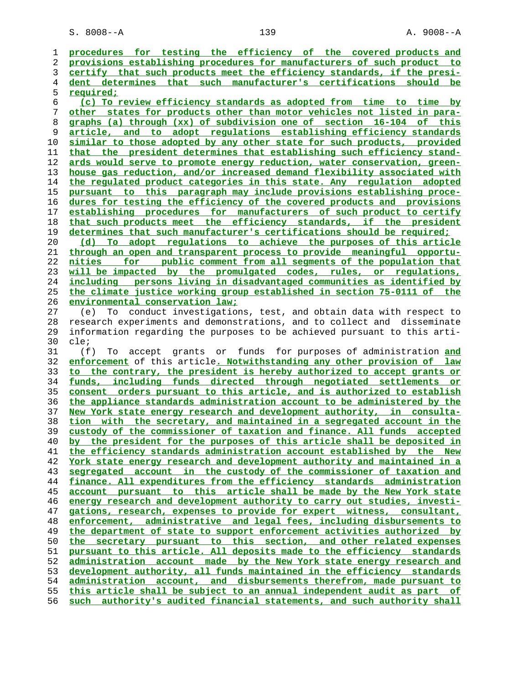S. 8008--A 139 A. 9008--A

**procedures for testing the efficiency of the covered products and provisions establishing procedures for manufacturers of such product to certify that such products meet the efficiency standards, if the presi- dent determines that such manufacturer's certifications should be required; (c) To review efficiency standards as adopted from time to time by other states for products other than motor vehicles not listed in para- graphs (a) through (xx) of subdivision one of section 16-104 of this article, and to adopt regulations establishing efficiency standards similar to those adopted by any other state for such products, provided that the president determines that establishing such efficiency stand- ards would serve to promote energy reduction, water conservation, green- house gas reduction, and/or increased demand flexibility associated with the regulated product categories in this state. Any regulation adopted pursuant to this paragraph may include provisions establishing proce- dures for testing the efficiency of the covered products and provisions establishing procedures for manufacturers of such product to certify that such products meet the efficiency standards, if the president determines that such manufacturer's certifications should be required; (d) To adopt regulations to achieve the purposes of this article through an open and transparent process to provide meaningful opportu- nities for public comment from all segments of the population that will be impacted by the promulgated codes, rules, or regulations, including persons living in disadvantaged communities as identified by the climate justice working group established in section 75-0111 of the environmental conservation law;** 27 (e) To conduct investigations, test, and obtain data with respect to 28 research experiments and demonstrations, and to collect and disseminate 29 information regarding the purposes to be achieved pursuant to this arti- 30 cle; 31 (f) To accept grants or funds for purposes of administration **and enforcement** of this article**. Notwithstanding any other provision of law to the contrary, the president is hereby authorized to accept grants or funds, including funds directed through negotiated settlements or consent orders pursuant to this article, and is authorized to establish the appliance standards administration account to be administered by the New York state energy research and development authority, in consulta- tion with the secretary, and maintained in a segregated account in the custody of the commissioner of taxation and finance. All funds accepted by the president for the purposes of this article shall be deposited in the efficiency standards administration account established by the New York state energy research and development authority and maintained in a segregated account in the custody of the commissioner of taxation and finance. All expenditures from the efficiency standards administration account pursuant to this article shall be made by the New York state energy research and development authority to carry out studies, investi- gations, research, expenses to provide for expert witness, consultant, enforcement, administrative and legal fees, including disbursements to the department of state to support enforcement activities authorized by the secretary pursuant to this section, and other related expenses pursuant to this article. All deposits made to the efficiency standards administration account made by the New York state energy research and development authority, all funds maintained in the efficiency standards administration account, and disbursements therefrom, made pursuant to this article shall be subject to an annual independent audit as part of such authority's audited financial statements, and such authority shall**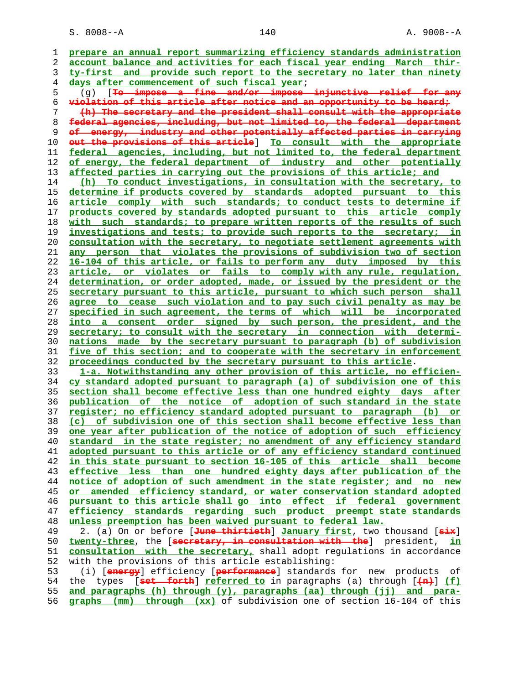S. 8008--A 140 A. 9008--A

**prepare an annual report summarizing efficiency standards administration account balance and activities for each fiscal year ending March thir- ty-first and provide such report to the secretary no later than ninety days after commencement of such fiscal year**; 5 (g) [**To impose a fine and/or impose injunctive relief for any violation of this article after notice and an opportunity to be heard; (h) The secretary and the president shall consult with the appropriate federal agencies, including, but not limited to, the federal department of energy, industry and other potentially affected parties in carrying out the provisions of this article**] **To consult with the appropriate federal agencies, including, but not limited to, the federal department of energy, the federal department of industry and other potentially affected parties in carrying out the provisions of this article; and (h) To conduct investigations, in consultation with the secretary, to determine if products covered by standards adopted pursuant to this article comply with such standards; to conduct tests to determine if products covered by standards adopted pursuant to this article comply with such standards; to prepare written reports of the results of such investigations and tests; to provide such reports to the secretary; in consultation with the secretary, to negotiate settlement agreements with any person that violates the provisions of subdivision two of section 16-104 of this article, or fails to perform any duty imposed by this article, or violates or fails to comply with any rule, regulation, determination, or order adopted, made, or issued by the president or the secretary pursuant to this article, pursuant to which such person shall agree to cease such violation and to pay such civil penalty as may be specified in such agreement, the terms of which will be incorporated into a consent order signed by such person, the president, and the secretary; to consult with the secretary in connection with determi- nations made by the secretary pursuant to paragraph (b) of subdivision five of this section; and to cooperate with the secretary in enforcement proceedings conducted by the secretary pursuant to this article**. **1-a. Notwithstanding any other provision of this article, no efficien- cy standard adopted pursuant to paragraph (a) of subdivision one of this section shall become effective less than one hundred eighty days after publication of the notice of adoption of such standard in the state register; no efficiency standard adopted pursuant to paragraph (b) or (c) of subdivision one of this section shall become effective less than one year after publication of the notice of adoption of such efficiency standard in the state register; no amendment of any efficiency standard adopted pursuant to this article or of any efficiency standard continued in this state pursuant to section 16-105 of this article shall become effective less than one hundred eighty days after publication of the notice of adoption of such amendment in the state register; and no new or amended efficiency standard, or water conservation standard adopted pursuant to this article shall go into effect if federal government efficiency standards regarding such product preempt state standards unless preemption has been waived pursuant to federal law.** 49 2. (a) On or before [**June thirtieth**] **January first**, two thousand [**six**] **twenty-three**, the [**secretary, in consultation with the**] president, **in consultation with the secretary,** shall adopt regulations in accordance 52 with the provisions of this article establishing: 53 (i) [**energy**] efficiency [**performance**] standards for new products of 54 the types [**set forth**] **referred to** in paragraphs (a) through [**(n)**] **(f) and paragraphs (h) through (y), paragraphs (aa) through (jj) and para- graphs (mm) through (xx)** of subdivision one of section 16-104 of this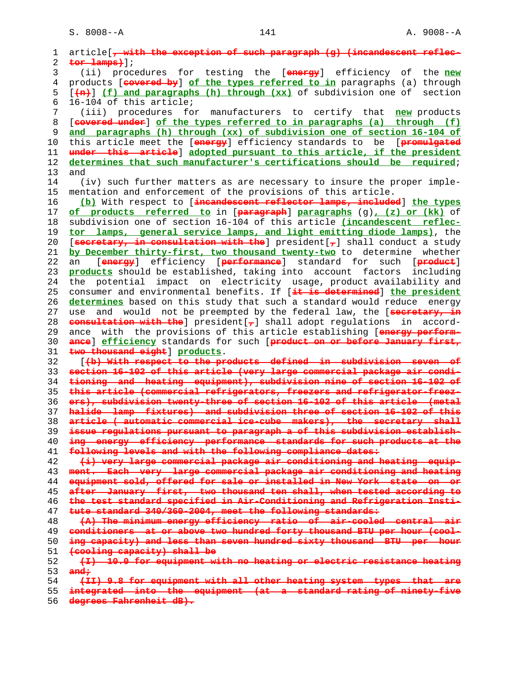S. 8008--A 141 A. 9008--A

```
 1 article[, with the exception of such paragraph (g) (incandescent reflec-
2 tor lamps)];
3 (ii) procedures for testing the [energy] efficiency of the new
4 products [covered by] of the types referred to in paragraphs (a) through
5 [(n)] (f) and paragraphs (h) through (xx) of subdivision one of section
6 16-104 of this article;
7 (iii) procedures for manufacturers to certify that new products
8 [covered under] of the types referred to in paragraphs (a) through (f)
9 and paragraphs (h) through (xx) of subdivision one of section 16-104 of
10 this article meet the [energy] efficiency standards to be [promulgated
11 under this article] adopted pursuant to this article, if the president
12 determines that such manufacturer's certifications should be required;
13 and
14 (iv) such further matters as are necessary to insure the proper imple-
15 mentation and enforcement of the provisions of this article.
16 (b) With respect to [incandescent reflector lamps, included] the types
17 of products referred to in [paragraph] paragraphs (g), (z) or (kk) of
18 subdivision one of section 16-104 of this article (incandescent reflec-
19 tor lamps, general service lamps, and light emitting diode lamps), the
20 [secretary, in consultation with the] president[,] shall conduct a study
21 by December thirty-first, two thousand twenty-two to determine whether
22 an [energy] efficiency [performance] standard for such [product]
23 products should be established, taking into account factors including
24 the potential impact on electricity usage, product availability and
25 consumer and environmental benefits. If [it is determined] the president
26 determines based on this study that such a standard would reduce energy
27 use and would not be preempted by the federal law, the [secretary, in
28 consultation with the] president[,] shall adopt regulations in accord-
29 ance with the provisions of this article establishing [energy perform-
30 ance] efficiency standards for such [product on or before January first,
31 two thousand eight] products.
32 [(b) With respect to the products defined in subdivision seven of
33 section 16-102 of this article (very large commercial package air condi-
34 tioning and heating equipment), subdivision nine of section 16-102 of
35 this article (commercial refrigerators, freezers and refrigerator-freez-
36 ers), subdivision twenty-three of section 16-102 of this article (metal
37 halide lamp fixtures) and subdivision three of section 16-102 of this
38 article ( automatic commercial ice-cube makers), the secretary shall
39 issue regulations pursuant to paragraph a of this subdivision establish-
40 ing energy efficiency performance standards for such products at the
41 following levels and with the following compliance dates:
42 (i) very large commercial package air conditioning and heating equip-
43 ment. Each very large commercial package air conditioning and heating
44 equipment sold, offered for sale or installed in New York state on or
45 after January first, two thousand ten shall, when tested according to
46 the test standard specified in Air-Conditioning and Refrigeration Insti-
47 tute standard 340/360-2004, meet the following standards:
48 (A) The minimum energy efficiency ratio of air-cooled central air
49 conditioners at or above two hundred forty thousand BTU per hour (cool-
50 ing capacity) and less than seven hundred sixty thousand BTU per hour
51 (cooling capacity) shall be
52 (I) 10.0 for equipment with no heating or electric resistance heating
53 and;
54 (II) 9.8 for equipment with all other heating system types that are
55 integrated into the equipment (at a standard rating of ninety-five
```
**degrees Fahrenheit dB).**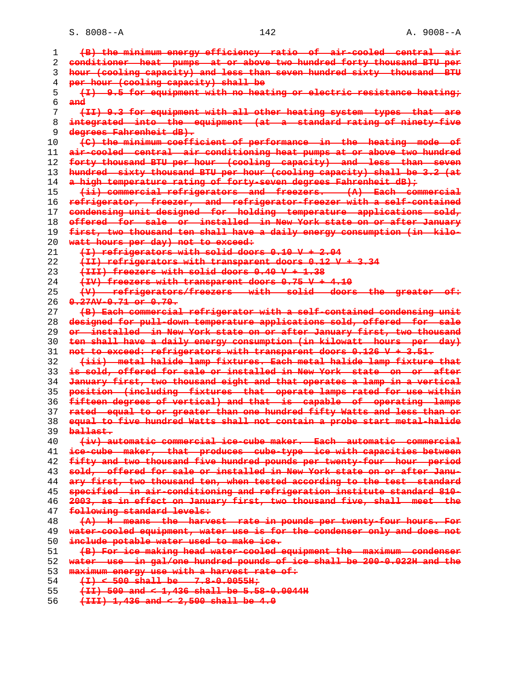S. 8008--A 142 A. 9008--A

| ı  | (B) the minimum energy efficiency ratio of air-cooled central air        |
|----|--------------------------------------------------------------------------|
| 2  | conditioner heat pumps at or above two hundred forty thousand BTU per    |
| 3  | hour (cooling capacity) and less than seven hundred sixty thousand BTU   |
| 4  | per hour (cooling capacity) shall be                                     |
| 5  | (I) 9.5 for equipment with no heating or electric resistance heating;    |
| 6  | $and$                                                                    |
| 7  | (II) 9.3 for equipment with all other heating system types that are      |
| 8  | integrated into the equipment (at a standard rating of ninety-five       |
| 9  | degrees Fahrenheit dB).                                                  |
| 10 | (C) the minimum coefficient of performance in the heating mode of        |
| 11 | air-gooled central air conditioning heat pumps at or above two hundred   |
| 12 | forty thousand BTU per hour (cooling capacity) and less than seven       |
| 13 | hundred sixty thousand BTU per hour (cooling capacity) shall be 3.2 (at  |
| 14 | a high temperature rating of forty-seven degrees Fahrenheit dB);         |
| 15 | (ii) commercial refrigerators and freezers. (A) Each commercial          |
| 16 | refrigerator, freezer, and refrigerator-freezer with a self-contained    |
| 17 | condensing unit designed for holding temperature applications sold,      |
| 18 | offered for sale or installed in New York state on or after January      |
| 19 | first, two thousand ten shall have a daily energy consumption (in kilo-  |
| 20 | watt hours per day) not to exceed.                                       |
| 21 | (I) refrigerators with solid doors 0.10 V + 2.04                         |
| 22 | (II) refrigerators with transparent doors 0.12 V + 3.34                  |
| 23 | (III) freezers with solid doors 0.40 V + 1.38                            |
| 24 | $(TV)$ freezers with transparent doors $0.75 V + 4.10$                   |
| 25 | (V) refrigerators/freezers with solid doors the greater of:              |
| 26 | $0.27$ AV-0.71 or 0.70.                                                  |
| 27 | (B) Each commercial refrigerator with a self-contained condensing unit   |
| 28 | designed for pull-down temperature applications sold, offered for sale   |
| 29 | or installed in New York state on or after January first, two thousand   |
| 30 | ten shall have a daily energy consumption (in kilowatt hours per day)    |
| 31 | not to exceed: refrigerators with transparent doors 0.126 V + 3.51.      |
| 32 | (iii) metal halide lamp fixtures. Each metal halide lamp fixture that    |
| 33 | is sold, offered for sale or installed in New York state on or after     |
| 34 | January first, two thousand eight and that operates a lamp in a vertical |
| 35 | position (including fixtures that operate lamps rated for use within     |
| 36 | fifteen degrees of vertical) and that is capable of operating lamps      |
| 37 | rated equal to or greater than one hundred fifty Watts and less than or  |
| 38 | equal to five hundred Watts shall not contain a probe start metal-halide |
| 39 | ballast.                                                                 |
| 40 | (iv) automatic commercial ice-cube maker. Each automatic commercial      |
| 41 | ice-cube maker, that produces cube-type ice with capacities between      |
| 42 | fifty and two thousand five hundred pounds per twenty-four hour period   |
| 43 | sold, offered for sale or installed in New York state on or after Janu-  |
| 44 | ary first, two thousand ten, when tested according to the test standard  |
| 45 | specified in air-conditioning and refrigeration institute standard 810-  |
| 46 | 2003, as in effect on January first, two thousand five, shall meet the   |
| 47 | following standard levels:                                               |
| 48 | (A) H means the harvest rate in pounds per twenty-four hours. For        |
| 49 | water-cooled equipment, water use is for the condenser only and does not |
| 50 | include potable water used to make ice.                                  |
| 51 | (B) For ice making head water-cooled equipment the maximum condenser     |
| 52 | water use in gal/one hundred pounds of ice shall be 200-0.022H and the   |
| 53 | maximum energy use with a harvest rate of:                               |
| 54 | $(1)$ < 500 shall be 7.8-0.0055H;                                        |
| 55 | $(11)$ 500 and < 1,436 shall be 5.58-0.0044H                             |
| 56 | $(\text{III})$ 1,436 and < 2,500 shall be 4.0                            |
|    |                                                                          |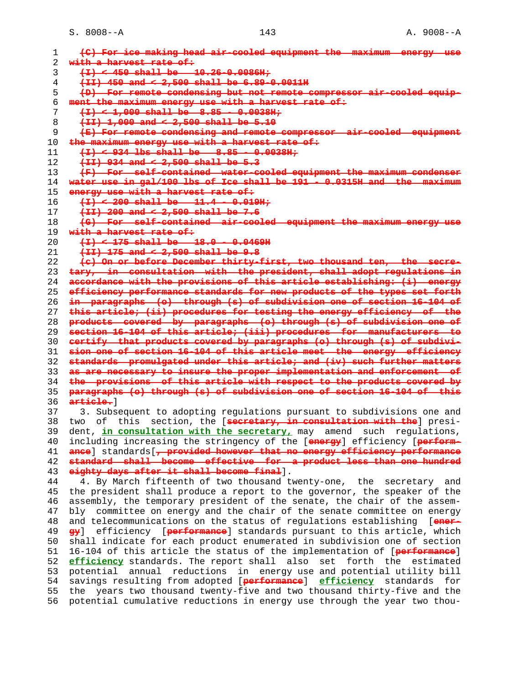S. 8008--A 143 A. 9008--A

**(C) For ice making head air-cooled equipment the maximum energy use with a harvest rate of: (I) < 450 shall be 10.26-0.0086H; (II) 450 and < 2,500 shall be 6.89-0.0011H (D) For remote condensing but not remote compressor air-cooled equip- ment the maximum energy use with a harvest rate of: (I) < 1,000 shall be 8.85 - 0.0038H; (II) 1,000 and < 2,500 shall be 5.10 (E) For remote condensing and remote**<br>10 **the maximum energy use with a harvest**  $maximum$  energy use with a harvest rate of: **(I) < 934 lbs shall be 8.85 - 0.0038H; (II) 934 and < 2,500 shall be 5.3 (F) For self-contained water-cooled equipment the maximum condenser water use in gal/100 lbs of Ice shall be 191 - 0.0315H and the maximum energy use with a harvest rate of: (I) < 200 shall be 11.4 - 0.019H; (II) 200 and < 2,500 shall be 7.6 (G) For self-contained air-cooled equipment the maximum energy with a harvest rate of: (I) < 175 shall be 18.0 - 0.0469H (II) 175 and < 2,500 shall be 9.8 (c) On or before December thirty-first, two thousand ten, the secre- tary, in consultation with the president, shall adopt regulations in accordance with the provisions of this article establishing: (i) energy efficiency performance standards for new products of the types set forth in paragraphs (o) through (s) of subdivision one of section 16-104 of this article; (ii) procedures for testing the energy efficiency of the products covered by paragraphs (o) through (s) of subdivision one of section 16-104 of this article; (iii) procedures for manufacturers to certify that products covered by paragraphs (o) through (s) of subdivi- sion one of section 16-104 of this article meet the energy efficiency standards promulgated under this article; and (iv) such further matters as are necessary to insure the proper implementation and enforcement of the provisions of this article with respect to the products covered by paragraphs (o) through (s) of subdivision one of section 16-104 of this article.**] 37 3. Subsequent to adopting regulations pursuant to subdivisions one and 38 two of this section, the [**secretary, in consultation with the**] presi- 39 dent, **in consultation with the secretary,** may amend such regulations, 40 including increasing the stringency of the [**energy**] efficiency [**perform- ance**] standards[**, provided however that no energy efficiency performance standard shall become effective for a product less than one hundred eighty days after it shall become final**]. 44 4. By March fifteenth of two thousand twenty-one, the secretary and 45 the president shall produce a report to the governor, the speaker of the 46 assembly, the temporary president of the senate, the chair of the assem- 47 bly committee on energy and the chair of the senate committee on energy 48 and telecommunications on the status of regulations establishing [**ener- gy**] efficiency [**performance**] standards pursuant to this article, which 50 shall indicate for each product enumerated in subdivision one of section 51 16-104 of this article the status of the implementation of [**performance**] **efficiency** standards. The report shall also set forth the estimated 53 potential annual reductions in energy use and potential utility bill 54 savings resulting from adopted [**performance**] **efficiency** standards for 55 the years two thousand twenty-five and two thousand thirty-five and the 56 potential cumulative reductions in energy use through the year two thou-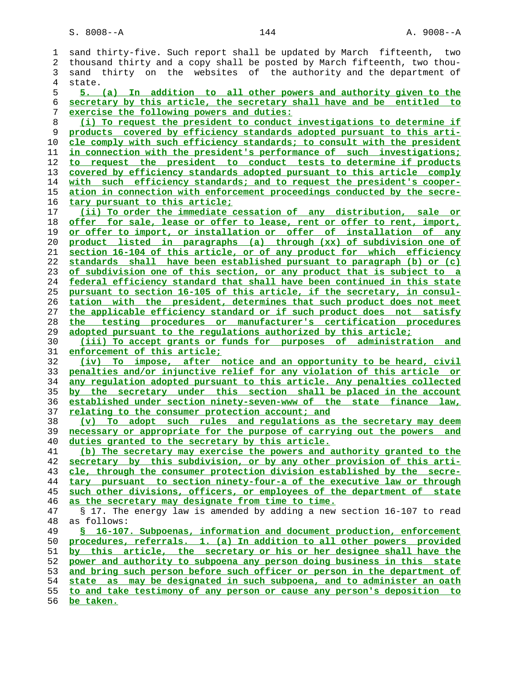| ı  | sand thirty-five. Such report shall be updated by March fifteenth, two   |
|----|--------------------------------------------------------------------------|
| 2  | thousand thirty and a copy shall be posted by March fifteenth, two thou- |
| 3  | sand thirty on the websites of the authority and the department of       |
| 4  | state.                                                                   |
| 5  | 5. (a) In addition to all other powers and authority given to the        |
| 6  | secretary by this article, the secretary shall have and be entitled to   |
| 7  | exercise the following powers and duties:                                |
| 8  | (i) To request the president to conduct investigations to determine if   |
| 9  | products covered by efficiency standards adopted pursuant to this arti-  |
| 10 | cle comply with such efficiency standards; to consult with the president |
| 11 | in connection with the president's performance of such investigations;   |
| 12 | to request the president to conduct tests to determine if products       |
| 13 | covered by efficiency standards adopted pursuant to this article comply  |
| 14 | with such efficiency standards; and to request the president's cooper-   |
| 15 | ation in connection with enforcement proceedings conducted by the secre- |
| 16 | tary pursuant to this article;                                           |
|    |                                                                          |
| 17 | (ii) To order the immediate cessation of any distribution, sale or       |
| 18 | offer for sale, lease or offer to lease, rent or offer to rent, import,  |
| 19 | or offer to import, or installation or offer of installation of any      |
| 20 | product listed in paragraphs (a) through (xx) of subdivision one of      |
| 21 | section 16-104 of this article, or of any product for which efficiency   |
| 22 | standards shall have been established pursuant to paragraph (b) or (c)   |
| 23 | of subdivision one of this section, or any product that is subject to a  |
| 24 | federal efficiency standard that shall have been continued in this state |
| 25 | pursuant to section 16-105 of this article, if the secretary, in consul- |
| 26 | tation with the president, determines that such product does not meet    |
| 27 | the applicable efficiency standard or if such product does not satisfy   |
| 28 | the testing procedures or manufacturer's certification procedures        |
| 29 | adopted pursuant to the regulations authorized by this article;          |
| 30 | (iii) To accept grants or funds for purposes of administration and       |
| 31 | enforcement of this article;                                             |
| 32 | To impose, after notice and an opportunity to be heard, civil<br>(iv)    |
| 33 | penalties and/or injunctive relief for any violation of this article or  |
| 34 | any regulation adopted pursuant to this article. Any penalties collected |
| 35 | by the secretary under this section shall be placed in the account       |
| 36 | established under section ninety-seven-www of the state finance law,     |
| 37 | relating to the consumer protection account; and                         |
| 38 | (v) To adopt such rules and regulations as the secretary may deem        |
| 39 | necessary or appropriate for the purpose of carrying out the powers and  |
| 40 | duties granted to the secretary by this article.                         |
| 41 | (b) The secretary may exercise the powers and authority granted to the   |
| 42 | secretary by this subdivision, or by any other provision of this arti-   |
| 43 | cle, through the consumer protection division established by the secre-  |
| 44 | tary pursuant to section ninety-four-a of the executive law or through   |
| 45 | such other divisions, officers, or employees of the department of state  |
| 46 | as the secretary may designate from time to time.                        |
| 47 | § 17. The energy law is amended by adding a new section 16-107 to read   |
| 48 | as follows:                                                              |
| 49 | § 16-107. Subpoenas, information and document production, enforcement    |
| 50 | procedures, referrals. 1. (a) In addition to all other powers provided   |
| 51 | by this article, the secretary or his or her designee shall have the     |
| 52 | power and authority to subpoena any person doing business in this state  |
| 53 | and bring such person before such officer or person in the department of |
| 54 | state as may be designated in such subpoena, and to administer an oath   |
| 55 | to and take testimony of any person or cause any person's deposition to  |
|    |                                                                          |

**be taken.**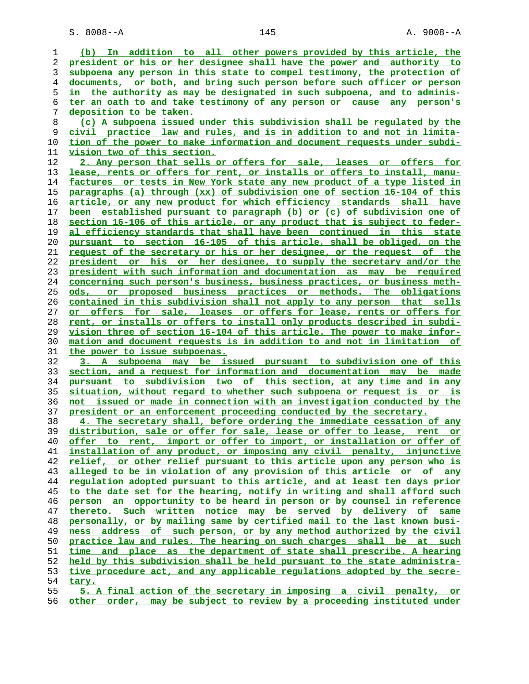S. 8008--A 145 A. 9008--A

**(b) In addition to all other powers provided by this article, the president or his or her designee shall have the power and authority to subpoena any person in this state to compel testimony, the protection of documents, or both, and bring such person before such officer or person in the authority as may be designated in such subpoena, and to adminis- ter an oath to and take testimony of any person or cause any person's deposition to be taken. (c) A subpoena issued under this subdivision shall be regulated by the civil practice law and rules, and is in addition to and not in limita- tion of the power to make information and document requests under subdi- vision two of this section. 2. Any person that sells or offers for sale, leases or offers for lease, rents or offers for rent, or installs or offers to install, manu- factures or tests in New York state any new product of a type listed in paragraphs (a) through (xx) of subdivision one of section 16-104 of this article, or any new product for which efficiency standards shall have been established pursuant to paragraph (b) or (c) of subdivision one of section 16-106 of this article, or any product that is subject to feder- al efficiency standards that shall have been continued in this state pursuant to section 16-105 of this article, shall be obliged, on the request of the secretary or his or her designee, or the request of the president or his or her designee, to supply the secretary and/or the president with such information and documentation as may be required concerning such person's business, business practices, or business meth- ods, or proposed business practices or methods. The obligations contained in this subdivision shall not apply to any person that sells or offers for sale, leases or offers for lease, rents or offers for rent, or installs or offers to install only products described in subdi- vision three of section 16-104 of this article. The power to make infor- mation and document requests is in addition to and not in limitation of the power to issue subpoenas. 3. A subpoena may be issued pursuant to subdivision one of this section, and a request for information and documentation may be made pursuant to subdivision two of this section, at any time and in any situation, without regard to whether such subpoena or request is or is not issued or made in connection with an investigation conducted by the president or an enforcement proceeding conducted by the secretary. 4. The secretary shall, before ordering the immediate cessation of any distribution, sale or offer for sale, lease or offer to lease, rent or offer to rent, import or offer to import, or installation or offer of installation of any product, or imposing any civil penalty, injunctive relief, or other relief pursuant to this article upon any person who is alleged to be in violation of any provision of this article or of any regulation adopted pursuant to this article, and at least ten days prior to the date set for the hearing, notify in writing and shall afford such person an opportunity to be heard in person or by counsel in reference thereto. Such written notice may be served by delivery of same personally, or by mailing same by certified mail to the last known busi- ness address of such person, or by any method authorized by the civil practice law and rules. The hearing on such charges shall be at such time and place as the department of state shall prescribe. A hearing held by this subdivision shall be held pursuant to the state administra- tive procedure act, and any applicable regulations adopted by the secre- tary. 5. A final action of the secretary in imposing a civil penalty, or**

**other order, may be subject to review by a proceeding instituted under**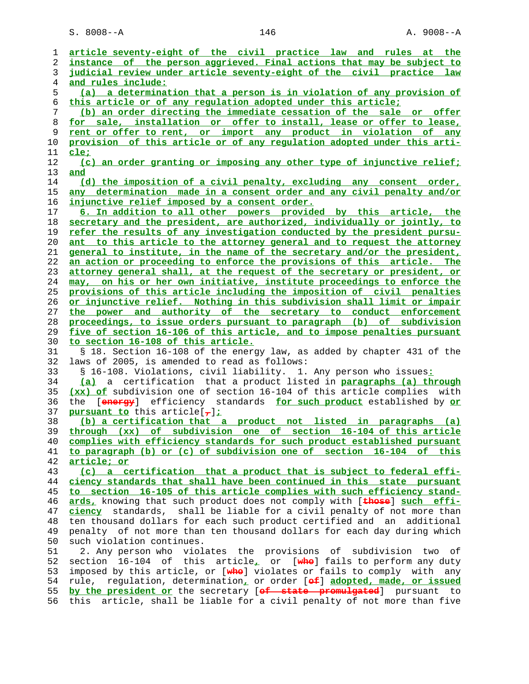S. 8008--A 146 146 A. 9008--A

| ı        | article seventy-eight of the civil practice law and rules at the                      |
|----------|---------------------------------------------------------------------------------------|
| 2        | instance of the person aggrieved. Final actions that may be subject to                |
| 3        | judicial review under article seventy-eight of the civil practice law                 |
| 4        | and rules include:                                                                    |
| 5        | (a) a determination that a person is in violation of any provision of                 |
| 6        | this article or of any requlation adopted under this article;                         |
| 7        | (b) an order directing the immediate cessation of the sale or offer                   |
| 8        | for sale, installation or offer to install, lease or offer to lease,                  |
| 9        | rent or offer to rent, or import any product in violation of any                      |
| 10       | provision of this article or of any regulation adopted under this arti-               |
|          |                                                                                       |
| 11<br>12 | <u>cle;</u><br>(c) an order granting or imposing any other type of injunctive relief; |
| 13       | and                                                                                   |
| 14       | (d) the imposition of a civil penalty, excluding any consent order,                   |
| 15       | any determination made in a consent order and any civil penalty and/or                |
| 16       | injunctive relief imposed by a consent order.                                         |
| 17       | 6. In addition to all other powers provided by this article, the                      |
| 18       | secretary and the president, are authorized, individually or jointly, to              |
| 19       | refer the results of any investigation conducted by the president pursu-              |
| 20       | ant to this article to the attorney general and to request the attorney               |
| 21       | general to institute, in the name of the secretary and/or the president,              |
| 22       | an action or proceeding to enforce the provisions of this article. The                |
| 23       | attorney general shall, at the request of the secretary or president, or              |
| 24       | may, on his or her own initiative, institute proceedings to enforce the               |
| 25       | provisions of this article including the imposition of civil penalties                |
| 26       | or injunctive relief. Nothing in this subdivision shall limit or impair               |
| 27       | the power and authority of the secretary to conduct enforcement                       |
| 28       | proceedings, to issue orders pursuant to paragraph (b) of subdivision                 |
| 29       | five of section 16-106 of this article, and to impose penalties pursuant              |
| 30       | to section 16-108 of this article.                                                    |
| 31       | § 18. Section 16-108 of the energy law, as added by chapter 431 of the                |
|          | laws of 2005, is amended to read as follows:                                          |
| 32       |                                                                                       |
| 33       | § 16-108. Violations, civil liability. 1. Any person who issues:                      |
| 34       | (a) a certification that a product listed in paragraphs (a) through                   |
| 35       | (xx) of subdivision one of section 16-104 of this article complies with               |
| 36       | [energy] efficiency standards for such product established by or<br>the               |
| 37       | pursuant to this article[ $7$ ];                                                      |
| 38       | (b) a certification that a product not listed in paragraphs (a)                       |
| 39       | through (xx) of subdivision one of section 16-104 of this article                     |
| 40       | complies with efficiency standards for such product established pursuant              |
| 41       | to paragraph (b) or (c) of subdivision one of section 16-104 of this                  |
| 42       | article; or                                                                           |
| 43       | (c) a certification that a product that is subject to federal effi-                   |
| 44       | ciency standards that shall have been continued in this state pursuant                |
| 45       | to section 16-105 of this article complies with such efficiency stand-                |
| 46       | ards, knowing that such product does not comply with [these] such effi-               |
| 47       | ciency standards, shall be liable for a civil penalty of not more than                |
| 48       | ten thousand dollars for each such product certified and an additional                |
| 49       | penalty of not more than ten thousand dollars for each day during which               |
| 50       | such violation continues.                                                             |
| 51       | 2. Any person who violates the provisions of subdivision two<br>of                    |
| 52       | section 16-104 of this article <sub>r</sub> or [whe] fails to perform any duty        |
| 53       | imposed by this article, or [whe] violates or fails to comply with any                |
| 54       | regulation, determination, or order [of] adopted, made, or issued<br>rule,            |
| 55       | by the president or the secretary [of state promulgated] pursuant to                  |
| 56       | this article, shall be liable for a civil penalty of not more than five               |
|          |                                                                                       |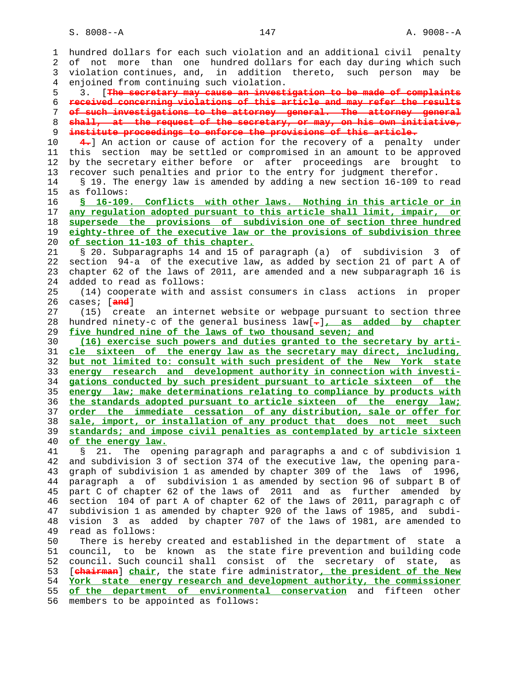1 hundred dollars for each such violation and an additional civil penalty 2 of not more than one hundred dollars for each day during which such 3 violation continues, and, in addition thereto, such person may be 4 enjoined from continuing such violation. 5 3. [**The secretary may cause an investigation to be made of complaints** 6 **received concerning violations of this article and may refer the results** 7 **of such investigations to the attorney general. The attorney general** 8 **shall, at the request of the secretary, or may, on his own initiative,** 9 **institute proceedings to enforce the provisions of this article.** 10 **4.**] An action or cause of action for the recovery of a penalty under 11 this section may be settled or compromised in an amount to be approved 12 by the secretary either before or after proceedings are brought to 13 recover such penalties and prior to the entry for judgment therefor. 14 § 19. The energy law is amended by adding a new section 16-109 to read 15 as follows: 16 **§ 16-109. Conflicts with other laws. Nothing in this article or in** 17 **any regulation adopted pursuant to this article shall limit, impair, or** 18 **supersede the provisions of subdivision one of section three hundred** 19 **eighty-three of the executive law or the provisions of subdivision three** 20 **of section 11-103 of this chapter.** 21 § 20. Subparagraphs 14 and 15 of paragraph (a) of subdivision 3 of 22 section 94-a of the executive law, as added by section 21 of part A of 23 chapter 62 of the laws of 2011, are amended and a new subparagraph 16 is 24 added to read as follows: 25 (14) cooperate with and assist consumers in class actions in proper 26 cases; [**and**] 27 (15) create an internet website or webpage pursuant to section three 28 hundred ninety-c of the general business law[**.**]**, as added by chapter** 29 **five hundred nine of the laws of two thousand seven; and** 30 **(16) exercise such powers and duties granted to the secretary by arti-** 31 **cle sixteen of the energy law as the secretary may direct, including,** 32 **but not limited to: consult with such president of the New York state** 33 **energy research and development authority in connection with investi-** 34 **gations conducted by such president pursuant to article sixteen of the** 35 **energy law; make determinations relating to compliance by products with** 36 **the standards adopted pursuant to article sixteen of the energy law;** 37 **order the immediate cessation of any distribution, sale or offer for** 38 **sale, import, or installation of any product that does not meet such** 39 **standards; and impose civil penalties as contemplated by article sixteen** 40 **of the energy law.** 41 § 21. The opening paragraph and paragraphs a and c of subdivision 1 42 and subdivision 3 of section 374 of the executive law, the opening para- 43 graph of subdivision 1 as amended by chapter 309 of the laws of 1996, 44 paragraph a of subdivision 1 as amended by section 96 of subpart B of 45 part C of chapter 62 of the laws of 2011 and as further amended by 46 section 104 of part A of chapter 62 of the laws of 2011, paragraph c of 47 subdivision 1 as amended by chapter 920 of the laws of 1985, and subdi- 48 vision 3 as added by chapter 707 of the laws of 1981, are amended to 49 read as follows: 50 There is hereby created and established in the department of state a 51 council, to be known as the state fire prevention and building code 52 council. Such council shall consist of the secretary of state, as 53 [**chairman**] **chair**, the state fire administrator**, the president of the New** 54 **York state energy research and development authority, the commissioner** 55 **of the department of environmental conservation** and fifteen other 56 members to be appointed as follows: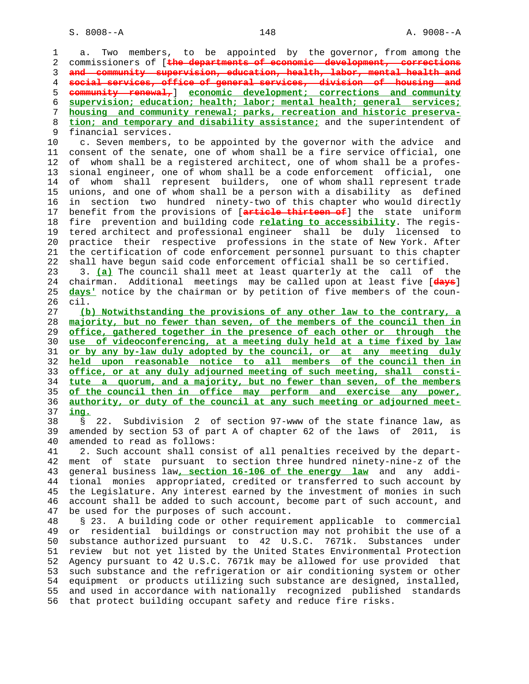1 a. Two members, to be appointed by the governor, from among the 2 commissioners of [**the departments of economic development, corrections** 3 **and community supervision, education, health, labor, mental health and** 4 **social services, office of general services, division of housing and** 5 **community renewal,**] **economic development; corrections and community** 6 **supervision; education; health; labor; mental health; general services;** 7 **housing and community renewal; parks, recreation and historic preserva-** 8 **tion; and temporary and disability assistance;** and the superintendent of 9 financial services. 10 c. Seven members, to be appointed by the governor with the advice and 11 consent of the senate, one of whom shall be a fire service official, one 12 of whom shall be a registered architect, one of whom shall be a profes- 13 sional engineer, one of whom shall be a code enforcement official, one 14 of whom shall represent builders, one of whom shall represent trade 15 unions, and one of whom shall be a person with a disability as defined 16 in section two hundred ninety-two of this chapter who would directly 17 benefit from the provisions of [**article thirteen of**] the state uniform 18 fire prevention and building code **relating to accessibility**. The regis- 19 tered architect and professional engineer shall be duly licensed to 20 practice their respective professions in the state of New York. After 21 the certification of code enforcement personnel pursuant to this chapter 22 shall have begun said code enforcement official shall be so certified. 23 3. **(a)** The council shall meet at least quarterly at the call of the 24 chairman. Additional meetings may be called upon at least five [**days**] 25 **days'** notice by the chairman or by petition of five members of the coun- 26 cil. 27 **(b) Notwithstanding the provisions of any other law to the contrary, a** 28 **majority, but no fewer than seven, of the members of the council then in** 29 **office, gathered together in the presence of each other or through the** 30 **use of videoconferencing, at a meeting duly held at a time fixed by law** 31 **or by any by-law duly adopted by the council, or at any meeting duly** 32 **held upon reasonable notice to all members of the council then in** 33 **office, or at any duly adjourned meeting of such meeting, shall consti-** 34 **tute a quorum, and a majority, but no fewer than seven, of the members** 35 **of the council then in office may perform and exercise any power,** 36 **authority, or duty of the council at any such meeting or adjourned meet-** 37 **ing.** 38 § 22. Subdivision 2 of section 97-www of the state finance law, as 39 amended by section 53 of part A of chapter 62 of the laws of 2011, is 40 amended to read as follows: 41 2. Such account shall consist of all penalties received by the depart- 42 ment of state pursuant to section three hundred ninety-nine-z of the 43 general business law**, section 16-106 of the energy law** and any addi- 44 tional monies appropriated, credited or transferred to such account by 45 the Legislature. Any interest earned by the investment of monies in such 46 account shall be added to such account, become part of such account, and 47 be used for the purposes of such account. 48 § 23. A building code or other requirement applicable to commercial 49 or residential buildings or construction may not prohibit the use of a 50 substance authorized pursuant to 42 U.S.C. 7671k. Substances under 51 review but not yet listed by the United States Environmental Protection 52 Agency pursuant to 42 U.S.C. 7671k may be allowed for use provided that 53 such substance and the refrigeration or air conditioning system or other 54 equipment or products utilizing such substance are designed, installed, 55 and used in accordance with nationally recognized published standards 56 that protect building occupant safety and reduce fire risks.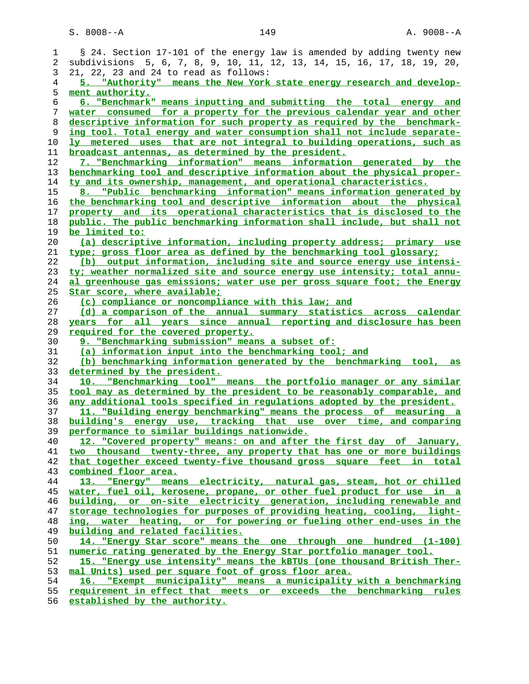| 1                 | § 24. Section 17-101 of the energy law is amended by adding twenty new                          |
|-------------------|-------------------------------------------------------------------------------------------------|
| 2                 | subdivisions 5, 6, 7, 8, 9, 10, 11, 12, 13, 14, 15, 16, 17, 18, 19, 20,                         |
| 3                 | 21, 22, 23 and 24 to read as follows:                                                           |
| 4                 | 5. "Authority" means the New York state energy research and develop-                            |
| 5                 | ment authority.                                                                                 |
| 6                 | 6. "Benchmark" means inputting and submitting the total energy and                              |
| 7                 | water consumed for a property for the previous calendar year and other                          |
| 8                 | descriptive information for such property as required by the benchmark-                         |
| 9                 | ing tool. Total energy and water consumption shall not include separate-                        |
| 10                | <u>ly metered uses that are not integral to building operations, such as</u>                    |
| 11                | broadcast antennas, as determined by the president.                                             |
| 12                | 7. "Benchmarking information" means information generated by the                                |
| 13                | benchmarking tool and descriptive information about the physical proper-                        |
| 14                | ty and its ownership, management, and operational characteristics.                              |
| 15                | 8. "Public benchmarking information" means information generated by                             |
| 16                | the benchmarking tool and descriptive information about the physical                            |
| 17                | property and its operational characteristics that is disclosed to the                           |
| 18                | public. The public benchmarking information shall include, but shall not                        |
| 19                | be limited to:                                                                                  |
| 20                | (a) descriptive information, including property address; primary use                            |
| 21                | type; gross floor area as defined by the benchmarking tool glossary;                            |
| 22                | (b) output information, including site and source energy use intensi-                           |
| 23                | ty; weather normalized site and source energy use intensity; total annu-                        |
| 24                | al greenhouse gas emissions; water use per gross square foot; the Energy                        |
| 25                | Star score, where available;                                                                    |
| 26                | (c) compliance or noncompliance with this law; and                                              |
| 27                | (d) a comparison of the annual summary statistics across calendar                               |
| 28                | years for all years since annual reporting and disclosure has been                              |
|                   |                                                                                                 |
| 29                |                                                                                                 |
| 30                | required for the covered property.<br>9. "Benchmarking submission" means a subset of:           |
| 31                | (a) information input into the benchmarking tool; and                                           |
| 32                | (b) benchmarking information generated by the benchmarking tool, as                             |
| 33                | determined by the president.                                                                    |
| 34                | 10. "Benchmarking tool" means the portfolio manager or any similar                              |
| 35                | tool may as determined by the president to be reasonably comparable, and                        |
| 36                | any additional tools specified in requlations adopted by the president.                         |
| 37                | 11. "Building energy benchmarking" means the process of measuring a                             |
| 38                | building's energy use, tracking that use over time, and comparing                               |
| 39                | performance to similar buildings nationwide.                                                    |
| 40                | 12. "Covered property" means: on and after the first day of January,                            |
| 41                | two thousand twenty-three, any property that has one or more buildings                          |
| 42                | that together exceed twenty-five thousand gross square feet in total                            |
| 43                | combined floor area.                                                                            |
| 44                | 13. "Energy" means electricity, natural gas, steam, hot or chilled                              |
| 45                | water, fuel oil, kerosene, propane, or other fuel product for use in a                          |
| 46                | building, or on-site electricity generation, including renewable and                            |
| 47                | storage technologies for purposes of providing heating, cooling, light-                         |
| 48                | ing, water heating, or for powering or fueling other end-uses in the                            |
| 49                | building and related facilities.                                                                |
| 50                | 14. "Energy Star score" means the one through one hundred (1-100)                               |
| 51                | numeric rating generated by the Energy Star portfolio manager tool.                             |
| 52                | 15. "Energy use intensity" means the kBTUs (one thousand British Ther-                          |
| 53                | mal Units) used per square foot of gross floor area.                                            |
| 54                | 16. "Exempt municipality" means a municipality with a benchmarking                              |
| 55<br>$F \subset$ | requirement in effect that meets or exceeds the benchmarking rules<br>$\alpha + \alpha + \beta$ |

**established by the authority.**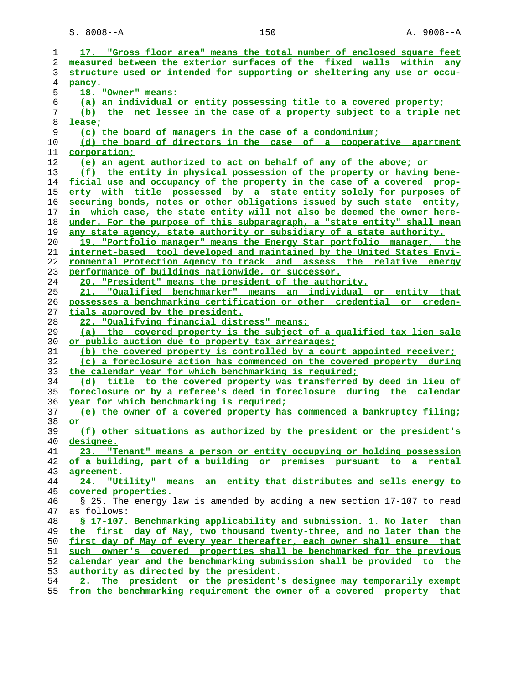S. 8008--A 150 150 A. 9008--A

|          | 17. "Gross floor area" means the total number of enclosed square feet                                                                           |
|----------|-------------------------------------------------------------------------------------------------------------------------------------------------|
| 2        | measured between the exterior surfaces of the fixed walls within any                                                                            |
| 3        | structure used or intended for supporting or sheltering any use or occu-                                                                        |
| 4        | pancy.                                                                                                                                          |
| 5        | 18. "Owner" means:                                                                                                                              |
| 6        | (a) an individual or entity possessing title to a covered property;                                                                             |
| 7        | (b) the net lessee in the case of a property subject to a triple net                                                                            |
| 8        | lease;                                                                                                                                          |
| 9        | (c) the board of managers in the case of a condominium;                                                                                         |
| 10       | (d) the board of directors in the case of a cooperative apartment                                                                               |
| 11       | corporation;                                                                                                                                    |
| 12       | (e) an agent authorized to act on behalf of any of the above; or                                                                                |
| 13       | (f) the entity in physical possession of the property or having bene-                                                                           |
| 14       | ficial use and occupancy of the property in the case of a covered prop-                                                                         |
| 15       | erty with title possessed by a state entity solely for purposes of                                                                              |
| 16       | securing bonds, notes or other obligations issued by such state entity,                                                                         |
| 17       | in which case, the state entity will not also be deemed the owner here-                                                                         |
| 18       | under. For the purpose of this subparagraph, a "state entity" shall mean                                                                        |
| 19       | any state agency, state authority or subsidiary of a state authority.                                                                           |
| 20       | 19. "Portfolio manager" means the Energy Star portfolio manager, the                                                                            |
| 21       | internet-based tool developed and maintained by the United States Envi-                                                                         |
| 22       | ronmental Protection Agency to track and assess the relative energy                                                                             |
| 23       | performance of buildings nationwide, or successor.                                                                                              |
| 24       | 20. "President" means the president of the authority.                                                                                           |
| 25       | 21. "Qualified benchmarker" means an individual or entity that                                                                                  |
| 26       | possesses a benchmarking certification or other credential or creden-                                                                           |
| 27       | tials approved by the president.                                                                                                                |
| 28       | 22. "Qualifying financial distress" means:                                                                                                      |
| 29       | (a) the covered property is the subject of a qualified tax lien sale                                                                            |
|          |                                                                                                                                                 |
|          |                                                                                                                                                 |
| 30       | or public auction due to property tax arrearages;                                                                                               |
| 31       | (b) the covered property is controlled by a court appointed receiver;                                                                           |
| 32       | (c) a foreclosure action has commenced on the covered property during                                                                           |
| 33       | the calendar year for which benchmarking is required;                                                                                           |
| 34       | (d) title to the covered property was transferred by deed in lieu of                                                                            |
| 35       | foreclosure or by a referee's deed in foreclosure during the calendar                                                                           |
| 36       | year for which benchmarking is required;                                                                                                        |
| 37       | (e) the owner of a covered property has commenced a bankruptcy filing;                                                                          |
| 38       | or                                                                                                                                              |
| 39       | (f) other situations as authorized by the president or the president's                                                                          |
| 40       | <u>designee.</u>                                                                                                                                |
| 41       | "Tenant" means a person or entity occupying or holding possession<br>23.                                                                        |
| 42       | of a building, part of a building or premises pursuant to a rental                                                                              |
| 43       | agreement.                                                                                                                                      |
| 44       | 24. "Utility" means an entity that distributes and sells energy to                                                                              |
| 45       | covered properties.                                                                                                                             |
| 46       | § 25. The energy law is amended by adding a new section 17-107 to read<br>as follows:                                                           |
| 47       |                                                                                                                                                 |
| 48<br>49 | § 17-107. Benchmarking applicability and submission. 1. No later than<br>the first day of May, two thousand twenty-three, and no later than the |
| 50       | first day of May of every year thereafter, each owner shall ensure that                                                                         |
| 51       |                                                                                                                                                 |
| 52       | such owner's covered properties shall be benchmarked for the previous                                                                           |
| 53       | calendar year and the benchmarking submission shall be provided to the                                                                          |
| 54       | authority as directed by the president.<br>2. The president or the president's designee may temporarily exempt                                  |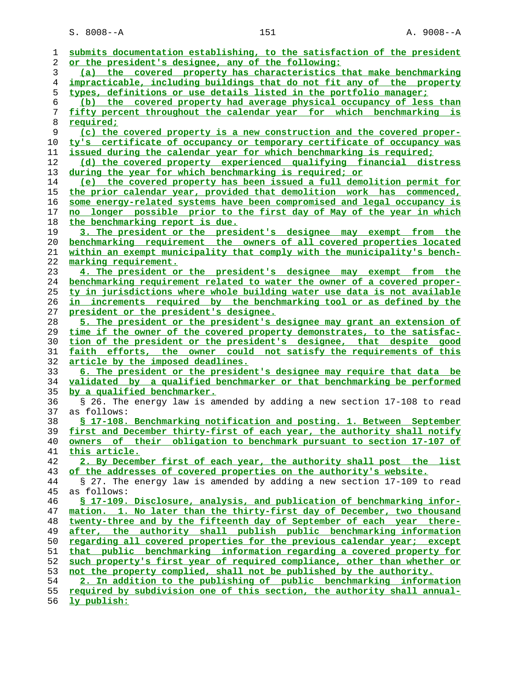| ı  | submits documentation establishing, to the satisfaction of the president                                                                        |
|----|-------------------------------------------------------------------------------------------------------------------------------------------------|
| 2  | or the president's designee, any of the following:                                                                                              |
| 3  | (a) the covered property has characteristics that make benchmarking                                                                             |
| 4  | impracticable, including buildings that do not fit any of the property                                                                          |
| 5  | types, definitions or use details listed in the portfolio manager;                                                                              |
| 6  | (b) the covered property had average physical occupancy of less than                                                                            |
| 7  | fifty percent throughout the calendar year for which benchmarking is                                                                            |
| 8  | <u>required;</u>                                                                                                                                |
| 9  | (c) the covered property is a new construction and the covered proper-                                                                          |
| 10 | ty's certificate of occupancy or temporary certificate of occupancy was                                                                         |
| 11 | issued during the calendar year for which benchmarking is required;                                                                             |
| 12 | (d) the covered property experienced qualifying financial distress                                                                              |
| 13 | during the year for which benchmarking is required; or                                                                                          |
| 14 | (e) the covered property has been issued a full demolition permit for                                                                           |
| 15 | the prior calendar year, provided that demolition work has commenced,                                                                           |
| 16 | some energy-related systems have been compromised and legal occupancy is                                                                        |
| 17 | no longer possible prior to the first day of May of the year in which                                                                           |
|    |                                                                                                                                                 |
| 18 | the benchmarking report is due.                                                                                                                 |
| 19 | 3. The president or the president's designee may exempt from the                                                                                |
| 20 | benchmarking requirement the owners of all covered properties located                                                                           |
| 21 | within an exempt municipality that comply with the municipality's bench-                                                                        |
| 22 | marking requirement.                                                                                                                            |
| 23 | 4. The president or the president's designee may exempt from the                                                                                |
| 24 | benchmarking requirement related to water the owner of a covered proper-                                                                        |
| 25 | ty in jurisdictions where whole building water use data is not available                                                                        |
| 26 | in increments required by the benchmarking tool or as defined by the                                                                            |
| 27 | president or the president's designee.                                                                                                          |
| 28 | 5. The president or the president's designee may grant an extension of                                                                          |
| 29 | time if the owner of the covered property demonstrates, to the satisfac-                                                                        |
|    |                                                                                                                                                 |
| 30 | tion of the president or the president's designee, that despite good                                                                            |
| 31 | faith efforts, the owner could not satisfy the requirements of this                                                                             |
| 32 | <u>article by the imposed deadlines.</u>                                                                                                        |
| 33 | 6. The president or the president's designee may require that data be                                                                           |
| 34 | validated by a qualified benchmarker or that benchmarking be performed                                                                          |
| 35 | <u>by a qualified benchmarker.</u>                                                                                                              |
| 36 | § 26. The energy law is amended by adding a new section 17-108 to read                                                                          |
| 37 | as follows:                                                                                                                                     |
| 38 | § 17-108. Benchmarking notification and posting. 1. Between September                                                                           |
| 39 | first and December thirty-first of each year, the authority shall notify                                                                        |
| 40 | owners of their obligation to benchmark pursuant to section 17-107 of                                                                           |
| 41 | <u>this article.</u>                                                                                                                            |
| 42 | 2. By December first of each year, the authority shall post the list                                                                            |
| 43 | of the addresses of covered properties on the authority's website.                                                                              |
| 44 | § 27. The energy law is amended by adding a new section 17-109 to read                                                                          |
| 45 | as follows:                                                                                                                                     |
| 46 | § 17-109. Disclosure, analysis, and publication of benchmarking infor-                                                                          |
| 47 | mation. 1. No later than the thirty-first day of December, two thousand                                                                         |
| 48 | twenty-three and by the fifteenth day of September of each year there-                                                                          |
| 49 | after, the authority shall publish public benchmarking information                                                                              |
| 50 | regarding all covered properties for the previous calendar year; except                                                                         |
| 51 | that public benchmarking information regarding a covered property for                                                                           |
| 52 | such property's first year of required compliance, other than whether or                                                                        |
| 53 | not the property complied, shall not be published by the authority.                                                                             |
| 54 |                                                                                                                                                 |
| 55 | 2. In addition to the publishing of public benchmarking information<br>required by subdivision one of this section, the authority shall annual- |

**ly publish:**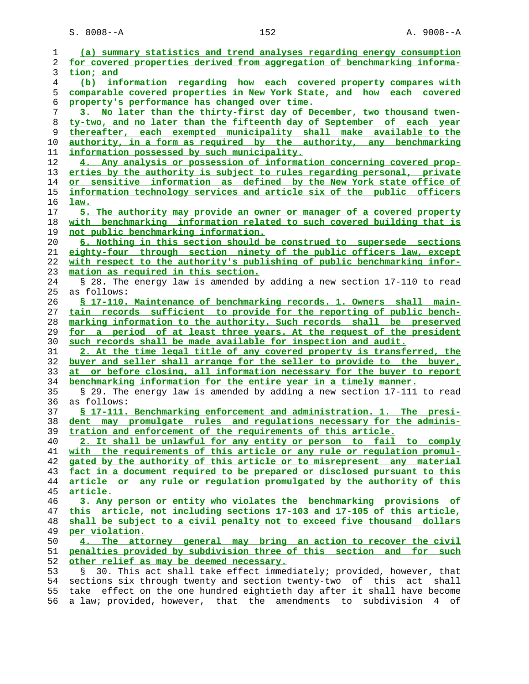S. 8008--A 152 A. 9008--A

| 1  | (a) summary statistics and trend analyses regarding energy consumption      |
|----|-----------------------------------------------------------------------------|
| 2  | for covered properties derived from aggregation of benchmarking informa-    |
| 3  | tion; and                                                                   |
| 4  | (b) information regarding how each covered property compares with           |
| 5  | comparable covered properties in New York State, and how each covered       |
| 6  | property's performance has changed over time.                               |
| 7  | 3. No later than the thirty-first day of December, two thousand twen-       |
|    |                                                                             |
| 8  | ty-two, and no later than the fifteenth day of September of each year       |
| 9  | thereafter, each exempted municipality shall make available to the          |
| 10 | authority, in a form as required by the authority, any benchmarking         |
| 11 | information possessed by such municipality.                                 |
| 12 | 4. Any analysis or possession of information concerning covered prop-       |
| 13 | erties by the authority is subject to rules regarding personal, private     |
| 14 | or sensitive information as defined by the New York state office of         |
| 15 | information technology services and article six of the public officers      |
| 16 | <u>law.</u>                                                                 |
| 17 | 5. The authority may provide an owner or manager of a covered property      |
|    |                                                                             |
| 18 | with benchmarking information related to such covered building that is      |
| 19 | not public benchmarking information.                                        |
| 20 | 6. Nothing in this section should be construed to supersede sections        |
| 21 | eighty-four through section ninety of the public officers law, except       |
| 22 | with respect to the authority's publishing of public benchmarking infor-    |
| 23 | mation as required in this section.                                         |
| 24 | § 28. The energy law is amended by adding a new section 17-110 to read      |
| 25 | as follows:                                                                 |
| 26 | § 17-110. Maintenance of benchmarking records. 1. Owners shall main-        |
| 27 | tain records sufficient to provide for the reporting of public bench-       |
|    |                                                                             |
| 28 | marking information to the authority. Such records shall be preserved       |
| 29 | for a period of at least three years. At the request of the president       |
| 30 | such records shall be made available for inspection and audit.              |
| 31 | 2. At the time legal title of any covered property is transferred, the      |
| 32 | buyer and seller shall arrange for the seller to provide to the buyer,      |
| 33 | at or before closing, all information necessary for the buyer to report     |
| 34 | benchmarking information for the entire year in a timely manner.            |
| 35 | § 29. The energy law is amended by adding a new section 17-111 to read      |
| 36 | as follows:                                                                 |
| 37 | <u>S 17-111. Benchmarking enforcement and administration. 1. The presi-</u> |
| 38 | dent may promulgate rules and requlations necessary for the adminis-        |
| 39 | tration and enforcement of the requirements of this article.                |
| 40 | 2. It shall be unlawful for any entity or person to fail to comply          |
|    |                                                                             |
| 41 | with the requirements of this article or any rule or requlation promul-     |
| 42 | gated by the authority of this article or to misrepresent any material      |
| 43 | fact in a document required to be prepared or disclosed pursuant to this    |
| 44 | article or any rule or regulation promulgated by the authority of this      |
| 45 | article.                                                                    |
| 46 | 3. Any person or entity who violates the benchmarking provisions of         |
| 47 | this article, not including sections 17-103 and 17-105 of this article,     |
| 48 | shall be subject to a civil penalty not to exceed five thousand dollars     |
| 49 | per violation.                                                              |
| 50 | 4. The attorney general may bring an action to recover the civil            |
| 51 | penalties provided by subdivision three of this section and for such        |
|    |                                                                             |
| 52 | other relief as may be deemed necessary.                                    |
| 53 | 30. This act shall take effect immediately; provided, however, that         |
| 54 | sections six through twenty and section twenty-two of this act<br>shall     |
| 55 | take effect on the one hundred eightieth day after it shall have become     |
| 56 | a law; provided, however, that the amendments to subdivision<br>4 of        |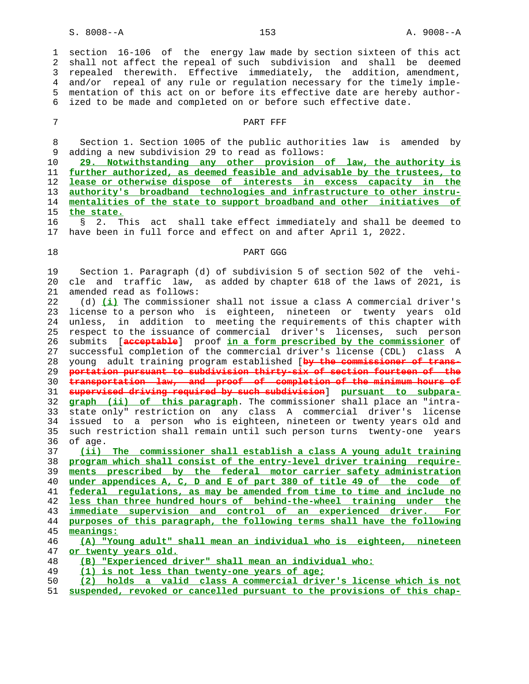1 section 16-106 of the energy law made by section sixteen of this act 2 shall not affect the repeal of such subdivision and shall be deemed 3 repealed therewith. Effective immediately, the addition, amendment, 4 and/or repeal of any rule or regulation necessary for the timely imple- 5 mentation of this act on or before its effective date are hereby author- 6 ized to be made and completed on or before such effective date.

## 7 PART PER

 8 Section 1. Section 1005 of the public authorities law is amended by 9 adding a new subdivision 29 to read as follows:

**29. Notwithstanding any other provision of law, the authority is further authorized, as deemed feasible and advisable by the trustees, to lease or otherwise dispose of interests in excess capacity in the authority's broadband technologies and infrastructure to other instru- mentalities of the state to support broadband and other initiatives of the state.** 16 § 2. This act shall take effect immediately and shall be deemed to

17 have been in full force and effect on and after April 1, 2022.

## 18 PART GGG

 19 Section 1. Paragraph (d) of subdivision 5 of section 502 of the vehi- 20 cle and traffic law, as added by chapter 618 of the laws of 2021, is 21 amended read as follows:

 22 (d) **(i)** The commissioner shall not issue a class A commercial driver's 23 license to a person who is eighteen, nineteen or twenty years old 24 unless, in addition to meeting the requirements of this chapter with 25 respect to the issuance of commercial driver's licenses, such person 26 submits [**acceptable**] proof **in a form prescribed by the commissioner** of 27 successful completion of the commercial driver's license (CDL) class A 28 young adult training program established [**by the commissioner of trans-** 29 **portation pursuant to subdivision thirty-six of section fourteen of the** 30 **transportation law, and proof of completion of the minimum hours of** 31 **supervised driving required by such subdivision**] **pursuant to subpara-** 32 **graph (ii) of this paragraph**. The commissioner shall place an "intra- 33 state only" restriction on any class A commercial driver's license 34 issued to a person who is eighteen, nineteen or twenty years old and 35 such restriction shall remain until such person turns twenty-one years 36 of age.

**(ii) The commissioner shall establish a class A young adult training program which shall consist of the entry-level driver training require- ments prescribed by the federal motor carrier safety administration under appendices A, C, D and E of part 380 of title 49 of the code of federal regulations, as may be amended from time to time and include no less than three hundred hours of behind-the-wheel training under the immediate supervision and control of an experienced driver. For purposes of this paragraph, the following terms shall have the following meanings: (A) "Young adult" shall mean an individual who is eighteen, nineteen**

47 **or twenty years old.**

48 **(B) "Experienced driver" shall mean an individual who:**

49 **(1) is not less than twenty-one years of age;**

50 **(2) holds a valid class A commercial driver's license which is not**

51 **suspended, revoked or cancelled pursuant to the provisions of this chap-**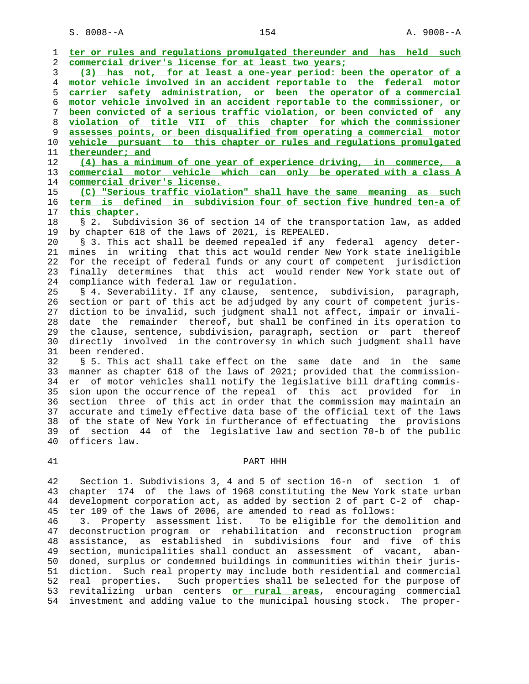1 **ter or rules and regulations promulgated thereunder and has held such** 2 **commercial driver's license for at least two years;** 3 **(3) has not, for at least a one-year period: been the operator of a** 4 **motor vehicle involved in an accident reportable to the federal motor** 5 **carrier safety administration, or been the operator of a commercial** 6 **motor vehicle involved in an accident reportable to the commissioner, or** 7 **been convicted of a serious traffic violation, or been convicted of any** 8 **violation of title VII of this chapter for which the commissioner** 9 **assesses points, or been disqualified from operating a commercial motor** 10 **vehicle pursuant to this chapter or rules and regulations promulgated** 11 **thereunder; and** 12 **(4) has a minimum of one year of experience driving, in commerce, a** 13 **commercial motor vehicle which can only be operated with a class A** 14 **commercial driver's license.** 15 **(C) "Serious traffic violation" shall have the same meaning as such** 16 **term is defined in subdivision four of section five hundred ten-a of** 17 **this chapter.** 18 § 2. Subdivision 36 of section 14 of the transportation law, as added 19 by chapter 618 of the laws of 2021, is REPEALED. 20 § 3. This act shall be deemed repealed if any federal agency deter- 21 mines in writing that this act would render New York state ineligible 22 for the receipt of federal funds or any court of competent jurisdiction 23 finally determines that this act would render New York state out of 24 compliance with federal law or regulation. 25 § 4. Severability. If any clause, sentence, subdivision, paragraph, 26 section or part of this act be adjudged by any court of competent juris- 27 diction to be invalid, such judgment shall not affect, impair or invali- 28 date the remainder thereof, but shall be confined in its operation to 29 the clause, sentence, subdivision, paragraph, section or part thereof 30 directly involved in the controversy in which such judgment shall have 31 been rendered. 32 § 5. This act shall take effect on the same date and in the same 33 manner as chapter 618 of the laws of 2021; provided that the commission- 34 er of motor vehicles shall notify the legislative bill drafting commis- 35 sion upon the occurrence of the repeal of this act provided for in 36 section three of this act in order that the commission may maintain an 37 accurate and timely effective data base of the official text of the laws 38 of the state of New York in furtherance of effectuating the provisions 39 of section 44 of the legislative law and section 70-b of the public 40 officers law. 41 PART HHH

 42 Section 1. Subdivisions 3, 4 and 5 of section 16-n of section 1 of 43 chapter 174 of the laws of 1968 constituting the New York state urban 44 development corporation act, as added by section 2 of part C-2 of chap- 45 ter 109 of the laws of 2006, are amended to read as follows:

 46 3. Property assessment list. To be eligible for the demolition and 47 deconstruction program or rehabilitation and reconstruction program 48 assistance, as established in subdivisions four and five of this 49 section, municipalities shall conduct an assessment of vacant, aban- 50 doned, surplus or condemned buildings in communities within their juris- 51 diction. Such real property may include both residential and commercial 52 real properties. Such properties shall be selected for the purpose of 53 revitalizing urban centers **or rural areas**, encouraging commercial 54 investment and adding value to the municipal housing stock. The proper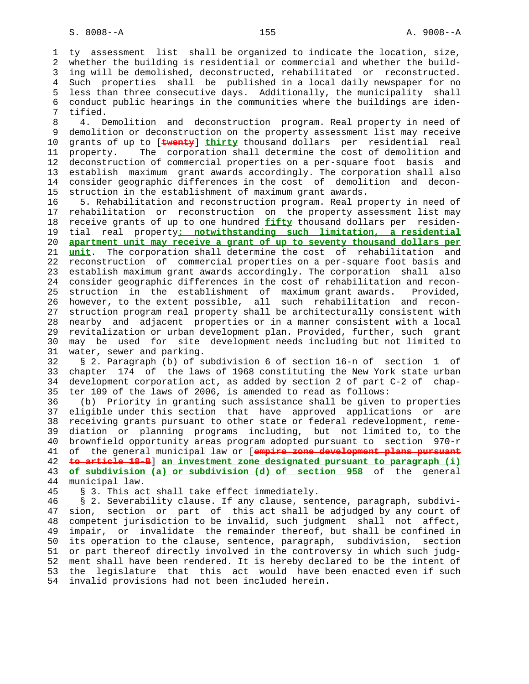1 ty assessment list shall be organized to indicate the location, size, 2 whether the building is residential or commercial and whether the build- 3 ing will be demolished, deconstructed, rehabilitated or reconstructed. 4 Such properties shall be published in a local daily newspaper for no 5 less than three consecutive days. Additionally, the municipality shall 6 conduct public hearings in the communities where the buildings are iden- 7 tified.

 8 4. Demolition and deconstruction program. Real property in need of 9 demolition or deconstruction on the property assessment list may receive 10 grants of up to [**twenty**] **thirty** thousand dollars per residential real 11 property. The corporation shall determine the cost of demolition and 12 deconstruction of commercial properties on a per-square foot basis and 13 establish maximum grant awards accordingly. The corporation shall also 14 consider geographic differences in the cost of demolition and decon- 15 struction in the establishment of maximum grant awards.

 16 5. Rehabilitation and reconstruction program. Real property in need of 17 rehabilitation or reconstruction on the property assessment list may 18 receive grants of up to one hundred **fifty** thousand dollars per residen- 19 tial real property**; notwithstanding such limitation, a residential** 20 **apartment unit may receive a grant of up to seventy thousand dollars per** 21 **unit**. The corporation shall determine the cost of rehabilitation and 22 reconstruction of commercial properties on a per-square foot basis and 23 establish maximum grant awards accordingly. The corporation shall also 24 consider geographic differences in the cost of rehabilitation and recon- 25 struction in the establishment of maximum grant awards. Provided, 26 however, to the extent possible, all such rehabilitation and recon- 27 struction program real property shall be architecturally consistent with 28 nearby and adjacent properties or in a manner consistent with a local 29 revitalization or urban development plan. Provided, further, such grant 30 may be used for site development needs including but not limited to 31 water, sewer and parking.

 32 § 2. Paragraph (b) of subdivision 6 of section 16-n of section 1 of 33 chapter 174 of the laws of 1968 constituting the New York state urban 34 development corporation act, as added by section 2 of part C-2 of chap- 35 ter 109 of the laws of 2006, is amended to read as follows:

 36 (b) Priority in granting such assistance shall be given to properties 37 eligible under this section that have approved applications or are 38 receiving grants pursuant to other state or federal redevelopment, reme- 39 diation or planning programs including, but not limited to, to the 40 brownfield opportunity areas program adopted pursuant to section 970-r 41 of the general municipal law or [**empire zone development plans pursuant** 42 **to article 18-B**] **an investment zone designated pursuant to paragraph (i)** 43 **of subdivision (a) or subdivision (d) of section 958** of the general 44 municipal law.

45 § 3. This act shall take effect immediately.

 46 § 2. Severability clause. If any clause, sentence, paragraph, subdivi- 47 sion, section or part of this act shall be adjudged by any court of 48 competent jurisdiction to be invalid, such judgment shall not affect, 49 impair, or invalidate the remainder thereof, but shall be confined in 50 its operation to the clause, sentence, paragraph, subdivision, section 51 or part thereof directly involved in the controversy in which such judg- 52 ment shall have been rendered. It is hereby declared to be the intent of 53 the legislature that this act would have been enacted even if such 54 invalid provisions had not been included herein.